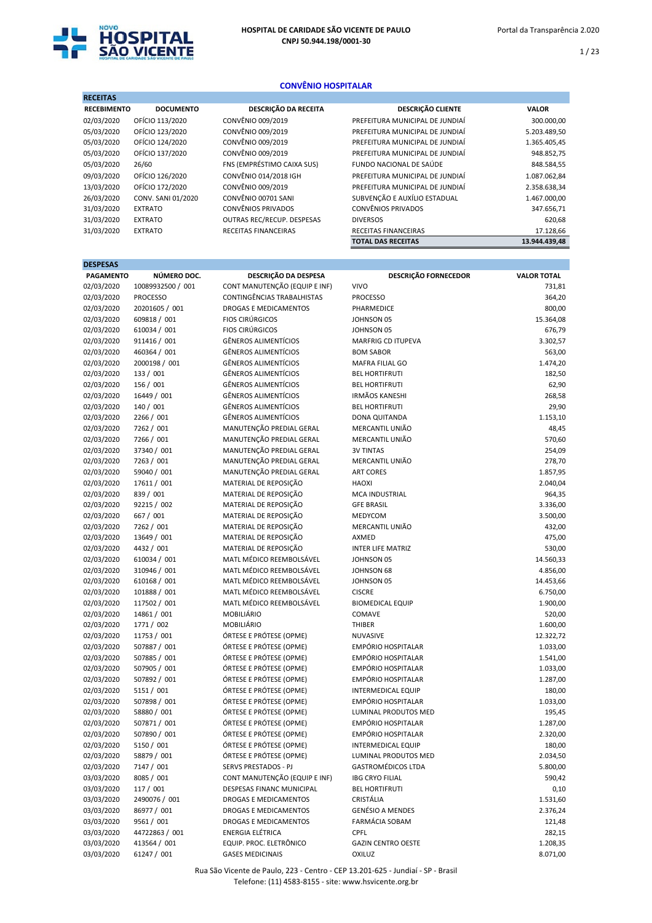

# CONVÊNIO HOSPITALAR

| <b>RECEITAS</b>    |                    |                                   |                                 |               |
|--------------------|--------------------|-----------------------------------|---------------------------------|---------------|
| <b>RECEBIMENTO</b> | <b>DOCUMENTO</b>   | DESCRIÇÃO DA RECEITA              | <b>DESCRIÇÃO CLIENTE</b>        | <b>VALOR</b>  |
| 02/03/2020         | OFÍCIO 113/2020    | CONVÊNIO 009/2019                 | PREFEITURA MUNICIPAL DE JUNDIAÍ | 300.000,00    |
| 05/03/2020         | OFÍCIO 123/2020    | CONVÊNIO 009/2019                 | PREFEITURA MUNICIPAL DE JUNDIAÍ | 5.203.489,50  |
| 05/03/2020         | OFÍCIO 124/2020    | CONVÊNIO 009/2019                 | PREFEITURA MUNICIPAL DE JUNDIAÍ | 1.365.405,45  |
| 05/03/2020         | OFÍCIO 137/2020    | CONVÊNIO 009/2019                 | PREFEITURA MUNICIPAL DE JUNDIAÍ | 948.852,75    |
| 05/03/2020         | 26/60              | FNS (EMPRÉSTIMO CAIXA SUS)        | FUNDO NACIONAL DE SAÚDE         | 848.584,55    |
| 09/03/2020         | OFÍCIO 126/2020    | CONVÊNIO 014/2018 IGH             | PREFEITURA MUNICIPAL DE JUNDIAÍ | 1.087.062,84  |
| 13/03/2020         | OFÍCIO 172/2020    | CONVÊNIO 009/2019                 | PREFEITURA MUNICIPAL DE JUNDIAÍ | 2.358.638,34  |
| 26/03/2020         | CONV. SANI 01/2020 | CONVÊNIO 00701 SANI               | SUBVENÇÃO E AUXÍLIO ESTADUAL    | 1.467.000,00  |
| 31/03/2020         | <b>EXTRATO</b>     | <b>CONVÊNIOS PRIVADOS</b>         | <b>CONVÊNIOS PRIVADOS</b>       | 347.656,71    |
| 31/03/2020         | <b>EXTRATO</b>     | <b>OUTRAS REC/RECUP. DESPESAS</b> | <b>DIVERSOS</b>                 | 620,68        |
| 31/03/2020         | <b>EXTRATO</b>     | RECEITAS FINANCEIRAS              | <b>RECEITAS FINANCEIRAS</b>     | 17.128,66     |
|                    |                    |                                   | <b>TOTAL DAS RECEITAS</b>       | 13.944.439.48 |

| <b>DESPESAS</b>  |                   |                               |                             |                    |
|------------------|-------------------|-------------------------------|-----------------------------|--------------------|
| <b>PAGAMENTO</b> | NÚMERO DOC.       | DESCRIÇÃO DA DESPESA          | <b>DESCRIÇÃO FORNECEDOR</b> | <b>VALOR TOTAL</b> |
| 02/03/2020       | 10089932500 / 001 | CONT MANUTENÇÃO (EQUIP E INF) | <b>VIVO</b>                 | 731,81             |
| 02/03/2020       | <b>PROCESSO</b>   | CONTINGÊNCIAS TRABALHISTAS    | <b>PROCESSO</b>             | 364,20             |
| 02/03/2020       | 20201605 / 001    | <b>DROGAS E MEDICAMENTOS</b>  | PHARMEDICE                  | 800,00             |
| 02/03/2020       | 609818 / 001      | <b>FIOS CIRÚRGICOS</b>        | JOHNSON 05                  | 15.364,08          |
| 02/03/2020       | 610034 / 001      | <b>FIOS CIRÚRGICOS</b>        | JOHNSON 05                  | 676,79             |
| 02/03/2020       | 911416 / 001      | <b>GÊNEROS ALIMENTÍCIOS</b>   | <b>MARFRIG CD ITUPEVA</b>   | 3.302,57           |
| 02/03/2020       | 460364 / 001      | <b>GÊNEROS ALIMENTÍCIOS</b>   | <b>BOM SABOR</b>            | 563,00             |
| 02/03/2020       | 2000198 / 001     | <b>GÊNEROS ALIMENTÍCIOS</b>   | MAFRA FILIAL GO             | 1.474,20           |
| 02/03/2020       | 133 / 001         | <b>GÊNEROS ALIMENTÍCIOS</b>   | <b>BEL HORTIFRUTI</b>       | 182,50             |
| 02/03/2020       | 156 / 001         | <b>GÊNEROS ALIMENTÍCIOS</b>   | <b>BEL HORTIFRUTI</b>       | 62,90              |
| 02/03/2020       | 16449 / 001       | <b>GÊNEROS ALIMENTÍCIOS</b>   | <b>IRMÃOS KANESHI</b>       | 268,58             |
| 02/03/2020       | 140 / 001         | <b>GÊNEROS ALIMENTÍCIOS</b>   | <b>BEL HORTIFRUTI</b>       | 29,90              |
| 02/03/2020       | 2266 / 001        | <b>GÊNEROS ALIMENTÍCIOS</b>   | DONA QUITANDA               | 1.153,10           |
| 02/03/2020       | 7262 / 001        | MANUTENÇÃO PREDIAL GERAL      | MERCANTIL UNIÃO             | 48,45              |
| 02/03/2020       | 7266 / 001        | MANUTENÇÃO PREDIAL GERAL      | MERCANTIL UNIÃO             | 570,60             |
| 02/03/2020       | 37340 / 001       | MANUTENÇÃO PREDIAL GERAL      | <b>3V TINTAS</b>            | 254,09             |
| 02/03/2020       | 7263 / 001        | MANUTENÇÃO PREDIAL GERAL      | MERCANTIL UNIÃO             | 278,70             |
| 02/03/2020       | 59040 / 001       | MANUTENÇÃO PREDIAL GERAL      | <b>ART CORES</b>            | 1.857,95           |
| 02/03/2020       | 17611 / 001       | MATERIAL DE REPOSIÇÃO         | <b>HAOXI</b>                | 2.040,04           |
| 02/03/2020       | 839 / 001         | MATERIAL DE REPOSIÇÃO         | <b>MCA INDUSTRIAL</b>       | 964,35             |
| 02/03/2020       | 92215 / 002       | MATERIAL DE REPOSIÇÃO         | <b>GFE BRASIL</b>           | 3.336,00           |
| 02/03/2020       | 667 / 001         | MATERIAL DE REPOSIÇÃO         | MEDYCOM                     | 3.500,00           |
| 02/03/2020       | 7262 / 001        | MATERIAL DE REPOSIÇÃO         | MERCANTIL UNIÃO             | 432,00             |
| 02/03/2020       | 13649 / 001       | MATERIAL DE REPOSIÇÃO         | AXMED                       | 475,00             |
| 02/03/2020       | 4432 / 001        | MATERIAL DE REPOSIÇÃO         | <b>INTER LIFE MATRIZ</b>    | 530,00             |
| 02/03/2020       | 610034 / 001      | MATL MÉDICO REEMBOLSÁVEL      | JOHNSON 05                  | 14.560,33          |
| 02/03/2020       | 310946 / 001      | MATL MÉDICO REEMBOLSÁVEL      | JOHNSON 68                  | 4.856,00           |
| 02/03/2020       | 610168 / 001      | MATL MÉDICO REEMBOLSÁVEL      | JOHNSON 05                  | 14.453,66          |
| 02/03/2020       | 101888 / 001      | MATL MÉDICO REEMBOLSÁVEL      | <b>CISCRE</b>               | 6.750,00           |
| 02/03/2020       | 117502 / 001      | MATL MÉDICO REEMBOLSÁVEL      | <b>BIOMEDICAL EQUIP</b>     | 1.900,00           |
| 02/03/2020       | 14861 / 001       | MOBILIÁRIO                    | COMAVE                      | 520,00             |
| 02/03/2020       | 1771 / 002        | MOBILIÁRIO                    | THIBER                      | 1.600,00           |
| 02/03/2020       | 11753 / 001       | ÓRTESE E PRÓTESE (OPME)       | NUVASIVE                    | 12.322,72          |
| 02/03/2020       | 507887 / 001      | ÓRTESE E PRÓTESE (OPME)       | EMPÓRIO HOSPITALAR          | 1.033,00           |
| 02/03/2020       | 507885 / 001      | ÓRTESE E PRÓTESE (OPME)       | EMPÓRIO HOSPITALAR          | 1.541,00           |
| 02/03/2020       | 507905 / 001      | ÓRTESE E PRÓTESE (OPME)       | EMPÓRIO HOSPITALAR          | 1.033,00           |
| 02/03/2020       | 507892 / 001      | ÓRTESE E PRÓTESE (OPME)       | EMPÓRIO HOSPITALAR          | 1.287,00           |
| 02/03/2020       | 5151 / 001        | ÓRTESE E PRÓTESE (OPME)       | <b>INTERMEDICAL EQUIP</b>   | 180,00             |
| 02/03/2020       | 507898 / 001      | ÓRTESE E PRÓTESE (OPME)       | EMPÓRIO HOSPITALAR          | 1.033,00           |
| 02/03/2020       | 58880 / 001       | ÓRTESE E PRÓTESE (OPME)       | <b>LUMINAL PRODUTOS MED</b> | 195,45             |
| 02/03/2020       | 507871 / 001      | ÓRTESE E PRÓTESE (OPME)       | <b>EMPÓRIO HOSPITALAR</b>   | 1.287,00           |
| 02/03/2020       | 507890 / 001      | ÓRTESE E PRÓTESE (OPME)       | <b>EMPÓRIO HOSPITALAR</b>   | 2.320,00           |
| 02/03/2020       | 5150 / 001        | ÓRTESE E PRÓTESE (OPME)       | INTERMEDICAL EQUIP          | 180,00             |
| 02/03/2020       | 58879 / 001       | ÓRTESE E PRÓTESE (OPME)       | LUMINAL PRODUTOS MED        | 2.034,50           |
| 02/03/2020       | 7147 / 001        | SERVS PRESTADOS - PJ          | <b>GASTROMÉDICOS LTDA</b>   | 5.800,00           |
| 03/03/2020       | 8085 / 001        | CONT MANUTENÇÃO (EQUIP E INF) | <b>IBG CRYO FILIAL</b>      | 590,42             |
| 03/03/2020       | 117 / 001         | DESPESAS FINANC MUNICIPAL     | <b>BEL HORTIFRUTI</b>       | 0,10               |
| 03/03/2020       | 2490076 / 001     | DROGAS E MEDICAMENTOS         | CRISTÁLIA                   | 1.531,60           |
| 03/03/2020       | 86977 / 001       | DROGAS E MEDICAMENTOS         | <b>GENÉSIO A MENDES</b>     | 2.376,24           |
| 03/03/2020       | 9561 / 001        | DROGAS E MEDICAMENTOS         | FARMÁCIA SOBAM              | 121,48             |
| 03/03/2020       | 44722863 / 001    | ENERGIA ELÉTRICA              | <b>CPFL</b>                 | 282,15             |
| 03/03/2020       | 413564 / 001      | EQUIP. PROC. ELETRÔNICO       | <b>GAZIN CENTRO OESTE</b>   | 1.208,35           |
| 03/03/2020       | 61247 / 001       | <b>GASES MEDICINAIS</b>       | OXILUZ                      | 8.071,00           |

Rua São Vicente de Paulo, 223 - Centro - CEP 13.201-625 - Jundiaí - SP - Brasil Telefone: (11) 4583-8155 - site: www.hsvicente.org.br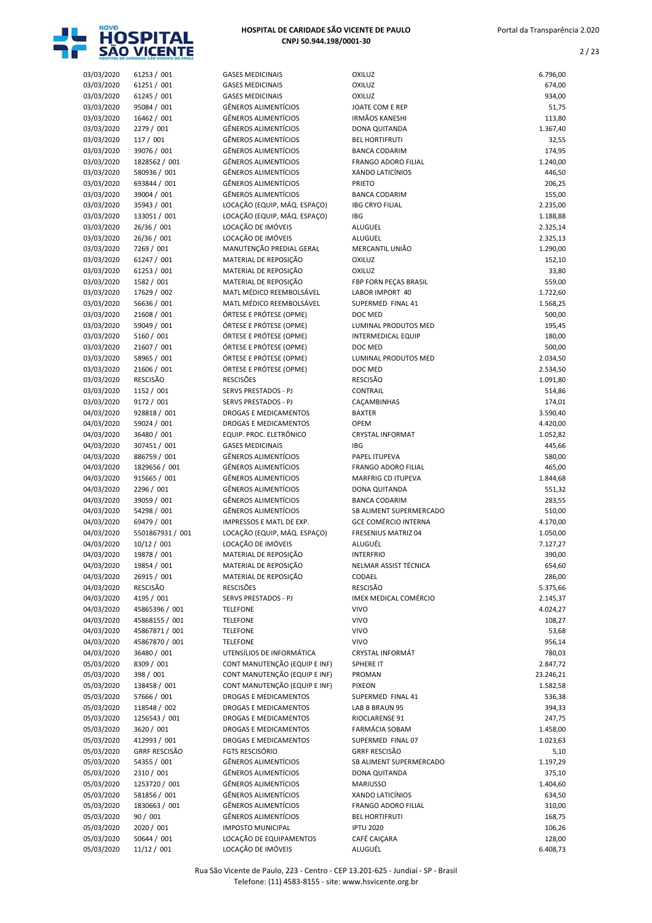

| 03/03/2020 | 61253 / 001          | <b>GASES MEDICINAIS</b>         | <b>OXILUZ</b>               | 6.796,00  |
|------------|----------------------|---------------------------------|-----------------------------|-----------|
| 03/03/2020 | 61251 / 001          | <b>GASES MEDICINAIS</b>         | <b>OXILUZ</b>               | 674,00    |
| 03/03/2020 | 61245 / 001          | <b>GASES MEDICINAIS</b>         | <b>OXILUZ</b>               | 934,00    |
| 03/03/2020 | 95084 / 001          | <b>GÊNEROS ALIMENTÍCIOS</b>     | JOATE COM E REP             | 51,75     |
| 03/03/2020 | 16462 / 001          | <b>GÊNEROS ALIMENTÍCIOS</b>     | <b>IRMÃOS KANESHI</b>       | 113,80    |
| 03/03/2020 | 2279 / 001           | <b>GÊNEROS ALIMENTÍCIOS</b>     | DONA QUITANDA               | 1.367,40  |
| 03/03/2020 | 117 / 001            | <b>GÊNEROS ALIMENTÍCIOS</b>     | <b>BEL HORTIFRUTI</b>       | 32,55     |
| 03/03/2020 | 39076 / 001          | <b>GÊNEROS ALIMENTÍCIOS</b>     | <b>BANCA CODARIM</b>        | 174,95    |
| 03/03/2020 | 1828562 / 001        | <b>GÊNEROS ALIMENTÍCIOS</b>     | <b>FRANGO ADORO FILIAL</b>  | 1.240,00  |
| 03/03/2020 | 580936 / 001         | <b>GÊNEROS ALIMENTÍCIOS</b>     | XANDO LATICÍNIOS            | 446,50    |
| 03/03/2020 | 693844 / 001         | <b>GÊNEROS ALIMENTÍCIOS</b>     | PRIETO                      | 206,25    |
| 03/03/2020 | 39004 / 001          | <b>GÊNEROS ALIMENTÍCIOS</b>     | <b>BANCA CODARIM</b>        | 155,00    |
| 03/03/2020 | 35943 / 001          | LOCAÇÃO (EQUIP, MÁQ. ESPAÇO)    | <b>IBG CRYO FILIAL</b>      | 2.235,00  |
| 03/03/2020 | 133051 / 001         | LOCAÇÃO (EQUIP, MÁQ. ESPAÇO)    | <b>IBG</b>                  | 1.188,88  |
| 03/03/2020 | 26/36 / 001          | LOCAÇÃO DE IMÓVEIS              | <b>ALUGUEL</b>              | 2.325,14  |
| 03/03/2020 | 26/36 / 001          | LOCAÇÃO DE IMÓVEIS              | ALUGUEL                     | 2.325,13  |
| 03/03/2020 | 7269 / 001           | MANUTENÇÃO PREDIAL GERAL        | MERCANTIL UNIÃO             | 1.290,00  |
| 03/03/2020 | 61247 / 001          | MATERIAL DE REPOSIÇÃO           | OXILUZ                      | 152,10    |
| 03/03/2020 | 61253 / 001          | MATERIAL DE REPOSIÇÃO           | OXILUZ                      | 33,80     |
| 03/03/2020 | 1582 / 001           | MATERIAL DE REPOSIÇÃO           | FBP FORN PECAS BRASIL       | 559,00    |
| 03/03/2020 | 17629 / 002          | MATL MÉDICO REEMBOLSÁVEL        | LABOR IMPORT 40             | 1.722,60  |
| 03/03/2020 | 56636 / 001          | MATL MÉDICO REEMBOLSÁVEL        | SUPERMED FINAL 41           | 1.568,25  |
| 03/03/2020 | 21608 / 001          | ÓRTESE E PRÓTESE (OPME)         | DOC MED                     | 500,00    |
| 03/03/2020 | 59049 / 001          | ÓRTESE E PRÓTESE (OPME)         | LUMINAL PRODUTOS MED        | 195,45    |
| 03/03/2020 | 5160 / 001           | ÓRTESE E PRÓTESE (OPME)         | <b>INTERMEDICAL EQUIP</b>   | 180,00    |
| 03/03/2020 | 21607 / 001          | ÓRTESE E PRÓTESE (OPME)         | DOC MED                     | 500,00    |
| 03/03/2020 | 58965 / 001          | ÓRTESE E PRÓTESE (OPME)         | LUMINAL PRODUTOS MED        | 2.034,50  |
| 03/03/2020 | 21606 / 001          | ÓRTESE E PRÓTESE (OPME)         | DOC MED                     | 2.534,50  |
| 03/03/2020 | <b>RESCISÃO</b>      | <b>RESCISÕES</b>                | <b>RESCISÃO</b>             | 1.091,80  |
| 03/03/2020 | 1152 / 001           | SERVS PRESTADOS - PJ            | CONTRAIL                    | 514,86    |
| 03/03/2020 | 9172 / 001           | SERVS PRESTADOS - PJ            | CAÇAMBINHAS                 | 174,01    |
| 04/03/2020 | 928818 / 001         | <b>DROGAS E MEDICAMENTOS</b>    | <b>BAXTER</b>               | 3.590,40  |
| 04/03/2020 | 59024 / 001          | <b>DROGAS E MEDICAMENTOS</b>    | <b>OPEM</b>                 | 4.420,00  |
| 04/03/2020 | 36480 / 001          | EQUIP. PROC. ELETRÔNICO         | <b>CRYSTAL INFORMAT</b>     | 1.052,82  |
| 04/03/2020 | 307451 / 001         | <b>GASES MEDICINAIS</b>         | <b>IBG</b>                  | 445,66    |
| 04/03/2020 | 886759 / 001         | <b>GÊNEROS ALIMENTÍCIOS</b>     | PAPEL ITUPEVA               | 580,00    |
| 04/03/2020 | 1829656 / 001        | <b>GÊNEROS ALIMENTÍCIOS</b>     | <b>FRANGO ADORO FILIAL</b>  | 465,00    |
| 04/03/2020 | 915665 / 001         | <b>GÊNEROS ALIMENTÍCIOS</b>     | <b>MARFRIG CD ITUPEVA</b>   | 1.844,68  |
| 04/03/2020 | 2296 / 001           | <b>GÊNEROS ALIMENTÍCIOS</b>     | DONA QUITANDA               | 551,32    |
| 04/03/2020 | 39059 / 001          | <b>GÊNEROS ALIMENTÍCIOS</b>     | <b>BANCA CODARIM</b>        | 283,55    |
| 04/03/2020 | 54298 / 001          | <b>GÊNEROS ALIMENTÍCIOS</b>     | SB ALIMENT SUPERMERCADO     | 510,00    |
| 04/03/2020 | 69479 / 001          | <b>IMPRESSOS E MATL DE EXP.</b> | <b>GCE COMÉRCIO INTERNA</b> | 4.170,00  |
| 04/03/2020 | 5501867931 / 001     | LOCAÇÃO (EQUIP, MÁQ. ESPAÇO)    | FRESENIUS MATRIZ 04         | 1.050,00  |
| 04/03/2020 | 10/12 / 001          | LOCAÇÃO DE IMÓVEIS              | ALUGUÉL                     | 7.127,27  |
| 04/03/2020 | 19878 / 001          | MATERIAL DE REPOSIÇÃO           | <b>INTERFRIO</b>            | 390,00    |
| 04/03/2020 | 19854 / 001          | MATERIAL DE REPOSIÇÃO           | NELMAR ASSIST TÉCNICA       | 654,60    |
| 04/03/2020 | 26915 / 001          | MATERIAL DE REPOSIÇÃO           | CODAEL                      | 286,00    |
| 04/03/2020 | <b>RESCISÃO</b>      | <b>RESCISÕES</b>                | RESCISÃO                    | 5.375,66  |
| 04/03/2020 | 4195 / 001           | SERVS PRESTADOS - PJ            | IMEX MEDICAL COMÉRCIO       | 2.145,37  |
| 04/03/2020 | 45865396 / 001       | <b>TELEFONE</b>                 | <b>VIVO</b>                 | 4.024,27  |
| 04/03/2020 | 45868155 / 001       | <b>TELEFONE</b>                 | <b>VIVO</b>                 | 108,27    |
| 04/03/2020 | 45867871 / 001       | <b>TELEFONE</b>                 | <b>VIVO</b>                 | 53,68     |
| 04/03/2020 | 45867870 / 001       | <b>TELEFONE</b>                 | <b>VIVO</b>                 | 956,14    |
| 04/03/2020 | 36480 / 001          | UTENSÍLIOS DE INFORMÁTICA       | CRYSTAL INFORMÁT            | 780,03    |
| 05/03/2020 | 8309 / 001           | CONT MANUTENÇÃO (EQUIP E INF)   | SPHERE IT                   | 2.847,72  |
| 05/03/2020 | 398 / 001            | CONT MANUTENÇÃO (EQUIP E INF)   | PROMAN                      | 23.246,21 |
| 05/03/2020 | 138458 / 001         | CONT MANUTENÇÃO (EQUIP E INF)   | <b>PIXEON</b>               | 1.582,58  |
| 05/03/2020 | 57666 / 001          | DROGAS E MEDICAMENTOS           | SUPERMED FINAL 41           | 536,38    |
| 05/03/2020 | 118548 / 002         | DROGAS E MEDICAMENTOS           | LAB B BRAUN 95              | 394,33    |
| 05/03/2020 | 1256543 / 001        | DROGAS E MEDICAMENTOS           | RIOCLARENSE 91              | 247,75    |
| 05/03/2020 | 3620 / 001           | DROGAS E MEDICAMENTOS           | FARMÁCIA SOBAM              | 1.458,00  |
| 05/03/2020 | 412993 / 001         | DROGAS E MEDICAMENTOS           | SUPERMED FINAL 07           | 1.023,63  |
| 05/03/2020 | <b>GRRF RESCISÃO</b> | FGTS RESCISÓRIO                 | <b>GRRF RESCISÃO</b>        | 5,10      |
| 05/03/2020 | 54355 / 001          | GÊNEROS ALIMENTÍCIOS            | SB ALIMENT SUPERMERCADO     | 1.197,29  |
| 05/03/2020 | 2310 / 001           | GÊNEROS ALIMENTÍCIOS            | DONA QUITANDA               | 375,10    |
| 05/03/2020 | 1253720 / 001        | GÊNEROS ALIMENTÍCIOS            | <b>MARIUSSO</b>             | 1.404,60  |
| 05/03/2020 | 581856 / 001         | GÊNEROS ALIMENTÍCIOS            | XANDO LATICÍNIOS            | 634,50    |
| 05/03/2020 | 1830663 / 001        | GÊNEROS ALIMENTÍCIOS            | FRANGO ADORO FILIAL         | 310,00    |
| 05/03/2020 | 90 / 001             | GÊNEROS ALIMENTÍCIOS            | <b>BEL HORTIFRUTI</b>       | 168,75    |
| 05/03/2020 | 2020 / 001           | <b>IMPOSTO MUNICIPAL</b>        | <b>IPTU 2020</b>            | 106,26    |
| 05/03/2020 | 50644 / 001          | LOCAÇÃO DE EQUIPAMENTOS         | CAFÉ CAIÇARA                | 128,00    |
| 05/03/2020 | 11/12 / 001          | LOCAÇÃO DE IMÓVEIS              | ALUGUÉL                     | 6.408,73  |
|            |                      |                                 |                             |           |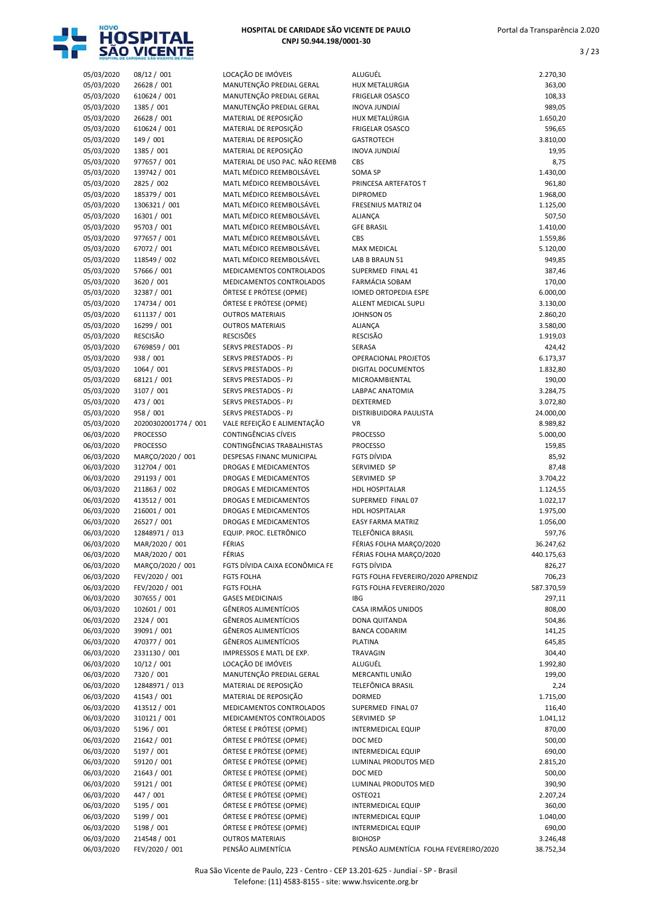

| 05/03/2020 | 08/12 / 001                        | LOCAÇÃO DE IMÓVEIS             | ALUGUÉL                                 | 2.270,30   |
|------------|------------------------------------|--------------------------------|-----------------------------------------|------------|
| 05/03/2020 | 26628 / 001                        | MANUTENÇÃO PREDIAL GERAL       | <b>HUX METALURGIA</b>                   | 363,00     |
| 05/03/2020 | 610624 / 001                       | MANUTENÇÃO PREDIAL GERAL       | <b>FRIGELAR OSASCO</b>                  | 108,33     |
| 05/03/2020 | 1385 / 001                         | MANUTENÇÃO PREDIAL GERAL       | <b>INOVA JUNDIAÍ</b>                    | 989,05     |
| 05/03/2020 | 26628 / 001                        | MATERIAL DE REPOSIÇÃO          | HUX METALÚRGIA                          | 1.650,20   |
| 05/03/2020 | 610624 / 001                       | MATERIAL DE REPOSIÇÃO          | <b>FRIGELAR OSASCO</b>                  | 596,65     |
| 05/03/2020 | 149 / 001                          | MATERIAL DE REPOSIÇÃO          | <b>GASTROTECH</b>                       | 3.810,00   |
| 05/03/2020 | 1385 / 001                         | MATERIAL DE REPOSIÇÃO          | INOVA JUNDIAÍ                           | 19,95      |
| 05/03/2020 | 977657 / 001                       | MATERIAL DE USO PAC. NÃO REEMB | CBS                                     | 8,75       |
| 05/03/2020 | 139742 / 001                       | MATL MÉDICO REEMBOLSÁVEL       | SOMA SP                                 | 1.430,00   |
| 05/03/2020 | 2825 / 002                         | MATL MÉDICO REEMBOLSÁVEL       | PRINCESA ARTEFATOS T                    | 961,80     |
| 05/03/2020 | 185379 / 001                       | MATL MÉDICO REEMBOLSÁVEL       | <b>DIPROMED</b>                         | 1.968,00   |
|            | 1306321 / 001                      | MATL MÉDICO REEMBOLSÁVEL       | <b>FRESENIUS MATRIZ 04</b>              |            |
| 05/03/2020 |                                    |                                |                                         | 1.125,00   |
| 05/03/2020 | 16301 / 001                        | MATL MÉDICO REEMBOLSÁVEL       | <b>ALIANÇA</b>                          | 507,50     |
| 05/03/2020 | 95703 / 001                        | MATL MÉDICO REEMBOLSÁVEL       | <b>GFE BRASIL</b>                       | 1.410,00   |
| 05/03/2020 | 977657 / 001                       | MATL MÉDICO REEMBOLSÁVEL       | CBS                                     | 1.559,86   |
| 05/03/2020 | 67072 / 001                        | MATL MÉDICO REEMBOLSÁVEL       | <b>MAX MEDICAL</b>                      | 5.120,00   |
| 05/03/2020 | 118549 / 002                       | MATL MÉDICO REEMBOLSÁVEL       | LAB B BRAUN 51                          | 949,85     |
| 05/03/2020 | 57666 / 001                        | MEDICAMENTOS CONTROLADOS       | SUPERMED FINAL 41                       | 387,46     |
| 05/03/2020 | 3620 / 001                         | MEDICAMENTOS CONTROLADOS       | <b>FARMÁCIA SOBAM</b>                   | 170,00     |
| 05/03/2020 | 32387 / 001                        | ÓRTESE E PRÓTESE (OPME)        | <b>IOMED ORTOPEDIA ESPE</b>             | 6.000,00   |
| 05/03/2020 | 174734 / 001                       | ÓRTESE E PRÓTESE (OPME)        | ALLENT MEDICAL SUPLI                    | 3.130,00   |
| 05/03/2020 | 611137 / 001                       | <b>OUTROS MATERIAIS</b>        | JOHNSON 05                              | 2.860,20   |
| 05/03/2020 | 16299 / 001                        | <b>OUTROS MATERIAIS</b>        | ALIANÇA                                 | 3.580,00   |
| 05/03/2020 | RESCISÃO                           | <b>RESCISÕES</b>               | <b>RESCISÃO</b>                         | 1.919,03   |
| 05/03/2020 | 6769859 / 001                      | SERVS PRESTADOS - PJ           | SERASA                                  | 424,42     |
| 05/03/2020 | 938 / 001                          | SERVS PRESTADOS - PJ           | OPERACIONAL PROJETOS                    | 6.173,37   |
| 05/03/2020 | 1064 / 001                         | SERVS PRESTADOS - PJ           | DIGITAL DOCUMENTOS                      | 1.832,80   |
| 05/03/2020 | 68121 / 001                        | SERVS PRESTADOS - PJ           | MICROAMBIENTAL                          | 190,00     |
| 05/03/2020 | 3107 / 001                         | SERVS PRESTADOS - PJ           | LABPAC ANATOMIA                         | 3.284,75   |
| 05/03/2020 | 473 / 001                          | SERVS PRESTADOS - PJ           | DEXTERMED                               | 3.072,80   |
| 05/03/2020 | 958 / 001                          | SERVS PRESTADOS - PJ           | DISTRIBUIDORA PAULISTA                  | 24.000,00  |
| 05/03/2020 | 20200302001774 / 001               | VALE REFEIÇÃO E ALIMENTAÇÃO    | <b>VR</b>                               | 8.989,82   |
| 06/03/2020 | <b>PROCESSO</b>                    | CONTINGÊNCIAS CÍVEIS           | <b>PROCESSO</b>                         | 5.000,00   |
| 06/03/2020 | <b>PROCESSO</b>                    | CONTINGÊNCIAS TRABALHISTAS     | <b>PROCESSO</b>                         | 159,85     |
| 06/03/2020 | MARÇO/2020 / 001                   | DESPESAS FINANC MUNICIPAL      | FGTS DÍVIDA                             | 85,92      |
| 06/03/2020 | 312704 / 001                       | <b>DROGAS E MEDICAMENTOS</b>   | SERVIMED SP                             | 87,48      |
| 06/03/2020 | 291193 / 001                       | DROGAS E MEDICAMENTOS          | SERVIMED SP                             | 3.704,22   |
| 06/03/2020 | 211863 / 002                       | DROGAS E MEDICAMENTOS          | <b>HDL HOSPITALAR</b>                   | 1.124,55   |
| 06/03/2020 | 413512 / 001                       | DROGAS E MEDICAMENTOS          | SUPERMED FINAL 07                       | 1.022,17   |
| 06/03/2020 | 216001 / 001                       | DROGAS E MEDICAMENTOS          | <b>HDL HOSPITALAR</b>                   | 1.975,00   |
| 06/03/2020 | 26527 / 001                        | <b>DROGAS E MEDICAMENTOS</b>   | <b>EASY FARMA MATRIZ</b>                | 1.056,00   |
| 06/03/2020 | 12848971 / 013                     | EQUIP. PROC. ELETRÔNICO        | <b>TELEFÔNICA BRASIL</b>                | 597,76     |
| 06/03/2020 | MAR/2020 / 001                     | FÉRIAS                         | FÉRIAS FOLHA MARÇO/2020                 | 36.247,62  |
|            |                                    | FÉRIAS                         |                                         |            |
| 06/03/2020 | MAR/2020 / 001<br>MARÇO/2020 / 001 |                                | FERIAS FOLHA MARÇO/2020<br>FGTS DÍVIDA  | 440.175,63 |
| 06/03/2020 |                                    | FGTS DÍVIDA CAIXA ECONÔMICA FE | FGTS FOLHA FEVEREIRO/2020 APRENDIZ      | 826,27     |
| 06/03/2020 | FEV/2020 / 001                     | <b>FGTS FOLHA</b>              |                                         | 706,23     |
| 06/03/2020 | FEV/2020 / 001                     | <b>FGTS FOLHA</b>              | FGTS FOLHA FEVEREIRO/2020               | 587.370,59 |
| 06/03/2020 | 307655 / 001                       | <b>GASES MEDICINAIS</b>        | <b>IBG</b>                              | 297,11     |
| 06/03/2020 | 102601 / 001                       | <b>GÊNEROS ALIMENTÍCIOS</b>    | CASA IRMÃOS UNIDOS                      | 808,00     |
| 06/03/2020 | 2324 / 001                         | <b>GÊNEROS ALIMENTÍCIOS</b>    | DONA QUITANDA                           | 504,86     |
| 06/03/2020 | 39091 / 001                        | GÊNEROS ALIMENTÍCIOS           | <b>BANCA CODARIM</b>                    | 141,25     |
| 06/03/2020 | 470377 / 001                       | <b>GÊNEROS ALIMENTÍCIOS</b>    | <b>PLATINA</b>                          | 645,85     |
| 06/03/2020 | 2331130 / 001                      | IMPRESSOS E MATL DE EXP.       | TRAVAGIN                                | 304,40     |
| 06/03/2020 | 10/12 / 001                        | LOCAÇÃO DE IMÓVEIS             | ALUGUÉL                                 | 1.992,80   |
| 06/03/2020 | 7320 / 001                         | MANUTENÇÃO PREDIAL GERAL       | MERCANTIL UNIÃO                         | 199,00     |
| 06/03/2020 | 12848971 / 013                     | MATERIAL DE REPOSIÇÃO          | TELEFÔNICA BRASIL                       | 2,24       |
| 06/03/2020 | 41543 / 001                        | MATERIAL DE REPOSIÇÃO          | <b>DORMED</b>                           | 1.715,00   |
| 06/03/2020 | 413512 / 001                       | MEDICAMENTOS CONTROLADOS       | SUPERMED FINAL 07                       | 116,40     |
| 06/03/2020 | 310121 / 001                       | MEDICAMENTOS CONTROLADOS       | SERVIMED SP                             | 1.041,12   |
| 06/03/2020 | 5196 / 001                         | ÓRTESE E PRÓTESE (OPME)        | INTERMEDICAL EQUIP                      | 870,00     |
| 06/03/2020 | 21642 / 001                        | ÓRTESE E PRÓTESE (OPME)        | DOC MED                                 | 500,00     |
| 06/03/2020 | 5197 / 001                         | ÓRTESE E PRÓTESE (OPME)        | INTERMEDICAL EQUIP                      | 690,00     |
| 06/03/2020 | 59120 / 001                        | ÓRTESE E PRÓTESE (OPME)        | LUMINAL PRODUTOS MED                    | 2.815,20   |
| 06/03/2020 | 21643 / 001                        | ÓRTESE E PRÓTESE (OPME)        | DOC MED                                 | 500,00     |
| 06/03/2020 | 59121 / 001                        | ÓRTESE E PRÓTESE (OPME)        | LUMINAL PRODUTOS MED                    | 390,90     |
| 06/03/2020 | 447 / 001                          | ÓRTESE E PRÓTESE (OPME)        | OSTEO21                                 | 2.207,24   |
| 06/03/2020 | 5195 / 001                         | ÓRTESE E PRÓTESE (OPME)        | INTERMEDICAL EQUIP                      | 360,00     |
| 06/03/2020 | 5199 / 001                         | ÓRTESE E PRÓTESE (OPME)        | INTERMEDICAL EQUIP                      | 1.040,00   |
| 06/03/2020 | 5198 / 001                         | ÓRTESE E PRÓTESE (OPME)        | INTERMEDICAL EQUIP                      | 690,00     |
| 06/03/2020 | 214548 / 001                       | <b>OUTROS MATERIAIS</b>        | <b>BIOHOSP</b>                          | 3.246,48   |
| 06/03/2020 | FEV/2020 / 001                     | PENSÃO ALIMENTÍCIA             | PENSÃO ALIMENTÍCIA FOLHA FEVEREIRO/2020 | 38.752,34  |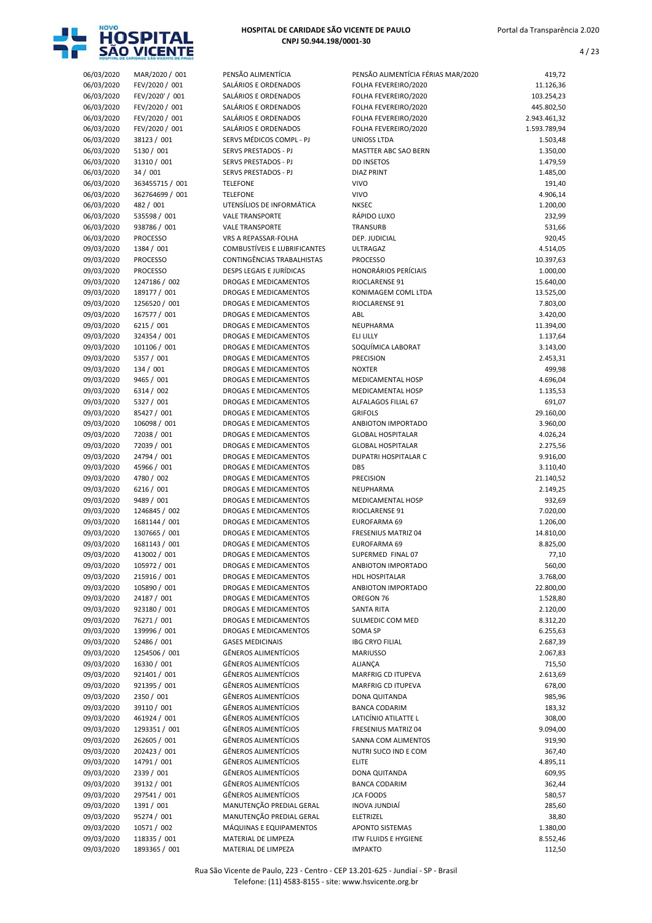

| HOSPITAL DE CARIDADE SÃO VICENTE DE PAULO |  |
|-------------------------------------------|--|
| CNPJ 50.944.198/0001-30                   |  |

| 06/03/2020 | MAR/2020 / 001  | PENSÃO ALIMENTÍCIA           |
|------------|-----------------|------------------------------|
| 06/03/2020 | FEV/2020 / 001  | SALÁRIOS E ORDENAD           |
|            |                 |                              |
| 06/03/2020 | FEV/2020' / 001 | SALÁRIOS E ORDENAD           |
| 06/03/2020 | FEV/2020 / 001  | SALÁRIOS E ORDENAD           |
| 06/03/2020 | FEV/2020 / 001  | SALÁRIOS E ORDENAD           |
| 06/03/2020 | FEV/2020 / 001  | SALÁRIOS E ORDENAD           |
| 06/03/2020 | 38123 / 001     | SERVS MÉDICOS COMP           |
|            |                 |                              |
| 06/03/2020 | 5130 / 001      | SERVS PRESTADOS - PJ         |
| 06/03/2020 | 31310 / 001     | <b>SERVS PRESTADOS - PJ</b>  |
| 06/03/2020 | 34 / 001        | <b>SERVS PRESTADOS - PJ</b>  |
| 06/03/2020 | 363455715 / 001 | <b>TELEFONE</b>              |
| 06/03/2020 | 362764699 / 001 | <b>TELEFONE</b>              |
| 06/03/2020 | 482 / 001       | UTENSÍLIOS DE INFORI         |
|            |                 |                              |
| 06/03/2020 | 535598 / 001    | <b>VALE TRANSPORTE</b>       |
| 06/03/2020 | 938786 / 001    | <b>VALE TRANSPORTE</b>       |
| 06/03/2020 | <b>PROCESSO</b> | VRS A REPASSAR-FOLH          |
| 09/03/2020 | 1384 / 001      | <b>COMBUSTÍVEIS E LUBR</b>   |
| 09/03/2020 | <b>PROCESSO</b> | <b>CONTINGÊNCIAS TRAB</b>    |
| 09/03/2020 | <b>PROCESSO</b> | <b>DESPS LEGAIS E JURÍDI</b> |
|            |                 |                              |
| 09/03/2020 | 1247186 / 002   | DROGAS E MEDICAME            |
| 09/03/2020 | 189177 / 001    | <b>DROGAS E MEDICAME</b>     |
| 09/03/2020 | 1256520 / 001   | <b>DROGAS E MEDICAME</b>     |
| 09/03/2020 | 167577 / 001    | <b>DROGAS E MEDICAME</b>     |
| 09/03/2020 | 6215 / 001      | <b>DROGAS E MEDICAME</b>     |
| 09/03/2020 |                 |                              |
|            | 324354 / 001    | <b>DROGAS E MEDICAME</b>     |
| 09/03/2020 | 101106 / 001    | <b>DROGAS E MEDICAME</b>     |
| 09/03/2020 | 5357 / 001      | <b>DROGAS E MEDICAME</b>     |
| 09/03/2020 | 134 / 001       | <b>DROGAS E MEDICAME</b>     |
| 09/03/2020 | 9465 / 001      | <b>DROGAS E MEDICAME</b>     |
| 09/03/2020 | 6314 / 002      | <b>DROGAS E MEDICAME</b>     |
|            |                 |                              |
| 09/03/2020 | 5327 / 001      | <b>DROGAS E MEDICAME</b>     |
| 09/03/2020 | 85427 / 001     | <b>DROGAS E MEDICAME</b>     |
| 09/03/2020 | 106098 / 001    | <b>DROGAS E MEDICAME</b>     |
| 09/03/2020 | 72038 / 001     | <b>DROGAS E MEDICAME</b>     |
| 09/03/2020 | 72039 / 001     | <b>DROGAS E MEDICAME</b>     |
|            | 24794 / 001     | <b>DROGAS E MEDICAME</b>     |
| 09/03/2020 |                 |                              |
| 09/03/2020 | 45966 / 001     | <b>DROGAS E MEDICAME</b>     |
| 09/03/2020 | 4780 / 002      | <b>DROGAS E MEDICAME</b>     |
| 09/03/2020 | 6216 / 001      | <b>DROGAS E MEDICAME</b>     |
| 09/03/2020 | 9489 / 001      | <b>DROGAS E MEDICAME</b>     |
| 09/03/2020 | 1246845 / 002   | DROGAS E MEDICAME            |
|            |                 |                              |
| 09/03/2020 | 1681144 / 001   | <b>DROGAS E MEDICAME</b>     |
| 09/03/2020 | 1307665 / 001   | <b>DROGAS E MEDICAME</b>     |
| 09/03/2020 | 1681143 / 001   | DROGAS E MEDICAME            |
| 09/03/2020 | 413002 / 001    | DROGAS E MEDICAME            |
| 09/03/2020 | 105972 / 001    | DROGAS E MEDICAME            |
| 09/03/2020 | 215916 / 001    | DROGAS E MEDICAME            |
|            |                 |                              |
| 09/03/2020 | 105890 / 001    | DROGAS E MEDICAME            |
| 09/03/2020 | 24187 / 001     | <b>DROGAS E MEDICAME</b>     |
| 09/03/2020 | 923180 / 001    | DROGAS E MEDICAME            |
| 09/03/2020 | 76271 / 001     | <b>DROGAS E MEDICAME</b>     |
| 09/03/2020 | 139996 / 001    | DROGAS E MEDICAME            |
|            |                 | <b>GASES MEDICINAIS</b>      |
| 09/03/2020 | 52486 / 001     |                              |
| 09/03/2020 | 1254506 / 001   | <b>GÊNEROS ALIMENTÍCIO</b>   |
| 09/03/2020 | 16330 / 001     | <b>GÊNEROS ALIMENTÍCIO</b>   |
| 09/03/2020 | 921401 / 001    | <b>GÊNEROS ALIMENTÍCIO</b>   |
| 09/03/2020 | 921395 / 001    | <b>GÊNEROS ALIMENTÍCIO</b>   |
| 09/03/2020 | 2350 / 001      | <b>GÊNEROS ALIMENTÍCIO</b>   |
|            |                 |                              |
| 09/03/2020 | 39110 / 001     | <b>GÊNEROS ALIMENTÍCIO</b>   |
| 09/03/2020 | 461924 / 001    | <b>GÊNEROS ALIMENTÍCIO</b>   |
| 09/03/2020 | 1293351 / 001   | <b>GÊNEROS ALIMENTÍCIO</b>   |
| 09/03/2020 | 262605 / 001    | <b>GÊNEROS ALIMENTÍCIO</b>   |
| 09/03/2020 | 202423 / 001    | <b>GÊNEROS ALIMENTÍCIO</b>   |
|            |                 |                              |
| 09/03/2020 | 14791 / 001     | <b>GÊNEROS ALIMENTÍCIO</b>   |
| 09/03/2020 | 2339 / 001      | <b>GÊNEROS ALIMENTÍCIO</b>   |
| 09/03/2020 | 39132 / 001     | <b>GÊNEROS ALIMENTÍCIO</b>   |
| 09/03/2020 | 297541 / 001    | <b>GÊNEROS ALIMENTÍCIO</b>   |
| 09/03/2020 | 1391 / 001      | MANUTENÇÃO PREDIA            |
|            |                 | MANUTENÇÃO PREDIA            |
| 09/03/2020 | 95274 / 001     |                              |
| 09/03/2020 | 10571 / 002     | MÁQUINAS E EQUIPAN           |
| 09/03/2020 | 118335 / 001    | MATERIAL DE LIMPEZA          |
|            |                 |                              |

| 06/03/2020               | MAR/2020 / 001               | PENSÃO ALIMENTÍCIA                               | PENSÃO ALIMENTÍCIA FÉRIAS MAR/2020          | 419,72             |
|--------------------------|------------------------------|--------------------------------------------------|---------------------------------------------|--------------------|
| 06/03/2020               | FEV/2020 / 001               | SALÁRIOS E ORDENADOS                             | FOLHA FEVEREIRO/2020                        | 11.126,36          |
| 06/03/2020               | FEV/2020' / 001              | SALÁRIOS E ORDENADOS                             | FOLHA FEVEREIRO/2020                        | 103.254,23         |
| 06/03/2020               | FEV/2020 / 001               | SALÁRIOS E ORDENADOS                             | FOLHA FEVEREIRO/2020                        | 445.802,50         |
| 06/03/2020               | FEV/2020 / 001               | SALÁRIOS E ORDENADOS                             | FOLHA FEVEREIRO/2020                        | 2.943.461,32       |
| 06/03/2020               | FEV/2020 / 001               | SALÁRIOS E ORDENADOS                             | FOLHA FEVEREIRO/2020                        | 1.593.789,94       |
| 06/03/2020               | 38123 / 001                  | SERVS MÉDICOS COMPL - PJ                         | UNIOSS LTDA                                 | 1.503,48           |
| 06/03/2020               | 5130 / 001                   | SERVS PRESTADOS - PJ                             | <b>MASTTER ABC SAO BERN</b>                 | 1.350,00           |
| 06/03/2020               | 31310 / 001                  | SERVS PRESTADOS - PJ                             | <b>DD INSETOS</b>                           | 1.479,59           |
| 06/03/2020               | 34 / 001                     | SERVS PRESTADOS - PJ                             | <b>DIAZ PRINT</b>                           | 1.485,00           |
| 06/03/2020               | 363455715 / 001              | <b>TELEFONE</b>                                  | <b>VIVO</b>                                 | 191,40             |
| 06/03/2020               | 362764699 / 001              | <b>TELEFONE</b>                                  | <b>VIVO</b><br><b>NKSEC</b>                 | 4.906,14           |
| 06/03/2020               | 482 / 001                    | UTENSÍLIOS DE INFORMÁTICA                        |                                             | 1.200,00           |
| 06/03/2020<br>06/03/2020 | 535598 / 001<br>938786 / 001 | <b>VALE TRANSPORTE</b><br><b>VALE TRANSPORTE</b> | RÁPIDO LUXO<br>TRANSURB                     | 232,99<br>531,66   |
| 06/03/2020               | <b>PROCESSO</b>              | VRS A REPASSAR-FOLHA                             | DEP. JUDICIAL                               | 920,45             |
| 09/03/2020               | 1384 / 001                   | <b>COMBUSTÍVEIS E LUBRIFICANTES</b>              | ULTRAGAZ                                    | 4.514,05           |
| 09/03/2020               | <b>PROCESSO</b>              | CONTINGÊNCIAS TRABALHISTAS                       | <b>PROCESSO</b>                             | 10.397,63          |
| 09/03/2020               | <b>PROCESSO</b>              | <b>DESPS LEGAIS E JURÍDICAS</b>                  | <b>HONORÁRIOS PERÍCIAIS</b>                 | 1.000,00           |
| 09/03/2020               | 1247186 / 002                | <b>DROGAS E MEDICAMENTOS</b>                     | RIOCLARENSE 91                              | 15.640,00          |
| 09/03/2020               | 189177 / 001                 | DROGAS E MEDICAMENTOS                            | KONIMAGEM COML LTDA                         | 13.525,00          |
| 09/03/2020               | 1256520 / 001                | <b>DROGAS E MEDICAMENTOS</b>                     | <b>RIOCLARENSE 91</b>                       | 7.803,00           |
| 09/03/2020               | 167577 / 001                 | <b>DROGAS E MEDICAMENTOS</b>                     | ABL                                         | 3.420,00           |
| 09/03/2020               | 6215 / 001                   | <b>DROGAS E MEDICAMENTOS</b>                     | NEUPHARMA                                   | 11.394,00          |
| 09/03/2020               | 324354 / 001                 | <b>DROGAS E MEDICAMENTOS</b>                     | ELI LILLY                                   | 1.137,64           |
| 09/03/2020               | 101106 / 001                 | <b>DROGAS E MEDICAMENTOS</b>                     | SOQUÍMICA LABORAT                           | 3.143,00           |
| 09/03/2020               | 5357 / 001                   | <b>DROGAS E MEDICAMENTOS</b>                     | <b>PRECISION</b>                            | 2.453,31           |
| 09/03/2020               | 134 / 001                    | <b>DROGAS E MEDICAMENTOS</b>                     | <b>NOXTER</b>                               | 499,98             |
| 09/03/2020               | 9465 / 001                   | DROGAS E MEDICAMENTOS                            | MEDICAMENTAL HOSP                           | 4.696,04           |
| 09/03/2020               | 6314 / 002                   | <b>DROGAS E MEDICAMENTOS</b>                     | MEDICAMENTAL HOSP                           | 1.135,53           |
| 09/03/2020               | 5327 / 001                   | DROGAS E MEDICAMENTOS                            | ALFALAGOS FILIAL 67                         | 691,07             |
| 09/03/2020               | 85427 / 001                  | DROGAS E MEDICAMENTOS                            | <b>GRIFOLS</b>                              | 29.160,00          |
| 09/03/2020               | 106098 / 001                 | <b>DROGAS E MEDICAMENTOS</b>                     | ANBIOTON IMPORTADO                          | 3.960,00           |
| 09/03/2020               | 72038 / 001                  | <b>DROGAS E MEDICAMENTOS</b>                     | <b>GLOBAL HOSPITALAR</b>                    | 4.026,24           |
| 09/03/2020               | 72039 / 001                  | DROGAS E MEDICAMENTOS                            | <b>GLOBAL HOSPITALAR</b>                    | 2.275,56           |
| 09/03/2020               | 24794 / 001                  | <b>DROGAS E MEDICAMENTOS</b>                     | DUPATRI HOSPITALAR C                        | 9.916,00           |
| 09/03/2020               | 45966 / 001                  | <b>DROGAS E MEDICAMENTOS</b>                     | <b>DBS</b>                                  | 3.110,40           |
| 09/03/2020               | 4780 / 002                   | DROGAS E MEDICAMENTOS                            | <b>PRECISION</b>                            | 21.140,52          |
| 09/03/2020               | 6216 / 001                   | <b>DROGAS E MEDICAMENTOS</b>                     | NEUPHARMA                                   | 2.149,25           |
| 09/03/2020               | 9489 / 001                   | <b>DROGAS E MEDICAMENTOS</b>                     | MEDICAMENTAL HOSP                           | 932,69             |
| 09/03/2020               | 1246845 / 002                | DROGAS E MEDICAMENTOS                            | RIOCLARENSE 91                              | 7.020,00           |
| 09/03/2020               | 1681144 / 001                | <b>DROGAS E MEDICAMENTOS</b>                     | <b>EUROFARMA 69</b>                         | 1.206,00           |
| 09/03/2020               | 1307665 / 001                | DROGAS E MEDICAMENTOS                            | FRESENIUS MATRIZ 04                         | 14.810,00          |
| 09/03/2020               | 1681143 / 001                | DROGAS E MEDICAMENTOS                            | EUROFARMA 69<br>SUPERMED FINAL 07           | 8.825,00           |
| 09/03/2020               | 413002 / 001                 | <b>DROGAS E MEDICAMENTOS</b>                     |                                             | 77,10              |
| 09/03/2020<br>09/03/2020 | 105972 / 001<br>215916 / 001 | DROGAS E MEDICAMENTOS<br>DROGAS E MEDICAMENTOS   | ANBIOTON IMPORTADO<br><b>HDL HOSPITALAR</b> | 560,00<br>3.768,00 |
| 09/03/2020               | 105890 / 001                 | DROGAS E MEDICAMENTOS                            | ANBIOTON IMPORTADO                          | 22.800,00          |
| 09/03/2020               | 24187 / 001                  | DROGAS E MEDICAMENTOS                            | OREGON 76                                   | 1.528,80           |
| 09/03/2020               | 923180 / 001                 | DROGAS E MEDICAMENTOS                            | SANTA RITA                                  | 2.120,00           |
| 09/03/2020               | 76271 / 001                  | <b>DROGAS E MEDICAMENTOS</b>                     | SULMEDIC COM MED                            | 8.312,20           |
| 09/03/2020               | 139996 / 001                 | DROGAS E MEDICAMENTOS                            | SOMA SP                                     | 6.255,63           |
| 09/03/2020               | 52486 / 001                  | <b>GASES MEDICINAIS</b>                          | <b>IBG CRYO FILIAL</b>                      | 2.687,39           |
| 09/03/2020               | 1254506 / 001                | <b>GÊNEROS ALIMENTÍCIOS</b>                      | <b>MARIUSSO</b>                             | 2.067,83           |
| 09/03/2020               | 16330 / 001                  | <b>GÊNEROS ALIMENTÍCIOS</b>                      | ALIANÇA                                     | 715,50             |
| 09/03/2020               | 921401 / 001                 | GÊNEROS ALIMENTÍCIOS                             | MARFRIG CD ITUPEVA                          | 2.613,69           |
| 09/03/2020               | 921395 / 001                 | GÊNEROS ALIMENTÍCIOS                             | MARFRIG CD ITUPEVA                          | 678,00             |
| 09/03/2020               | 2350 / 001                   | <b>GÊNEROS ALIMENTÍCIOS</b>                      | DONA QUITANDA                               | 985,96             |
| 09/03/2020               | 39110 / 001                  | <b>GÊNEROS ALIMENTÍCIOS</b>                      | <b>BANCA CODARIM</b>                        | 183,32             |
| 09/03/2020               | 461924 / 001                 | GÊNEROS ALIMENTÍCIOS                             | LATICÍNIO ATILATTE L                        | 308,00             |
| 09/03/2020               | 1293351 / 001                | <b>GÊNEROS ALIMENTÍCIOS</b>                      | FRESENIUS MATRIZ 04                         | 9.094,00           |
| 09/03/2020               | 262605 / 001                 | <b>GÊNEROS ALIMENTÍCIOS</b>                      | SANNA COM ALIMENTOS                         | 919,90             |
| 09/03/2020               | 202423 / 001                 | <b>GÊNEROS ALIMENTÍCIOS</b>                      | NUTRI SUCO IND E COM                        | 367,40             |
| 09/03/2020               | 14791 / 001                  | <b>GÊNEROS ALIMENTÍCIOS</b>                      | <b>ELITE</b>                                | 4.895,11           |
| 09/03/2020               | 2339 / 001                   | <b>GÊNEROS ALIMENTÍCIOS</b>                      | DONA QUITANDA                               | 609,95             |
| 09/03/2020               | 39132 / 001                  | <b>GÊNEROS ALIMENTÍCIOS</b>                      | <b>BANCA CODARIM</b>                        | 362,44             |
| 09/03/2020               | 297541 / 001                 | <b>GÊNEROS ALIMENTÍCIOS</b>                      | <b>JCA FOODS</b>                            | 580,57             |
| 09/03/2020               | 1391 / 001                   | MANUTENÇÃO PREDIAL GERAL                         | INOVA JUNDIAÍ                               | 285,60             |
| 09/03/2020               | 95274 / 001                  | MANUTENÇÃO PREDIAL GERAL                         | ELETRIZEL                                   | 38,80              |
| 09/03/2020               | 10571 / 002                  | MÁQUINAS E EQUIPAMENTOS                          | <b>APONTO SISTEMAS</b>                      | 1.380,00           |
| 09/03/2020               | 118335 / 001                 | MATERIAL DE LIMPEZA                              | <b>ITW FLUIDS E HYGIENE</b>                 | 8.552,46           |
| 09/03/2020               | 1893365 / 001                | MATERIAL DE LIMPEZA                              | <b>IMPAKTO</b>                              | 112,50             |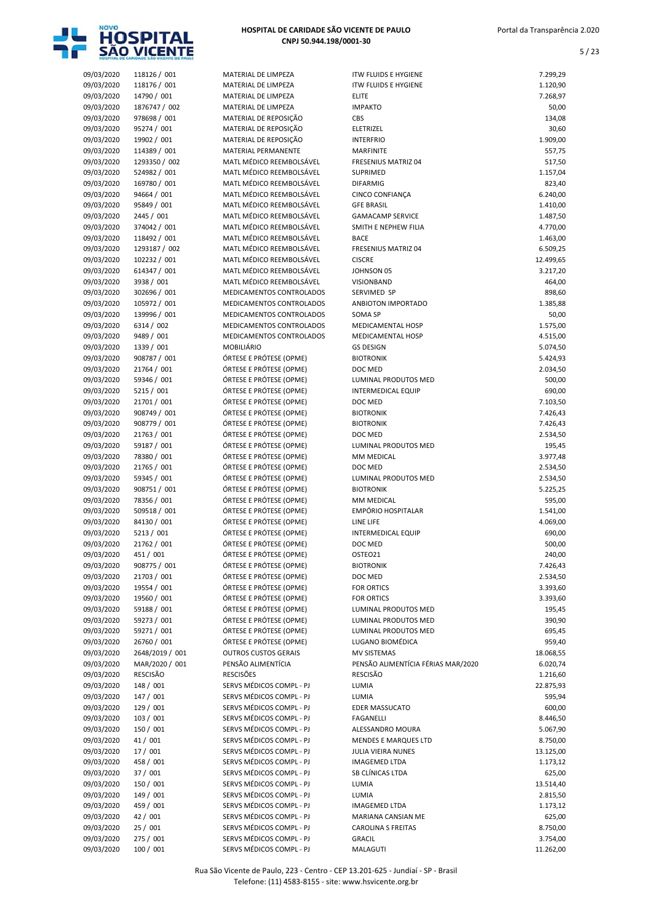

| HOSPITAL DE CARIDADE SÃO VICENTE DE PAULO |
|-------------------------------------------|
| CNPJ 50.944.198/0001-30                   |

|                          | <b>NUMBER OF PROPERTY OF STREET</b> |                                             |
|--------------------------|-------------------------------------|---------------------------------------------|
| 09/03/2020               | 118126 / 001                        | MATERIAL DE LIMPE                           |
| 09/03/2020               | 118176 / 001                        | MATERIAL DE LIMPE                           |
| 09/03/2020               | 14790 / 001                         | MATERIAL DE LIMPE                           |
| 09/03/2020               | 1876747 / 002                       | MATERIAL DE LIMPE                           |
| 09/03/2020               | 978698 / 001                        | <b>MATERIAL DE REPOS</b>                    |
| 09/03/2020               | 95274 / 001                         | MATERIAL DE REPOS                           |
| 09/03/2020               | 19902 / 001                         | <b>MATERIAL DE REPOS</b>                    |
| 09/03/2020               | 114389 / 001                        | <b>MATERIAL PERMANI</b>                     |
| 09/03/2020               | 1293350 / 002                       | MATL MÉDICO REEN                            |
| 09/03/2020               | 524982 / 001                        | MATL MÉDICO REEN                            |
| 09/03/2020               | 169780 / 001                        | MATL MÉDICO REEN<br><b>MATL MÉDICO REEN</b> |
| 09/03/2020               | 94664 / 001<br>95849 / 001          | MATL MÉDICO REEN                            |
| 09/03/2020<br>09/03/2020 | 2445 / 001                          | <b>MATL MÉDICO REEN</b>                     |
| 09/03/2020               | 374042 / 001                        | MATL MÉDICO REEN                            |
| 09/03/2020               | 118492 / 001                        | MATL MÉDICO REEN                            |
| 09/03/2020               | 1293187 / 002                       | MATL MÉDICO REEN                            |
| 09/03/2020               | 102232 / 001                        | MATL MÉDICO REEN                            |
| 09/03/2020               | 614347 / 001                        | MATL MÉDICO REEN                            |
| 09/03/2020               | 3938 / 001                          | MATL MÉDICO REEN                            |
| 09/03/2020               | 302696 / 001                        | MEDICAMENTOS CO                             |
| 09/03/2020               | 105972 / 001                        | MEDICAMENTOS CO                             |
| 09/03/2020               | 139996 / 001                        | <b>MEDICAMENTOS CO</b>                      |
| 09/03/2020               | 6314 / 002                          | MEDICAMENTOS CO                             |
| 09/03/2020               | 9489 / 001                          | MEDICAMENTOS CO                             |
| 09/03/2020               | 1339 / 001                          | MOBILIÁRIO                                  |
| 09/03/2020               | 908787 / 001                        | ÓRTESE E PRÓTESE (                          |
| 09/03/2020               | 21764 / 001                         | ÓRTESE E PRÓTESE (                          |
| 09/03/2020               | 59346 / 001                         | ÓRTESE E PRÓTESE (                          |
| 09/03/2020               | 5215 / 001                          | ÓRTESE E PRÓTESE (                          |
| 09/03/2020               | 21701 / 001                         | ÓRTESE E PRÓTESE (                          |
| 09/03/2020               | 908749 / 001                        | ÓRTESE E PRÓTESE (                          |
| 09/03/2020               | 908779 / 001                        | ÓRTESE E PRÓTESE (                          |
| 09/03/2020               | 21763 / 001                         | ÓRTESE E PRÓTESE (                          |
| 09/03/2020               | 59187 / 001                         | ÓRTESE E PRÓTESE (                          |
| 09/03/2020               | 78380 / 001                         | ÓRTESE E PRÓTESE (                          |
| 09/03/2020               | 21765 / 001                         | ÓRTESE E PRÓTESE (                          |
| 09/03/2020               | 59345 / 001                         | ÓRTESE E PRÓTESE (<br>ÓRTESE E PRÓTESE (    |
| 09/03/2020<br>09/03/2020 | 908751 / 001<br>78356 / 001         | ÓRTESE E PRÓTESE (                          |
| 09/03/2020               | 509518 / 001                        | ÓRTESE E PRÓTESE (                          |
| 09/03/2020               | 84130 / 001                         | ÓRTESE E PRÓTESE (                          |
| 09/03/2020               | 5213 / 001                          | ÓRTESE E PRÓTESE (                          |
| 09/03/2020               | 21762 / 001                         | ÓRTESE E PRÓTESE (                          |
| 09/03/2020               | 451 / 001                           | ÓRTESE E PRÓTESE (                          |
| 09/03/2020               | 908775 / 001                        | ÓRTESE E PRÓTESE (                          |
| 09/03/2020               | 21703 / 001                         | ÓRTESE E PRÓTESE (                          |
| 09/03/2020               | 19554 / 001                         | ÓRTESE E PRÓTESE (                          |
| 09/03/2020               | 19560 / 001                         | ÓRTESE E PRÓTESE (                          |
| 09/03/2020               | 59188 / 001                         | ÓRTESE E PRÓTESE (                          |
| 09/03/2020               | 59273 / 001                         | ÓRTESE E PRÓTESE (                          |
| 09/03/2020               | 59271 / 001                         | ÓRTESE E PRÓTESE (                          |
| 09/03/2020               | 26760 / 001                         | ÓRTESE E PRÓTESE (                          |
| 09/03/2020               | 2648/2019 / 001                     | <b>OUTROS CUSTOS GE</b>                     |
| 09/03/2020               | MAR/2020 / 001                      | PENSÃO ALIMENTÍCI                           |
| 09/03/2020               | RESCISÃO                            | <b>RESCISÕES</b>                            |
| 09/03/2020               | 148 / 001                           | SERVS MÉDICOS COI                           |
| 09/03/2020               | 147 / 001                           | SERVS MÉDICOS COI                           |
| 09/03/2020               | 129 / 001                           | SERVS MÉDICOS COI                           |
| 09/03/2020               | 103 / 001                           | SERVS MÉDICOS COI                           |
| 09/03/2020               | 150 / 001                           | SERVS MÉDICOS COI                           |
| 09/03/2020               | 41 / 001                            | SERVS MÉDICOS COI                           |
| 09/03/2020<br>09/03/2020 | 17 / 001<br>458 / 001               | SERVS MÉDICOS COI<br>SERVS MÉDICOS COI      |
| 09/03/2020               | 37 / 001                            | SERVS MÉDICOS COI                           |
| 09/03/2020               | 150 / 001                           | SERVS MÉDICOS COI                           |
| 09/03/2020               | 149 / 001                           | SERVS MÉDICOS COI                           |
| 09/03/2020               | 459 / 001                           | SERVS MÉDICOS COI                           |
| 09/03/2020               | 42 / 001                            | SERVS MÉDICOS COI                           |
| 09/03/2020               | 25 / 001                            | SERVS MÉDICOS COI                           |
| 09/03/2020               | 275 / 001                           | SERVS MÉDICOS COI                           |
|                          |                                     |                                             |

| 09/03/2020 | 118126 / 001    | MATERIAL DE LIMPEZA         | <b>ITW FLUIDS E HYGIENE</b>        | 7.299,29  |
|------------|-----------------|-----------------------------|------------------------------------|-----------|
| 09/03/2020 | 118176 / 001    | MATERIAL DE LIMPEZA         | <b>ITW FLUIDS E HYGIENE</b>        | 1.120,90  |
| 09/03/2020 | 14790 / 001     | MATERIAL DE LIMPEZA         | <b>ELITE</b>                       | 7.268,97  |
| 09/03/2020 | 1876747 / 002   | MATERIAL DE LIMPEZA         | <b>IMPAKTO</b>                     | 50,00     |
| 09/03/2020 | 978698 / 001    | MATERIAL DE REPOSIÇÃO       | <b>CBS</b>                         | 134,08    |
| 09/03/2020 | 95274 / 001     | MATERIAL DE REPOSIÇÃO       | <b>ELETRIZEL</b>                   | 30,60     |
| 09/03/2020 | 19902 / 001     | MATERIAL DE REPOSIÇÃO       | <b>INTERFRIO</b>                   | 1.909,00  |
| 09/03/2020 | 114389 / 001    | MATERIAL PERMANENTE         | <b>MARFINITE</b>                   | 557,75    |
| 09/03/2020 | 1293350 / 002   | MATL MÉDICO REEMBOLSÁVEL    | <b>FRESENIUS MATRIZ 04</b>         | 517,50    |
| 09/03/2020 | 524982 / 001    | MATL MÉDICO REEMBOLSÁVEL    | SUPRIMED                           | 1.157,04  |
| 09/03/2020 | 169780 / 001    | MATL MÉDICO REEMBOLSÁVEL    | <b>DIFARMIG</b>                    | 823,40    |
| 09/03/2020 | 94664 / 001     | MATL MÉDICO REEMBOLSÁVEL    | <b>CINCO CONFIANÇA</b>             | 6.240,00  |
| 09/03/2020 | 95849 / 001     | MATL MÉDICO REEMBOLSÁVEL    | <b>GFE BRASIL</b>                  | 1.410,00  |
| 09/03/2020 | 2445 / 001      | MATL MÉDICO REEMBOLSÁVEL    | <b>GAMACAMP SERVICE</b>            | 1.487,50  |
| 09/03/2020 | 374042 / 001    | MATL MÉDICO REEMBOLSÁVEL    | SMITH E NEPHEW FILIA               | 4.770,00  |
| 09/03/2020 | 118492 / 001    | MATL MÉDICO REEMBOLSÁVEL    | <b>BACE</b>                        | 1.463,00  |
|            |                 | MATL MÉDICO REEMBOLSÁVEL    |                                    |           |
| 09/03/2020 | 1293187 / 002   |                             | <b>FRESENIUS MATRIZ 04</b>         | 6.509,25  |
| 09/03/2020 | 102232 / 001    | MATL MÉDICO REEMBOLSÁVEL    | <b>CISCRE</b>                      | 12.499,65 |
| 09/03/2020 | 614347 / 001    | MATL MÉDICO REEMBOLSÁVEL    | JOHNSON 05                         | 3.217,20  |
| 09/03/2020 | 3938 / 001      | MATL MÉDICO REEMBOLSÁVEL    | VISIONBAND                         | 464,00    |
| 09/03/2020 | 302696 / 001    | MEDICAMENTOS CONTROLADOS    | SERVIMED SP                        | 898,60    |
| 09/03/2020 | 105972 / 001    | MEDICAMENTOS CONTROLADOS    | ANBIOTON IMPORTADO                 | 1.385,88  |
| 09/03/2020 | 139996 / 001    | MEDICAMENTOS CONTROLADOS    | <b>SOMA SP</b>                     | 50,00     |
| 09/03/2020 | 6314 / 002      | MEDICAMENTOS CONTROLADOS    | <b>MEDICAMENTAL HOSP</b>           | 1.575,00  |
| 09/03/2020 | 9489 / 001      | MEDICAMENTOS CONTROLADOS    | MEDICAMENTAL HOSP                  | 4.515,00  |
| 09/03/2020 | 1339 / 001      | MOBILIÁRIO                  | <b>GS DESIGN</b>                   | 5.074,50  |
| 09/03/2020 | 908787 / 001    | ÓRTESE E PRÓTESE (OPME)     | <b>BIOTRONIK</b>                   | 5.424,93  |
| 09/03/2020 | 21764 / 001     | ÓRTESE E PRÓTESE (OPME)     | DOC MED                            | 2.034,50  |
| 09/03/2020 | 59346 / 001     | ÓRTESE E PRÓTESE (OPME)     | LUMINAL PRODUTOS MED               | 500,00    |
| 09/03/2020 | 5215 / 001      | ÓRTESE E PRÓTESE (OPME)     | <b>INTERMEDICAL EQUIP</b>          | 690,00    |
| 09/03/2020 | 21701 / 001     | ÓRTESE E PRÓTESE (OPME)     | DOC MED                            | 7.103,50  |
| 09/03/2020 | 908749 / 001    | ÓRTESE E PRÓTESE (OPME)     | <b>BIOTRONIK</b>                   | 7.426,43  |
| 09/03/2020 | 908779 / 001    | ÓRTESE E PRÓTESE (OPME)     | <b>BIOTRONIK</b>                   | 7.426,43  |
| 09/03/2020 | 21763 / 001     | ÓRTESE E PRÓTESE (OPME)     | DOC MED                            | 2.534,50  |
| 09/03/2020 | 59187 / 001     | ÓRTESE E PRÓTESE (OPME)     | LUMINAL PRODUTOS MED               | 195,45    |
| 09/03/2020 | 78380 / 001     | ÓRTESE E PRÓTESE (OPME)     | MM MEDICAL                         | 3.977,48  |
| 09/03/2020 | 21765 / 001     | ÓRTESE E PRÓTESE (OPME)     | DOC MED                            | 2.534,50  |
| 09/03/2020 | 59345 / 001     | ÓRTESE E PRÓTESE (OPME)     | LUMINAL PRODUTOS MED               | 2.534,50  |
| 09/03/2020 | 908751 / 001    | ÓRTESE E PRÓTESE (OPME)     | <b>BIOTRONIK</b>                   | 5.225,25  |
| 09/03/2020 | 78356 / 001     | ÓRTESE E PRÓTESE (OPME)     | MM MEDICAL                         | 595,00    |
|            |                 |                             | <b>EMPÓRIO HOSPITALAR</b>          |           |
| 09/03/2020 | 509518 / 001    | ÓRTESE E PRÓTESE (OPME)     |                                    | 1.541,00  |
| 09/03/2020 | 84130 / 001     | ÓRTESE E PRÓTESE (OPME)     | LINE LIFE                          | 4.069,00  |
| 09/03/2020 | 5213 / 001      | ÓRTESE E PRÓTESE (OPME)     | <b>INTERMEDICAL EQUIP</b>          | 690,00    |
| 09/03/2020 | 21762 / 001     | ÓRTESE E PRÓTESE (OPME)     | DOC MED                            | 500,00    |
| 09/03/2020 | 451 / 001       | ORTESE E PROTESE (OPME)     | OSTEO21                            | 240,00    |
| 09/03/2020 | 908775 / 001    | ÓRTESE E PRÓTESE (OPME)     | <b>BIOTRONIK</b>                   | 7.426,43  |
| 09/03/2020 | 21703 / 001     | ÓRTESE E PRÓTESE (OPME)     | DOC MED                            | 2.534,50  |
| 09/03/2020 | 19554 / 001     | ÓRTESE E PRÓTESE (OPME)     | <b>FOR ORTICS</b>                  | 3.393,60  |
| 09/03/2020 | 19560 / 001     | ÓRTESE E PRÓTESE (OPME)     | <b>FOR ORTICS</b>                  | 3.393,60  |
| 09/03/2020 | 59188 / 001     | ÓRTESE E PRÓTESE (OPME)     | LUMINAL PRODUTOS MED               | 195,45    |
| 09/03/2020 | 59273 / 001     | ÓRTESE E PRÓTESE (OPME)     | LUMINAL PRODUTOS MED               | 390,90    |
| 09/03/2020 | 59271 / 001     | ÓRTESE E PRÓTESE (OPME)     | LUMINAL PRODUTOS MED               | 695,45    |
| 09/03/2020 | 26760 / 001     | ÓRTESE E PRÓTESE (OPME)     | LUGANO BIOMÉDICA                   | 959,40    |
| 09/03/2020 | 2648/2019 / 001 | <b>OUTROS CUSTOS GERAIS</b> | <b>MV SISTEMAS</b>                 | 18.068,55 |
| 09/03/2020 | MAR/2020 / 001  | PENSÃO ALIMENTÍCIA          | PENSÃO ALIMENTÍCIA FÉRIAS MAR/2020 | 6.020,74  |
| 09/03/2020 | <b>RESCISÃO</b> | <b>RESCISÕES</b>            | RESCISÃO                           | 1.216,60  |
| 09/03/2020 | 148 / 001       | SERVS MÉDICOS COMPL - PJ    | LUMIA                              | 22.875,93 |
| 09/03/2020 | 147 / 001       | SERVS MÉDICOS COMPL - PJ    | LUMIA                              | 595,94    |
| 09/03/2020 | 129 / 001       | SERVS MÉDICOS COMPL - PJ    | <b>EDER MASSUCATO</b>              | 600,00    |
| 09/03/2020 | 103 / 001       | SERVS MÉDICOS COMPL - PJ    | FAGANELLI                          | 8.446,50  |
| 09/03/2020 | 150 / 001       | SERVS MÉDICOS COMPL - PJ    | ALESSANDRO MOURA                   | 5.067,90  |
| 09/03/2020 | 41 / 001        | SERVS MÉDICOS COMPL - PJ    | <b>MENDES E MARQUES LTD</b>        | 8.750,00  |
| 09/03/2020 | 17 / 001        | SERVS MÉDICOS COMPL - PJ    | JULIA VIEIRA NUNES                 | 13.125,00 |
| 09/03/2020 | 458 / 001       | SERVS MÉDICOS COMPL - PJ    | <b>IMAGEMED LTDA</b>               | 1.173,12  |
| 09/03/2020 | 37 / 001        | SERVS MÉDICOS COMPL - PJ    | SB CLÍNICAS LTDA                   | 625,00    |
|            |                 | SERVS MÉDICOS COMPL - PJ    |                                    |           |
| 09/03/2020 | 150 / 001       |                             | LUMIA                              | 13.514,40 |
| 09/03/2020 | 149 / 001       | SERVS MÉDICOS COMPL - PJ    | LUMIA                              | 2.815,50  |
| 09/03/2020 | 459 / 001       | SERVS MÉDICOS COMPL - PJ    | <b>IMAGEMED LTDA</b>               | 1.173,12  |
| 09/03/2020 | 42 / 001        | SERVS MÉDICOS COMPL - PJ    | MARIANA CANSIAN ME                 | 625,00    |
| 09/03/2020 | 25 / 001        | SERVS MÉDICOS COMPL - PJ    | <b>CAROLINA S FREITAS</b>          | 8.750,00  |
| 09/03/2020 | 275 / 001       | SERVS MÉDICOS COMPL - PJ    | <b>GRACIL</b>                      | 3.754,00  |
| 09/03/2020 | 100 / 001       | SERVS MÉDICOS COMPL - PJ    | MALAGUTI                           | 11.262,00 |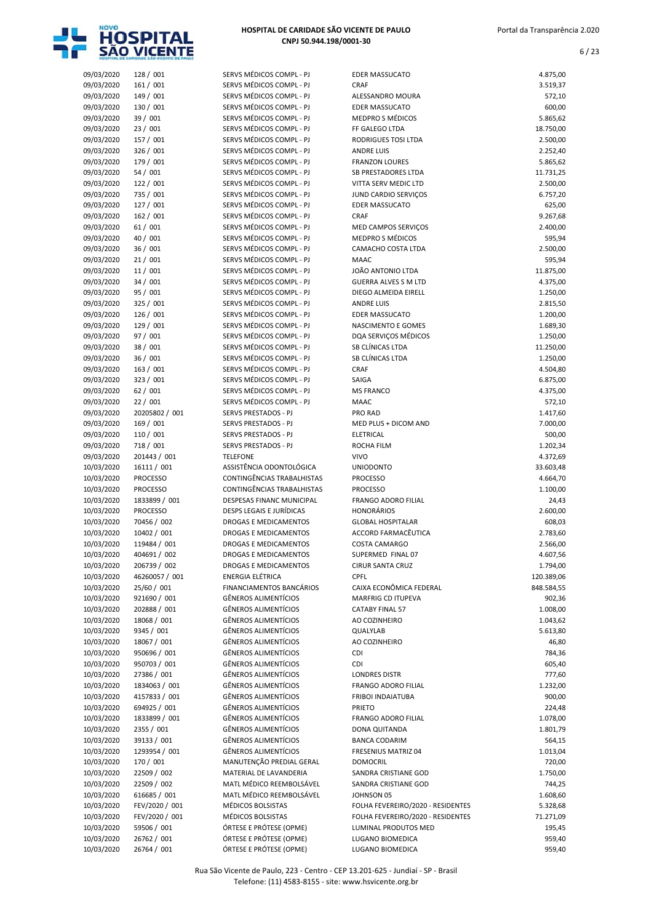

| 09/03/2020 | 128 / 001       | SERVS MÉDICOS COMPL - PJ         | <b>EDER MASSUCATO</b>                              | 4.875,00   |
|------------|-----------------|----------------------------------|----------------------------------------------------|------------|
| 09/03/2020 | 161 / 001       | SERVS MÉDICOS COMPL - PJ         | <b>CRAF</b>                                        | 3.519,37   |
| 09/03/2020 | 149 / 001       | SERVS MÉDICOS COMPL - PJ         | ALESSANDRO MOURA                                   | 572,10     |
| 09/03/2020 | 130 / 001       | SERVS MÉDICOS COMPL - PJ         | <b>EDER MASSUCATO</b>                              | 600,00     |
| 09/03/2020 | 39 / 001        | SERVS MÉDICOS COMPL - PJ         | <b>MEDPRO S MÉDICOS</b>                            | 5.865,62   |
| 09/03/2020 | 23 / 001        | SERVS MÉDICOS COMPL - PJ         | FF GALEGO LTDA                                     | 18.750,00  |
| 09/03/2020 | 157 / 001       | SERVS MÉDICOS COMPL - PJ         | <b>RODRIGUES TOSI LTDA</b>                         | 2.500,00   |
| 09/03/2020 | 326 / 001       | SERVS MÉDICOS COMPL - PJ         | <b>ANDRE LUIS</b>                                  | 2.252,40   |
| 09/03/2020 | 179 / 001       | SERVS MÉDICOS COMPL - PJ         | <b>FRANZON LOURES</b>                              | 5.865,62   |
| 09/03/2020 | 54 / 001        | SERVS MÉDICOS COMPL - PJ         | <b>SB PRESTADORES LTDA</b>                         | 11.731,25  |
| 09/03/2020 | 122 / 001       | SERVS MÉDICOS COMPL - PJ         | VITTA SERV MEDIC LTD                               | 2.500,00   |
| 09/03/2020 | 735 / 001       | SERVS MÉDICOS COMPL - PJ         | JUND CARDIO SERVIÇOS                               | 6.757,20   |
| 09/03/2020 | 127 / 001       | SERVS MÉDICOS COMPL - PJ         | <b>EDER MASSUCATO</b>                              | 625,00     |
| 09/03/2020 | 162 / 001       | SERVS MÉDICOS COMPL - PJ         | <b>CRAF</b>                                        | 9.267,68   |
| 09/03/2020 | 61/001          | SERVS MÉDICOS COMPL - PJ         | MED CAMPOS SERVIÇOS                                | 2.400,00   |
| 09/03/2020 | 40 / 001        | SERVS MÉDICOS COMPL - PJ         | <b>MEDPRO S MÉDICOS</b>                            | 595,94     |
| 09/03/2020 | 36 / 001        | SERVS MÉDICOS COMPL - PJ         | CAMACHO COSTA LTDA                                 | 2.500,00   |
| 09/03/2020 | 21/001          | SERVS MÉDICOS COMPL - PJ         | <b>MAAC</b>                                        | 595,94     |
| 09/03/2020 | 11/001          | SERVS MÉDICOS COMPL - PJ         | JOÃO ANTONIO LTDA                                  | 11.875,00  |
| 09/03/2020 | 34 / 001        | SERVS MÉDICOS COMPL - PJ         | <b>GUERRA ALVES S M LTD</b>                        | 4.375,00   |
| 09/03/2020 | 95 / 001        | SERVS MÉDICOS COMPL - PJ         | DIEGO ALMEIDA EIRELL                               | 1.250,00   |
| 09/03/2020 | 325 / 001       | SERVS MÉDICOS COMPL - PJ         | <b>ANDRE LUIS</b>                                  | 2.815,50   |
|            |                 | SERVS MÉDICOS COMPL - PJ         |                                                    |            |
| 09/03/2020 | 126 / 001       | SERVS MÉDICOS COMPL - PJ         | <b>EDER MASSUCATO</b><br><b>NASCIMENTO E GOMES</b> | 1.200,00   |
| 09/03/2020 | 129 / 001       |                                  |                                                    | 1.689,30   |
| 09/03/2020 | 97 / 001        | SERVS MÉDICOS COMPL - PJ         | DQA SERVICOS MÉDICOS                               | 1.250,00   |
| 09/03/2020 | 38 / 001        | SERVS MÉDICOS COMPL - PJ         | SB CLÍNICAS LTDA                                   | 11.250,00  |
| 09/03/2020 | 36 / 001        | SERVS MÉDICOS COMPL - PJ         | SB CLÍNICAS LTDA                                   | 1.250,00   |
| 09/03/2020 | 163 / 001       | SERVS MÉDICOS COMPL - PJ         | <b>CRAF</b>                                        | 4.504,80   |
| 09/03/2020 | 323 / 001       | SERVS MÉDICOS COMPL - PJ         | SAIGA                                              | 6.875,00   |
| 09/03/2020 | 62/001          | SERVS MÉDICOS COMPL - PJ         | <b>MS FRANCO</b>                                   | 4.375,00   |
| 09/03/2020 | 22/001          | SERVS MÉDICOS COMPL - PJ         | MAAC                                               | 572,10     |
| 09/03/2020 | 20205802 / 001  | SERVS PRESTADOS - PJ             | <b>PRO RAD</b>                                     | 1.417,60   |
| 09/03/2020 | 169 / 001       | SERVS PRESTADOS - PJ             | MED PLUS + DICOM AND                               | 7.000,00   |
| 09/03/2020 | 110 / 001       | SERVS PRESTADOS - PJ             | ELETRICAL                                          | 500,00     |
| 09/03/2020 | 718 / 001       | SERVS PRESTADOS - PJ             | ROCHA FILM                                         | 1.202,34   |
| 09/03/2020 | 201443 / 001    | <b>TELEFONE</b>                  | <b>VIVO</b>                                        | 4.372,69   |
| 10/03/2020 | 16111 / 001     | ASSISTÊNCIA ODONTOLÓGICA         | <b>UNIODONTO</b>                                   | 33.603,48  |
| 10/03/2020 | <b>PROCESSO</b> | CONTINGÊNCIAS TRABALHISTAS       | <b>PROCESSO</b>                                    | 4.664,70   |
| 10/03/2020 | <b>PROCESSO</b> | CONTINGÊNCIAS TRABALHISTAS       | <b>PROCESSO</b>                                    | 1.100,00   |
| 10/03/2020 | 1833899 / 001   | <b>DESPESAS FINANC MUNICIPAL</b> | <b>FRANGO ADORO FILIAL</b>                         | 24,43      |
| 10/03/2020 | <b>PROCESSO</b> | <b>DESPS LEGAIS E JURÍDICAS</b>  | <b>HONORÁRIOS</b>                                  | 2.600,00   |
| 10/03/2020 | 70456 / 002     | <b>DROGAS E MEDICAMENTOS</b>     | <b>GLOBAL HOSPITALAR</b>                           | 608,03     |
| 10/03/2020 | 10402 / 001     | <b>DROGAS E MEDICAMENTOS</b>     | ACCORD FARMACÊUTICA                                | 2.783,60   |
| 10/03/2020 | 119484 / 001    | DROGAS E MEDICAMENTOS            | COSTA CAMARGO                                      | 2.566,00   |
| 10/03/2020 | 404691 / 002    | DROGAS E MEDICAMENTOS            | SUPERMED FINAL 07                                  | 4.607,56   |
| 10/03/2020 | 206739 / 002    | DROGAS E MEDICAMENTOS            | <b>CIRUR SANTA CRUZ</b>                            | 1.794,00   |
| 10/03/2020 | 46260057 / 001  | ENERGIA ELÉTRICA                 | CPFL                                               | 120.389,06 |
| 10/03/2020 | 25/60 / 001     | FINANCIAMENTOS BANCÁRIOS         | CAIXA ECONÔMICA FEDERAL                            | 848.584,55 |
| 10/03/2020 | 921690 / 001    | <b>GÊNEROS ALIMENTÍCIOS</b>      | <b>MARFRIG CD ITUPEVA</b>                          | 902,36     |
| 10/03/2020 | 202888 / 001    | <b>GÊNEROS ALIMENTÍCIOS</b>      | <b>CATABY FINAL 57</b>                             | 1.008,00   |
| 10/03/2020 | 18068 / 001     | <b>GÊNEROS ALIMENTÍCIOS</b>      | AO COZINHEIRO                                      | 1.043,62   |
| 10/03/2020 | 9345 / 001      | <b>GÊNEROS ALIMENTÍCIOS</b>      | QUALYLAB                                           | 5.613,80   |
| 10/03/2020 | 18067 / 001     | GÊNEROS ALIMENTÍCIOS             | AO COZINHEIRO                                      | 46,80      |
| 10/03/2020 | 950696 / 001    | <b>GÊNEROS ALIMENTÍCIOS</b>      | CDI                                                | 784,36     |
| 10/03/2020 | 950703 / 001    | <b>GÊNEROS ALIMENTÍCIOS</b>      | CDI                                                | 605,40     |
| 10/03/2020 | 27386 / 001     | <b>GÊNEROS ALIMENTÍCIOS</b>      | <b>LONDRES DISTR</b>                               | 777,60     |
| 10/03/2020 | 1834063 / 001   | GÊNEROS ALIMENTÍCIOS             |                                                    |            |
|            |                 |                                  | FRANGO ADORO FILIAL                                | 1.232,00   |
| 10/03/2020 | 4157833 / 001   | <b>GÊNEROS ALIMENTÍCIOS</b>      | FRIBOI INDAIATUBA                                  | 900,00     |
| 10/03/2020 | 694925 / 001    | <b>GÊNEROS ALIMENTÍCIOS</b>      | <b>PRIETO</b>                                      | 224,48     |
| 10/03/2020 | 1833899 / 001   | GÊNEROS ALIMENTÍCIOS             | FRANGO ADORO FILIAL                                | 1.078,00   |
| 10/03/2020 | 2355 / 001      | <b>GÊNEROS ALIMENTÍCIOS</b>      | DONA QUITANDA                                      | 1.801,79   |
| 10/03/2020 | 39133 / 001     | <b>GÊNEROS ALIMENTÍCIOS</b>      | <b>BANCA CODARIM</b>                               | 564,15     |
| 10/03/2020 | 1293954 / 001   | <b>GÊNEROS ALIMENTÍCIOS</b>      | FRESENIUS MATRIZ 04                                | 1.013,04   |
| 10/03/2020 | 170 / 001       | MANUTENÇÃO PREDIAL GERAL         | <b>DOMOCRIL</b>                                    | 720,00     |
| 10/03/2020 | 22509 / 002     | MATERIAL DE LAVANDERIA           | SANDRA CRISTIANE GOD                               | 1.750,00   |
| 10/03/2020 | 22509 / 002     | MATL MÉDICO REEMBOLSÁVEL         | SANDRA CRISTIANE GOD                               | 744,25     |
| 10/03/2020 | 616685 / 001    | MATL MÉDICO REEMBOLSÁVEL         | JOHNSON 05                                         | 1.608,60   |
| 10/03/2020 | FEV/2020 / 001  | MÉDICOS BOLSISTAS                | FOLHA FEVEREIRO/2020 - RESIDENTES                  | 5.328,68   |
| 10/03/2020 | FEV/2020 / 001  | MÉDICOS BOLSISTAS                | FOLHA FEVEREIRO/2020 - RESIDENTES                  | 71.271,09  |
| 10/03/2020 | 59506 / 001     | ÓRTESE E PRÓTESE (OPME)          | LUMINAL PRODUTOS MED                               | 195,45     |
| 10/03/2020 | 26762 / 001     | ÓRTESE E PRÓTESE (OPME)          | LUGANO BIOMEDICA                                   | 959,40     |
| 10/03/2020 | 26764 / 001     | ÓRTESE E PRÓTESE (OPME)          | LUGANO BIOMEDICA                                   | 959,40     |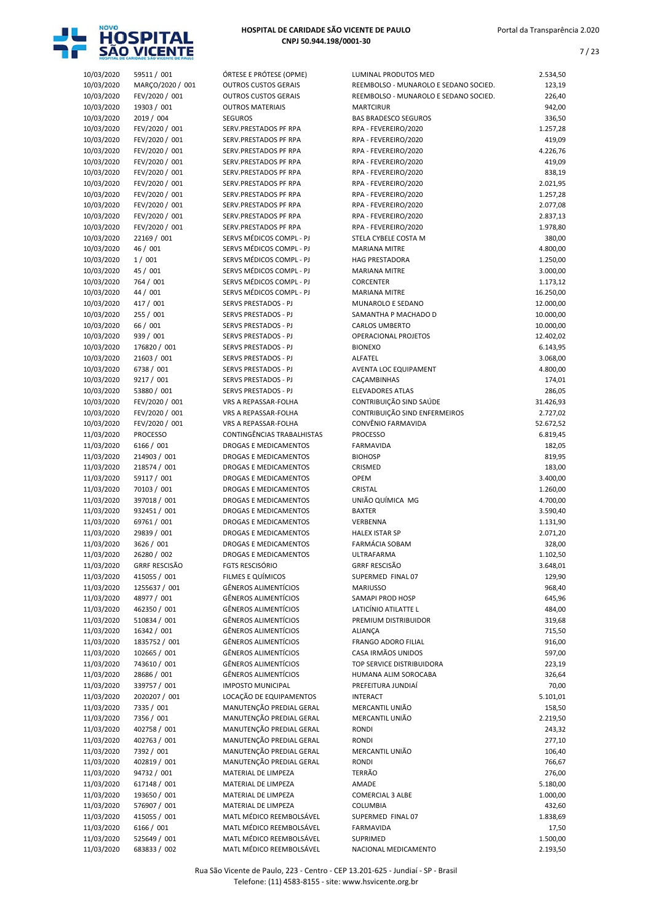

| 10/03/2020               | 59511 / 001                      | ÓRTESE E PRÓTESE (OPME)                              | LUMINAL PRODUTOS MED                         | 2.534,50             |
|--------------------------|----------------------------------|------------------------------------------------------|----------------------------------------------|----------------------|
| 10/03/2020               | MARÇO/2020 / 001                 | <b>OUTROS CUSTOS GERAIS</b>                          | REEMBOLSO - MUNAROLO E SEDANO SOCIED.        | 123,19               |
| 10/03/2020               | FEV/2020 / 001                   | <b>OUTROS CUSTOS GERAIS</b>                          | REEMBOLSO - MUNAROLO E SEDANO SOCIED.        | 226,40               |
| 10/03/2020               | 19303 / 001                      | <b>OUTROS MATERIAIS</b>                              | <b>MARTCIRUR</b>                             | 942,00               |
| 10/03/2020               | 2019 / 004                       | <b>SEGUROS</b>                                       | <b>BAS BRADESCO SEGUROS</b>                  | 336,50               |
| 10/03/2020               | FEV/2020 / 001                   | SERV.PRESTADOS PF RPA                                | RPA - FEVEREIRO/2020                         | 1.257,28             |
| 10/03/2020               | FEV/2020 / 001                   | SERV.PRESTADOS PF RPA                                | RPA - FEVEREIRO/2020                         | 419,09               |
| 10/03/2020<br>10/03/2020 | FEV/2020 / 001<br>FEV/2020 / 001 | SERV.PRESTADOS PF RPA<br>SERV.PRESTADOS PF RPA       | RPA - FEVEREIRO/2020<br>RPA - FEVEREIRO/2020 | 4.226,76<br>419,09   |
| 10/03/2020               | FEV/2020 / 001                   | SERV.PRESTADOS PF RPA                                | RPA - FEVEREIRO/2020                         | 838,19               |
| 10/03/2020               | FEV/2020 / 001                   | SERV.PRESTADOS PF RPA                                | RPA - FEVEREIRO/2020                         | 2.021,95             |
| 10/03/2020               | FEV/2020 / 001                   | SERV.PRESTADOS PF RPA                                | RPA - FEVEREIRO/2020                         | 1.257,28             |
| 10/03/2020               | FEV/2020 / 001                   | SERV.PRESTADOS PF RPA                                | RPA - FEVEREIRO/2020                         | 2.077,08             |
| 10/03/2020               | FEV/2020 / 001                   | SERV.PRESTADOS PF RPA                                | RPA - FEVEREIRO/2020                         | 2.837,13             |
| 10/03/2020               | FEV/2020 / 001                   | SERV.PRESTADOS PF RPA                                | RPA - FEVEREIRO/2020                         | 1.978,80             |
| 10/03/2020               | 22169 / 001                      | SERVS MÉDICOS COMPL - PJ                             | STELA CYBELE COSTA M                         | 380,00               |
| 10/03/2020               | 46 / 001                         | SERVS MÉDICOS COMPL - PJ                             | <b>MARIANA MITRE</b>                         | 4.800,00             |
| 10/03/2020               | 1/001                            | SERVS MÉDICOS COMPL - PJ                             | <b>HAG PRESTADORA</b>                        | 1.250,00             |
| 10/03/2020               | 45 / 001                         | SERVS MÉDICOS COMPL - PJ                             | <b>MARIANA MITRE</b>                         | 3.000,00             |
| 10/03/2020               | 764 / 001                        | SERVS MÉDICOS COMPL - PJ                             | <b>CORCENTER</b>                             | 1.173,12             |
| 10/03/2020               | 44 / 001                         | SERVS MÉDICOS COMPL - PJ                             | <b>MARIANA MITRE</b>                         | 16.250,00            |
| 10/03/2020               | 417 / 001                        | SERVS PRESTADOS - PJ                                 | MUNAROLO E SEDANO                            | 12.000,00            |
| 10/03/2020               | 255 / 001                        | SERVS PRESTADOS - PJ                                 | SAMANTHA P MACHADO D                         | 10.000,00            |
| 10/03/2020               | 66 / 001                         | SERVS PRESTADOS - PJ                                 | <b>CARLOS UMBERTO</b>                        | 10.000,00            |
| 10/03/2020               | 939 / 001                        | SERVS PRESTADOS - PJ                                 | OPERACIONAL PROJETOS                         | 12.402,02            |
| 10/03/2020               | 176820 / 001                     | SERVS PRESTADOS - PJ                                 | <b>BIONEXO</b>                               | 6.143,95             |
| 10/03/2020               | 21603 / 001                      | SERVS PRESTADOS - PJ                                 | ALFATEL                                      | 3.068,00             |
| 10/03/2020               | 6738 / 001                       | SERVS PRESTADOS - PJ<br>SERVS PRESTADOS - PJ         | AVENTA LOC EQUIPAMENT                        | 4.800,00             |
| 10/03/2020<br>10/03/2020 | 9217 / 001<br>53880 / 001        | SERVS PRESTADOS - PJ                                 | CAÇAMBINHAS<br><b>ELEVADORES ATLAS</b>       | 174,01<br>286,05     |
| 10/03/2020               | FEV/2020 / 001                   | VRS A REPASSAR-FOLHA                                 | CONTRIBUIÇÃO SIND SAÚDE                      | 31.426,93            |
| 10/03/2020               | FEV/2020 / 001                   | VRS A REPASSAR-FOLHA                                 | CONTRIBUIÇÃO SIND ENFERMEIROS                | 2.727,02             |
| 10/03/2020               | FEV/2020 / 001                   | VRS A REPASSAR-FOLHA                                 | CONVÊNIO FARMAVIDA                           | 52.672,52            |
| 11/03/2020               | <b>PROCESSO</b>                  | CONTINGÊNCIAS TRABALHISTAS                           | <b>PROCESSO</b>                              | 6.819,45             |
| 11/03/2020               | 6166 / 001                       | <b>DROGAS E MEDICAMENTOS</b>                         | <b>FARMAVIDA</b>                             | 182,05               |
| 11/03/2020               | 214903 / 001                     | <b>DROGAS E MEDICAMENTOS</b>                         | <b>BIOHOSP</b>                               | 819,95               |
| 11/03/2020               | 218574 / 001                     | DROGAS E MEDICAMENTOS                                | CRISMED                                      | 183,00               |
| 11/03/2020               | 59117 / 001                      | <b>DROGAS E MEDICAMENTOS</b>                         | <b>OPEM</b>                                  | 3.400,00             |
| 11/03/2020               | 70103 / 001                      | <b>DROGAS E MEDICAMENTOS</b>                         | CRISTAL                                      | 1.260,00             |
| 11/03/2020               | 397018 / 001                     | <b>DROGAS E MEDICAMENTOS</b>                         | UNIÃO QUÍMICA MG                             | 4.700,00             |
| 11/03/2020               | 932451 / 001                     | <b>DROGAS E MEDICAMENTOS</b>                         | <b>BAXTER</b>                                | 3.590,40             |
| 11/03/2020               | 69761 / 001                      | <b>DROGAS E MEDICAMENTOS</b>                         | VERBENNA                                     | 1.131,90             |
| 11/03/2020               | 29839 / 001                      | <b>DROGAS E MEDICAMENTOS</b>                         | <b>HALEX ISTAR SP</b>                        | 2.071,20             |
| 11/03/2020               | 3626 / 001                       | <b>DROGAS E MEDICAMENTOS</b>                         | FARMÁCIA SOBAM                               | 328,00               |
| 11/03/2020               | 26280 / 002                      | DROGAS E MEDICAMENTOS                                | ULTRAFARMA                                   | 1.102,50             |
| 11/03/2020               | <b>GRRF RESCISÃO</b>             | <b>FGTS RESCISÓRIO</b>                               | <b>GRRF RESCISÃO</b>                         | 3.648,01             |
| 11/03/2020               | 415055 / 001                     | FILMES E QUÍMICOS                                    | SUPERMED FINAL 07                            | 129,90               |
| 11/03/2020               | 1255637 / 001                    | GÊNEROS ALIMENTÍCIOS                                 | <b>MARIUSSO</b>                              | 968,40               |
| 11/03/2020               | 48977 / 001                      | <b>GÊNEROS ALIMENTÍCIOS</b>                          | SAMAPI PROD HOSP                             | 645,96               |
| 11/03/2020<br>11/03/2020 | 462350 / 001<br>510834 / 001     | GÊNEROS ALIMENTÍCIOS<br><b>GÊNEROS ALIMENTÍCIOS</b>  | LATICÍNIO ATILATTE L<br>PREMIUM DISTRIBUIDOR | 484,00<br>319,68     |
| 11/03/2020               | 16342 / 001                      | GÊNEROS ALIMENTÍCIOS                                 | <b>ALIANÇA</b>                               | 715,50               |
| 11/03/2020               | 1835752 / 001                    | GÊNEROS ALIMENTÍCIOS                                 | FRANGO ADORO FILIAL                          | 916,00               |
| 11/03/2020               | 102665 / 001                     | GÊNEROS ALIMENTÍCIOS                                 | CASA IRMÃOS UNIDOS                           | 597,00               |
| 11/03/2020               | 743610 / 001                     | <b>GÊNEROS ALIMENTÍCIOS</b>                          | TOP SERVICE DISTRIBUIDORA                    | 223,19               |
| 11/03/2020               | 28686 / 001                      | GÊNEROS ALIMENTÍCIOS                                 | HUMANA ALIM SOROCABA                         | 326,64               |
| 11/03/2020               | 339757 / 001                     | <b>IMPOSTO MUNICIPAL</b>                             | PREFEITURA JUNDIAÍ                           | 70,00                |
| 11/03/2020               | 2020207 / 001                    | LOCAÇÃO DE EQUIPAMENTOS                              | <b>INTERACT</b>                              | 5.101,01             |
| 11/03/2020               | 7335 / 001                       | MANUTENÇÃO PREDIAL GERAL                             | MERCANTIL UNIÃO                              | 158,50               |
| 11/03/2020               | 7356 / 001                       | MANUTENÇÃO PREDIAL GERAL                             | MERCANTIL UNIÃO                              | 2.219,50             |
| 11/03/2020               | 402758 / 001                     | MANUTENÇÃO PREDIAL GERAL                             | RONDI                                        | 243,32               |
| 11/03/2020               | 402763 / 001                     | MANUTENÇÃO PREDIAL GERAL                             | RONDI                                        | 277,10               |
| 11/03/2020               | 7392 / 001                       | MANUTENÇÃO PREDIAL GERAL                             | MERCANTIL UNIÃO                              | 106,40               |
| 11/03/2020               | 402819 / 001                     | MANUTENÇÃO PREDIAL GERAL                             | RONDI                                        | 766,67               |
| 11/03/2020               | 94732 / 001                      | MATERIAL DE LIMPEZA                                  | <b>TERRÃO</b>                                | 276,00               |
| 11/03/2020               | 617148 / 001                     | MATERIAL DE LIMPEZA                                  | AMADE                                        | 5.180,00             |
| 11/03/2020               | 193650 / 001                     | MATERIAL DE LIMPEZA                                  | <b>COMERCIAL 3 ALBE</b>                      | 1.000,00             |
| 11/03/2020               | 576907 / 001                     | MATERIAL DE LIMPEZA                                  | <b>COLUMBIA</b>                              | 432,60               |
| 11/03/2020               | 415055 / 001                     | MATL MÉDICO REEMBOLSÁVEL                             | SUPERMED FINAL 07                            | 1.838,69             |
| 11/03/2020               | 6166 / 001                       | MATL MÉDICO REEMBOLSÁVEL                             | <b>FARMAVIDA</b>                             | 17,50                |
| 11/03/2020<br>11/03/2020 | 525649 / 001<br>683833 / 002     | MATL MÉDICO REEMBOLSÁVEL<br>MATL MÉDICO REEMBOLSÁVEL | SUPRIMED<br>NACIONAL MEDICAMENTO             | 1.500,00<br>2.193,50 |
|                          |                                  |                                                      |                                              |                      |

| 10/03/2020 | 59511 / 001          | ÓRTESE E PRÓTESE (OPME)      | LUMINAL PRODUTOS MED                  | 2.534,50  |
|------------|----------------------|------------------------------|---------------------------------------|-----------|
| 10/03/2020 | MARÇO/2020 / 001     | <b>OUTROS CUSTOS GERAIS</b>  | REEMBOLSO - MUNAROLO E SEDANO SOCIED. | 123,19    |
| 10/03/2020 | FEV/2020 / 001       | <b>OUTROS CUSTOS GERAIS</b>  | REEMBOLSO - MUNAROLO E SEDANO SOCIED. | 226,40    |
| 10/03/2020 | 19303 / 001          | <b>OUTROS MATERIAIS</b>      | <b>MARTCIRUR</b>                      | 942,00    |
| 10/03/2020 | 2019 / 004           | <b>SEGUROS</b>               | <b>BAS BRADESCO SEGUROS</b>           | 336,50    |
| 10/03/2020 | FEV/2020 / 001       | SERV.PRESTADOS PF RPA        | RPA - FEVEREIRO/2020                  | 1.257,28  |
| 10/03/2020 | FEV/2020 / 001       | SERV.PRESTADOS PF RPA        | RPA - FEVEREIRO/2020                  | 419,09    |
| 10/03/2020 | FEV/2020 / 001       | SERV.PRESTADOS PF RPA        | RPA - FEVEREIRO/2020                  | 4.226,76  |
| 10/03/2020 | FEV/2020 / 001       | SERV.PRESTADOS PF RPA        | RPA - FEVEREIRO/2020                  | 419,09    |
| 10/03/2020 | FEV/2020 / 001       | SERV.PRESTADOS PF RPA        | RPA - FEVEREIRO/2020                  | 838,19    |
| 10/03/2020 | FEV/2020 / 001       | SERV.PRESTADOS PF RPA        | RPA - FEVEREIRO/2020                  | 2.021,95  |
| 10/03/2020 | FEV/2020 / 001       | SERV.PRESTADOS PF RPA        | RPA - FEVEREIRO/2020                  | 1.257,28  |
| 10/03/2020 | FEV/2020 / 001       | SERV.PRESTADOS PF RPA        | RPA - FEVEREIRO/2020                  | 2.077,08  |
| 10/03/2020 | FEV/2020 / 001       | SERV.PRESTADOS PF RPA        | RPA - FEVEREIRO/2020                  | 2.837,13  |
| 10/03/2020 | FEV/2020 / 001       | SERV.PRESTADOS PF RPA        | RPA - FEVEREIRO/2020                  | 1.978,80  |
| 10/03/2020 | 22169 / 001          | SERVS MÉDICOS COMPL - PJ     | STELA CYBELE COSTA M                  | 380,00    |
| 10/03/2020 | 46 / 001             | SERVS MÉDICOS COMPL - PJ     | <b>MARIANA MITRE</b>                  | 4.800,00  |
|            |                      | SERVS MÉDICOS COMPL - PJ     |                                       |           |
| 10/03/2020 | 1/001                |                              | <b>HAG PRESTADORA</b>                 | 1.250,00  |
| 10/03/2020 | 45 / 001             | SERVS MÉDICOS COMPL - PJ     | <b>MARIANA MITRE</b>                  | 3.000,00  |
| 10/03/2020 | 764 / 001            | SERVS MÉDICOS COMPL - PJ     | CORCENTER                             | 1.173,12  |
| 10/03/2020 | 44 / 001             | SERVS MÉDICOS COMPL - PJ     | <b>MARIANA MITRE</b>                  | 16.250,00 |
| 10/03/2020 | 417 / 001            | SERVS PRESTADOS - PJ         | MUNAROLO E SEDANO                     | 12.000,00 |
| 10/03/2020 | 255 / 001            | SERVS PRESTADOS - PJ         | SAMANTHA P MACHADO D                  | 10.000,00 |
| 10/03/2020 | 66 / 001             | SERVS PRESTADOS - PJ         | <b>CARLOS UMBERTO</b>                 | 10.000,00 |
| 10/03/2020 | 939 / 001            | SERVS PRESTADOS - PJ         | <b>OPERACIONAL PROJETOS</b>           | 12.402,02 |
| 10/03/2020 | 176820 / 001         | SERVS PRESTADOS - PJ         | <b>BIONEXO</b>                        | 6.143,95  |
| 10/03/2020 | 21603 / 001          | SERVS PRESTADOS - PJ         | ALFATEL                               | 3.068,00  |
| 10/03/2020 | 6738 / 001           | SERVS PRESTADOS - PJ         | AVENTA LOC EQUIPAMENT                 | 4.800,00  |
| 10/03/2020 | 9217 / 001           | SERVS PRESTADOS - PJ         | CAÇAMBINHAS                           | 174,01    |
| 10/03/2020 | 53880 / 001          | SERVS PRESTADOS - PJ         | <b>ELEVADORES ATLAS</b>               | 286,05    |
| 10/03/2020 | FEV/2020 / 001       | VRS A REPASSAR-FOLHA         | CONTRIBUIÇÃO SIND SAÚDE               | 31.426,93 |
| 10/03/2020 | FEV/2020 / 001       | VRS A REPASSAR-FOLHA         | CONTRIBUIÇÃO SIND ENFERMEIROS         | 2.727,02  |
| 10/03/2020 | FEV/2020 / 001       | VRS A REPASSAR-FOLHA         | CONVÊNIO FARMAVIDA                    | 52.672,52 |
| 11/03/2020 | <b>PROCESSO</b>      | CONTINGÊNCIAS TRABALHISTAS   | <b>PROCESSO</b>                       | 6.819,45  |
| 11/03/2020 | 6166 / 001           | <b>DROGAS E MEDICAMENTOS</b> | <b>FARMAVIDA</b>                      | 182,05    |
| 11/03/2020 | 214903 / 001         | DROGAS E MEDICAMENTOS        | <b>BIOHOSP</b>                        | 819,95    |
| 11/03/2020 | 218574 / 001         | DROGAS E MEDICAMENTOS        | CRISMED                               | 183,00    |
| 11/03/2020 | 59117 / 001          | DROGAS E MEDICAMENTOS        | OPEM                                  | 3.400,00  |
| 11/03/2020 | 70103 / 001          | DROGAS E MEDICAMENTOS        | CRISTAL                               | 1.260,00  |
| 11/03/2020 | 397018 / 001         | DROGAS E MEDICAMENTOS        | UNIÃO QUÍMICA MG                      | 4.700,00  |
| 11/03/2020 | 932451 / 001         | DROGAS E MEDICAMENTOS        | <b>BAXTER</b>                         | 3.590,40  |
| 11/03/2020 | 69761 / 001          | DROGAS E MEDICAMENTOS        | VERBENNA                              | 1.131,90  |
| 11/03/2020 | 29839 / 001          | <b>DROGAS E MEDICAMENTOS</b> | <b>HALEX ISTAR SP</b>                 | 2.071,20  |
| 11/03/2020 | 3626 / 001           | DROGAS E MEDICAMENTOS        | FARMÁCIA SOBAM                        | 328,00    |
| 11/03/2020 | 26280 / 002          | DROGAS E MEDICAMENTOS        | ULTRAFARMA                            | 1.102,50  |
| 11/03/2020 | <b>GRRF RESCISÃO</b> | <b>FGTS RESCISÓRIO</b>       | <b>GRRF RESCISÃO</b>                  | 3.648,01  |
| 11/03/2020 | 415055 / 001         | FILMES E QUÍMICOS            | SUPERMED FINAL 07                     | 129,90    |
| 11/03/2020 | 1255637 / 001        | <b>GÊNEROS ALIMENTÍCIOS</b>  | <b>MARIUSSO</b>                       | 968,40    |
| 11/03/2020 | 48977 / 001          | GÊNEROS ALIMENTÍCIOS         | SAMAPI PROD HOSP                      | 645,96    |
| 11/03/2020 | 462350 / 001         | GÊNEROS ALIMENTÍCIOS         | LATICÍNIO ATILATTE L                  | 484,00    |
| 11/03/2020 | 510834 / 001         | GÊNEROS ALIMENTÍCIOS         | PREMIUM DISTRIBUIDOR                  | 319,68    |
| 11/03/2020 | 16342 / 001          | <b>GÊNEROS ALIMENTÍCIOS</b>  | <b>ALIANÇA</b>                        | 715,50    |
| 11/03/2020 | 1835752 / 001        | <b>GÊNEROS ALIMENTÍCIOS</b>  | <b>FRANGO ADORO FILIAL</b>            | 916,00    |
| 11/03/2020 | 102665 / 001         | GÊNEROS ALIMENTÍCIOS         | CASA IRMÃOS UNIDOS                    | 597,00    |
|            | 743610 / 001         |                              | TOP SERVICE DISTRIBUIDORA             |           |
| 11/03/2020 |                      | GÊNEROS ALIMENTÍCIOS         |                                       | 223,19    |
| 11/03/2020 | 28686 / 001          | GÊNEROS ALIMENTÍCIOS         | HUMANA ALIM SOROCABA                  | 326,64    |
| 11/03/2020 | 339757 / 001         | <b>IMPOSTO MUNICIPAL</b>     | PREFEITURA JUNDIAÍ                    | 70,00     |
| 11/03/2020 | 2020207 / 001        | LOCAÇÃO DE EQUIPAMENTOS      | <b>INTERACT</b>                       | 5.101,01  |
| 11/03/2020 | 7335 / 001           | MANUTENÇÃO PREDIAL GERAL     | MERCANTIL UNIÃO                       | 158,50    |
| 11/03/2020 | 7356 / 001           | MANUTENÇÃO PREDIAL GERAL     | MERCANTIL UNIÃO                       | 2.219,50  |
| 11/03/2020 | 402758 / 001         | MANUTENÇÃO PREDIAL GERAL     | <b>RONDI</b>                          | 243,32    |
| 11/03/2020 | 402763 / 001         | MANUTENÇÃO PREDIAL GERAL     | <b>RONDI</b>                          | 277,10    |
| 11/03/2020 | 7392 / 001           | MANUTENÇÃO PREDIAL GERAL     | MERCANTIL UNIÃO                       | 106,40    |
| 11/03/2020 | 402819 / 001         | MANUTENÇÃO PREDIAL GERAL     | <b>RONDI</b>                          | 766,67    |
| 11/03/2020 | 94732 / 001          | MATERIAL DE LIMPEZA          | TERRÃO                                | 276,00    |
| 11/03/2020 | 617148 / 001         | MATERIAL DE LIMPEZA          | AMADE                                 | 5.180,00  |
| 11/03/2020 | 193650 / 001         | MATERIAL DE LIMPEZA          | <b>COMERCIAL 3 ALBE</b>               | 1.000,00  |
| 11/03/2020 | 576907 / 001         | MATERIAL DE LIMPEZA          | COLUMBIA                              | 432,60    |
| 11/03/2020 | 415055 / 001         | MATL MÉDICO REEMBOLSÁVEL     | SUPERMED FINAL 07                     | 1.838,69  |
| 11/03/2020 | 6166 / 001           | MATL MÉDICO REEMBOLSÁVEL     | FARMAVIDA                             | 17,50     |
| 11/03/2020 | 525649 / 001         | MATL MÉDICO REEMBOLSÁVEL     | SUPRIMED                              | 1.500,00  |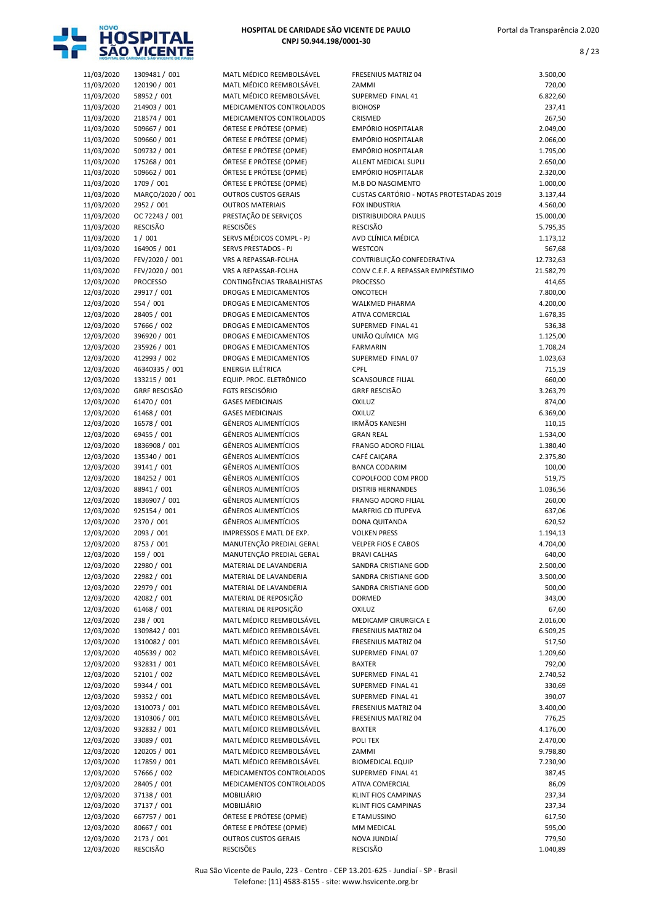

8 / 23

| 11/03/2020               | 1309481 / 001                | MATL MÉDICO REEMBOLSÁVEL                                | <b>FRESENIUS MATRIZ 04</b>               | 3.500,00             |
|--------------------------|------------------------------|---------------------------------------------------------|------------------------------------------|----------------------|
| 11/03/2020               | 120190 / 001                 | MATL MÉDICO REEMBOLSÁVEL                                | ZAMMI                                    | 720,00               |
| 11/03/2020               | 58952 / 001                  | MATL MÉDICO REEMBOLSÁVEL                                | SUPERMED FINAL 41                        | 6.822,60             |
| 11/03/2020               | 214903 / 001                 | MEDICAMENTOS CONTROLADOS                                | <b>BIOHOSP</b>                           | 237,41               |
| 11/03/2020               | 218574 / 001                 | MEDICAMENTOS CONTROLADOS                                | CRISMED<br><b>EMPÓRIO HOSPITALAR</b>     | 267,50               |
| 11/03/2020<br>11/03/2020 | 509667 / 001<br>509660 / 001 | ÓRTESE E PRÓTESE (OPME)<br>ÓRTESE E PRÓTESE (OPME)      | <b>EMPÓRIO HOSPITALAR</b>                | 2.049,00<br>2.066,00 |
| 11/03/2020               | 509732 / 001                 | ÓRTESE E PRÓTESE (OPME)                                 | EMPÓRIO HOSPITALAR                       | 1.795,00             |
| 11/03/2020               | 175268 / 001                 | ÓRTESE E PRÓTESE (OPME)                                 | ALLENT MEDICAL SUPLI                     | 2.650,00             |
| 11/03/2020               | 509662 / 001                 | ÓRTESE E PRÓTESE (OPME)                                 | EMPÓRIO HOSPITALAR                       | 2.320,00             |
| 11/03/2020               | 1709 / 001                   | ÓRTESE E PRÓTESE (OPME)                                 | M.B DO NASCIMENTO                        | 1.000,00             |
| 11/03/2020               | MARÇO/2020 / 001             | <b>OUTROS CUSTOS GERAIS</b>                             | CUSTAS CARTÓRIO - NOTAS PROTESTADAS 2019 | 3.137,44             |
| 11/03/2020               | 2952 / 001                   | <b>OUTROS MATERIAIS</b>                                 | <b>FOX INDUSTRIA</b>                     | 4.560,00             |
| 11/03/2020               | OC 72243 / 001               | PRESTAÇÃO DE SERVIÇOS                                   | DISTRIBUIDORA PAULIS                     | 15.000,00            |
| 11/03/2020               | <b>RESCISÃO</b>              | <b>RESCISÕES</b>                                        | <b>RESCISÃO</b>                          | 5.795,35             |
| 11/03/2020               | 1/001                        | SERVS MÉDICOS COMPL - PJ                                | AVD CLÍNICA MÉDICA                       | 1.173,12             |
| 11/03/2020               | 164905 / 001                 | SERVS PRESTADOS - PJ                                    | <b>WESTCON</b>                           | 567,68               |
| 11/03/2020               | FEV/2020 / 001               | VRS A REPASSAR-FOLHA                                    | CONTRIBUIÇÃO CONFEDERATIVA               | 12.732,63            |
| 11/03/2020               | FEV/2020 / 001               | VRS A REPASSAR-FOLHA                                    | CONV C.E.F. A REPASSAR EMPRÉSTIMO        | 21.582,79            |
| 12/03/2020               | <b>PROCESSO</b>              | CONTINGÊNCIAS TRABALHISTAS                              | <b>PROCESSO</b>                          | 414,65               |
| 12/03/2020               | 29917 / 001                  | DROGAS E MEDICAMENTOS                                   | ONCOTECH                                 | 7.800,00             |
| 12/03/2020               | 554 / 001                    | DROGAS E MEDICAMENTOS                                   | <b>WALKMED PHARMA</b>                    | 4.200,00             |
| 12/03/2020               | 28405 / 001                  | <b>DROGAS E MEDICAMENTOS</b>                            | <b>ATIVA COMERCIAL</b>                   | 1.678,35             |
| 12/03/2020<br>12/03/2020 | 57666 / 002<br>396920 / 001  | DROGAS E MEDICAMENTOS                                   | SUPERMED FINAL 41<br>UNIÃO QUÍMICA MG    | 536,38<br>1.125,00   |
| 12/03/2020               | 235926 / 001                 | DROGAS E MEDICAMENTOS<br><b>DROGAS E MEDICAMENTOS</b>   | <b>FARMARIN</b>                          | 1.708,24             |
| 12/03/2020               | 412993 / 002                 | DROGAS E MEDICAMENTOS                                   | SUPERMED FINAL 07                        | 1.023,63             |
| 12/03/2020               | 46340335 / 001               | ENERGIA ELÉTRICA                                        | CPFL                                     | 715,19               |
| 12/03/2020               | 133215 / 001                 | EQUIP. PROC. ELETRÔNICO                                 | <b>SCANSOURCE FILIAL</b>                 | 660,00               |
| 12/03/2020               | <b>GRRF RESCISÃO</b>         | FGTS RESCISÓRIO                                         | <b>GRRF RESCISÃO</b>                     | 3.263,79             |
| 12/03/2020               | 61470 / 001                  | <b>GASES MEDICINAIS</b>                                 | <b>OXILUZ</b>                            | 874,00               |
| 12/03/2020               | 61468 / 001                  | <b>GASES MEDICINAIS</b>                                 | <b>OXILUZ</b>                            | 6.369,00             |
| 12/03/2020               | 16578 / 001                  | <b>GÊNEROS ALIMENTÍCIOS</b>                             | IRMÃOS KANESHI                           | 110,15               |
| 12/03/2020               | 69455 / 001                  | <b>GÊNEROS ALIMENTÍCIOS</b>                             | <b>GRAN REAL</b>                         | 1.534,00             |
| 12/03/2020               | 1836908 / 001                | <b>GÊNEROS ALIMENTÍCIOS</b>                             | <b>FRANGO ADORO FILIAL</b>               | 1.380,40             |
| 12/03/2020               | 135340 / 001                 | <b>GÊNEROS ALIMENTÍCIOS</b>                             | CAFÉ CAIÇARA                             | 2.375,80             |
| 12/03/2020               | 39141 / 001                  | <b>GÊNEROS ALIMENTÍCIOS</b>                             | <b>BANCA CODARIM</b>                     | 100,00               |
| 12/03/2020               | 184252 / 001                 | <b>GÊNEROS ALIMENTÍCIOS</b>                             | COPOLFOOD COM PROD                       | 519,75               |
| 12/03/2020               | 88941 / 001                  | <b>GÊNEROS ALIMENTÍCIOS</b>                             | <b>DISTRIB HERNANDES</b>                 | 1.036,56             |
| 12/03/2020               | 1836907 / 001                | <b>GÊNEROS ALIMENTÍCIOS</b>                             | FRANGO ADORO FILIAL                      | 260,00               |
| 12/03/2020               | 925154 / 001                 | <b>GÊNEROS ALIMENTÍCIOS</b>                             | MARFRIG CD ITUPEVA                       | 637,06               |
| 12/03/2020               | 2370 / 001                   | <b>GÊNEROS ALIMENTÍCIOS</b><br>IMPRESSOS E MATL DE EXP. | DONA QUITANDA<br><b>VOLKEN PRESS</b>     | 620,52               |
| 12/03/2020<br>12/03/2020 | 2093 / 001<br>8753 / 001     | MANUTENÇÃO PREDIAL GERAL                                | <b>VELPER FIOS E CABOS</b>               | 1.194,13<br>4.704,00 |
| 12/03/2020               | 159 / 001                    | MANUTENÇÃO PREDIAL GERAL                                | <b>BRAVI CALHAS</b>                      | 640,00               |
| 12/03/2020               | 22980 / 001                  | MATERIAL DE LAVANDERIA                                  | SANDRA CRISTIANE GOD                     | 2.500,00             |
| 12/03/2020               | 22982 / 001                  | MATERIAL DE LAVANDERIA                                  | SANDRA CRISTIANE GOD                     | 3.500,00             |
| 12/03/2020               | 22979 / 001                  | MATERIAL DE LAVANDERIA                                  | SANDRA CRISTIANE GOD                     | 500,00               |
| 12/03/2020               | 42082 / 001                  | MATERIAL DE REPOSIÇÃO                                   | DORMED                                   | 343,00               |
| 12/03/2020               | 61468 / 001                  | MATERIAL DE REPOSIÇÃO                                   | <b>OXILUZ</b>                            | 67,60                |
| 12/03/2020               | 238 / 001                    | MATL MÉDICO REEMBOLSÁVEL                                | MEDICAMP CIRURGICA E                     | 2.016,00             |
| 12/03/2020               | 1309842 / 001                | MATL MÉDICO REEMBOLSÁVEL                                | FRESENIUS MATRIZ 04                      | 6.509,25             |
| 12/03/2020               | 1310082 / 001                | MATL MÉDICO REEMBOLSÁVEL                                | <b>FRESENIUS MATRIZ 04</b>               | 517,50               |
| 12/03/2020               | 405639 / 002                 | MATL MÉDICO REEMBOLSÁVEL                                | SUPERMED FINAL 07                        | 1.209,60             |
| 12/03/2020               | 932831 / 001                 | MATL MÉDICO REEMBOLSÁVEL                                | BAXTER                                   | 792,00               |
| 12/03/2020               | 52101 / 002                  | MATL MÉDICO REEMBOLSÁVEL                                | SUPERMED FINAL 41                        | 2.740,52             |
| 12/03/2020               | 59344 / 001                  | MATL MÉDICO REEMBOLSÁVEL                                | SUPERMED FINAL 41                        | 330,69               |
| 12/03/2020               | 59352 / 001                  | MATL MÉDICO REEMBOLSÁVEL                                | SUPERMED FINAL 41                        | 390,07               |
| 12/03/2020               | 1310073 / 001                | MATL MÉDICO REEMBOLSÁVEL                                | <b>FRESENIUS MATRIZ 04</b>               | 3.400,00             |
| 12/03/2020               | 1310306 / 001                | MATL MÉDICO REEMBOLSÁVEL                                | FRESENIUS MATRIZ 04                      | 776,25               |
| 12/03/2020               | 932832 / 001                 | MATL MÉDICO REEMBOLSÁVEL                                | <b>BAXTER</b>                            | 4.176,00             |
| 12/03/2020<br>12/03/2020 | 33089 / 001<br>120205 / 001  | MATL MÉDICO REEMBOLSÁVEL<br>MATL MÉDICO REEMBOLSÁVEL    | POLI TEX<br>ZAMMI                        | 2.470,00<br>9.798,80 |
| 12/03/2020               | 117859 / 001                 | MATL MÉDICO REEMBOLSÁVEL                                | <b>BIOMEDICAL EQUIP</b>                  | 7.230,90             |
| 12/03/2020               | 57666 / 002                  | MEDICAMENTOS CONTROLADOS                                | SUPERMED FINAL 41                        | 387,45               |
| 12/03/2020               | 28405 / 001                  | MEDICAMENTOS CONTROLADOS                                | ATIVA COMERCIAL                          | 86,09                |
| 12/03/2020               | 37138 / 001                  | MOBILIÁRIO                                              | KLINT FIOS CAMPINAS                      | 237,34               |
| 12/03/2020               | 37137 / 001                  | MOBILIÁRIO                                              | KLINT FIOS CAMPINAS                      | 237,34               |
| 12/03/2020               | 667757 / 001                 | ÓRTESE E PRÓTESE (OPME)                                 | E TAMUSSINO                              | 617,50               |
| 12/03/2020               | 80667 / 001                  | ÓRTESE E PRÓTESE (OPME)                                 | MM MEDICAL                               | 595,00               |
| 12/03/2020               | 2173 / 001                   | <b>OUTROS CUSTOS GERAIS</b>                             | NOVA JUNDIAÍ                             | 779,50               |
| 12/03/2020               | RESCISÃO                     | <b>RESCISÕES</b>                                        | <b>RESCISÃO</b>                          | 1.040,89             |

|                          | HOSPITAL DE CARIDADE SÃO VICENTE DE PAULO |                                                            |                                                                      |                      |
|--------------------------|-------------------------------------------|------------------------------------------------------------|----------------------------------------------------------------------|----------------------|
| 11/03/2020               | 1309481 / 001                             | MATL MÉDICO REEMBOLSÁVEL                                   | <b>FRESENIUS MATRIZ 04</b>                                           | 3.500,00             |
| 11/03/2020               | 120190 / 001                              | MATL MÉDICO REEMBOLSÁVEL                                   | ZAMMI                                                                | 720,00               |
| 11/03/2020               | 58952 / 001                               | MATL MÉDICO REEMBOLSÁVEL                                   | SUPERMED FINAL 41                                                    | 6.822,60             |
| 11/03/2020<br>11/03/2020 | 214903 / 001<br>218574 / 001              | MEDICAMENTOS CONTROLADOS<br>MEDICAMENTOS CONTROLADOS       | <b>BIOHOSP</b><br>CRISMED                                            | 237,41<br>267,50     |
| 11/03/2020               | 509667 / 001                              | ÓRTESE E PRÓTESE (OPME)                                    | <b>EMPÓRIO HOSPITALAR</b>                                            | 2.049,00             |
| 11/03/2020               | 509660 / 001                              | ÓRTESE E PRÓTESE (OPME)                                    | <b>EMPÓRIO HOSPITALAR</b>                                            | 2.066,00             |
| 11/03/2020               | 509732 / 001                              | ÓRTESE E PRÓTESE (OPME)                                    | <b>EMPÓRIO HOSPITALAR</b>                                            | 1.795,00             |
| 11/03/2020               | 175268 / 001                              | ÓRTESE E PRÓTESE (OPME)                                    | ALLENT MEDICAL SUPLI                                                 | 2.650,00             |
| 11/03/2020               | 509662 / 001                              | ÓRTESE E PRÓTESE (OPME)                                    | <b>EMPÓRIO HOSPITALAR</b>                                            | 2.320,00             |
| 11/03/2020<br>11/03/2020 | 1709 / 001<br>MARÇO/2020 / 001            | ÓRTESE E PRÓTESE (OPME)<br><b>OUTROS CUSTOS GERAIS</b>     | <b>M.B DO NASCIMENTO</b><br>CUSTAS CARTÓRIO - NOTAS PROTESTADAS 2019 | 1.000,00<br>3.137,44 |
| 11/03/2020               | 2952 / 001                                | <b>OUTROS MATERIAIS</b>                                    | <b>FOX INDUSTRIA</b>                                                 | 4.560,00             |
| 11/03/2020               | OC 72243 / 001                            | PRESTAÇÃO DE SERVIÇOS                                      | <b>DISTRIBUIDORA PAULIS</b>                                          | 15.000,00            |
| 11/03/2020               | <b>RESCISÃO</b>                           | <b>RESCISÕES</b>                                           | <b>RESCISÃO</b>                                                      | 5.795,35             |
| 11/03/2020               | 1/001                                     | SERVS MÉDICOS COMPL - PJ                                   | AVD CLÍNICA MÉDICA                                                   | 1.173,12             |
| 11/03/2020               | 164905 / 001                              | SERVS PRESTADOS - PJ                                       | WESTCON                                                              | 567,68               |
| 11/03/2020               | FEV/2020 / 001                            | VRS A REPASSAR-FOLHA                                       | CONTRIBUIÇÃO CONFEDERATIVA<br>CONV C.E.F. A REPASSAR EMPRÉSTIMO      | 12.732,63            |
| 11/03/2020<br>12/03/2020 | FEV/2020 / 001<br><b>PROCESSO</b>         | VRS A REPASSAR-FOLHA<br>CONTINGÊNCIAS TRABALHISTAS         | <b>PROCESSO</b>                                                      | 21.582,79<br>414,65  |
| 12/03/2020               | 29917 / 001                               | DROGAS E MEDICAMENTOS                                      | ONCOTECH                                                             | 7.800,00             |
| 12/03/2020               | 554 / 001                                 | <b>DROGAS E MEDICAMENTOS</b>                               | <b>WALKMED PHARMA</b>                                                | 4.200,00             |
| 12/03/2020               | 28405 / 001                               | <b>DROGAS E MEDICAMENTOS</b>                               | ATIVA COMERCIAL                                                      | 1.678,35             |
| 12/03/2020               | 57666 / 002                               | DROGAS E MEDICAMENTOS                                      | SUPERMED FINAL 41                                                    | 536,38               |
| 12/03/2020               | 396920 / 001                              | <b>DROGAS E MEDICAMENTOS</b>                               | UNIÃO QUÍMICA MG                                                     | 1.125,00             |
| 12/03/2020               | 235926 / 001                              | <b>DROGAS E MEDICAMENTOS</b>                               | <b>FARMARIN</b>                                                      | 1.708,24             |
| 12/03/2020<br>12/03/2020 | 412993 / 002<br>46340335 / 001            | <b>DROGAS E MEDICAMENTOS</b><br><b>ENERGIA ELÉTRICA</b>    | SUPERMED FINAL 07<br>CPFL                                            | 1.023,63<br>715,19   |
| 12/03/2020               | 133215 / 001                              | EQUIP. PROC. ELETRÔNICO                                    | <b>SCANSOURCE FILIAL</b>                                             | 660,00               |
| 12/03/2020               | <b>GRRF RESCISÃO</b>                      | <b>FGTS RESCISÓRIO</b>                                     | <b>GRRF RESCISÃO</b>                                                 | 3.263,79             |
| 12/03/2020               | 61470 / 001                               | <b>GASES MEDICINAIS</b>                                    | OXILUZ                                                               | 874,00               |
| 12/03/2020               | 61468 / 001                               | <b>GASES MEDICINAIS</b>                                    | OXILUZ                                                               | 6.369,00             |
| 12/03/2020               | 16578 / 001                               | <b>GÊNEROS ALIMENTÍCIOS</b>                                | <b>IRMÃOS KANESHI</b>                                                | 110,15               |
| 12/03/2020<br>12/03/2020 | 69455 / 001<br>1836908 / 001              | <b>GÊNEROS ALIMENTÍCIOS</b><br><b>GÊNEROS ALIMENTÍCIOS</b> | <b>GRAN REAL</b><br><b>FRANGO ADORO FILIAL</b>                       | 1.534,00<br>1.380,40 |
| 12/03/2020               | 135340 / 001                              | <b>GÊNEROS ALIMENTÍCIOS</b>                                | CAFÉ CAIÇARA                                                         | 2.375,80             |
| 12/03/2020               | 39141 / 001                               | <b>GÊNEROS ALIMENTÍCIOS</b>                                | <b>BANCA CODARIM</b>                                                 | 100,00               |
| 12/03/2020               | 184252 / 001                              | <b>GÊNEROS ALIMENTÍCIOS</b>                                | COPOLFOOD COM PROD                                                   | 519,75               |
| 12/03/2020               | 88941 / 001                               | <b>GÊNEROS ALIMENTÍCIOS</b>                                | <b>DISTRIB HERNANDES</b>                                             | 1.036,56             |
| 12/03/2020               | 1836907 / 001                             | <b>GÊNEROS ALIMENTÍCIOS</b>                                | FRANGO ADORO FILIAL                                                  | 260,00               |
| 12/03/2020               | 925154 / 001                              | <b>GÊNEROS ALIMENTÍCIOS</b>                                | <b>MARFRIG CD ITUPEVA</b>                                            | 637,06               |
| 12/03/2020<br>12/03/2020 | 2370 / 001<br>2093 / 001                  | <b>GÊNEROS ALIMENTÍCIOS</b><br>IMPRESSOS E MATL DE EXP.    | DONA QUITANDA<br><b>VOLKEN PRESS</b>                                 | 620,52<br>1.194,13   |
| 12/03/2020               | 8753 / 001                                | MANUTENÇÃO PREDIAL GERAL                                   | VELPER FIOS E CABOS                                                  | 4.704,00             |
| 12/03/2020               | 159 / 001                                 | MANUTENÇÃO PREDIAL GERAL                                   | <b>BRAVI CALHAS</b>                                                  | 640,00               |
| 12/03/2020               | 22980 / 001                               | MATERIAL DE LAVANDERIA                                     | SANDRA CRISTIANE GOD                                                 | 2.500,00             |
| 12/03/2020               | 22982 / 001                               | MATERIAL DE LAVANDERIA                                     | SANDRA CRISTIANE GOD                                                 | 3.500,00             |
| 12/03/2020               | 22979 / 001                               | MATERIAL DE LAVANDERIA                                     | SANDRA CRISTIANE GOD                                                 | 500,00               |
| 12/03/2020<br>12/03/2020 | 42082 / 001<br>61468 / 001                | MATERIAL DE REPOSIÇÃO<br>MATERIAL DE REPOSIÇÃO             | <b>DORMED</b><br><b>OXILUZ</b>                                       | 343,00<br>67,60      |
| 12/03/2020               | 238 / 001                                 | MATL MÉDICO REEMBOLSÁVEL                                   | MEDICAMP CIRURGICA E                                                 | 2.016,00             |
| 12/03/2020               | 1309842 / 001                             | MATL MÉDICO REEMBOLSÁVEL                                   | <b>FRESENIUS MATRIZ 04</b>                                           | 6.509,25             |
| 12/03/2020               | 1310082 / 001                             | MATL MÉDICO REEMBOLSÁVEL                                   | <b>FRESENIUS MATRIZ 04</b>                                           | 517,50               |
| 12/03/2020               | 405639 / 002                              | MATL MÉDICO REEMBOLSÁVEL                                   | SUPERMED FINAL 07                                                    | 1.209,60             |
| 12/03/2020               | 932831 / 001                              | MATL MÉDICO REEMBOLSÁVEL                                   | <b>BAXTER</b>                                                        | 792,00               |
| 12/03/2020               | 52101 / 002                               | MATL MÉDICO REEMBOLSÁVEL                                   | SUPERMED FINAL 41                                                    | 2.740,52             |
| 12/03/2020<br>12/03/2020 | 59344 / 001<br>59352 / 001                | MATL MÉDICO REEMBOLSÁVEL<br>MATL MÉDICO REEMBOLSÁVEL       | SUPERMED FINAL 41<br>SUPERMED FINAL 41                               | 330,69<br>390,07     |
| 12/03/2020               | 1310073 / 001                             | MATL MÉDICO REEMBOLSÁVEL                                   | FRESENIUS MATRIZ 04                                                  | 3.400,00             |
| 12/03/2020               | 1310306 / 001                             | MATL MÉDICO REEMBOLSÁVEL                                   | FRESENIUS MATRIZ 04                                                  | 776,25               |
| 12/03/2020               | 932832 / 001                              | MATL MÉDICO REEMBOLSÁVEL                                   | <b>BAXTER</b>                                                        | 4.176,00             |
| 12/03/2020               | 33089 / 001                               | MATL MÉDICO REEMBOLSÁVEL                                   | POLI TEX                                                             | 2.470,00             |
| 12/03/2020               | 120205 / 001                              | MATL MÉDICO REEMBOLSÁVEL                                   | ZAMMI                                                                | 9.798,80             |
| 12/03/2020               | 117859 / 001                              | MATL MÉDICO REEMBOLSÁVEL                                   | <b>BIOMEDICAL EQUIP</b>                                              | 7.230,90             |
| 12/03/2020<br>12/03/2020 | 57666 / 002<br>28405 / 001                | MEDICAMENTOS CONTROLADOS<br>MEDICAMENTOS CONTROLADOS       | SUPERMED FINAL 41<br><b>ATIVA COMERCIAL</b>                          | 387,45<br>86,09      |
| 12/03/2020               | 37138 / 001                               | MOBILIÁRIO                                                 | KLINT FIOS CAMPINAS                                                  | 237,34               |
| 12/03/2020               | 37137 / 001                               | MOBILIÁRIO                                                 | KLINT FIOS CAMPINAS                                                  | 237,34               |
| 12/03/2020               | 667757 / 001                              | ÓRTESE E PRÓTESE (OPME)                                    | E TAMUSSINO                                                          | 617,50               |
| 12/03/2020               | 80667 / 001                               | ÓRTESE E PRÓTESE (OPME)                                    | MM MEDICAL                                                           | 595,00               |
| 12/03/2020               | 2173 / 001                                | <b>OUTROS CUSTOS GERAIS</b>                                | NOVA JUNDIAÍ                                                         | 779,50               |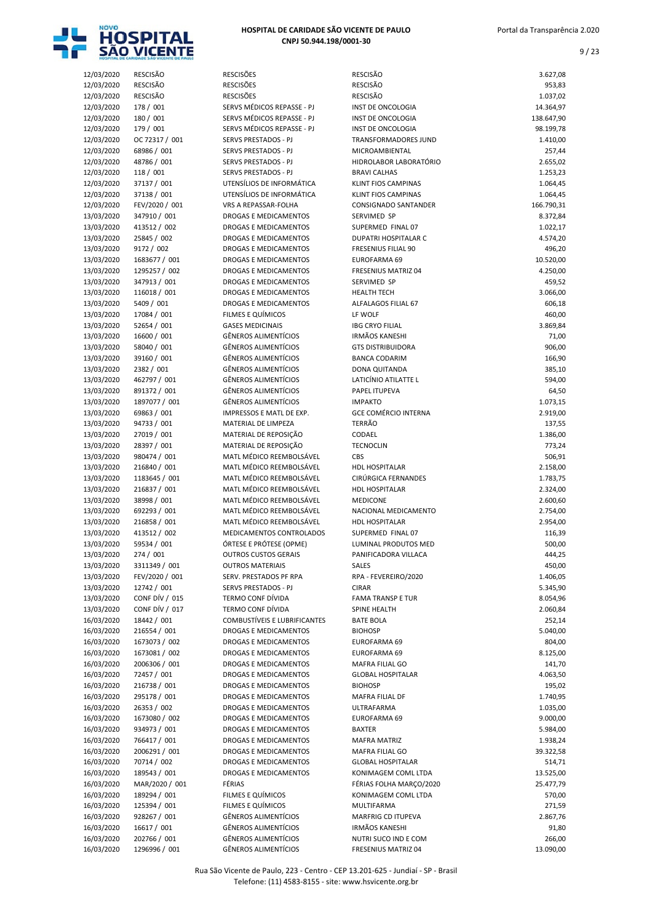

| HOSPITAL DE CARIDADE SÃO VICENTE DE PAULO |  |
|-------------------------------------------|--|
| CNPJ 50.944.198/0001-30                   |  |

| 12/03/2020 | <b>RESCISÃO</b> | <b>RESCISÕES</b>                    | RESCISÃO                    | 3.627,08   |
|------------|-----------------|-------------------------------------|-----------------------------|------------|
| 12/03/2020 | <b>RESCISÃO</b> | <b>RESCISÕES</b>                    | <b>RESCISÃO</b>             | 953,83     |
| 12/03/2020 | <b>RESCISÃO</b> | <b>RESCISÕES</b>                    | <b>RESCISÃO</b>             | 1.037,02   |
|            |                 |                                     |                             |            |
| 12/03/2020 | 178 / 001       | SERVS MÉDICOS REPASSE - PJ          | INST DE ONCOLOGIA           | 14.364,97  |
| 12/03/2020 | 180 / 001       | SERVS MÉDICOS REPASSE - PJ          | INST DE ONCOLOGIA           | 138.647,90 |
| 12/03/2020 | 179 / 001       | SERVS MÉDICOS REPASSE - PJ          | INST DE ONCOLOGIA           | 98.199,78  |
| 12/03/2020 | OC 72317 / 001  | <b>SERVS PRESTADOS - PJ</b>         | <b>TRANSFORMADORES JUND</b> | 1.410,00   |
| 12/03/2020 | 68986 / 001     | SERVS PRESTADOS - PJ                | MICROAMBIENTAL              | 257,44     |
|            | 48786 / 001     | SERVS PRESTADOS - PJ                | HIDROLABOR LABORATÓRIO      |            |
| 12/03/2020 |                 |                                     |                             | 2.655,02   |
| 12/03/2020 | 118 / 001       | <b>SERVS PRESTADOS - PJ</b>         | <b>BRAVI CALHAS</b>         | 1.253,23   |
| 12/03/2020 | 37137 / 001     | UTENSÍLIOS DE INFORMÁTICA           | KLINT FIOS CAMPINAS         | 1.064,45   |
| 12/03/2020 | 37138 / 001     | UTENSÍLIOS DE INFORMÁTICA           | KLINT FIOS CAMPINAS         | 1.064,45   |
| 12/03/2020 | FEV/2020 / 001  | VRS A REPASSAR-FOLHA                | <b>CONSIGNADO SANTANDER</b> | 166.790,31 |
| 13/03/2020 | 347910 / 001    | <b>DROGAS E MEDICAMENTOS</b>        | SERVIMED SP                 | 8.372,84   |
| 13/03/2020 | 413512 / 002    | DROGAS E MEDICAMENTOS               | SUPERMED FINAL 07           | 1.022,17   |
|            |                 |                                     |                             |            |
| 13/03/2020 | 25845 / 002     | <b>DROGAS E MEDICAMENTOS</b>        | DUPATRI HOSPITALAR C        | 4.574,20   |
| 13/03/2020 | 9172 / 002      | DROGAS E MEDICAMENTOS               | FRESENIUS FILIAL 90         | 496,20     |
| 13/03/2020 | 1683677 / 001   | <b>DROGAS E MEDICAMENTOS</b>        | EUROFARMA 69                | 10.520,00  |
| 13/03/2020 | 1295257 / 002   | <b>DROGAS E MEDICAMENTOS</b>        | <b>FRESENIUS MATRIZ 04</b>  | 4.250,00   |
| 13/03/2020 | 347913 / 001    | DROGAS E MEDICAMENTOS               | SERVIMED SP                 | 459,52     |
| 13/03/2020 | 116018 / 001    | <b>DROGAS E MEDICAMENTOS</b>        | <b>HEALTH TECH</b>          |            |
|            |                 |                                     |                             | 3.066,00   |
| 13/03/2020 | 5409 / 001      | <b>DROGAS E MEDICAMENTOS</b>        | <b>ALFALAGOS FILIAL 67</b>  | 606,18     |
| 13/03/2020 | 17084 / 001     | FILMES E QUÍMICOS                   | LF WOLF                     | 460,00     |
| 13/03/2020 | 52654 / 001     | <b>GASES MEDICINAIS</b>             | <b>IBG CRYO FILIAL</b>      | 3.869,84   |
| 13/03/2020 | 16600 / 001     | <b>GÊNEROS ALIMENTÍCIOS</b>         | <b>IRMÃOS KANESHI</b>       | 71,00      |
| 13/03/2020 | 58040 / 001     | <b>GÊNEROS ALIMENTÍCIOS</b>         | <b>GTS DISTRIBUIDORA</b>    | 906,00     |
|            |                 | <b>GÊNEROS ALIMENTÍCIOS</b>         |                             |            |
| 13/03/2020 | 39160 / 001     |                                     | <b>BANCA CODARIM</b>        | 166,90     |
| 13/03/2020 | 2382 / 001      | <b>GÊNEROS ALIMENTÍCIOS</b>         | DONA QUITANDA               | 385,10     |
| 13/03/2020 | 462797 / 001    | <b>GÊNEROS ALIMENTÍCIOS</b>         | LATICÍNIO ATILATTE L        | 594,00     |
| 13/03/2020 | 891372 / 001    | <b>GÊNEROS ALIMENTÍCIOS</b>         | PAPEL ITUPEVA               | 64,50      |
| 13/03/2020 | 1897077 / 001   | <b>GÊNEROS ALIMENTÍCIOS</b>         | <b>IMPAKTO</b>              | 1.073,15   |
| 13/03/2020 | 69863 / 001     | IMPRESSOS E MATL DE EXP.            | <b>GCE COMÉRCIO INTERNA</b> | 2.919,00   |
|            |                 |                                     | <b>TERRÃO</b>               |            |
| 13/03/2020 | 94733 / 001     | MATERIAL DE LIMPEZA                 |                             | 137,55     |
| 13/03/2020 | 27019 / 001     | MATERIAL DE REPOSIÇÃO               | CODAEL                      | 1.386,00   |
| 13/03/2020 | 28397 / 001     | MATERIAL DE REPOSIÇÃO               | <b>TECNOCLIN</b>            | 773,24     |
| 13/03/2020 | 980474 / 001    | MATL MÉDICO REEMBOLSÁVEL            | CBS                         | 506,91     |
| 13/03/2020 | 216840 / 001    | MATL MÉDICO REEMBOLSÁVEL            | HDL HOSPITALAR              | 2.158,00   |
| 13/03/2020 | 1183645 / 001   | MATL MÉDICO REEMBOLSÁVEL            | CIRÚRGICA FERNANDES         | 1.783,75   |
|            |                 |                                     |                             |            |
| 13/03/2020 | 216837 / 001    | MATL MÉDICO REEMBOLSÁVEL            | <b>HDL HOSPITALAR</b>       | 2.324,00   |
| 13/03/2020 | 38998 / 001     | MATL MÉDICO REEMBOLSÁVEL            | <b>MEDICONE</b>             | 2.600,60   |
| 13/03/2020 | 692293 / 001    | MATL MÉDICO REEMBOLSÁVEL            | NACIONAL MEDICAMENTO        | 2.754,00   |
| 13/03/2020 | 216858 / 001    | MATL MÉDICO REEMBOLSÁVEL            | <b>HDL HOSPITALAR</b>       | 2.954,00   |
| 13/03/2020 | 413512 / 002    | MEDICAMENTOS CONTROLADOS            | SUPERMED FINAL 07           | 116,39     |
|            |                 |                                     |                             |            |
| 13/03/2020 | 59534 / 001     | ÓRTESE E PRÓTESE (OPME)             | LUMINAL PRODUTOS MED        | 500,00     |
| 13/03/2020 | 274 / 001       | <b>OUTROS CUSTOS GERAIS</b>         | PANIFICADORA VILLACA        | 444,25     |
| 13/03/2020 | 3311349 / 001   | <b>OUTROS MATERIAIS</b>             | SALES                       | 450,00     |
| 13/03/2020 | FEV/2020 / 001  | SERV. PRESTADOS PF RPA              | RPA - FEVEREIRO/2020        | 1.406,05   |
| 13/03/2020 | 12742 / 001     | SERVS PRESTADOS - PJ                | <b>CIRAR</b>                | 5.345,90   |
| 13/03/2020 | CONF DÍV / 015  | TERMO CONF DÍVIDA                   | <b>FAMA TRANSP E TUR</b>    | 8.054,96   |
|            |                 |                                     |                             |            |
| 13/03/2020 | CONF DÍV / 017  | TERMO CONF DÍVIDA                   | SPINE HEALTH                | 2.060,84   |
| 16/03/2020 | 18442 / 001     | <b>COMBUSTÍVEIS E LUBRIFICANTES</b> | <b>BATE BOLA</b>            | 252,14     |
| 16/03/2020 | 216554 / 001    | DROGAS E MEDICAMENTOS               | <b>BIOHOSP</b>              | 5.040,00   |
| 16/03/2020 | 1673073 / 002   | DROGAS E MEDICAMENTOS               | EUROFARMA 69                | 804,00     |
| 16/03/2020 | 1673081 / 002   | DROGAS E MEDICAMENTOS               | EUROFARMA 69                | 8.125,00   |
| 16/03/2020 | 2006306 / 001   | DROGAS E MEDICAMENTOS               | MAFRA FILIAL GO             |            |
|            |                 |                                     |                             | 141,70     |
| 16/03/2020 | 72457 / 001     | DROGAS E MEDICAMENTOS               | <b>GLOBAL HOSPITALAR</b>    | 4.063,50   |
| 16/03/2020 | 216738 / 001    | DROGAS E MEDICAMENTOS               | <b>BIOHOSP</b>              | 195,02     |
| 16/03/2020 | 295178 / 001    | DROGAS E MEDICAMENTOS               | MAFRA FILIAL DF             | 1.740,95   |
| 16/03/2020 | 26353 / 002     | DROGAS E MEDICAMENTOS               | ULTRAFARMA                  | 1.035,00   |
| 16/03/2020 | 1673080 / 002   | DROGAS E MEDICAMENTOS               | EUROFARMA 69                | 9.000,00   |
|            |                 |                                     |                             |            |
| 16/03/2020 | 934973 / 001    | DROGAS E MEDICAMENTOS               | <b>BAXTER</b>               | 5.984,00   |
| 16/03/2020 | 766417 / 001    | DROGAS E MEDICAMENTOS               | <b>MAFRA MATRIZ</b>         | 1.938,24   |
| 16/03/2020 | 2006291 / 001   | DROGAS E MEDICAMENTOS               | MAFRA FILIAL GO             | 39.322,58  |
| 16/03/2020 | 70714 / 002     | DROGAS E MEDICAMENTOS               | <b>GLOBAL HOSPITALAR</b>    | 514,71     |
| 16/03/2020 | 189543 / 001    | DROGAS E MEDICAMENTOS               | KONIMAGEM COML LTDA         | 13.525,00  |
| 16/03/2020 | MAR/2020 / 001  | FÉRIAS                              | FÉRIAS FOLHA MARÇO/2020     | 25.477,79  |
|            |                 |                                     |                             |            |
| 16/03/2020 | 189294 / 001    | FILMES E QUÍMICOS                   | KONIMAGEM COML LTDA         | 570,00     |
| 16/03/2020 | 125394 / 001    | FILMES E QUÍMICOS                   | MULTIFARMA                  | 271,59     |
| 16/03/2020 | 928267 / 001    | <b>GÊNEROS ALIMENTÍCIOS</b>         | MARFRIG CD ITUPEVA          | 2.867,76   |
| 16/03/2020 | 16617 / 001     | <b>GÊNEROS ALIMENTÍCIOS</b>         | IRMÃOS KANESHI              | 91,80      |
| 16/03/2020 | 202766 / 001    | <b>GÊNEROS ALIMENTÍCIOS</b>         | NUTRI SUCO IND E COM        | 266,00     |
|            |                 |                                     |                             |            |
| 16/03/2020 | 1296996 / 001   | <b>GÊNEROS ALIMENTÍCIOS</b>         | FRESENIUS MATRIZ 04         | 13.090,00  |

| 12/03/2020<br>12/03/2020 | <b>RESCISÃO</b><br><b>RESCISÃO</b> | <b>RESCISÕES</b><br><b>RESCISÕES</b>              | RESCISÃO<br>RESCISÃO                        | 3.627,08<br>953,83  |
|--------------------------|------------------------------------|---------------------------------------------------|---------------------------------------------|---------------------|
| 12/03/2020               | RESCISÃO                           | <b>RESCISÕES</b>                                  | <b>RESCISÃO</b>                             | 1.037,02            |
| 12/03/2020               | 178 / 001                          | SERVS MÉDICOS REPASSE - PJ                        | INST DE ONCOLOGIA                           | 14.364,97           |
| 12/03/2020               | 180 / 001                          | SERVS MÉDICOS REPASSE - PJ                        | INST DE ONCOLOGIA                           | 138.647,90          |
| 12/03/2020               | 179 / 001                          | SERVS MÉDICOS REPASSE - PJ                        | INST DE ONCOLOGIA                           | 98.199,78           |
| 12/03/2020               | OC 72317 / 001                     | SERVS PRESTADOS - PJ                              | <b>TRANSFORMADORES JUND</b>                 | 1.410,00            |
| 12/03/2020               | 68986 / 001                        | SERVS PRESTADOS - PJ                              | MICROAMBIENTAL                              | 257,44              |
| 12/03/2020               | 48786 / 001                        | SERVS PRESTADOS - PJ                              | HIDROLABOR LABORATÓRIO                      | 2.655,02            |
| 12/03/2020               | 118 / 001                          | SERVS PRESTADOS - PJ                              | <b>BRAVI CALHAS</b>                         | 1.253,23            |
| 12/03/2020               | 37137 / 001                        | UTENSÍLIOS DE INFORMÁTICA                         | <b>KLINT FIOS CAMPINAS</b>                  | 1.064,45            |
| 12/03/2020               | 37138 / 001                        | UTENSÍLIOS DE INFORMÁTICA                         | <b>KLINT FIOS CAMPINAS</b>                  | 1.064,45            |
| 12/03/2020               | FEV/2020 / 001                     | VRS A REPASSAR-FOLHA                              | <b>CONSIGNADO SANTANDER</b>                 | 166.790,31          |
| 13/03/2020               | 347910 / 001                       | <b>DROGAS E MEDICAMENTOS</b>                      | SERVIMED SP                                 | 8.372,84            |
| 13/03/2020               | 413512 / 002                       | DROGAS E MEDICAMENTOS                             | SUPERMED FINAL 07                           | 1.022,17            |
| 13/03/2020               | 25845 / 002<br>9172 / 002          | <b>DROGAS E MEDICAMENTOS</b>                      | DUPATRI HOSPITALAR C                        | 4.574,20            |
| 13/03/2020<br>13/03/2020 | 1683677 / 001                      | DROGAS E MEDICAMENTOS<br>DROGAS E MEDICAMENTOS    | FRESENIUS FILIAL 90<br>EUROFARMA 69         | 496,20<br>10.520,00 |
| 13/03/2020               | 1295257 / 002                      | DROGAS E MEDICAMENTOS                             | <b>FRESENIUS MATRIZ 04</b>                  | 4.250,00            |
| 13/03/2020               | 347913 / 001                       | <b>DROGAS E MEDICAMENTOS</b>                      | SERVIMED SP                                 | 459,52              |
| 13/03/2020               | 116018 / 001                       | DROGAS E MEDICAMENTOS                             | <b>HEALTH TECH</b>                          | 3.066,00            |
| 13/03/2020               | 5409 / 001                         | DROGAS E MEDICAMENTOS                             | ALFALAGOS FILIAL 67                         | 606,18              |
| 13/03/2020               | 17084 / 001                        | FILMES E QUÍMICOS                                 | LF WOLF                                     | 460,00              |
| 13/03/2020               | 52654 / 001                        | <b>GASES MEDICINAIS</b>                           | <b>IBG CRYO FILIAL</b>                      | 3.869,84            |
| 13/03/2020               | 16600 / 001                        | <b>GÊNEROS ALIMENTÍCIOS</b>                       | <b>IRMÃOS KANESHI</b>                       | 71,00               |
| 13/03/2020               | 58040 / 001                        | <b>GÊNEROS ALIMENTÍCIOS</b>                       | <b>GTS DISTRIBUIDORA</b>                    | 906,00              |
| 13/03/2020               | 39160 / 001                        | <b>GÊNEROS ALIMENTÍCIOS</b>                       | <b>BANCA CODARIM</b>                        | 166,90              |
| 13/03/2020               | 2382 / 001                         | <b>GÊNEROS ALIMENTÍCIOS</b>                       | DONA QUITANDA                               | 385,10              |
| 13/03/2020               | 462797 / 001                       | <b>GÊNEROS ALIMENTÍCIOS</b>                       | LATICÍNIO ATILATTE L                        | 594,00              |
| 13/03/2020               | 891372 / 001                       | <b>GÊNEROS ALIMENTÍCIOS</b>                       | PAPEL ITUPEVA                               | 64,50               |
| 13/03/2020               | 1897077 / 001                      | <b>GÊNEROS ALIMENTÍCIOS</b>                       | <b>IMPAKTO</b>                              | 1.073,15            |
| 13/03/2020               | 69863 / 001                        | IMPRESSOS E MATL DE EXP.                          | <b>GCE COMÉRCIO INTERNA</b>                 | 2.919,00            |
| 13/03/2020               | 94733 / 001                        | MATERIAL DE LIMPEZA                               | TERRÃO                                      | 137,55              |
| 13/03/2020               | 27019 / 001                        | MATERIAL DE REPOSIÇÃO                             | CODAEL                                      | 1.386,00            |
| 13/03/2020               | 28397 / 001                        | MATERIAL DE REPOSIÇÃO<br>MATL MÉDICO REEMBOLSÁVEL | <b>TECNOCLIN</b><br>CBS                     | 773,24              |
| 13/03/2020<br>13/03/2020 | 980474 / 001<br>216840 / 001       | MATL MÉDICO REEMBOLSÁVEL                          | HDL HOSPITALAR                              | 506,91<br>2.158,00  |
| 13/03/2020               | 1183645 / 001                      | MATL MÉDICO REEMBOLSÁVEL                          | CIRÚRGICA FERNANDES                         | 1.783,75            |
| 13/03/2020               | 216837 / 001                       | MATL MÉDICO REEMBOLSÁVEL                          | <b>HDL HOSPITALAR</b>                       | 2.324,00            |
| 13/03/2020               | 38998 / 001                        | MATL MÉDICO REEMBOLSÁVEL                          | <b>MEDICONE</b>                             | 2.600,60            |
| 13/03/2020               | 692293 / 001                       | MATL MÉDICO REEMBOLSÁVEL                          | NACIONAL MEDICAMENTO                        | 2.754,00            |
| 13/03/2020               | 216858 / 001                       | MATL MÉDICO REEMBOLSÁVEL                          | <b>HDL HOSPITALAR</b>                       | 2.954,00            |
| 13/03/2020               | 413512 / 002                       | MEDICAMENTOS CONTROLADOS                          | SUPERMED FINAL 07                           | 116,39              |
| 13/03/2020               | 59534 / 001                        | ÓRTESE E PRÓTESE (OPME)                           | LUMINAL PRODUTOS MED                        | 500,00              |
| 13/03/2020               | 274 / 001                          | <b>OUTROS CUSTOS GERAIS</b>                       | PANIFICADORA VILLACA                        | 444,25              |
| 13/03/2020               | 3311349 / 001                      | <b>OUTROS MATERIAIS</b>                           | SALES                                       | 450,00              |
| 13/03/2020               | FEV/2020 / 001                     | SERV. PRESTADOS PF RPA                            | RPA - FEVEREIRO/2020                        | 1.406,05            |
| 13/03/2020               | 12742 / 001                        | SERVS PRESTADOS - PJ                              | <b>CIRAR</b>                                | 5.345,90            |
| 13/03/2020               | CONF DÍV / 015                     | TERMO CONF DÍVIDA                                 | <b>FAMA TRANSP E TUR</b>                    | 8.054,96            |
| 13/03/2020               | CONF DÍV / 017                     | TERMO CONF DÍVIDA                                 | SPINE HEALTH                                | 2.060,84            |
| 16/03/2020               | 18442 / 001                        | COMBUSTÍVEIS E LUBRIFICANTES                      | <b>BATE BOLA</b>                            | 252,14              |
| 16/03/2020               | 216554 / 001                       | <b>DROGAS E MEDICAMENTOS</b>                      | <b>BIOHOSP</b>                              | 5.040,00            |
| 16/03/2020               | 1673073 / 002                      | DROGAS E MEDICAMENTOS                             | EUROFARMA 69                                | 804,00              |
| 16/03/2020               | 1673081 / 002<br>2006306 / 001     | DROGAS E MEDICAMENTOS                             | EUROFARMA 69                                | 8.125,00            |
| 16/03/2020<br>16/03/2020 | 72457 / 001                        | DROGAS E MEDICAMENTOS<br>DROGAS E MEDICAMENTOS    | MAFRA FILIAL GO<br><b>GLOBAL HOSPITALAR</b> | 141,70<br>4.063,50  |
| 16/03/2020               | 216738 / 001                       | <b>DROGAS E MEDICAMENTOS</b>                      | <b>BIOHOSP</b>                              | 195,02              |
| 16/03/2020               | 295178 / 001                       | DROGAS E MEDICAMENTOS                             | MAFRA FILIAL DF                             | 1.740,95            |
| 16/03/2020               | 26353 / 002                        | DROGAS E MEDICAMENTOS                             | ULTRAFARMA                                  | 1.035,00            |
| 16/03/2020               | 1673080 / 002                      | DROGAS E MEDICAMENTOS                             | EUROFARMA 69                                | 9.000,00            |
| 16/03/2020               | 934973 / 001                       | DROGAS E MEDICAMENTOS                             | <b>BAXTER</b>                               | 5.984,00            |
| 16/03/2020               | 766417 / 001                       | DROGAS E MEDICAMENTOS                             | <b>MAFRA MATRIZ</b>                         | 1.938,24            |
| 16/03/2020               | 2006291 / 001                      | DROGAS E MEDICAMENTOS                             | MAFRA FILIAL GO                             | 39.322,58           |
| 16/03/2020               | 70714 / 002                        | DROGAS E MEDICAMENTOS                             | <b>GLOBAL HOSPITALAR</b>                    | 514,71              |
| 16/03/2020               | 189543 / 001                       | DROGAS E MEDICAMENTOS                             | KONIMAGEM COML LTDA                         | 13.525,00           |
| 16/03/2020               | MAR/2020 / 001                     | FÉRIAS                                            | FÉRIAS FOLHA MARÇO/2020                     | 25.477,79           |
| 16/03/2020               | 189294 / 001                       | FILMES E QUÍMICOS                                 | KONIMAGEM COML LTDA                         | 570,00              |
| 16/03/2020               | 125394 / 001                       | FILMES E QUÍMICOS                                 | MULTIFARMA                                  | 271,59              |
| 16/03/2020               | 928267 / 001                       | <b>GÊNEROS ALIMENTÍCIOS</b>                       | MARFRIG CD ITUPEVA                          | 2.867,76            |
| 16/03/2020               | 16617 / 001                        | GÊNEROS ALIMENTÍCIOS                              | <b>IRMÃOS KANESHI</b>                       | 91,80               |
| 16/03/2020               | 202766 / 001                       | GÊNEROS ALIMENTÍCIOS                              | NUTRI SUCO IND E COM                        | 266,00              |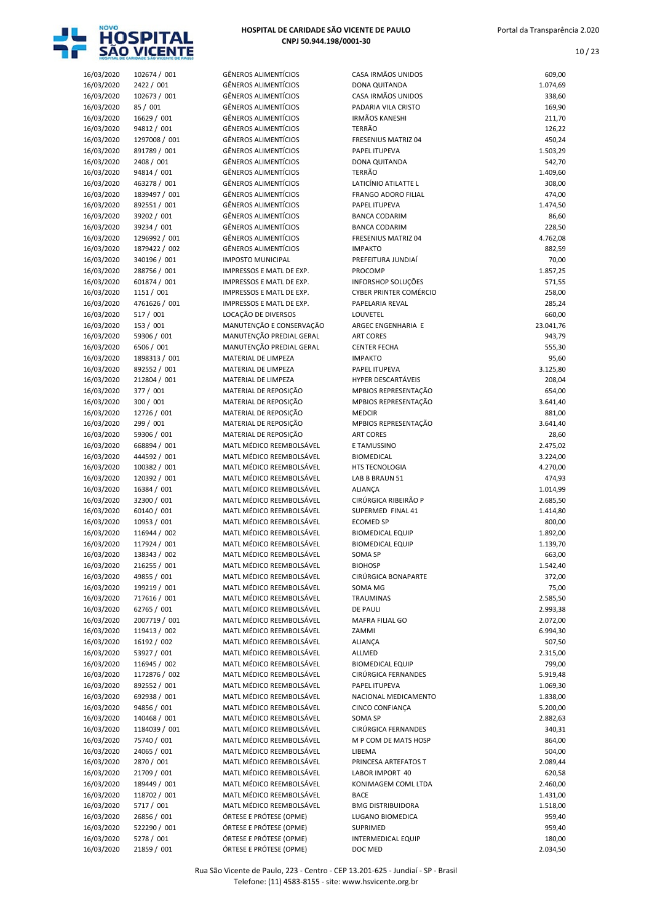

| HOSPITAL DE CARIDADE SÃO VICENTE DE PAULO |
|-------------------------------------------|
| CNPJ 50.944.198/0001-30                   |

| 16/03/2020 | 102674 / 001  | <b>GÊNEROS ALIMENTÍCIOS</b> | CASA IRMÃOS UNIDOS            | 609,00    |
|------------|---------------|-----------------------------|-------------------------------|-----------|
| 16/03/2020 | 2422 / 001    | <b>GÊNEROS ALIMENTÍCIOS</b> | <b>DONA QUITANDA</b>          | 1.074,69  |
| 16/03/2020 | 102673 / 001  | <b>GÊNEROS ALIMENTÍCIOS</b> | CASA IRMÃOS UNIDOS            | 338,60    |
| 16/03/2020 | 85 / 001      | <b>GÊNEROS ALIMENTÍCIOS</b> | PADARIA VILA CRISTO           | 169,90    |
|            |               | <b>GÊNEROS ALIMENTÍCIOS</b> | <b>IRMÃOS KANESHI</b>         |           |
| 16/03/2020 | 16629 / 001   |                             |                               | 211,70    |
| 16/03/2020 | 94812 / 001   | <b>GÊNEROS ALIMENTÍCIOS</b> | <b>TERRÃO</b>                 | 126,22    |
| 16/03/2020 | 1297008 / 001 | <b>GÊNEROS ALIMENTÍCIOS</b> | FRESENIUS MATRIZ 04           | 450,24    |
| 16/03/2020 | 891789 / 001  | <b>GÊNEROS ALIMENTÍCIOS</b> | PAPEL ITUPEVA                 | 1.503,29  |
| 16/03/2020 | 2408 / 001    | <b>GÊNEROS ALIMENTÍCIOS</b> | DONA QUITANDA                 | 542,70    |
| 16/03/2020 | 94814 / 001   | <b>GÊNEROS ALIMENTÍCIOS</b> | <b>TERRÃO</b>                 | 1.409,60  |
| 16/03/2020 | 463278 / 001  | <b>GÊNEROS ALIMENTÍCIOS</b> | LATICÍNIO ATILATTE L          | 308,00    |
|            |               |                             |                               |           |
| 16/03/2020 | 1839497 / 001 | <b>GÊNEROS ALIMENTÍCIOS</b> | <b>FRANGO ADORO FILIAL</b>    | 474,00    |
| 16/03/2020 | 892551 / 001  | <b>GÊNEROS ALIMENTÍCIOS</b> | PAPEL ITUPEVA                 | 1.474,50  |
| 16/03/2020 | 39202 / 001   | <b>GÊNEROS ALIMENTÍCIOS</b> | <b>BANCA CODARIM</b>          | 86,60     |
| 16/03/2020 | 39234 / 001   | <b>GÊNEROS ALIMENTÍCIOS</b> | <b>BANCA CODARIM</b>          | 228,50    |
| 16/03/2020 | 1296992 / 001 | <b>GÊNEROS ALIMENTÍCIOS</b> | <b>FRESENIUS MATRIZ 04</b>    | 4.762,08  |
| 16/03/2020 | 1879422 / 002 | GÊNEROS ALIMENTÍCIOS        | <b>IMPAKTO</b>                | 882,59    |
|            | 340196 / 001  | <b>IMPOSTO MUNICIPAL</b>    | PREFEITURA JUNDIAÍ            |           |
| 16/03/2020 |               |                             |                               | 70,00     |
| 16/03/2020 | 288756 / 001  | IMPRESSOS E MATL DE EXP.    | PROCOMP                       | 1.857,25  |
| 16/03/2020 | 601874 / 001  | IMPRESSOS E MATL DE EXP.    | <b>INFORSHOP SOLUÇÕES</b>     | 571,55    |
| 16/03/2020 | 1151 / 001    | IMPRESSOS E MATL DE EXP.    | <b>CYBER PRINTER COMÉRCIO</b> | 258,00    |
| 16/03/2020 | 4761626 / 001 | IMPRESSOS E MATL DE EXP.    | PAPELARIA REVAL               | 285,24    |
| 16/03/2020 | 517 / 001     | LOCAÇÃO DE DIVERSOS         | LOUVETEL                      | 660,00    |
| 16/03/2020 | 153 / 001     | MANUTENÇÃO E CONSERVAÇÃO    | ARGEC ENGENHARIA E            | 23.041,76 |
|            |               |                             |                               |           |
| 16/03/2020 | 59306 / 001   | MANUTENÇÃO PREDIAL GERAL    | <b>ART CORES</b>              | 943,79    |
| 16/03/2020 | 6506 / 001    | MANUTENÇÃO PREDIAL GERAL    | <b>CENTER FECHA</b>           | 555,30    |
| 16/03/2020 | 1898313 / 001 | MATERIAL DE LIMPEZA         | <b>IMPAKTO</b>                | 95,60     |
| 16/03/2020 | 892552 / 001  | MATERIAL DE LIMPEZA         | PAPEL ITUPEVA                 | 3.125,80  |
| 16/03/2020 | 212804 / 001  | MATERIAL DE LIMPEZA         | HYPER DESCARTÁVEIS            | 208,04    |
| 16/03/2020 | 377 / 001     | MATERIAL DE REPOSIÇÃO       | MPBIOS REPRESENTAÇÃO          | 654,00    |
|            |               |                             |                               |           |
| 16/03/2020 | 300 / 001     | MATERIAL DE REPOSIÇÃO       | MPBIOS REPRESENTAÇÃO          | 3.641,40  |
| 16/03/2020 | 12726 / 001   | MATERIAL DE REPOSIÇÃO       | <b>MEDCIR</b>                 | 881,00    |
| 16/03/2020 | 299 / 001     | MATERIAL DE REPOSIÇÃO       | MPBIOS REPRESENTAÇÃO          | 3.641,40  |
| 16/03/2020 | 59306 / 001   | MATERIAL DE REPOSIÇÃO       | <b>ART CORES</b>              | 28,60     |
| 16/03/2020 | 668894 / 001  | MATL MÉDICO REEMBOLSÁVEL    | E TAMUSSINO                   | 2.475,02  |
| 16/03/2020 | 444592 / 001  | MATL MÉDICO REEMBOLSÁVEL    | <b>BIOMEDICAL</b>             | 3.224,00  |
| 16/03/2020 | 100382 / 001  | MATL MÉDICO REEMBOLSÁVEL    | <b>HTS TECNOLOGIA</b>         | 4.270,00  |
|            |               |                             |                               |           |
| 16/03/2020 | 120392 / 001  | MATL MÉDICO REEMBOLSÁVEL    | LAB B BRAUN 51                | 474,93    |
| 16/03/2020 | 16384 / 001   | MATL MÉDICO REEMBOLSÁVEL    | <b>ALIANÇA</b>                | 1.014,99  |
| 16/03/2020 | 32300 / 001   | MATL MÉDICO REEMBOLSÁVEL    | CIRÚRGICA RIBEIRÃO P          | 2.685,50  |
| 16/03/2020 | 60140 / 001   | MATL MÉDICO REEMBOLSÁVEL    | SUPERMED FINAL 41             | 1.414,80  |
| 16/03/2020 | 10953 / 001   | MATL MÉDICO REEMBOLSÁVEL    | <b>ECOMED SP</b>              | 800,00    |
| 16/03/2020 | 116944 / 002  | MATL MÉDICO REEMBOLSÁVEL    | <b>BIOMEDICAL EQUIP</b>       | 1.892,00  |
|            | 117924 / 001  | MATL MÉDICO REEMBOLSÁVEL    |                               | 1.139,70  |
| 16/03/2020 |               |                             | <b>BIOMEDICAL EQUIP</b>       |           |
| 16/03/2020 | 138343 / 002  | MATL MÉDICO REEMBOLSÁVEL    | SOMA SP                       | 663,00    |
| 16/03/2020 | 216255 / 001  | MATL MÉDICO REEMBOLSÁVEL    | <b>BIOHOSP</b>                | 1.542,40  |
| 16/03/2020 | 49855 / 001   | MATL MÉDICO REEMBOLSÁVEL    | CIRÚRGICA BONAPARTE           | 372,00    |
| 16/03/2020 | 199219 / 001  | MATL MÉDICO REEMBOLSÁVEL    | SOMA MG                       | 75,00     |
| 16/03/2020 | 717616 / 001  | MATL MÉDICO REEMBOLSÁVEL    | TRAUMINAS                     | 2.585,50  |
| 16/03/2020 | 62765 / 001   | MATL MÉDICO REEMBOLSÁVEL    | <b>DE PAULI</b>               | 2.993,38  |
|            |               |                             |                               |           |
| 16/03/2020 | 2007719 / 001 | MATL MÉDICO REEMBOLSÁVEL    | MAFRA FILIAL GO               | 2.072,00  |
| 16/03/2020 | 119413 / 002  | MATL MÉDICO REEMBOLSÁVEL    | ZAMMI                         | 6.994,30  |
| 16/03/2020 | 16192 / 002   | MATL MÉDICO REEMBOLSÁVEL    | ALIANÇA                       | 507,50    |
| 16/03/2020 | 53927 / 001   | MATL MÉDICO REEMBOLSÁVEL    | ALLMED                        | 2.315,00  |
| 16/03/2020 | 116945 / 002  | MATL MÉDICO REEMBOLSÁVEL    | <b>BIOMEDICAL EQUIP</b>       | 799,00    |
| 16/03/2020 | 1172876 / 002 | MATL MÉDICO REEMBOLSÁVEL    | CIRÚRGICA FERNANDES           | 5.919,48  |
|            |               | MATL MÉDICO REEMBOLSÁVEL    |                               | 1.069,30  |
| 16/03/2020 | 892552 / 001  |                             | PAPEL ITUPEVA                 |           |
| 16/03/2020 | 692938 / 001  | MATL MÉDICO REEMBOLSÁVEL    | NACIONAL MEDICAMENTO          | 1.838,00  |
| 16/03/2020 | 94856 / 001   | MATL MÉDICO REEMBOLSÁVEL    | CINCO CONFIANÇA               | 5.200,00  |
| 16/03/2020 | 140468 / 001  | MATL MÉDICO REEMBOLSÁVEL    | SOMA SP                       | 2.882,63  |
| 16/03/2020 | 1184039 / 001 | MATL MÉDICO REEMBOLSÁVEL    | CIRÚRGICA FERNANDES           | 340,31    |
| 16/03/2020 | 75740 / 001   | MATL MÉDICO REEMBOLSÁVEL    | M P COM DE MATS HOSP          | 864,00    |
| 16/03/2020 | 24065 / 001   | MATL MÉDICO REEMBOLSÁVEL    | LIBEMA                        | 504,00    |
|            |               |                             |                               |           |
| 16/03/2020 | 2870 / 001    | MATL MÉDICO REEMBOLSÁVEL    | PRINCESA ARTEFATOS T          | 2.089,44  |
| 16/03/2020 | 21709 / 001   | MATL MÉDICO REEMBOLSÁVEL    | LABOR IMPORT 40               | 620,58    |
| 16/03/2020 | 189449 / 001  | MATL MÉDICO REEMBOLSÁVEL    | KONIMAGEM COML LTDA           | 2.460,00  |
| 16/03/2020 | 118702 / 001  | MATL MÉDICO REEMBOLSÁVEL    | <b>BACE</b>                   | 1.431,00  |
| 16/03/2020 | 5717 / 001    | MATL MÉDICO REEMBOLSÁVEL    | <b>BMG DISTRIBUIDORA</b>      | 1.518,00  |
| 16/03/2020 | 26856 / 001   | ÓRTESE E PRÓTESE (OPME)     | LUGANO BIOMEDICA              | 959,40    |
|            |               |                             |                               |           |
| 16/03/2020 | 522290 / 001  | ÓRTESE E PRÓTESE (OPME)     | SUPRIMED                      | 959,40    |
| 16/03/2020 | 5278 / 001    | ÓRTESE E PRÓTESE (OPME)     | <b>INTERMEDICAL EQUIP</b>     | 180,00    |
| 16/03/2020 | 21859 / 001   | ÓRTESE E PRÓTESE (OPME)     | DOC MED                       | 2.034,50  |

|                          | HOSPITAL DE CARIDADE SÃO VICENTE DE PAULO |                                                            |                                                    |                      |
|--------------------------|-------------------------------------------|------------------------------------------------------------|----------------------------------------------------|----------------------|
| 16/03/2020               | 102674 / 001                              | <b>GÊNEROS ALIMENTÍCIOS</b>                                | CASA IRMÃOS UNIDOS                                 | 609,00               |
| 16/03/2020               | 2422 / 001                                | <b>GÊNEROS ALIMENTÍCIOS</b>                                | <b>DONA QUITANDA</b>                               | 1.074,69             |
| 16/03/2020<br>16/03/2020 | 102673 / 001<br>85 / 001                  | <b>GÊNEROS ALIMENTÍCIOS</b><br><b>GÊNEROS ALIMENTÍCIOS</b> | CASA IRMÃOS UNIDOS<br>PADARIA VILA CRISTO          | 338,60<br>169,90     |
| 16/03/2020               | 16629 / 001                               | <b>GÊNEROS ALIMENTÍCIOS</b>                                | <b>IRMÃOS KANESHI</b>                              | 211,70               |
| 16/03/2020               | 94812 / 001                               | <b>GÊNEROS ALIMENTÍCIOS</b>                                | <b>TERRÃO</b>                                      | 126,22               |
| 16/03/2020               | 1297008 / 001                             | <b>GÊNEROS ALIMENTÍCIOS</b>                                | <b>FRESENIUS MATRIZ 04</b>                         | 450,24               |
| 16/03/2020               | 891789 / 001                              | <b>GÊNEROS ALIMENTÍCIOS</b>                                | PAPEL ITUPEVA                                      | 1.503,29             |
| 16/03/2020               | 2408 / 001                                | <b>GÊNEROS ALIMENTÍCIOS</b>                                | DONA QUITANDA                                      | 542,70               |
| 16/03/2020               | 94814 / 001                               | <b>GÊNEROS ALIMENTÍCIOS</b><br><b>GÊNEROS ALIMENTÍCIOS</b> | <b>TERRÃO</b>                                      | 1.409,60             |
| 16/03/2020<br>16/03/2020 | 463278 / 001<br>1839497 / 001             | <b>GÊNEROS ALIMENTÍCIOS</b>                                | LATICÍNIO ATILATTE L<br><b>FRANGO ADORO FILIAL</b> | 308,00<br>474,00     |
| 16/03/2020               | 892551 / 001                              | <b>GÊNEROS ALIMENTÍCIOS</b>                                | PAPEL ITUPEVA                                      | 1.474,50             |
| 16/03/2020               | 39202 / 001                               | <b>GÊNEROS ALIMENTÍCIOS</b>                                | <b>BANCA CODARIM</b>                               | 86,60                |
| 16/03/2020               | 39234 / 001                               | <b>GÊNEROS ALIMENTÍCIOS</b>                                | <b>BANCA CODARIM</b>                               | 228,50               |
| 16/03/2020               | 1296992 / 001                             | <b>GÊNEROS ALIMENTÍCIOS</b>                                | FRESENIUS MATRIZ 04                                | 4.762,08             |
| 16/03/2020               | 1879422 / 002                             | <b>GÊNEROS ALIMENTÍCIOS</b>                                | <b>IMPAKTO</b>                                     | 882,59               |
| 16/03/2020<br>16/03/2020 | 340196 / 001<br>288756 / 001              | <b>IMPOSTO MUNICIPAL</b><br>IMPRESSOS E MATL DE EXP.       | PREFEITURA JUNDIAÍ<br>PROCOMP                      | 70,00<br>1.857,25    |
| 16/03/2020               | 601874 / 001                              | IMPRESSOS E MATL DE EXP.                                   | INFORSHOP SOLUÇÕES                                 | 571,55               |
| 16/03/2020               | 1151 / 001                                | IMPRESSOS E MATL DE EXP.                                   | <b>CYBER PRINTER COMÉRCIO</b>                      | 258,00               |
| 16/03/2020               | 4761626 / 001                             | IMPRESSOS E MATL DE EXP.                                   | PAPELARIA REVAL                                    | 285,24               |
| 16/03/2020               | 517 / 001                                 | LOCAÇÃO DE DIVERSOS                                        | LOUVETEL                                           | 660,00               |
| 16/03/2020               | 153 / 001                                 | MANUTENÇÃO E CONSERVAÇÃO                                   | ARGEC ENGENHARIA E                                 | 23.041,76            |
| 16/03/2020<br>16/03/2020 | 59306 / 001<br>6506 / 001                 | MANUTENÇÃO PREDIAL GERAL<br>MANUTENÇÃO PREDIAL GERAL       | <b>ART CORES</b>                                   | 943,79               |
| 16/03/2020               | 1898313 / 001                             | MATERIAL DE LIMPEZA                                        | <b>CENTER FECHA</b><br><b>IMPAKTO</b>              | 555,30<br>95,60      |
| 16/03/2020               | 892552 / 001                              | MATERIAL DE LIMPEZA                                        | PAPEL ITUPEVA                                      | 3.125,80             |
| 16/03/2020               | 212804 / 001                              | MATERIAL DE LIMPEZA                                        | HYPER DESCARTÁVEIS                                 | 208,04               |
| 16/03/2020               | 377 / 001                                 | MATERIAL DE REPOSIÇÃO                                      | MPBIOS REPRESENTAÇÃO                               | 654,00               |
| 16/03/2020               | 300 / 001                                 | MATERIAL DE REPOSIÇÃO                                      | MPBIOS REPRESENTAÇÃO                               | 3.641,40             |
| 16/03/2020               | 12726 / 001                               | MATERIAL DE REPOSIÇÃO                                      | <b>MEDCIR</b>                                      | 881,00               |
| 16/03/2020<br>16/03/2020 | 299 / 001<br>59306 / 001                  | MATERIAL DE REPOSIÇÃO<br>MATERIAL DE REPOSIÇÃO             | MPBIOS REPRESENTAÇÃO<br><b>ART CORES</b>           | 3.641,40<br>28,60    |
| 16/03/2020               | 668894 / 001                              | MATL MÉDICO REEMBOLSÁVEL                                   | E TAMUSSINO                                        | 2.475,02             |
| 16/03/2020               | 444592 / 001                              | MATL MÉDICO REEMBOLSÁVEL                                   | <b>BIOMEDICAL</b>                                  | 3.224,00             |
| 16/03/2020               | 100382 / 001                              | MATL MÉDICO REEMBOLSÁVEL                                   | <b>HTS TECNOLOGIA</b>                              | 4.270,00             |
| 16/03/2020               | 120392 / 001                              | MATL MÉDICO REEMBOLSÁVEL                                   | LAB B BRAUN 51                                     | 474,93               |
| 16/03/2020               | 16384 / 001                               | MATL MÉDICO REEMBOLSÁVEL                                   | <b>ALIANÇA</b>                                     | 1.014,99             |
| 16/03/2020<br>16/03/2020 | 32300 / 001<br>60140 / 001                | MATL MÉDICO REEMBOLSÁVEL<br>MATL MÉDICO REEMBOLSÁVEL       | CIRÚRGICA RIBEIRÃO P<br>SUPERMED FINAL 41          | 2.685,50<br>1.414,80 |
| 16/03/2020               | 10953 / 001                               | MATL MÉDICO REEMBOLSÁVEL                                   | <b>ECOMED SP</b>                                   | 800,00               |
| 16/03/2020               | 116944 / 002                              | MATL MÉDICO REEMBOLSÁVEL                                   | <b>BIOMEDICAL EQUIP</b>                            | 1.892,00             |
| 16/03/2020               | 117924 / 001                              | MATL MÉDICO REEMBOLSÁVEL                                   | <b>BIOMEDICAL EQUIP</b>                            | 1.139,70             |
| 16/03/2020               | 138343 / 002                              | MATL MÉDICO REEMBOLSÁVEL                                   | SOMA SP                                            | 663,00               |
| 16/03/2020               | 216255 / 001                              | MATL MÉDICO REEMBOLSÁVEL                                   | <b>BIOHOSP</b>                                     | 1.542,40             |
| 16/03/2020<br>16/03/2020 | 49855 / 001<br>199219 / 001               | MATL MÉDICO REEMBOLSÁVEL<br>MATL MÉDICO REEMBOLSÁVEL       | CIRÚRGICA BONAPARTE<br>SOMA MG                     | 372,00               |
| 16/03/2020               | 717616 / 001                              | MATL MÉDICO REEMBOLSÁVEL                                   | TRAUMINAS                                          | 75,00<br>2.585,50    |
| 16/03/2020               | 62765 / 001                               | MATL MÉDICO REEMBOLSÁVEL                                   | <b>DE PAULI</b>                                    | 2.993,38             |
| 16/03/2020               | 2007719 / 001                             | MATL MÉDICO REEMBOLSÁVEL                                   | MAFRA FILIAL GO                                    | 2.072,00             |
| 16/03/2020               | 119413 / 002                              | MATL MÉDICO REEMBOLSÁVEL                                   | ZAMMI                                              | 6.994,30             |
| 16/03/2020               | 16192 / 002                               | MATL MÉDICO REEMBOLSÁVEL                                   | ALIANÇA                                            | 507,50               |
| 16/03/2020               | 53927 / 001                               | MATL MÉDICO REEMBOLSÁVEL                                   | ALLMED                                             | 2.315,00             |
| 16/03/2020<br>16/03/2020 | 116945 / 002<br>1172876 / 002             | MATL MÉDICO REEMBOLSÁVEL<br>MATL MÉDICO REEMBOLSÁVEL       | <b>BIOMEDICAL EQUIP</b><br>CIRÚRGICA FERNANDES     | 799,00<br>5.919,48   |
| 16/03/2020               | 892552 / 001                              | MATL MÉDICO REEMBOLSÁVEL                                   | PAPEL ITUPEVA                                      | 1.069,30             |
| 16/03/2020               | 692938 / 001                              | MATL MÉDICO REEMBOLSÁVEL                                   | NACIONAL MEDICAMENTO                               | 1.838,00             |
| 16/03/2020               | 94856 / 001                               | MATL MÉDICO REEMBOLSÁVEL                                   | CINCO CONFIANÇA                                    | 5.200,00             |
| 16/03/2020               | 140468 / 001                              | MATL MÉDICO REEMBOLSÁVEL                                   | SOMA SP                                            | 2.882,63             |
| 16/03/2020               | 1184039 / 001                             | MATL MÉDICO REEMBOLSÁVEL                                   | CIRÚRGICA FERNANDES                                | 340,31               |
| 16/03/2020               | 75740 / 001<br>24065 / 001                | MATL MÉDICO REEMBOLSÁVEL<br>MATL MÉDICO REEMBOLSÁVEL       | M P COM DE MATS HOSP                               | 864,00               |
| 16/03/2020<br>16/03/2020 | 2870 / 001                                | MATL MÉDICO REEMBOLSÁVEL                                   | LIBEMA<br>PRINCESA ARTEFATOS T                     | 504,00<br>2.089,44   |
| 16/03/2020               | 21709 / 001                               | MATL MÉDICO REEMBOLSÁVEL                                   | LABOR IMPORT 40                                    | 620,58               |
| 16/03/2020               | 189449 / 001                              | MATL MÉDICO REEMBOLSÁVEL                                   | KONIMAGEM COML LTDA                                | 2.460,00             |
| 16/03/2020               | 118702 / 001                              | MATL MÉDICO REEMBOLSÁVEL                                   | <b>BACE</b>                                        | 1.431,00             |
| 16/03/2020               | 5717 / 001                                | MATL MÉDICO REEMBOLSÁVEL                                   | <b>BMG DISTRIBUIDORA</b>                           | 1.518,00             |
| 16/03/2020               | 26856 / 001                               | ÓRTESE E PRÓTESE (OPME)                                    | LUGANO BIOMEDICA                                   | 959,40               |
| 16/03/2020               | 522290 / 001                              | ÓRTESE E PRÓTESE (OPME)<br>ÓRTESE E PRÓTESE (OPME)         | SUPRIMED                                           | 959,40               |
| 16/03/2020               | 5278 / 001                                |                                                            | INTERMEDICAL EQUIP                                 | 180,00               |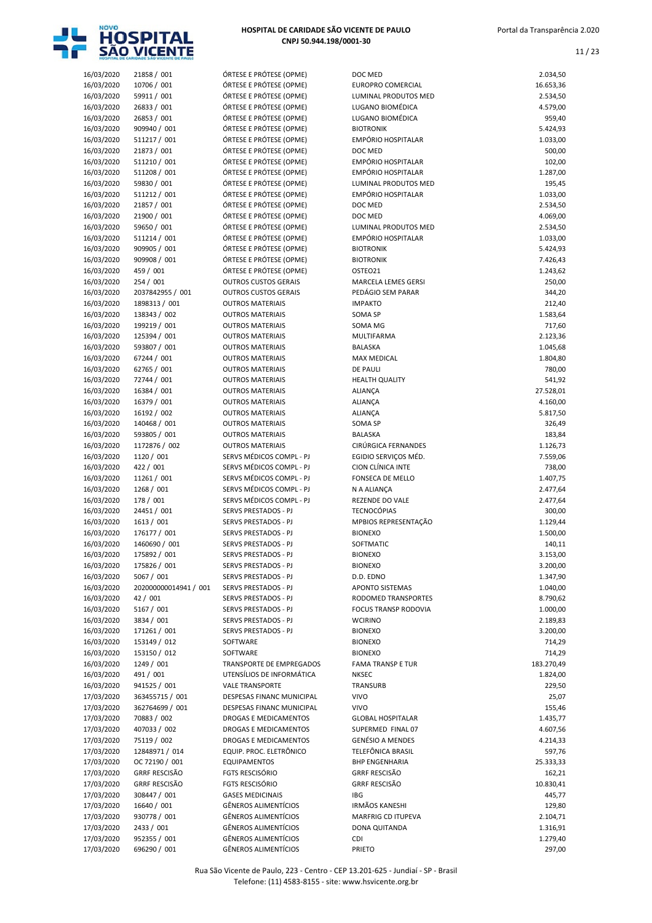

| HOSPITAL DE CARIDADE SÃO VICENTE DE PAULO |  |
|-------------------------------------------|--|
| CNPJ 50.944.198/0001-30                   |  |

| 16/03/2020 | 21858 / 001           | ÓRTESE E PRÓTESE (OPME)     | DOC MED                     | 2.034,50   |
|------------|-----------------------|-----------------------------|-----------------------------|------------|
| 16/03/2020 | 10706 / 001           | ÓRTESE E PRÓTESE (OPME)     | <b>EUROPRO COMERCIAL</b>    | 16.653,36  |
| 16/03/2020 | 59911 / 001           | ÓRTESE E PRÓTESE (OPME)     | <b>LUMINAL PRODUTOS MED</b> | 2.534,50   |
| 16/03/2020 | 26833 / 001           | ÓRTESE E PRÓTESE (OPME)     | LUGANO BIOMÉDICA            | 4.579,00   |
| 16/03/2020 | 26853 / 001           | ÓRTESE E PRÓTESE (OPME)     | LUGANO BIOMÉDICA            | 959,40     |
| 16/03/2020 | 909940 / 001          | ÓRTESE E PRÓTESE (OPME)     | <b>BIOTRONIK</b>            | 5.424,93   |
|            |                       |                             | EMPÓRIO HOSPITALAR          |            |
| 16/03/2020 | 511217 / 001          | ÓRTESE E PRÓTESE (OPME)     |                             | 1.033,00   |
| 16/03/2020 | 21873 / 001           | ÓRTESE E PRÓTESE (OPME)     | DOC MED                     | 500,00     |
| 16/03/2020 | 511210 / 001          | ÓRTESE E PRÓTESE (OPME)     | EMPÓRIO HOSPITALAR          | 102,00     |
| 16/03/2020 | 511208 / 001          | ÓRTESE E PRÓTESE (OPME)     | EMPÓRIO HOSPITALAR          | 1.287,00   |
| 16/03/2020 | 59830 / 001           | ÓRTESE E PRÓTESE (OPME)     | LUMINAL PRODUTOS MED        | 195,45     |
| 16/03/2020 | 511212 / 001          | ÓRTESE E PRÓTESE (OPME)     | EMPÓRIO HOSPITALAR          | 1.033,00   |
| 16/03/2020 | 21857 / 001           | ÓRTESE E PRÓTESE (OPME)     | DOC MED                     | 2.534,50   |
| 16/03/2020 | 21900 / 001           | ÓRTESE E PRÓTESE (OPME)     | DOC MED                     | 4.069,00   |
| 16/03/2020 | 59650 / 001           | ÓRTESE E PRÓTESE (OPME)     | LUMINAL PRODUTOS MED        | 2.534,50   |
| 16/03/2020 | 511214 / 001          | ÓRTESE E PRÓTESE (OPME)     | EMPÓRIO HOSPITALAR          | 1.033,00   |
| 16/03/2020 | 909905 / 001          | ÓRTESE E PRÓTESE (OPME)     | <b>BIOTRONIK</b>            | 5.424,93   |
| 16/03/2020 | 909908 / 001          | ÓRTESE E PRÓTESE (OPME)     | <b>BIOTRONIK</b>            | 7.426,43   |
| 16/03/2020 | 459 / 001             | ÓRTESE E PRÓTESE (OPME)     | OSTEO21                     | 1.243,62   |
|            |                       | <b>OUTROS CUSTOS GERAIS</b> |                             |            |
| 16/03/2020 | 254 / 001             |                             | <b>MARCELA LEMES GERSI</b>  | 250,00     |
| 16/03/2020 | 2037842955 / 001      | <b>OUTROS CUSTOS GERAIS</b> | PEDÁGIO SEM PARAR           | 344,20     |
| 16/03/2020 | 1898313 / 001         | <b>OUTROS MATERIAIS</b>     | <b>IMPAKTO</b>              | 212,40     |
| 16/03/2020 | 138343 / 002          | <b>OUTROS MATERIAIS</b>     | SOMA SP                     | 1.583,64   |
| 16/03/2020 | 199219 / 001          | <b>OUTROS MATERIAIS</b>     | SOMA MG                     | 717,60     |
| 16/03/2020 | 125394 / 001          | <b>OUTROS MATERIAIS</b>     | <b>MULTIFARMA</b>           | 2.123,36   |
| 16/03/2020 | 593807 / 001          | <b>OUTROS MATERIAIS</b>     | <b>BALASKA</b>              | 1.045,68   |
| 16/03/2020 | 67244 / 001           | <b>OUTROS MATERIAIS</b>     | <b>MAX MEDICAL</b>          | 1.804,80   |
| 16/03/2020 | 62765 / 001           | <b>OUTROS MATERIAIS</b>     | <b>DE PAULI</b>             | 780,00     |
| 16/03/2020 | 72744 / 001           | <b>OUTROS MATERIAIS</b>     | <b>HEALTH QUALITY</b>       | 541,92     |
| 16/03/2020 | 16384 / 001           | <b>OUTROS MATERIAIS</b>     | <b>ALIANÇA</b>              | 27.528,01  |
| 16/03/2020 | 16379 / 001           | <b>OUTROS MATERIAIS</b>     | ALIANÇA                     | 4.160,00   |
|            | 16192 / 002           | <b>OUTROS MATERIAIS</b>     |                             |            |
| 16/03/2020 |                       |                             | <b>ALIANÇA</b>              | 5.817,50   |
| 16/03/2020 | 140468 / 001          | <b>OUTROS MATERIAIS</b>     | SOMA SP                     | 326,49     |
| 16/03/2020 | 593805 / 001          | <b>OUTROS MATERIAIS</b>     | <b>BALASKA</b>              | 183,84     |
| 16/03/2020 | 1172876 / 002         | <b>OUTROS MATERIAIS</b>     | CIRÚRGICA FERNANDES         | 1.126,73   |
| 16/03/2020 | 1120 / 001            | SERVS MÉDICOS COMPL - PJ    | EGIDIO SERVIÇOS MÉD.        | 7.559,06   |
| 16/03/2020 | 422 / 001             | SERVS MÉDICOS COMPL - PJ    | CION CLÍNICA INTE           | 738,00     |
| 16/03/2020 | 11261 / 001           | SERVS MÉDICOS COMPL - PJ    | FONSECA DE MELLO            | 1.407,75   |
| 16/03/2020 | 1268 / 001            | SERVS MÉDICOS COMPL - PJ    | N A ALIANCA                 | 2.477,64   |
| 16/03/2020 | 178 / 001             | SERVS MÉDICOS COMPL - PJ    | REZENDE DO VALE             | 2.477,64   |
| 16/03/2020 | 24451 / 001           | SERVS PRESTADOS - PJ        | <b>TECNOCÓPIAS</b>          | 300,00     |
| 16/03/2020 | 1613 / 001            | SERVS PRESTADOS - PJ        | MPBIOS REPRESENTAÇÃO        | 1.129,44   |
| 16/03/2020 | 176177 / 001          | <b>SERVS PRESTADOS - PJ</b> | <b>BIONEXO</b>              | 1.500,00   |
| 16/03/2020 | 1460690 / 001         | SERVS PRESTADOS - PJ        | <b>SOFTMATIC</b>            | 140,11     |
|            |                       | SERVS PRESTADOS - PJ        |                             |            |
| 16/03/2020 | 175892 / 001          |                             | <b>BIONEXO</b>              | 3.153,00   |
| 16/03/2020 | 175826 / 001          | SERVS PRESTADOS - PJ        | <b>BIONEXO</b>              | 3.200,00   |
| 16/03/2020 | 5067 / 001            | SERVS PRESTADOS - PJ        | D.D. EDNO                   | 1.347,90   |
| 16/03/2020 | 202000000014941 / 001 | SERVS PRESTADOS - PJ        | <b>APONTO SISTEMAS</b>      | 1.040,00   |
| 16/03/2020 | 42 / 001              | SERVS PRESTADOS - PJ        | RODOMED TRANSPORTES         | 8.790,62   |
| 16/03/2020 | 5167 / 001            | SERVS PRESTADOS - PJ        | <b>FOCUS TRANSP RODOVIA</b> | 1.000,00   |
| 16/03/2020 | 3834 / 001            | SERVS PRESTADOS - PJ        | <b>WCIRINO</b>              | 2.189,83   |
| 16/03/2020 | 171261 / 001          | SERVS PRESTADOS - PJ        | <b>BIONEXO</b>              | 3.200,00   |
| 16/03/2020 | 153149 / 012          | SOFTWARE                    | <b>BIONEXO</b>              | 714,29     |
| 16/03/2020 | 153150 / 012          | SOFTWARE                    | <b>BIONEXO</b>              | 714,29     |
| 16/03/2020 | 1249 / 001            | TRANSPORTE DE EMPREGADOS    | <b>FAMA TRANSP E TUR</b>    | 183.270,49 |
| 16/03/2020 | 491 / 001             | UTENSÍLIOS DE INFORMÁTICA   | <b>NKSEC</b>                | 1.824,00   |
|            |                       | <b>VALE TRANSPORTE</b>      |                             |            |
| 16/03/2020 | 941525 / 001          |                             | TRANSURB                    | 229,50     |
| 17/03/2020 | 363455715 / 001       | DESPESAS FINANC MUNICIPAL   | <b>VIVO</b>                 | 25,07      |
| 17/03/2020 | 362764699 / 001       | DESPESAS FINANC MUNICIPAL   | <b>VIVO</b>                 | 155,46     |
| 17/03/2020 | 70883 / 002           | DROGAS E MEDICAMENTOS       | <b>GLOBAL HOSPITALAR</b>    | 1.435,77   |
| 17/03/2020 | 407033 / 002          | DROGAS E MEDICAMENTOS       | SUPERMED FINAL 07           | 4.607,56   |
| 17/03/2020 | 75119 / 002           | DROGAS E MEDICAMENTOS       | <b>GENÉSIO A MENDES</b>     | 4.214,33   |
| 17/03/2020 | 12848971 / 014        | EQUIP. PROC. ELETRÔNICO     | TELEFÖNICA BRASIL           | 597,76     |
| 17/03/2020 | OC 72190 / 001        | <b>EQUIPAMENTOS</b>         | <b>BHP ENGENHARIA</b>       | 25.333,33  |
| 17/03/2020 | <b>GRRF RESCISÃO</b>  | FGTS RESCISÓRIO             | <b>GRRF RESCISÃO</b>        | 162,21     |
| 17/03/2020 | <b>GRRF RESCISÃO</b>  | FGTS RESCISÓRIO             | <b>GRRF RESCISÃO</b>        | 10.830,41  |
|            | 308447 / 001          | <b>GASES MEDICINAIS</b>     | <b>IBG</b>                  |            |
| 17/03/2020 |                       |                             |                             | 445,77     |
| 17/03/2020 | 16640 / 001           | GÊNEROS ALIMENTÍCIOS        | <b>IRMÃOS KANESHI</b>       | 129,80     |
| 17/03/2020 | 930778 / 001          | GÊNEROS ALIMENTÍCIOS        | MARFRIG CD ITUPEVA          | 2.104,71   |
| 17/03/2020 | 2433 / 001            | GÊNEROS ALIMENTÍCIOS        | DONA QUITANDA               | 1.316,91   |
| 17/03/2020 | 952355 / 001          | GÊNEROS ALIMENTÍCIOS        | CDI                         | 1.279,40   |
| 17/03/2020 | 696290 / 001          | GÊNEROS ALIMENTÍCIOS        | <b>PRIETO</b>               | 297,00     |

| 'ESE E PRÓTESE (OPME)                          | C                       |
|------------------------------------------------|-------------------------|
| 'ESE E PRÓTESE (OPME)                          | E                       |
| 'ESE E PRÓTESE (OPME)                          | L                       |
| <b>ESE E PRÓTESE (OPME)</b>                    | ι                       |
| ESE E PRÓTESE (OPME)                           | l                       |
| <b>ESE E PRÓTESE (OPME)</b>                    | E                       |
| TESE E PRÓTESE (OPME)                          | E                       |
| 'ESE E PRÓTESE (OPME)                          | ľ                       |
| 'ESE E PRÓTESE (OPME)                          | E                       |
| 'ESE E PRÓTESE (OPME)                          | E                       |
| 'ESE E PRÓTESE (OPME)                          | ι                       |
| TESE E PRÓTESE (OPME)                          | E                       |
| 'ESE E PRÓTESE (OPME)                          | C                       |
| 'ESE E PRÓTESE (OPME)                          | ľ                       |
| 'ESE E PRÓTESE (OPME)                          | L                       |
| 'ESE E PRÓTESE (OPME)                          | E                       |
| 'ESE E PRÓTESE (OPME)                          | E                       |
| 'ESE E PRÓTESE (OPME)                          | E                       |
| 'ESE E PRÓTESE (OPME)                          | O                       |
| <b>FROS CUSTOS GERAIS</b>                      | ľ                       |
| <b>FROS CUSTOS GERAIS</b>                      | F                       |
| <b>FROS MATERIAIS</b>                          | ı                       |
| <b>FROS MATERIAIS</b>                          | S                       |
| <b>FROS MATERIAIS</b>                          | S                       |
| <b>FROS MATERIAIS</b><br><b>FROS MATERIAIS</b> | ľ<br>Ė                  |
|                                                |                         |
| <b>FROS MATERIAIS</b>                          | ľ                       |
| <b>FROS MATERIAIS</b><br><b>FROS MATERIAIS</b> | c                       |
|                                                | ŀ                       |
| <b>FROS MATERIAIS</b><br><b>FROS MATERIAIS</b> | ł<br>ł                  |
| <b>FROS MATERIAIS</b>                          | ł                       |
| <b>FROS MATERIAIS</b>                          | S                       |
| <b>FROS MATERIAIS</b>                          | Ė                       |
| <b>FROS MATERIAIS</b>                          | O                       |
| VS MÉDICOS COMPL - PJ                          | E                       |
| VS MÉDICOS COMPL - PJ                          | O                       |
| VS MÉDICOS COMPL - PJ                          | F                       |
| VS MÉDICOS COMPL - PJ                          | ľ                       |
| VS MÉDICOS COMPL - PJ                          | F                       |
| VS PRESTADOS - PJ                              | I                       |
| VS PRESTADOS - PJ                              | ľ                       |
| VS PRESTADOS - PJ                              | Ė                       |
| VS PRESTADOS - PJ                              | Ś                       |
| <b>VS PRESTADOS - PJ</b>                       | E                       |
| VS PRESTADOS - PJ                              | E                       |
| VS PRESTADOS - PJ                              | ľ                       |
| <b>VS PRESTADOS - PJ</b>                       | ł                       |
| <b>VS PRESTADOS - PJ</b>                       | F                       |
| VS PRESTADOS - PJ                              | F                       |
| VS PRESTADOS - PJ                              |                         |
| VS PRESTADOS - PJ                              | E                       |
| TWARE                                          | E                       |
| TWARE                                          | E                       |
| <b>NSPORTE DE EMPREGADOS</b>                   | F                       |
| NSÍLIOS DE INFORMÁTICA                         | ľ                       |
| E TRANSPORTE                                   | ٦                       |
| PESAS FINANC MUNICIPAL                         | ١                       |
| PESAS FINANC MUNICIPAL                         | ١                       |
| <b>OGAS E MEDICAMENTOS</b>                     | $\overline{\mathbf{C}}$ |
| <b>OGAS E MEDICAMENTOS</b>                     | Ś                       |
| <b>DGAS E MEDICAMENTOS</b>                     | $\overline{a}$          |
| JIP. PROC. ELETRÔNICO                          | Ī                       |
| <b>JIPAMENTOS</b>                              | E                       |
| S RESCISÓRIO                                   | $\overline{\mathbf{C}}$ |
| 'S RESCISÓRIO                                  | $\overline{\mathbf{C}}$ |
| <b>ES MEDICINAIS</b>                           | I                       |
| IEROS ALIMENTÍCIOS                             | I                       |
| IEROS ALIMENTÍCIOS                             | ľ                       |
| IEROS ALIMENTÍCIOS                             | c                       |
| IEROS ALIMENTÍCIOS                             | $\mathbf \zeta$         |
|                                                |                         |

|                          | HOSPITAL DE CARIDADE SÃO VICENTE DE PAUL     |                                                        |                                              |                      |
|--------------------------|----------------------------------------------|--------------------------------------------------------|----------------------------------------------|----------------------|
| 16/03/2020               | 21858 / 001                                  | ÓRTESE E PRÓTESE (OPME)                                | DOC MED                                      | 2.034,50             |
| 16/03/2020               | 10706 / 001                                  | ÓRTESE E PRÓTESE (OPME)                                | <b>EUROPRO COMERCIAL</b>                     | 16.653,36            |
| 16/03/2020               | 59911 / 001                                  | ÓRTESE E PRÓTESE (OPME)                                | LUMINAL PRODUTOS MED                         | 2.534,50             |
| 16/03/2020<br>16/03/2020 | 26833 / 001<br>26853 / 001                   | ÓRTESE E PRÓTESE (OPME)<br>ÓRTESE E PRÓTESE (OPME)     | LUGANO BIOMÉDICA<br>LUGANO BIOMÉDICA         | 4.579,00<br>959,40   |
| 16/03/2020               | 909940 / 001                                 | ÓRTESE E PRÓTESE (OPME)                                | <b>BIOTRONIK</b>                             | 5.424,93             |
| 16/03/2020               | 511217 / 001                                 | ÓRTESE E PRÓTESE (OPME)                                | EMPÓRIO HOSPITALAR                           | 1.033,00             |
| 16/03/2020               | 21873 / 001                                  | ÓRTESE E PRÓTESE (OPME)                                | DOC MED                                      | 500,00               |
| 16/03/2020               | 511210 / 001                                 | ÓRTESE E PRÓTESE (OPME)                                | EMPÓRIO HOSPITALAR                           | 102,00               |
| 16/03/2020               | 511208 / 001                                 | ÓRTESE E PRÓTESE (OPME)                                | EMPÓRIO HOSPITALAR                           | 1.287,00             |
| 16/03/2020               | 59830 / 001                                  | ÓRTESE E PRÓTESE (OPME)<br>ÓRTESE E PRÓTESE (OPME)     | LUMINAL PRODUTOS MED                         | 195,45               |
| 16/03/2020<br>16/03/2020 | 511212 / 001<br>21857 / 001                  | ÓRTESE E PRÓTESE (OPME)                                | EMPÓRIO HOSPITALAR<br>DOC MED                | 1.033,00<br>2.534,50 |
| 16/03/2020               | 21900 / 001                                  | ÓRTESE E PRÓTESE (OPME)                                | DOC MED                                      | 4.069,00             |
| 16/03/2020               | 59650 / 001                                  | ÓRTESE E PRÓTESE (OPME)                                | LUMINAL PRODUTOS MED                         | 2.534,50             |
| 16/03/2020               | 511214 / 001                                 | ÓRTESE E PRÓTESE (OPME)                                | EMPÓRIO HOSPITALAR                           | 1.033,00             |
| 16/03/2020               | 909905 / 001                                 | ÓRTESE E PRÓTESE (OPME)                                | <b>BIOTRONIK</b>                             | 5.424,93             |
| 16/03/2020               | 909908 / 001                                 | ÓRTESE E PRÓTESE (OPME)                                | <b>BIOTRONIK</b>                             | 7.426,43             |
| 16/03/2020<br>16/03/2020 | 459 / 001<br>254 / 001                       | ÓRTESE E PRÓTESE (OPME)<br><b>OUTROS CUSTOS GERAIS</b> | OSTEO21<br>MARCELA LEMES GERSI               | 1.243,62<br>250,00   |
| 16/03/2020               | 2037842955 / 001                             | <b>OUTROS CUSTOS GERAIS</b>                            | PEDÁGIO SEM PARAR                            | 344,20               |
| 16/03/2020               | 1898313 / 001                                | <b>OUTROS MATERIAIS</b>                                | <b>IMPAKTO</b>                               | 212,40               |
| 16/03/2020               | 138343 / 002                                 | <b>OUTROS MATERIAIS</b>                                | SOMA SP                                      | 1.583,64             |
| 16/03/2020               | 199219 / 001                                 | <b>OUTROS MATERIAIS</b>                                | SOMA MG                                      | 717,60               |
| 16/03/2020               | 125394 / 001                                 | <b>OUTROS MATERIAIS</b>                                | MULTIFARMA                                   | 2.123,36             |
| 16/03/2020               | 593807 / 001                                 | <b>OUTROS MATERIAIS</b>                                | <b>BALASKA</b>                               | 1.045,68             |
| 16/03/2020<br>16/03/2020 | 67244 / 001<br>62765 / 001                   | <b>OUTROS MATERIAIS</b><br><b>OUTROS MATERIAIS</b>     | <b>MAX MEDICAL</b><br><b>DE PAULI</b>        | 1.804,80<br>780,00   |
| 16/03/2020               | 72744 / 001                                  | <b>OUTROS MATERIAIS</b>                                | <b>HEALTH QUALITY</b>                        | 541,92               |
| 16/03/2020               | 16384 / 001                                  | <b>OUTROS MATERIAIS</b>                                | <b>ALIANÇA</b>                               | 27.528,01            |
| 16/03/2020               | 16379 / 001                                  | <b>OUTROS MATERIAIS</b>                                | ALIANÇA                                      | 4.160,00             |
| 16/03/2020               | 16192 / 002                                  | <b>OUTROS MATERIAIS</b>                                | ALIANÇA                                      | 5.817,50             |
| 16/03/2020               | 140468 / 001                                 | <b>OUTROS MATERIAIS</b>                                | SOMA SP                                      | 326,49               |
| 16/03/2020               | 593805 / 001                                 | <b>OUTROS MATERIAIS</b>                                | <b>BALASKA</b>                               | 183,84               |
| 16/03/2020<br>16/03/2020 | 1172876 / 002<br>1120 / 001                  | <b>OUTROS MATERIAIS</b><br>SERVS MÉDICOS COMPL - PJ    | CIRÚRGICA FERNANDES<br>EGIDIO SERVIÇOS MÉD.  | 1.126,73<br>7.559,06 |
| 16/03/2020               | 422 / 001                                    | SERVS MÉDICOS COMPL - PJ                               | CION CLÍNICA INTE                            | 738,00               |
| 16/03/2020               | 11261 / 001                                  | SERVS MÉDICOS COMPL - PJ                               | FONSECA DE MELLO                             | 1.407,75             |
| 16/03/2020               | 1268 / 001                                   | SERVS MÉDICOS COMPL - PJ                               | N A ALIANÇA                                  | 2.477,64             |
| 16/03/2020               | 178 / 001                                    | SERVS MÉDICOS COMPL - PJ                               | REZENDE DO VALE                              | 2.477,64             |
| 16/03/2020               | 24451 / 001                                  | <b>SERVS PRESTADOS - PJ</b>                            | <b>TECNOCÓPIAS</b>                           | 300,00               |
| 16/03/2020<br>16/03/2020 | 1613 / 001<br>176177 / 001                   | SERVS PRESTADOS - PJ<br><b>SERVS PRESTADOS - PJ</b>    | MPBIOS REPRESENTAÇÃO<br><b>BIONEXO</b>       | 1.129,44<br>1.500,00 |
| 16/03/2020               | 1460690 / 001                                | SERVS PRESTADOS - PJ                                   | <b>SOFTMATIC</b>                             | 140,11               |
| 16/03/2020               | 175892 / 001                                 | SERVS PRESTADOS - PJ                                   | <b>BIONEXO</b>                               | 3.153,00             |
| 16/03/2020               | 175826 / 001                                 | SERVS PRESTADOS - PJ                                   | <b>BIONEXO</b>                               | 3.200,00             |
| 16/03/2020               | 5067 / 001                                   | SERVS PRESTADOS - PJ                                   | D.D. EDNO                                    | 1.347,90             |
| 16/03/2020               | 202000000014941 / 001                        | SERVS PRESTADOS - PJ                                   | <b>APONTO SISTEMAS</b>                       | 1.040,00             |
| 16/03/2020               | 42 / 001                                     | SERVS PRESTADOS - PJ                                   | RODOMED TRANSPORTES                          | 8.790,62             |
| 16/03/2020<br>16/03/2020 | 5167 / 001<br>3834 / 001                     | SERVS PRESTADOS - PJ<br>SERVS PRESTADOS - PJ           | FOCUS TRANSP RODOVIA<br><b>WCIRINO</b>       | 1.000,00<br>2.189,83 |
| 16/03/2020               | 171261 / 001                                 | SERVS PRESTADOS - PJ                                   | <b>BIONEXO</b>                               | 3.200,00             |
| 16/03/2020               | 153149 / 012                                 | SOFTWARE                                               | <b>BIONEXO</b>                               | 714,29               |
| 16/03/2020               | 153150 / 012                                 | SOFTWARE                                               | <b>BIONEXO</b>                               | 714,29               |
| 16/03/2020               | 1249 / 001                                   | TRANSPORTE DE EMPREGADOS                               | <b>FAMA TRANSP E TUR</b>                     | 183.270,49           |
| 16/03/2020               | 491 / 001                                    | UTENSÍLIOS DE INFORMÁTICA                              | <b>NKSEC</b>                                 | 1.824,00             |
| 16/03/2020               | 941525 / 001                                 | <b>VALE TRANSPORTE</b>                                 | <b>TRANSURB</b>                              | 229,50               |
| 17/03/2020<br>17/03/2020 | 363455715 / 001<br>362764699 / 001           | DESPESAS FINANC MUNICIPAL<br>DESPESAS FINANC MUNICIPAL | <b>VIVO</b><br><b>VIVO</b>                   | 25,07<br>155,46      |
| 17/03/2020               | 70883 / 002                                  | DROGAS E MEDICAMENTOS                                  | <b>GLOBAL HOSPITALAR</b>                     | 1.435,77             |
| 17/03/2020               | 407033 / 002                                 | DROGAS E MEDICAMENTOS                                  | SUPERMED FINAL 07                            | 4.607,56             |
| 17/03/2020               | 75119 / 002                                  | DROGAS E MEDICAMENTOS                                  | <b>GENÉSIO A MENDES</b>                      | 4.214,33             |
| 17/03/2020               | 12848971 / 014                               | EQUIP. PROC. ELETRÔNICO                                | TELEFÖNICA BRASIL                            | 597,76               |
| 17/03/2020               | OC 72190 / 001                               | <b>EQUIPAMENTOS</b>                                    | <b>BHP ENGENHARIA</b>                        | 25.333,33            |
| 17/03/2020<br>17/03/2020 | <b>GRRF RESCISÃO</b><br><b>GRRF RESCISÃO</b> | FGTS RESCISÓRIO<br>FGTS RESCISÓRIO                     | <b>GRRF RESCISÃO</b><br><b>GRRF RESCISÃO</b> | 162,21<br>10.830,41  |
| 17/03/2020               | 308447 / 001                                 | <b>GASES MEDICINAIS</b>                                | IBG                                          | 445,77               |
| 17/03/2020               | 16640 / 001                                  | <b>GÊNEROS ALIMENTÍCIOS</b>                            | <b>IRMÃOS KANESHI</b>                        | 129,80               |
| 17/03/2020               | 930778 / 001                                 | <b>GÊNEROS ALIMENTÍCIOS</b>                            | <b>MARFRIG CD ITUPEVA</b>                    | 2.104,71             |
| 17/03/2020               | 2433 / 001                                   | <b>GÊNEROS ALIMENTÍCIOS</b>                            | DONA QUITANDA                                | 1.316,91             |
| 17/03/2020               | 952355 / 001                                 | <b>GÊNEROS ALIMENTÍCIOS</b>                            | CDI                                          | 1.279,40             |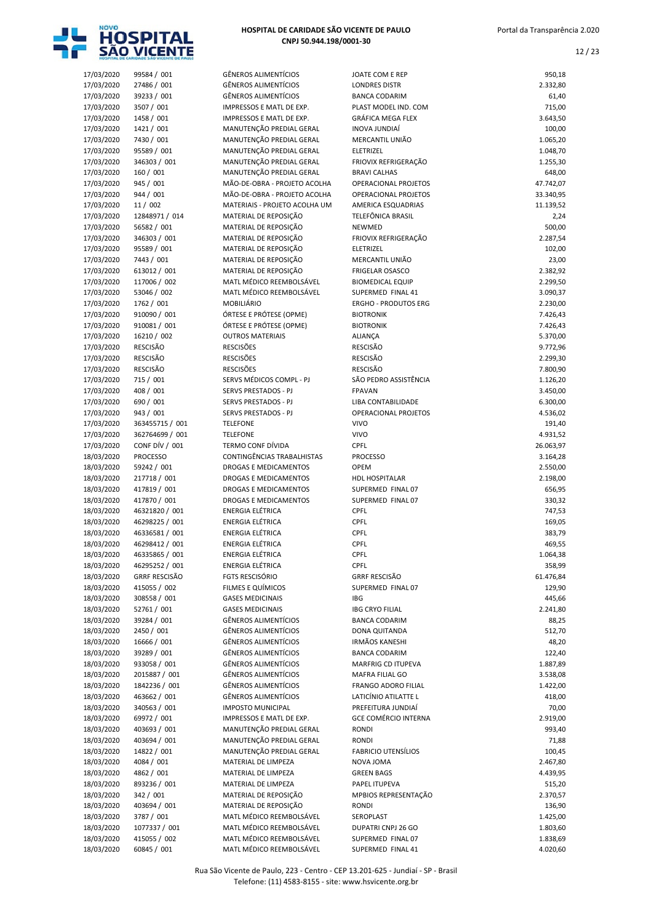

| HOSPITAL DE CARIDADE SÃO VICENTE DE PAULO |  |
|-------------------------------------------|--|
| CNPJ 50.944.198/0001-30                   |  |

| 17/03/2020 | 99584 / 001           | <b>GÊNEROS ALIMENTÍCIOS</b>   | JOATE COM E REP             | 950,18    |
|------------|-----------------------|-------------------------------|-----------------------------|-----------|
| 17/03/2020 | 27486 / 001           | <b>GÊNEROS ALIMENTÍCIOS</b>   | <b>LONDRES DISTR</b>        | 2.332,80  |
| 17/03/2020 | 39233 / 001           | <b>GÊNEROS ALIMENTÍCIOS</b>   | <b>BANCA CODARIM</b>        | 61,40     |
| 17/03/2020 | 3507 / 001            | IMPRESSOS E MATL DE EXP.      | PLAST MODEL IND. COM        | 715,00    |
| 17/03/2020 | 1458 / 001            | IMPRESSOS E MATL DE EXP.      | <b>GRÁFICA MEGA FLEX</b>    | 3.643,50  |
| 17/03/2020 | 1421 / 001            | MANUTENÇÃO PREDIAL GERAL      | <b>INOVA JUNDIAÍ</b>        | 100,00    |
| 17/03/2020 | 7430 / 001            | MANUTENÇÃO PREDIAL GERAL      | MERCANTIL UNIÃO             | 1.065,20  |
| 17/03/2020 | 95589 / 001           | MANUTENÇÃO PREDIAL GERAL      | ELETRIZEL                   | 1.048,70  |
| 17/03/2020 | 346303 / 001          | MANUTENÇÃO PREDIAL GERAL      | FRIOVIX REFRIGERAÇÃO        | 1.255,30  |
| 17/03/2020 | 160 / 001             | MANUTENÇÃO PREDIAL GERAL      | <b>BRAVI CALHAS</b>         | 648,00    |
| 17/03/2020 | 945 / 001             | MÃO-DE-OBRA - PROJETO ACOLHA  | OPERACIONAL PROJETOS        | 47.742,07 |
| 17/03/2020 | 944 / 001             | MÃO-DE-OBRA - PROJETO ACOLHA  | <b>OPERACIONAL PROJETOS</b> | 33.340,95 |
| 17/03/2020 | 11 / 002              | MATERIAIS - PROJETO ACOLHA UM | AMERICA ESQUADRIAS          | 11.139,52 |
| 17/03/2020 | 12848971 / 014        | MATERIAL DE REPOSIÇÃO         | TELEFÔNICA BRASIL           | 2,24      |
| 17/03/2020 | 56582 / 001           | MATERIAL DE REPOSIÇÃO         | NEWMED                      | 500,00    |
| 17/03/2020 | 346303 / 001          | MATERIAL DE REPOSIÇÃO         | FRIOVIX REFRIGERAÇÃO        | 2.287,54  |
| 17/03/2020 | 95589 / 001           | MATERIAL DE REPOSIÇÃO         | ELETRIZEL                   | 102,00    |
| 17/03/2020 | 7443 / 001            | MATERIAL DE REPOSIÇÃO         | MERCANTIL UNIÃO             | 23,00     |
| 17/03/2020 | 613012 / 001          | MATERIAL DE REPOSIÇÃO         | <b>FRIGELAR OSASCO</b>      | 2.382,92  |
| 17/03/2020 | 117006 / 002          | MATL MÉDICO REEMBOLSÁVEL      | <b>BIOMEDICAL EQUIP</b>     | 2.299,50  |
| 17/03/2020 | 53046 / 002           | MATL MÉDICO REEMBOLSÁVEL      | SUPERMED FINAL 41           | 3.090,37  |
| 17/03/2020 | 1762 / 001            | MOBILIÁRIO                    | <b>ERGHO - PRODUTOS ERG</b> | 2.230,00  |
| 17/03/2020 | 910090 / 001          | ÓRTESE E PRÓTESE (OPME)       | <b>BIOTRONIK</b>            | 7.426,43  |
| 17/03/2020 | 910081 / 001          | ÓRTESE E PRÓTESE (OPME)       | <b>BIOTRONIK</b>            | 7.426,43  |
| 17/03/2020 | 16210 / 002           | <b>OUTROS MATERIAIS</b>       | <b>ALIANÇA</b>              | 5.370,00  |
| 17/03/2020 | <b>RESCISÃO</b>       | <b>RESCISÕES</b>              | <b>RESCISÃO</b>             | 9.772,96  |
| 17/03/2020 | <b>RESCISÃO</b>       | <b>RESCISÕES</b>              | <b>RESCISÃO</b>             | 2.299,30  |
| 17/03/2020 | <b>RESCISÃO</b>       | <b>RESCISÕES</b>              | RESCISÃO                    | 7.800,90  |
| 17/03/2020 | 715 / 001             | SERVS MÉDICOS COMPL - PJ      | SÃO PEDRO ASSISTÊNCIA       | 1.126,20  |
| 17/03/2020 | 408 / 001             | SERVS PRESTADOS - PJ          | <b>FPAVAN</b>               | 3.450,00  |
| 17/03/2020 | 690 / 001             | SERVS PRESTADOS - PJ          | LIBA CONTABILIDADE          | 6.300,00  |
| 17/03/2020 | 943 / 001             | SERVS PRESTADOS - PJ          | OPERACIONAL PROJETOS        | 4.536,02  |
| 17/03/2020 | 363455715 / 001       | <b>TELEFONE</b>               | <b>VIVO</b>                 | 191,40    |
| 17/03/2020 | 362764699 / 001       | <b>TELEFONE</b>               | <b>VIVO</b>                 | 4.931,52  |
| 17/03/2020 | <b>CONF DÍV / 001</b> | TERMO CONF DÍVIDA             | <b>CPFL</b>                 | 26.063,97 |
| 18/03/2020 | <b>PROCESSO</b>       | CONTINGÊNCIAS TRABALHISTAS    | <b>PROCESSO</b>             | 3.164,28  |
| 18/03/2020 | 59242 / 001           | DROGAS E MEDICAMENTOS         | <b>OPEM</b>                 | 2.550,00  |
| 18/03/2020 | 217718 / 001          | DROGAS E MEDICAMENTOS         | <b>HDL HOSPITALAR</b>       | 2.198,00  |
| 18/03/2020 | 417819 / 001          | DROGAS E MEDICAMENTOS         | SUPERMED FINAL 07           | 656,95    |
| 18/03/2020 | 417870 / 001          | <b>DROGAS E MEDICAMENTOS</b>  | SUPERMED FINAL 07           | 330,32    |
| 18/03/2020 | 46321820 / 001        | <b>ENERGIA ELÉTRICA</b>       | CPFL                        | 747,53    |
| 18/03/2020 | 46298225 / 001        | <b>ENERGIA ELÉTRICA</b>       | CPFL                        | 169,05    |
| 18/03/2020 | 46336581 / 001        | ENERGIA ELÉTRICA              | <b>CPFL</b>                 | 383,79    |
| 18/03/2020 | 46298412 / 001        | <b>ENERGIA ELÉTRICA</b>       | CPFL                        | 469,55    |
| 18/03/2020 | 46335865 / 001        | ENERGIA ELÉTRICA              | CPFL                        | 1.064,38  |
| 18/03/2020 | 46295252 / 001        | ENERGIA ELÉTRICA              | <b>CPFL</b>                 | 358,99    |
| 18/03/2020 | <b>GRRF RESCISÃO</b>  | <b>FGTS RESCISÓRIO</b>        | <b>GRRF RESCISÃO</b>        | 61.476,84 |
| 18/03/2020 | 415055 / 002          | FILMES E QUÍMICOS             | SUPERMED FINAL 07           | 129,90    |
| 18/03/2020 | 308558 / 001          | <b>GASES MEDICINAIS</b>       | IBG                         | 445,66    |
| 18/03/2020 | 52761 / 001           | <b>GASES MEDICINAIS</b>       | <b>IBG CRYO FILIAL</b>      | 2.241,80  |
| 18/03/2020 | 39284 / 001           | <b>GÊNEROS ALIMENTÍCIOS</b>   | <b>BANCA CODARIM</b>        | 88,25     |
| 18/03/2020 | 2450 / 001            | <b>GÊNEROS ALIMENTÍCIOS</b>   | DONA QUITANDA               | 512,70    |
| 18/03/2020 | 16666 / 001           | GÊNEROS ALIMENTÍCIOS          | IRMÃOS KANESHI              | 48,20     |
| 18/03/2020 | 39289 / 001           | GÊNEROS ALIMENTÍCIOS          | <b>BANCA CODARIM</b>        | 122,40    |
| 18/03/2020 | 933058 / 001          | <b>GÊNEROS ALIMENTÍCIOS</b>   | MARFRIG CD ITUPEVA          | 1.887,89  |
| 18/03/2020 | 2015887 / 001         | GÊNEROS ALIMENTÍCIOS          | MAFRA FILIAL GO             | 3.538,08  |
| 18/03/2020 | 1842236 / 001         | <b>GÊNEROS ALIMENTÍCIOS</b>   | FRANGO ADORO FILIAL         | 1.422,00  |
| 18/03/2020 | 463662 / 001          | GÊNEROS ALIMENTÍCIOS          | LATICÍNIO ATILATTE L        | 418,00    |
| 18/03/2020 | 340563 / 001          | <b>IMPOSTO MUNICIPAL</b>      | PREFEITURA JUNDIAÍ          | 70,00     |
| 18/03/2020 | 69972 / 001           | IMPRESSOS E MATL DE EXP.      | <b>GCE COMÉRCIO INTERNA</b> | 2.919,00  |
| 18/03/2020 | 403693 / 001          | MANUTENÇÃO PREDIAL GERAL      | <b>RONDI</b>                | 993,40    |
| 18/03/2020 | 403694 / 001          | MANUTENÇÃO PREDIAL GERAL      | <b>RONDI</b>                | 71,88     |
| 18/03/2020 | 14822 / 001           | MANUTENÇÃO PREDIAL GERAL      | <b>FABRICIO UTENSÍLIOS</b>  | 100,45    |
| 18/03/2020 | 4084 / 001            | MATERIAL DE LIMPEZA           | NOVA JOMA                   | 2.467,80  |
| 18/03/2020 | 4862 / 001            | MATERIAL DE LIMPEZA           | <b>GREEN BAGS</b>           | 4.439,95  |
| 18/03/2020 | 893236 / 001          | MATERIAL DE LIMPEZA           | PAPEL ITUPEVA               | 515,20    |
| 18/03/2020 | 342 / 001             | MATERIAL DE REPOSIÇÃO         | MPBIOS REPRESENTAÇÃO        | 2.370,57  |
| 18/03/2020 | 403694 / 001          | MATERIAL DE REPOSIÇÃO         | <b>RONDI</b>                | 136,90    |
| 18/03/2020 | 3787 / 001            | MATL MÉDICO REEMBOLSÁVEL      | SEROPLAST                   | 1.425,00  |
| 18/03/2020 | 1077337 / 001         | MATL MÉDICO REEMBOLSÁVEL      | DUPATRI CNPJ 26 GO          | 1.803,60  |
| 18/03/2020 | 415055 / 002          | MATL MÉDICO REEMBOLSÁVEL      | SUPERMED FINAL 07           | 1.838,69  |
| 18/03/2020 | 60845 / 001           | MATL MÉDICO REEMBOLSÁVEL      | SUPERMED FINAL 41           | 4.020,60  |

| 17/03/2020 | 99584 / 001          | <b>GÊNEROS ALIMENTÍCIOS</b>   | JOATE COM E REP             | 950,18    |
|------------|----------------------|-------------------------------|-----------------------------|-----------|
| 17/03/2020 | 27486 / 001          | <b>GÊNEROS ALIMENTÍCIOS</b>   | <b>LONDRES DISTR</b>        | 2.332,80  |
| 17/03/2020 | 39233 / 001          | <b>GÊNEROS ALIMENTÍCIOS</b>   | <b>BANCA CODARIM</b>        | 61,40     |
| 17/03/2020 | 3507 / 001           | IMPRESSOS E MATL DE EXP.      | PLAST MODEL IND. COM        | 715,00    |
| 17/03/2020 | 1458 / 001           | IMPRESSOS E MATL DE EXP.      | <b>GRÁFICA MEGA FLEX</b>    | 3.643,50  |
| 17/03/2020 | 1421 / 001           | MANUTENÇÃO PREDIAL GERAL      | <b>INOVA JUNDIAÍ</b>        | 100,00    |
| 17/03/2020 | 7430 / 001           | MANUTENÇÃO PREDIAL GERAL      | MERCANTIL UNIÃO             | 1.065,20  |
| 17/03/2020 | 95589 / 001          | MANUTENÇÃO PREDIAL GERAL      | ELETRIZEL                   | 1.048,70  |
| 17/03/2020 | 346303 / 001         | MANUTENÇÃO PREDIAL GERAL      | FRIOVIX REFRIGERAÇÃO        | 1.255,30  |
| 17/03/2020 | 160 / 001            | MANUTENÇÃO PREDIAL GERAL      | <b>BRAVI CALHAS</b>         | 648,00    |
| 17/03/2020 | 945 / 001            | MÃO-DE-OBRA - PROJETO ACOLHA  | OPERACIONAL PROJETOS        | 47.742,07 |
| 17/03/2020 | 944 / 001            | MÃO-DE-OBRA - PROJETO ACOLHA  | OPERACIONAL PROJETOS        | 33.340,95 |
| 17/03/2020 | 11/002               | MATERIAIS - PROJETO ACOLHA UM | AMERICA ESQUADRIAS          | 11.139,52 |
| 17/03/2020 | 12848971 / 014       | MATERIAL DE REPOSIÇÃO         | TELEFÔNICA BRASIL           | 2,24      |
| 17/03/2020 | 56582 / 001          | MATERIAL DE REPOSIÇÃO         | NEWMED                      | 500,00    |
| 17/03/2020 | 346303 / 001         | MATERIAL DE REPOSIÇÃO         | FRIOVIX REFRIGERAÇÃO        | 2.287,54  |
|            |                      |                               |                             |           |
| 17/03/2020 | 95589 / 001          | MATERIAL DE REPOSIÇÃO         | ELETRIZEL                   | 102,00    |
| 17/03/2020 | 7443 / 001           | MATERIAL DE REPOSIÇÃO         | MERCANTIL UNIÃO             | 23,00     |
| 17/03/2020 | 613012 / 001         | MATERIAL DE REPOSIÇÃO         | <b>FRIGELAR OSASCO</b>      | 2.382,92  |
| 17/03/2020 | 117006 / 002         | MATL MÉDICO REEMBOLSÁVEL      | <b>BIOMEDICAL EQUIP</b>     | 2.299,50  |
| 17/03/2020 | 53046 / 002          | MATL MÉDICO REEMBOLSÁVEL      | SUPERMED FINAL 41           | 3.090,37  |
| 17/03/2020 | 1762 / 001           | MOBILIÁRIO                    | <b>ERGHO - PRODUTOS ERG</b> | 2.230,00  |
| 17/03/2020 | 910090 / 001         | ÓRTESE E PRÓTESE (OPME)       | <b>BIOTRONIK</b>            | 7.426,43  |
| 17/03/2020 | 910081 / 001         | ÓRTESE E PRÓTESE (OPME)       | <b>BIOTRONIK</b>            | 7.426,43  |
| 17/03/2020 | 16210 / 002          | <b>OUTROS MATERIAIS</b>       | <b>ALIANÇA</b>              | 5.370,00  |
| 17/03/2020 | <b>RESCISÃO</b>      | <b>RESCISÕES</b>              | <b>RESCISÃO</b>             | 9.772,96  |
| 17/03/2020 | <b>RESCISÃO</b>      | <b>RESCISÕES</b>              | <b>RESCISÃO</b>             | 2.299,30  |
| 17/03/2020 | RESCISÃO             | <b>RESCISÕES</b>              | <b>RESCISÃO</b>             | 7.800,90  |
| 17/03/2020 | 715 / 001            | SERVS MÉDICOS COMPL - PJ      | SÃO PEDRO ASSISTÊNCIA       | 1.126,20  |
|            |                      |                               | <b>FPAVAN</b>               |           |
| 17/03/2020 | 408 / 001            | SERVS PRESTADOS - PJ          |                             | 3.450,00  |
| 17/03/2020 | 690 / 001            | SERVS PRESTADOS - PJ          | LIBA CONTABILIDADE          | 6.300,00  |
| 17/03/2020 | 943 / 001            | SERVS PRESTADOS - PJ          | OPERACIONAL PROJETOS        | 4.536,02  |
| 17/03/2020 | 363455715 / 001      | <b>TELEFONE</b>               | <b>VIVO</b>                 | 191,40    |
| 17/03/2020 | 362764699 / 001      | <b>TELEFONE</b>               | <b>VIVO</b>                 | 4.931,52  |
| 17/03/2020 | CONF DÍV / 001       | TERMO CONF DÍVIDA             | CPFL                        | 26.063,97 |
| 18/03/2020 | <b>PROCESSO</b>      | CONTINGÊNCIAS TRABALHISTAS    | PROCESSO                    | 3.164,28  |
| 18/03/2020 | 59242 / 001          | <b>DROGAS E MEDICAMENTOS</b>  | <b>OPEM</b>                 | 2.550,00  |
| 18/03/2020 | 217718 / 001         | <b>DROGAS E MEDICAMENTOS</b>  | <b>HDL HOSPITALAR</b>       | 2.198,00  |
| 18/03/2020 | 417819 / 001         | <b>DROGAS E MEDICAMENTOS</b>  | SUPERMED FINAL 07           | 656,95    |
| 18/03/2020 | 417870 / 001         | <b>DROGAS E MEDICAMENTOS</b>  | SUPERMED FINAL 07           | 330,32    |
| 18/03/2020 | 46321820 / 001       | ENERGIA ELÉTRICA              | CPFL                        | 747,53    |
| 18/03/2020 | 46298225 / 001       | ENERGIA ELÉTRICA              | CPFL                        | 169,05    |
| 18/03/2020 | 46336581 / 001       | <b>ENERGIA ELÉTRICA</b>       | CPFL                        | 383,79    |
| 18/03/2020 | 46298412 / 001       | <b>ENERGIA ELÉTRICA</b>       | CPFL                        | 469,55    |
| 18/03/2020 | 46335865 / 001       | ENERGIA ELÉTRICA              | CPFL                        | 1.064,38  |
| 18/03/2020 | 46295252 / 001       | ENERGIA ELÉTRICA              | <b>CPFL</b>                 |           |
|            |                      |                               |                             | 358,99    |
| 18/03/2020 | <b>GRRF RESCISÃO</b> | <b>FGTS RESCISÓRIO</b>        | <b>GRRF RESCISÃO</b>        | 61.476,84 |
| 18/03/2020 | 415055 / 002         | FILMES E QUÍMICOS             | SUPERMED FINAL 07           | 129,90    |
| 18/03/2020 | 308558 / 001         | <b>GASES MEDICINAIS</b>       | <b>IBG</b>                  | 445,66    |
| 18/03/2020 | 52761 / 001          | <b>GASES MEDICINAIS</b>       | <b>IBG CRYO FILIAL</b>      | 2.241,80  |
| 18/03/2020 | 39284 / 001          | <b>GÊNEROS ALIMENTÍCIOS</b>   | <b>BANCA CODARIM</b>        | 88,25     |
| 18/03/2020 | 2450 / 001           | <b>GÊNEROS ALIMENTÍCIOS</b>   | <b>DONA QUITANDA</b>        | 512,70    |
| 18/03/2020 | 16666 / 001          | <b>GÊNEROS ALIMENTÍCIOS</b>   | <b>IRMÃOS KANESHI</b>       | 48,20     |
| 18/03/2020 | 39289 / 001          | <b>GÊNEROS ALIMENTÍCIOS</b>   | <b>BANCA CODARIM</b>        | 122,40    |
| 18/03/2020 | 933058 / 001         | <b>GÊNEROS ALIMENTÍCIOS</b>   | MARFRIG CD ITUPEVA          | 1.887,89  |
| 18/03/2020 | 2015887 / 001        | <b>GÊNEROS ALIMENTÍCIOS</b>   | MAFRA FILIAL GO             | 3.538,08  |
| 18/03/2020 | 1842236 / 001        | <b>GÊNEROS ALIMENTÍCIOS</b>   | FRANGO ADORO FILIAL         | 1.422,00  |
| 18/03/2020 | 463662 / 001         | <b>GÊNEROS ALIMENTÍCIOS</b>   | LATICÍNIO ATILATTE L        | 418,00    |
| 18/03/2020 | 340563 / 001         | <b>IMPOSTO MUNICIPAL</b>      | PREFEITURA JUNDIAÍ          | 70,00     |
| 18/03/2020 | 69972 / 001          | IMPRESSOS E MATL DE EXP.      | <b>GCE COMÉRCIO INTERNA</b> | 2.919,00  |
| 18/03/2020 | 403693 / 001         | MANUTENÇÃO PREDIAL GERAL      | RONDI                       | 993,40    |
|            |                      |                               |                             |           |
| 18/03/2020 | 403694 / 001         | MANUTENÇÃO PREDIAL GERAL      | RONDI                       | 71,88     |
| 18/03/2020 | 14822 / 001          | MANUTENÇÃO PREDIAL GERAL      | <b>FABRICIO UTENSÍLIOS</b>  | 100,45    |
| 18/03/2020 | 4084 / 001           | MATERIAL DE LIMPEZA           | NOVA JOMA                   | 2.467,80  |
| 18/03/2020 | 4862 / 001           | MATERIAL DE LIMPEZA           | <b>GREEN BAGS</b>           | 4.439,95  |
| 18/03/2020 | 893236 / 001         | MATERIAL DE LIMPEZA           | PAPEL ITUPEVA               | 515,20    |
| 18/03/2020 | 342 / 001            | MATERIAL DE REPOSIÇÃO         | MPBIOS REPRESENTAÇÃO        | 2.370,57  |
| 18/03/2020 | 403694 / 001         | MATERIAL DE REPOSIÇÃO         | RONDI                       | 136,90    |
| 18/03/2020 | 3787 / 001           | MATL MÉDICO REEMBOLSÁVEL      | SEROPLAST                   | 1.425,00  |
| 18/03/2020 | 1077337 / 001        | MATL MÉDICO REEMBOLSÁVEL      | DUPATRI CNPJ 26 GO          | 1.803,60  |
| 18/03/2020 | 415055 / 002         | MATL MÉDICO REEMBOLSÁVEL      | SUPERMED FINAL 07           | 1.838,69  |
|            |                      |                               |                             |           |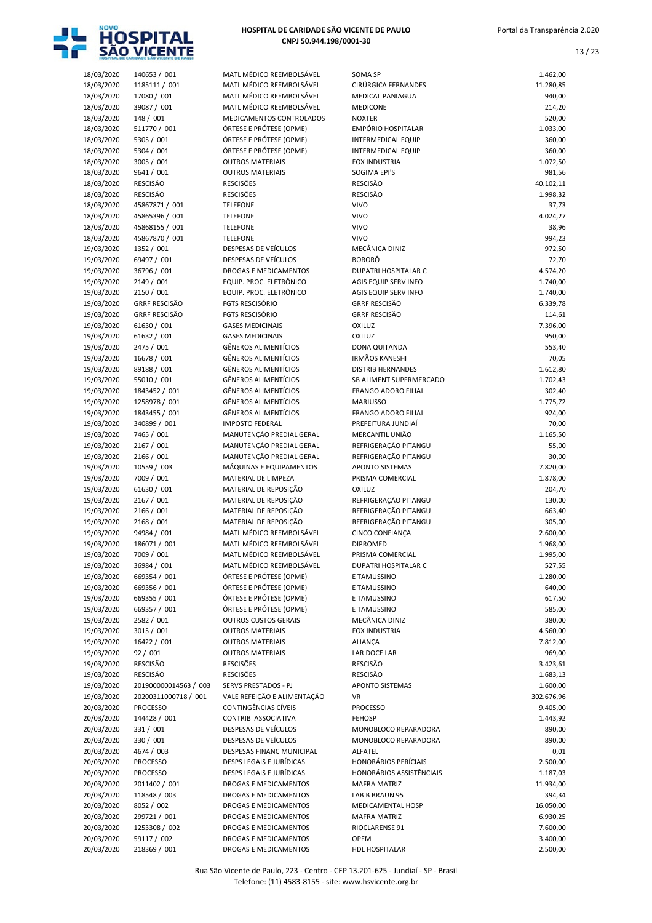

| 18/03/2020               | 140653 / 001                     | MATL MÉDICO REEMBOLSÁVEL                              | SOMA SP                           | 1.462,00             |
|--------------------------|----------------------------------|-------------------------------------------------------|-----------------------------------|----------------------|
| 18/03/2020               | 1185111 / 001                    | MATL MÉDICO REEMBOLSÁVEL                              | CIRÚRGICA FERNANDES               | 11.280,85            |
| 18/03/2020               | 17080 / 001                      | MATL MÉDICO REEMBOLSÁVEL                              | <b>MEDICAL PANIAGUA</b>           | 940,00               |
| 18/03/2020               | 39087 / 001                      | MATL MÉDICO REEMBOLSÁVEL                              | MEDICONE                          | 214,20               |
| 18/03/2020               | 148 / 001                        | MEDICAMENTOS CONTROLADOS                              | <b>NOXTER</b>                     | 520,00               |
| 18/03/2020               | 511770 / 001                     | ÓRTESE E PRÓTESE (OPME)                               | EMPÓRIO HOSPITALAR                | 1.033,00             |
| 18/03/2020               | 5305 / 001                       | ÓRTESE E PRÓTESE (OPME)                               | INTERMEDICAL EQUIP                | 360,00               |
| 18/03/2020               | 5304 / 001                       | ÓRTESE E PRÓTESE (OPME)                               | INTERMEDICAL EQUIP                | 360,00               |
| 18/03/2020               | 3005 / 001                       | <b>OUTROS MATERIAIS</b>                               | <b>FOX INDUSTRIA</b>              | 1.072,50             |
| 18/03/2020               | 9641 / 001                       | <b>OUTROS MATERIAIS</b>                               | SOGIMA EPI'S                      | 981,56               |
| 18/03/2020               | <b>RESCISÃO</b>                  | <b>RESCISÕES</b>                                      | <b>RESCISÃO</b>                   | 40.102,11            |
| 18/03/2020               | <b>RESCISÃO</b>                  | <b>RESCISÕES</b>                                      | <b>RESCISÃO</b>                   | 1.998,32             |
| 18/03/2020               | 45867871 / 001                   | <b>TELEFONE</b>                                       | <b>VIVO</b>                       | 37,73                |
| 18/03/2020<br>18/03/2020 | 45865396 / 001<br>45868155 / 001 | <b>TELEFONE</b><br><b>TELEFONE</b>                    | <b>VIVO</b><br><b>VIVO</b>        | 4.024,27<br>38,96    |
| 18/03/2020               | 45867870 / 001                   | <b>TELEFONE</b>                                       | <b>VIVO</b>                       | 994,23               |
| 19/03/2020               | 1352 / 001                       | DESPESAS DE VEÍCULOS                                  | MECÂNICA DINIZ                    | 972,50               |
| 19/03/2020               | 69497 / 001                      | DESPESAS DE VEÍCULOS                                  | <b>BORORÔ</b>                     | 72,70                |
| 19/03/2020               | 36796 / 001                      | DROGAS E MEDICAMENTOS                                 | <b>DUPATRI HOSPITALAR C</b>       | 4.574,20             |
| 19/03/2020               | 2149 / 001                       | EQUIP. PROC. ELETRÔNICO                               | AGIS EQUIP SERV INFO              | 1.740,00             |
| 19/03/2020               | 2150 / 001                       | EQUIP. PROC. ELETRÔNICO                               | AGIS EQUIP SERV INFO              | 1.740,00             |
| 19/03/2020               | <b>GRRF RESCISÃO</b>             | <b>FGTS RESCISÓRIO</b>                                | <b>GRRF RESCISÃO</b>              | 6.339,78             |
| 19/03/2020               | <b>GRRF RESCISÃO</b>             | FGTS RESCISÓRIO                                       | <b>GRRF RESCISÃO</b>              | 114,61               |
| 19/03/2020               | 61630 / 001                      | <b>GASES MEDICINAIS</b>                               | <b>OXILUZ</b>                     | 7.396,00             |
| 19/03/2020               | 61632 / 001                      | <b>GASES MEDICINAIS</b>                               | OXILUZ                            | 950,00               |
| 19/03/2020               | 2475 / 001                       | <b>GÊNEROS ALIMENTÍCIOS</b>                           | DONA QUITANDA                     | 553,40               |
| 19/03/2020               | 16678 / 001                      | <b>GÊNEROS ALIMENTÍCIOS</b>                           | <b>IRMÃOS KANESHI</b>             | 70,05                |
| 19/03/2020               | 89188 / 001                      | <b>GÊNEROS ALIMENTÍCIOS</b>                           | <b>DISTRIB HERNANDES</b>          | 1.612,80             |
| 19/03/2020               | 55010 / 001                      | <b>GÊNEROS ALIMENTÍCIOS</b>                           | SB ALIMENT SUPERMERCADO           | 1.702,43             |
| 19/03/2020               | 1843452 / 001                    | <b>GÊNEROS ALIMENTÍCIOS</b>                           | <b>FRANGO ADORO FILIAL</b>        | 302,40               |
| 19/03/2020               | 1258978 / 001                    | <b>GÊNEROS ALIMENTÍCIOS</b>                           | <b>MARIUSSO</b>                   | 1.775,72             |
| 19/03/2020               | 1843455 / 001                    | <b>GÊNEROS ALIMENTÍCIOS</b>                           | FRANGO ADORO FILIAL               | 924,00               |
| 19/03/2020               | 340899 / 001                     | <b>IMPOSTO FEDERAL</b>                                | PREFEITURA JUNDIAÍ                | 70,00                |
| 19/03/2020               | 7465 / 001                       | MANUTENÇÃO PREDIAL GERAL                              | MERCANTIL UNIÃO                   | 1.165,50             |
| 19/03/2020               | 2167 / 001                       | MANUTENÇÃO PREDIAL GERAL                              | REFRIGERAÇÃO PITANGU              | 55,00                |
| 19/03/2020               | 2166 / 001                       | MANUTENÇÃO PREDIAL GERAL                              | REFRIGERAÇÃO PITANGU              | 30,00                |
| 19/03/2020               | 10559 / 003                      | MÁQUINAS E EQUIPAMENTOS                               | <b>APONTO SISTEMAS</b>            | 7.820,00             |
| 19/03/2020<br>19/03/2020 | 7009 / 001<br>61630 / 001        | MATERIAL DE LIMPEZA<br>MATERIAL DE REPOSIÇÃO          | PRISMA COMERCIAL<br><b>OXILUZ</b> | 1.878,00             |
| 19/03/2020               | 2167 / 001                       | MATERIAL DE REPOSIÇÃO                                 | REFRIGERAÇÃO PITANGU              | 204,70<br>130,00     |
| 19/03/2020               | 2166 / 001                       | MATERIAL DE REPOSIÇÃO                                 | REFRIGERAÇÃO PITANGU              | 663,40               |
| 19/03/2020               | 2168 / 001                       | MATERIAL DE REPOSIÇÃO                                 | REFRIGERAÇÃO PITANGU              | 305,00               |
| 19/03/2020               | 94984 / 001                      | MATL MÉDICO REEMBOLSÁVEL                              | CINCO CONFIANÇA                   | 2.600,00             |
| 19/03/2020               | 186071 / 001                     | MATL MÉDICO REEMBOLSÁVEL                              | <b>DIPROMED</b>                   | 1.968,00             |
| 19/03/2020               | 7009 / 001                       | MATL MÉDICO REEMBOLSÁVEL                              | PRISMA COMERCIAL                  | 1.995,00             |
| 19/03/2020               | 36984 / 001                      | MATL MÉDICO REEMBOLSÁVEL                              | DUPATRI HOSPITALAR C              | 527,55               |
| 19/03/2020               | 669354 / 001                     | ÓRTESE E PRÓTESE (OPME)                               | E TAMUSSINO                       | 1.280,00             |
| 19/03/2020               | 669356 / 001                     | ÓRTESE E PRÓTESE (OPME)                               | E TAMUSSINO                       | 640,00               |
| 19/03/2020               | 669355 / 001                     | ÓRTESE E PRÓTESE (OPME)                               | E TAMUSSINO                       | 617,50               |
| 19/03/2020               | 669357 / 001                     | ÓRTESE E PRÓTESE (OPME)                               | E TAMUSSINO                       | 585,00               |
| 19/03/2020               | 2582 / 001                       | <b>OUTROS CUSTOS GERAIS</b>                           | MECÂNICA DINIZ                    | 380,00               |
| 19/03/2020               | 3015 / 001                       | <b>OUTROS MATERIAIS</b>                               | FOX INDUSTRIA                     | 4.560,00             |
| 19/03/2020               | 16422 / 001                      | <b>OUTROS MATERIAIS</b>                               | ALIANÇA                           | 7.812,00             |
| 19/03/2020               | 92/001                           | <b>OUTROS MATERIAIS</b>                               | LAR DOCE LAR                      | 969,00               |
| 19/03/2020               | RESCISÃO                         | <b>RESCISÕES</b>                                      | RESCISÃO                          | 3.423,61             |
| 19/03/2020               | RESCISÃO                         | <b>RESCISÕES</b>                                      | RESCISÃO                          | 1.683,13             |
| 19/03/2020               | 201900000014563 / 003            | SERVS PRESTADOS - PJ                                  | <b>APONTO SISTEMAS</b>            | 1.600,00             |
| 19/03/2020               | 20200311000718 / 001             | VALE REFEIÇÃO E ALIMENTAÇÃO                           | VR                                | 302.676,96           |
| 20/03/2020               | <b>PROCESSO</b>                  | CONTINGÊNCIAS CÍVEIS                                  | <b>PROCESSO</b>                   | 9.405,00             |
| 20/03/2020               | 144428 / 001                     | CONTRIB ASSOCIATIVA                                   | <b>FEHOSP</b>                     | 1.443,92             |
| 20/03/2020               | 331 / 001                        | DESPESAS DE VEÍCULOS                                  | MONOBLOCO REPARADORA              | 890,00               |
| 20/03/2020               | 330 / 001                        | DESPESAS DE VEÍCULOS                                  | MONOBLOCO REPARADORA              | 890,00               |
| 20/03/2020               | 4674 / 003                       | DESPESAS FINANC MUNICIPAL<br>DESPS LEGAIS E JURÍDICAS | ALFATEL<br>HONORÁRIOS PERÍCIAIS   | 0,01                 |
| 20/03/2020<br>20/03/2020 | PROCESSO<br><b>PROCESSO</b>      | DESPS LEGAIS E JURÍDICAS                              | HONORÁRIOS ASSISTÊNCIAIS          | 2.500,00<br>1.187,03 |
| 20/03/2020               | 2011402 / 001                    | DROGAS E MEDICAMENTOS                                 | <b>MAFRA MATRIZ</b>               | 11.934,00            |
| 20/03/2020               | 118548 / 003                     | DROGAS E MEDICAMENTOS                                 | LAB B BRAUN 95                    | 394,34               |
| 20/03/2020               | 8052 / 002                       | DROGAS E MEDICAMENTOS                                 | MEDICAMENTAL HOSP                 | 16.050,00            |
| 20/03/2020               | 299721 / 001                     | DROGAS E MEDICAMENTOS                                 | MAFRA MATRIZ                      | 6.930,25             |
| 20/03/2020               | 1253308 / 002                    | DROGAS E MEDICAMENTOS                                 | RIOCLARENSE 91                    | 7.600,00             |
| 20/03/2020               | 59117 / 002                      | DROGAS E MEDICAMENTOS                                 | <b>OPEM</b>                       | 3.400,00             |
| 20/03/2020               | 218369 / 001                     | DROGAS E MEDICAMENTOS                                 | HDL HOSPITALAR                    | 2.500,00             |
|                          |                                  |                                                       |                                   |                      |

| TL MÉDICO REEMBOLSÁVEL                                   |
|----------------------------------------------------------|
| TL MÉDICO REEMBOLSÁVEL                                   |
| TL MÉDICO REEMBOLSÁVEL                                   |
| TL MÉDICO REEMBOLSÁVEL                                   |
| DICAMENTOS CONTROLADOS                                   |
| TESE E PRÓTESE (OPME)                                    |
| TESE E PRÓTESE (OPME)                                    |
| TESE E PRÓTESE (OPME)                                    |
| <b>TROS MATERIAIS</b>                                    |
| <b>TROS MATERIAIS</b>                                    |
| SCISÕES                                                  |
| <b>SCISÕES</b>                                           |
| <b>EFONE</b>                                             |
| <b>EFONE</b>                                             |
| <b>EFONE</b>                                             |
| <b>EFONE</b>                                             |
| SPESAS DE VEÍCULOS                                       |
| SPESAS DE VEÍCULOS                                       |
| OGAS E MEDICAMENTOS                                      |
| UIP. PROC. ELETRÔNICO                                    |
| UIP. PROC. ELETRÔNICO                                    |
| TS RESCISÓRIO<br>TS RESCISÓRIO                           |
| <b>SES MEDICINAIS</b>                                    |
| <b>SES MEDICINAIS</b>                                    |
| NEROS ALIMENTÍCIOS                                       |
| NEROS ALIMENTÍCIOS                                       |
| NEROS ALIMENTÍCIOS                                       |
| NEROS ALIMENTÍCIOS                                       |
| NEROS ALIMENTÍCIOS                                       |
| NEROS ALIMENTÍCIOS                                       |
| NEROS ALIMENTÍCIOS                                       |
| POSTO FEDERAL                                            |
| NUTENÇÃO PREDIAL GERAL                                   |
| NUTENÇÃO PREDIAL GERAL                                   |
| NUTENÇÃO PREDIAL GERAL                                   |
| QUINAS E EQUIPAMENTOS                                    |
| TERIAL DE LIMPEZA                                        |
| \TERIAL DE REPOSIÇÃO                                     |
| <b>TERIAL DE REPOSIÇÃO</b>                               |
| TERIAL DE REPOSIÇÃO                                      |
| TERIAL DE REPOSIÇÃO                                      |
| TL MÉDICO REEMBOLSÁVEL                                   |
| TL MÉDICO REEMBOLSÁVEL                                   |
| TL MÉDICO REEMBOLSÁVEL                                   |
| TL MÉDICO REEMBOLSÁVEL                                   |
| TESE E PRÓTESE (OPME)                                    |
| TESE E PRÓTESE (OPME)<br>TESE E PRÓTESE (OPME)           |
| TESE E PRÓTESE (OPME)                                    |
| TROS CUSTOS GERAIS                                       |
| <b>TROS MATERIAIS</b>                                    |
| <b>TROS MATERIAIS</b>                                    |
| <b>TROS MATERIAIS</b>                                    |
| SCISÕES                                                  |
| SCISÕES                                                  |
| <b>IVS PRESTADOS - PJ</b>                                |
| LE REFEIÇÃO E ALIMENTAÇÃO                                |
| NTINGÊNCIAS CÍVEIS                                       |
| NTRIB ASSOCIATIVA                                        |
| SPESAS DE VEÍCULOS                                       |
| SPESAS DE VEÍCULOS                                       |
| SPESAS FINANC MUNICIPAL                                  |
| SPS LEGAIS E JURÍDICAS                                   |
| SPS LEGAIS E JURÍDICAS                                   |
| <b>OGAS E MEDICAMENTOS</b>                               |
|                                                          |
| OGAS E MEDICAMENTOS                                      |
| <b>OGAS E MEDICAMENTOS</b>                               |
| <b>OGAS E MEDICAMENTOS</b><br><b>OGAS E MEDICAMENTOS</b> |

| 18/03/2020               | 140653 / 001                        | MATL MÉDICO REEMBOLSÁVEL                          | SOMA SP                                      | 1.462,00           |
|--------------------------|-------------------------------------|---------------------------------------------------|----------------------------------------------|--------------------|
| 18/03/2020               | 1185111 / 001                       | MATL MÉDICO REEMBOLSÁVEL                          | CIRÚRGICA FERNANDES                          | 11.280,85          |
| 18/03/2020               | 17080 / 001                         | MATL MÉDICO REEMBOLSÁVEL                          | <b>MEDICAL PANIAGUA</b>                      | 940,00             |
| 18/03/2020               | 39087 / 001                         | MATL MÉDICO REEMBOLSÁVEL                          | <b>MEDICONE</b>                              | 214,20             |
| 18/03/2020               | 148 / 001                           | MEDICAMENTOS CONTROLADOS                          | <b>NOXTER</b>                                | 520,00             |
| 18/03/2020               | 511770 / 001                        | ÓRTESE E PRÓTESE (OPME)                           | <b>EMPÓRIO HOSPITALAR</b>                    | 1.033,00           |
| 18/03/2020               | 5305 / 001                          | ÓRTESE E PRÓTESE (OPME)                           | <b>INTERMEDICAL EQUIP</b>                    | 360,00             |
| 18/03/2020               | 5304 / 001                          | ÓRTESE E PRÓTESE (OPME)                           | <b>INTERMEDICAL EQUIP</b>                    | 360,00             |
| 18/03/2020               | 3005 / 001                          | <b>OUTROS MATERIAIS</b>                           | <b>FOX INDUSTRIA</b>                         | 1.072,50           |
| 18/03/2020               | 9641 / 001                          | <b>OUTROS MATERIAIS</b>                           | SOGIMA EPI'S                                 | 981,56             |
| 18/03/2020               | <b>RESCISÃO</b>                     | <b>RESCISÕES</b>                                  | <b>RESCISÃO</b>                              | 40.102,11          |
| 18/03/2020               | <b>RESCISÃO</b>                     | <b>RESCISÕES</b>                                  | <b>RESCISÃO</b>                              | 1.998,32           |
| 18/03/2020               | 45867871 / 001                      | <b>TELEFONE</b>                                   | <b>VIVO</b>                                  | 37,73              |
| 18/03/2020               | 45865396 / 001                      | <b>TELEFONE</b>                                   | <b>VIVO</b>                                  | 4.024,27           |
| 18/03/2020               | 45868155 / 001                      | <b>TELEFONE</b>                                   | <b>VIVO</b>                                  | 38,96              |
| 18/03/2020               | 45867870 / 001                      | <b>TELEFONE</b>                                   | <b>VIVO</b>                                  | 994,23             |
| 19/03/2020               | 1352 / 001                          | DESPESAS DE VEÍCULOS                              | MECÂNICA DINIZ                               | 972,50             |
| 19/03/2020               | 69497 / 001                         | DESPESAS DE VEÍCULOS                              | <b>BORORÔ</b>                                | 72,70              |
| 19/03/2020               | 36796 / 001                         | <b>DROGAS E MEDICAMENTOS</b>                      | <b>DUPATRI HOSPITALAR C</b>                  | 4.574,20           |
| 19/03/2020               | 2149 / 001                          | EQUIP. PROC. ELETRÔNICO                           | AGIS EQUIP SERV INFO                         | 1.740,00           |
| 19/03/2020               | 2150 / 001<br><b>GRRF RESCISÃO</b>  | EQUIP. PROC. ELETRÔNICO                           | AGIS EQUIP SERV INFO<br><b>GRRF RESCISÃO</b> | 1.740,00           |
| 19/03/2020               |                                     | <b>FGTS RESCISÓRIO</b>                            |                                              | 6.339,78           |
| 19/03/2020<br>19/03/2020 | <b>GRRF RESCISÃO</b><br>61630 / 001 | <b>FGTS RESCISÓRIO</b><br><b>GASES MEDICINAIS</b> | <b>GRRF RESCISÃO</b>                         | 114,61             |
| 19/03/2020               | 61632 / 001                         | <b>GASES MEDICINAIS</b>                           | <b>OXILUZ</b><br><b>OXILUZ</b>               | 7.396,00<br>950,00 |
| 19/03/2020               | 2475 / 001                          | <b>GÊNEROS ALIMENTÍCIOS</b>                       | DONA QUITANDA                                | 553,40             |
| 19/03/2020               | 16678 / 001                         | <b>GÊNEROS ALIMENTÍCIOS</b>                       | <b>IRMÃOS KANESHI</b>                        | 70,05              |
| 19/03/2020               | 89188 / 001                         | <b>GÊNEROS ALIMENTÍCIOS</b>                       | <b>DISTRIB HERNANDES</b>                     | 1.612,80           |
| 19/03/2020               | 55010 / 001                         | <b>GÊNEROS ALIMENTÍCIOS</b>                       | SB ALIMENT SUPERMERCADO                      | 1.702,43           |
| 19/03/2020               | 1843452 / 001                       | <b>GÊNEROS ALIMENTÍCIOS</b>                       | <b>FRANGO ADORO FILIAL</b>                   | 302,40             |
| 19/03/2020               | 1258978 / 001                       | <b>GÊNEROS ALIMENTÍCIOS</b>                       | <b>MARIUSSO</b>                              | 1.775,72           |
| 19/03/2020               | 1843455 / 001                       | <b>GÊNEROS ALIMENTÍCIOS</b>                       | FRANGO ADORO FILIAL                          | 924,00             |
| 19/03/2020               | 340899 / 001                        | <b>IMPOSTO FEDERAL</b>                            | PREFEITURA JUNDIAÍ                           | 70,00              |
| 19/03/2020               | 7465 / 001                          | MANUTENÇÃO PREDIAL GERAL                          | MERCANTIL UNIÃO                              | 1.165,50           |
| 19/03/2020               | 2167 / 001                          | MANUTENÇÃO PREDIAL GERAL                          | REFRIGERAÇÃO PITANGU                         | 55,00              |
| 19/03/2020               | 2166 / 001                          | MANUTENÇÃO PREDIAL GERAL                          | REFRIGERAÇÃO PITANGU                         | 30,00              |
| 19/03/2020               | 10559 / 003                         | MÁQUINAS E EQUIPAMENTOS                           | <b>APONTO SISTEMAS</b>                       | 7.820,00           |
| 19/03/2020               | 7009 / 001                          | MATERIAL DE LIMPEZA                               | PRISMA COMERCIAL                             | 1.878,00           |
| 19/03/2020               | 61630 / 001                         | MATERIAL DE REPOSIÇÃO                             | <b>OXILUZ</b>                                | 204,70             |
| 19/03/2020               | 2167 / 001                          | MATERIAL DE REPOSIÇÃO                             | REFRIGERAÇÃO PITANGU                         | 130,00             |
| 19/03/2020               | 2166 / 001                          | MATERIAL DE REPOSIÇÃO                             | REFRIGERAÇÃO PITANGU                         | 663,40             |
| 19/03/2020               | 2168 / 001                          | MATERIAL DE REPOSIÇÃO                             | REFRIGERAÇÃO PITANGU                         | 305,00             |
| 19/03/2020               | 94984 / 001                         | MATL MÉDICO REEMBOLSÁVEL                          | CINCO CONFIANÇA                              | 2.600,00           |
| 19/03/2020               | 186071 / 001                        | MATL MÉDICO REEMBOLSÁVEL                          | <b>DIPROMED</b>                              | 1.968,00           |
| 19/03/2020               | 7009 / 001                          | MATL MÉDICO REEMBOLSÁVEL                          | PRISMA COMERCIAL                             | 1.995,00           |
| 19/03/2020               | 36984 / 001                         | MATL MÉDICO REEMBOLSÁVEL                          | DUPATRI HOSPITALAR C                         | 527,55             |
| 19/03/2020               | 669354 / 001                        | ÓRTESE E PRÓTESE (OPME)                           | E TAMUSSINO                                  | 1.280,00           |
| 19/03/2020               | 669356 / 001                        | ÓRTESE E PRÓTESE (OPME)                           | E TAMUSSINO                                  | 640,00             |
| 19/03/2020               | 669355 / 001                        | ÓRTESE E PRÓTESE (OPME)                           | E TAMUSSINO                                  | 617,50             |
| 19/03/2020               | 669357 / 001                        | ÓRTESE E PRÓTESE (OPME)                           | E TAMUSSINO                                  | 585,00             |
| 19/03/2020               | 2582 / 001                          | <b>OUTROS CUSTOS GERAIS</b>                       | MECÂNICA DINIZ                               | 380,00             |
| 19/03/2020               | 3015 / 001                          | <b>OUTROS MATERIAIS</b>                           | FOX INDUSTRIA                                | 4.560,00           |
| 19/03/2020               | 16422 / 001                         | <b>OUTROS MATERIAIS</b>                           | <b>ALIANÇA</b>                               | 7.812,00           |
| 19/03/2020               | 92 / 001                            | <b>OUTROS MATERIAIS</b>                           | LAR DOCE LAR                                 | 969,00             |
| 19/03/2020               | RESCISÃO                            | <b>RESCISÕES</b>                                  | RESCISÃO                                     | 3.423,61           |
| 19/03/2020               | <b>RESCISÃO</b>                     | <b>RESCISÕES</b>                                  | RESCISÃO                                     | 1.683,13           |
| 19/03/2020               | 201900000014563 / 003               | SERVS PRESTADOS - PJ                              | <b>APONTO SISTEMAS</b>                       | 1.600,00           |
| 19/03/2020               | 20200311000718 / 001                | VALE REFEIÇÃO E ALIMENTAÇÃO                       | VR                                           | 302.676,96         |
| 20/03/2020               | <b>PROCESSO</b>                     | CONTINGÊNCIAS CÍVEIS                              | <b>PROCESSO</b>                              | 9.405,00           |
| 20/03/2020               | 144428 / 001                        | CONTRIB ASSOCIATIVA                               | <b>FEHOSP</b>                                | 1.443,92           |
| 20/03/2020               | 331 / 001                           | DESPESAS DE VEÍCULOS                              | MONOBLOCO REPARADORA                         | 890,00             |
| 20/03/2020               | 330 / 001                           | DESPESAS DE VEÍCULOS                              | MONOBLOCO REPARADORA                         | 890,00             |
| 20/03/2020               | 4674 / 003                          | DESPESAS FINANC MUNICIPAL                         | ALFATEL                                      | 0,01               |
| 20/03/2020               | <b>PROCESSO</b>                     | DESPS LEGAIS E JURÍDICAS                          | HONORÁRIOS PERÍCIAIS                         | 2.500,00           |
| 20/03/2020               | <b>PROCESSO</b>                     | DESPS LEGAIS E JURÍDICAS                          | HONORÁRIOS ASSISTÊNCIAIS                     | 1.187,03           |
| 20/03/2020               | 2011402 / 001                       | DROGAS E MEDICAMENTOS                             | <b>MAFRA MATRIZ</b>                          | 11.934,00          |
| 20/03/2020               | 118548 / 003                        | DROGAS E MEDICAMENTOS                             | LAB B BRAUN 95                               | 394,34             |
| 20/03/2020               | 8052 / 002                          | DROGAS E MEDICAMENTOS                             | MEDICAMENTAL HOSP                            | 16.050,00          |
| 20/03/2020               | 299721 / 001                        | DROGAS E MEDICAMENTOS                             | <b>MAFRA MATRIZ</b>                          | 6.930,25           |
| 20/03/2020               | 1253308 / 002                       | DROGAS E MEDICAMENTOS                             | RIOCLARENSE 91                               | 7.600,00           |
| 20/03/2020               | 59117 / 002                         | DROGAS E MEDICAMENTOS                             | OPEM                                         | 3.400,00           |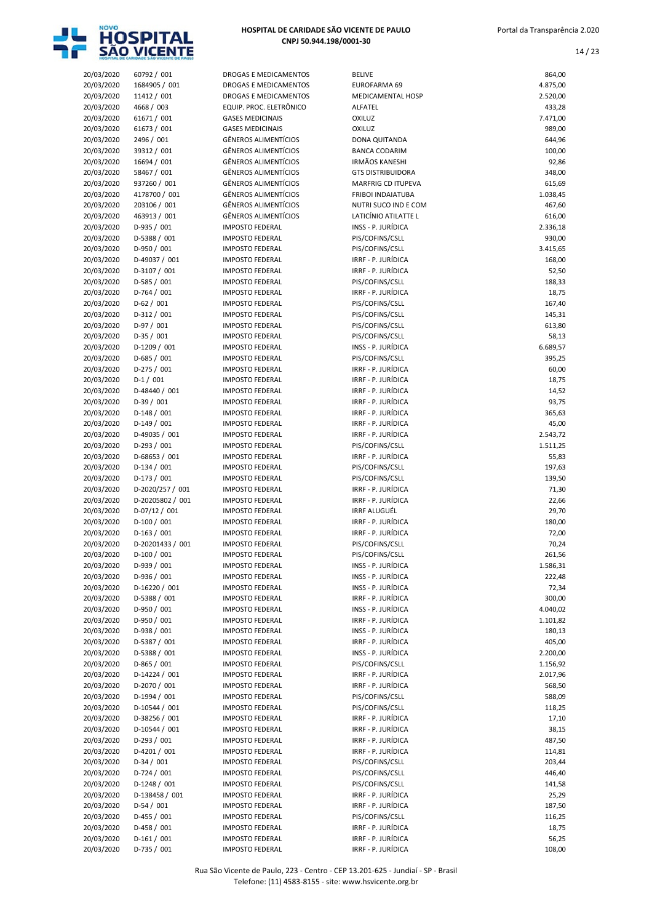

| 20/03/2020 | 60792 / 001      | DROGAS E MEDICAMENTOS       | <b>BELIVE</b>            | 864,00   |
|------------|------------------|-----------------------------|--------------------------|----------|
| 20/03/2020 | 1684905 / 001    | DROGAS E MEDICAMENTOS       | EUROFARMA 69             | 4.875,00 |
|            | 11412 / 001      |                             | <b>MEDICAMENTAL HOSP</b> |          |
| 20/03/2020 |                  | DROGAS E MEDICAMENTOS       |                          | 2.520,00 |
| 20/03/2020 | 4668 / 003       | EQUIP. PROC. ELETRÔNICO     | ALFATEL                  | 433,28   |
| 20/03/2020 | 61671 / 001      | <b>GASES MEDICINAIS</b>     | <b>OXILUZ</b>            | 7.471,00 |
| 20/03/2020 | 61673 / 001      | <b>GASES MEDICINAIS</b>     | OXILUZ                   | 989,00   |
| 20/03/2020 | 2496 / 001       | <b>GÊNEROS ALIMENTÍCIOS</b> | <b>DONA QUITANDA</b>     | 644,96   |
|            |                  |                             |                          |          |
| 20/03/2020 | 39312 / 001      | <b>GÊNEROS ALIMENTÍCIOS</b> | <b>BANCA CODARIM</b>     | 100,00   |
| 20/03/2020 | 16694 / 001      | <b>GÊNEROS ALIMENTÍCIOS</b> | <b>IRMÃOS KANESHI</b>    | 92,86    |
| 20/03/2020 | 58467 / 001      | <b>GÊNEROS ALIMENTÍCIOS</b> | <b>GTS DISTRIBUIDORA</b> | 348,00   |
| 20/03/2020 | 937260 / 001     | <b>GÊNEROS ALIMENTÍCIOS</b> | MARFRIG CD ITUPEVA       | 615,69   |
|            |                  |                             |                          |          |
| 20/03/2020 | 4178700 / 001    | <b>GÊNEROS ALIMENTÍCIOS</b> | <b>FRIBOI INDAIATUBA</b> | 1.038,45 |
| 20/03/2020 | 203106 / 001     | <b>GÊNEROS ALIMENTÍCIOS</b> | NUTRI SUCO IND E COM     | 467,60   |
| 20/03/2020 | 463913 / 001     | <b>GÊNEROS ALIMENTÍCIOS</b> | LATICÍNIO ATILATTE L     | 616,00   |
| 20/03/2020 | D-935 / 001      | <b>IMPOSTO FEDERAL</b>      | INSS - P. JURÍDICA       | 2.336,18 |
|            |                  |                             |                          |          |
| 20/03/2020 | D-5388 / 001     | <b>IMPOSTO FEDERAL</b>      | PIS/COFINS/CSLL          | 930,00   |
| 20/03/2020 | D-950 / 001      | <b>IMPOSTO FEDERAL</b>      | PIS/COFINS/CSLL          | 3.415,65 |
| 20/03/2020 | D-49037 / 001    | <b>IMPOSTO FEDERAL</b>      | IRRF - P. JURÍDICA       | 168,00   |
| 20/03/2020 | D-3107 / 001     | <b>IMPOSTO FEDERAL</b>      | IRRF - P. JURÍDICA       | 52,50    |
|            |                  |                             |                          |          |
| 20/03/2020 | $D-585/001$      | <b>IMPOSTO FEDERAL</b>      | PIS/COFINS/CSLL          | 188,33   |
| 20/03/2020 | $D-764/001$      | <b>IMPOSTO FEDERAL</b>      | IRRF - P. JURÍDICA       | 18,75    |
| 20/03/2020 | $D-62/001$       | <b>IMPOSTO FEDERAL</b>      | PIS/COFINS/CSLL          | 167,40   |
| 20/03/2020 | $D-312/001$      | <b>IMPOSTO FEDERAL</b>      | PIS/COFINS/CSLL          | 145,31   |
|            | $D-97/001$       | <b>IMPOSTO FEDERAL</b>      |                          |          |
| 20/03/2020 |                  |                             | PIS/COFINS/CSLL          | 613,80   |
| 20/03/2020 | $D-35/001$       | <b>IMPOSTO FEDERAL</b>      | PIS/COFINS/CSLL          | 58,13    |
| 20/03/2020 | D-1209 / 001     | <b>IMPOSTO FEDERAL</b>      | INSS - P. JURÍDICA       | 6.689,57 |
| 20/03/2020 | $D-685 / 001$    | <b>IMPOSTO FEDERAL</b>      | PIS/COFINS/CSLL          | 395,25   |
| 20/03/2020 | $D-275/001$      | <b>IMPOSTO FEDERAL</b>      | IRRF - P. JURÍDICA       |          |
|            |                  |                             |                          | 60,00    |
| 20/03/2020 | $D-1/001$        | <b>IMPOSTO FEDERAL</b>      | IRRF - P. JURÍDICA       | 18,75    |
| 20/03/2020 | D-48440 / 001    | <b>IMPOSTO FEDERAL</b>      | IRRF - P. JURÍDICA       | 14,52    |
| 20/03/2020 | $D-39/001$       | <b>IMPOSTO FEDERAL</b>      | IRRF - P. JURÍDICA       | 93,75    |
| 20/03/2020 | $D-148/001$      | <b>IMPOSTO FEDERAL</b>      | IRRF - P. JURÍDICA       | 365,63   |
|            |                  |                             |                          |          |
| 20/03/2020 | $D-149/001$      | <b>IMPOSTO FEDERAL</b>      | IRRF - P. JURÍDICA       | 45,00    |
| 20/03/2020 | D-49035 / 001    | <b>IMPOSTO FEDERAL</b>      | IRRF - P. JURÍDICA       | 2.543,72 |
| 20/03/2020 | $D-293/001$      | <b>IMPOSTO FEDERAL</b>      | PIS/COFINS/CSLL          | 1.511,25 |
| 20/03/2020 | D-68653 / 001    | <b>IMPOSTO FEDERAL</b>      | IRRF - P. JURÍDICA       | 55,83    |
|            |                  |                             |                          |          |
| 20/03/2020 | $D-134 / 001$    | <b>IMPOSTO FEDERAL</b>      | PIS/COFINS/CSLL          | 197,63   |
| 20/03/2020 | $D-173/001$      | <b>IMPOSTO FEDERAL</b>      | PIS/COFINS/CSLL          | 139,50   |
| 20/03/2020 | D-2020/257 / 001 | <b>IMPOSTO FEDERAL</b>      | IRRF - P. JURÍDICA       | 71,30    |
| 20/03/2020 | D-20205802 / 001 | <b>IMPOSTO FEDERAL</b>      | IRRF - P. JURÍDICA       | 22,66    |
|            |                  |                             |                          |          |
| 20/03/2020 | $D-07/12 / 001$  | <b>IMPOSTO FEDERAL</b>      | <b>IRRF ALUGUÉL</b>      | 29,70    |
| 20/03/2020 | $D-100/001$      | <b>IMPOSTO FEDERAL</b>      | IRRF - P. JURÍDICA       | 180,00   |
| 20/03/2020 | $D-163/001$      | <b>IMPOSTO FEDERAL</b>      | IRRF - P. JURÍDICA       | 72,00    |
| 20/03/2020 | D-20201433 / 001 | <b>IMPOSTO FEDERAL</b>      | PIS/COFINS/CSLL          | 70,24    |
| 20/03/2020 | $D-100 / 001$    | <b>IMPOSTO FEDERAL</b>      | PIS/COFINS/CSLL          | 261,56   |
|            |                  |                             |                          |          |
| 20/03/2020 | D-939 / 001      | <b>IMPOSTO FEDERAL</b>      | INSS - P. JURÍDICA       | 1.586,31 |
| 20/03/2020 | D-936 / 001      | <b>IMPOSTO FEDERAL</b>      | INSS - P. JURÍDICA       | 222,48   |
| 20/03/2020 | D-16220 / 001    | <b>IMPOSTO FEDERAL</b>      | INSS - P. JURÍDICA       | 72,34    |
| 20/03/2020 | D-5388 / 001     | <b>IMPOSTO FEDERAL</b>      | IRRF - P. JURÍDICA       | 300,00   |
|            |                  |                             |                          |          |
| 20/03/2020 | D-950 / 001      | <b>IMPOSTO FEDERAL</b>      | INSS - P. JURÍDICA       | 4.040,02 |
| 20/03/2020 | D-950 / 001      | <b>IMPOSTO FEDERAL</b>      | IRRF - P. JURÍDICA       | 1.101,82 |
| 20/03/2020 | D-938 / 001      | <b>IMPOSTO FEDERAL</b>      | INSS - P. JURÍDICA       | 180,13   |
| 20/03/2020 | D-5387 / 001     | <b>IMPOSTO FEDERAL</b>      | IRRF - P. JURÍDICA       | 405,00   |
| 20/03/2020 | D-5388 / 001     | <b>IMPOSTO FEDERAL</b>      | INSS - P. JURÍDICA       | 2.200,00 |
|            |                  |                             |                          |          |
| 20/03/2020 | $D-865/001$      | <b>IMPOSTO FEDERAL</b>      | PIS/COFINS/CSLL          | 1.156,92 |
| 20/03/2020 | D-14224 / 001    | <b>IMPOSTO FEDERAL</b>      | IRRF - P. JURÍDICA       | 2.017,96 |
| 20/03/2020 | D-2070 / 001     | <b>IMPOSTO FEDERAL</b>      | IRRF - P. JURÍDICA       | 568,50   |
| 20/03/2020 | D-1994 / 001     | <b>IMPOSTO FEDERAL</b>      | PIS/COFINS/CSLL          | 588,09   |
|            |                  |                             |                          |          |
| 20/03/2020 | D-10544 / 001    | <b>IMPOSTO FEDERAL</b>      | PIS/COFINS/CSLL          | 118,25   |
| 20/03/2020 | D-38256 / 001    | <b>IMPOSTO FEDERAL</b>      | IRRF - P. JURÍDICA       | 17,10    |
| 20/03/2020 | D-10544 / 001    | <b>IMPOSTO FEDERAL</b>      | IRRF - P. JURÍDICA       | 38,15    |
| 20/03/2020 | $D-293/001$      | <b>IMPOSTO FEDERAL</b>      | IRRF - P. JURÍDICA       | 487,50   |
|            |                  |                             |                          |          |
| 20/03/2020 | D-4201 / 001     | <b>IMPOSTO FEDERAL</b>      | IRRF - P. JURÍDICA       | 114,81   |
| 20/03/2020 | $D-34/001$       | <b>IMPOSTO FEDERAL</b>      | PIS/COFINS/CSLL          | 203,44   |
| 20/03/2020 | $D-724/001$      | <b>IMPOSTO FEDERAL</b>      | PIS/COFINS/CSLL          | 446,40   |
| 20/03/2020 | D-1248 / 001     | <b>IMPOSTO FEDERAL</b>      | PIS/COFINS/CSLL          | 141,58   |
|            |                  |                             | IRRF - P. JURÍDICA       |          |
| 20/03/2020 | D-138458 / 001   | <b>IMPOSTO FEDERAL</b>      |                          | 25,29    |
| 20/03/2020 | $D-54/001$       | <b>IMPOSTO FEDERAL</b>      | IRRF - P. JURÍDICA       | 187,50   |
| 20/03/2020 | $D-455 / 001$    | <b>IMPOSTO FEDERAL</b>      | PIS/COFINS/CSLL          | 116,25   |
| 20/03/2020 | D-458 / 001      | <b>IMPOSTO FEDERAL</b>      | IRRF - P. JURÍDICA       | 18,75    |
| 20/03/2020 | $D-161/001$      | <b>IMPOSTO FEDERAL</b>      | IRRF - P. JURÍDICA       | 56,25    |
|            |                  |                             |                          |          |
| 20/03/2020 | D-735 / 001      | <b>IMPOSTO FEDERAL</b>      | IRRF - P. JURÍDICA       | 108,00   |

| <b>BELIVE</b>                             | 864,0            |
|-------------------------------------------|------------------|
| EUROFARMA 69                              | 4.875,0          |
| <b>MEDICAMENTAL HOSP</b>                  | 2.520,0          |
| ALFATEL                                   | 433,2            |
| <b>OXILUZ</b>                             | 7.471,           |
| <b>OXILUZ</b>                             | 989,0            |
| DONA QUITANDA<br><b>BANCA CODARIM</b>     | 644,9<br>100,0   |
| <b>IRMÃOS KANESHI</b>                     | 92,8             |
| <b>GTS DISTRIBUIDORA</b>                  | 348,0            |
| MARFRIG CD ITUPEVA                        | 615,6            |
| <b>FRIBOI INDAIATUBA</b>                  | 1.038,4          |
| NUTRI SUCO IND E COM                      | 467,6            |
| LATICÍNIO ATILATTE L                      | 616,0            |
| INSS - P. JURÍDICA<br>PIS/COFINS/CSLL     | 2.336,1<br>930,0 |
| PIS/COFINS/CSLL                           | 3.415,6          |
| IRRF - P. JURÍDICA                        | 168,0            |
| IRRF - P. JURÍDICA                        | 52,5             |
| PIS/COFINS/CSLL                           | 188,             |
| IRRF - P. JURÍDICA                        | 18,7             |
| PIS/COFINS/CSLL                           | 167,4            |
| PIS/COFINS/CSLL                           | 145,3            |
| PIS/COFINS/CSLL<br>PIS/COFINS/CSLL        | 613,8<br>58,1    |
| INSS - P. JURÍDICA                        | 6.689,           |
| PIS/COFINS/CSLL                           | 395,2            |
| IRRF - P. JURÍDICA                        | 60,0             |
| IRRF - P. JURÍDICA                        | 18,7             |
| IRRF - P. JURÍDICA                        | 14,5             |
| IRRF - P. JURÍDICA                        | 93,7             |
| IRRF - P. JURÍDICA<br>IRRF - P. JURÍDICA  | 365,6            |
| IRRF - P. JURÍDICA                        | 45,0<br>2.543,7  |
| PIS/COFINS/CSLL                           | 1.511,2          |
| IRRF - P. JURÍDICA                        | 55,8             |
| PIS/COFINS/CSLL                           | 197,6            |
| PIS/COFINS/CSLL                           | 139,5            |
| IRRF - P. JURÍDICA                        | 71,3             |
| IRRF - P. JURÍDICA                        | 22,6             |
| <b>IRRF ALUGUÉL</b><br>IRRF - P. JURÍDICA | 29,7<br>180,0    |
| IRRF - P. JURÍDICA                        | 72,0             |
| PIS/COFINS/CSLL                           | 70,2             |
| PIS/COFINS/CSLL                           | 261,5            |
| INSS - P. JURÍDICA                        | 1.586,           |
| INSS - P. JURÍDICA                        | 222,4            |
| INSS - P. JURÍDICA                        | 72,3             |
| IRRF - P. JURÍDICA                        | 300(             |
| INSS - P. JURÍDICA<br>IRRF - P. JURÍDICA  | 4.040,0          |
| INSS - P. JURÍDICA                        | 1.101,8<br>180,1 |
| IRRF - P. JURÍDICA                        | 405,0            |
| INSS - P. JURÍDICA                        | 2.200(           |
| PIS/COFINS/CSLL                           | 1.156,9          |
| IRRF - P. JURÍDICA                        | 2.017,9          |
| IRRF - P. JURÍDICA                        | 568,             |
| PIS/COFINS/CSLL                           | 588,0            |
| PIS/COFINS/CSLL<br>IRRF - P. JURÍDICA     | 118,2<br>17,1    |
| IRRF - P. JURÍDICA                        | 38,1             |
| IRRF - P. JURÍDICA                        | 487,             |
| IRRF - P. JURÍDICA                        | 114,8            |
| PIS/COFINS/CSLL                           | 203,4            |
| PIS/COFINS/CSLL                           | 446,4            |
| PIS/COFINS/CSLL                           | 141,5            |
| IRRF - P. JURÍDICA                        | 25,2             |
| IRRF - P. JURÍDICA                        | 187,5            |
| PIS/COFINS/CSLL<br>IRRF - P. JURÍDICA     | 116,2            |
| IRRF - P. JURÍDICA                        | 18,7<br>56,2     |
|                                           |                  |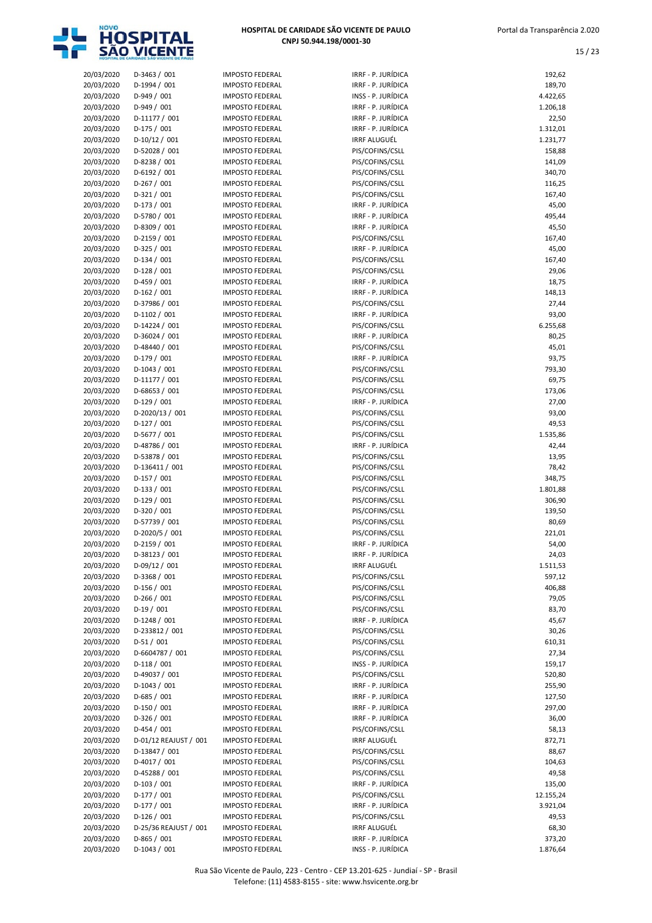

| HOSPITAL DE CARIDADE SÃO VICENTE DE PAULO |
|-------------------------------------------|
| CNPJ 50.944.198/0001-30                   |

|                          | HOSPITAL DE CARIOADE SAO VICENTE DE PAULS |                                                  |                                           |                    |
|--------------------------|-------------------------------------------|--------------------------------------------------|-------------------------------------------|--------------------|
| 20/03/2020               | $D-3463 / 001$                            | <b>IMPOSTO FEDERAL</b>                           | IRRF - P. JURÍDICA                        | 192,62             |
| 20/03/2020               | D-1994 / 001                              | <b>IMPOSTO FEDERAL</b>                           | IRRF - P. JURÍDICA                        | 189,70             |
| 20/03/2020               | $D-949/001$                               | <b>IMPOSTO FEDERAL</b>                           | INSS - P. JURÍDICA                        | 4.422,65           |
| 20/03/2020               | D-949 / 001                               | <b>IMPOSTO FEDERAL</b>                           | IRRF - P. JURÍDICA                        | 1.206,18           |
| 20/03/2020               | D-11177 / 001                             | <b>IMPOSTO FEDERAL</b>                           | IRRF - P. JURÍDICA                        | 22,50              |
| 20/03/2020               | $D-175/001$                               | <b>IMPOSTO FEDERAL</b>                           | IRRF - P. JURÍDICA<br><b>IRRF ALUGUÉL</b> | 1.312,01           |
| 20/03/2020<br>20/03/2020 | $D-10/12/001$<br>D-52028 / 001            | <b>IMPOSTO FEDERAL</b><br><b>IMPOSTO FEDERAL</b> | PIS/COFINS/CSLL                           | 1.231,77<br>158,88 |
| 20/03/2020               | D-8238 / 001                              | <b>IMPOSTO FEDERAL</b>                           | PIS/COFINS/CSLL                           | 141,09             |
| 20/03/2020               | D-6192 / 001                              | <b>IMPOSTO FEDERAL</b>                           | PIS/COFINS/CSLL                           | 340,70             |
| 20/03/2020               | $D-267/001$                               | <b>IMPOSTO FEDERAL</b>                           | PIS/COFINS/CSLL                           | 116,25             |
| 20/03/2020               | $D-321/001$                               | <b>IMPOSTO FEDERAL</b>                           | PIS/COFINS/CSLL                           | 167,40             |
| 20/03/2020               | $D-173/001$                               | <b>IMPOSTO FEDERAL</b>                           | IRRF - P. JURÍDICA                        | 45,00              |
| 20/03/2020               | D-5780 / 001                              | <b>IMPOSTO FEDERAL</b>                           | IRRF - P. JURÍDICA                        | 495,44             |
| 20/03/2020               | D-8309 / 001                              | <b>IMPOSTO FEDERAL</b>                           | IRRF - P. JURÍDICA                        | 45,50              |
| 20/03/2020               | $D-2159/001$                              | <b>IMPOSTO FEDERAL</b>                           | PIS/COFINS/CSLL                           | 167,40             |
| 20/03/2020               | $D-325/001$                               | <b>IMPOSTO FEDERAL</b>                           | IRRF - P. JURÍDICA                        | 45,00              |
| 20/03/2020               | $D-134/001$                               | <b>IMPOSTO FEDERAL</b>                           | PIS/COFINS/CSLL                           | 167,40             |
| 20/03/2020               | $D-128/001$                               | <b>IMPOSTO FEDERAL</b>                           | PIS/COFINS/CSLL                           | 29,06              |
| 20/03/2020               | $D-459/001$                               | <b>IMPOSTO FEDERAL</b>                           | IRRF - P. JURÍDICA                        | 18,75              |
| 20/03/2020               | $D-162 / 001$<br>D-37986 / 001            | <b>IMPOSTO FEDERAL</b><br><b>IMPOSTO FEDERAL</b> | IRRF - P. JURÍDICA<br>PIS/COFINS/CSLL     | 148,13<br>27,44    |
| 20/03/2020<br>20/03/2020 | $D-1102 / 001$                            | <b>IMPOSTO FEDERAL</b>                           | IRRF - P. JURÍDICA                        | 93,00              |
| 20/03/2020               | D-14224 / 001                             | <b>IMPOSTO FEDERAL</b>                           | PIS/COFINS/CSLL                           | 6.255,68           |
| 20/03/2020               | $D-36024 / 001$                           | <b>IMPOSTO FEDERAL</b>                           | IRRF - P. JURÍDICA                        | 80,25              |
| 20/03/2020               | D-48440 / 001                             | <b>IMPOSTO FEDERAL</b>                           | PIS/COFINS/CSLL                           | 45,01              |
| 20/03/2020               | $D-179/001$                               | <b>IMPOSTO FEDERAL</b>                           | IRRF - P. JURÍDICA                        | 93,75              |
| 20/03/2020               | $D-1043 / 001$                            | <b>IMPOSTO FEDERAL</b>                           | PIS/COFINS/CSLL                           | 793,30             |
| 20/03/2020               | $D-11177/001$                             | <b>IMPOSTO FEDERAL</b>                           | PIS/COFINS/CSLL                           | 69,75              |
| 20/03/2020               | $D-68653 / 001$                           | <b>IMPOSTO FEDERAL</b>                           | PIS/COFINS/CSLL                           | 173,06             |
| 20/03/2020               | $D-129/001$                               | <b>IMPOSTO FEDERAL</b>                           | IRRF - P. JURÍDICA                        | 27,00              |
| 20/03/2020               | D-2020/13 / 001                           | <b>IMPOSTO FEDERAL</b>                           | PIS/COFINS/CSLL                           | 93,00              |
| 20/03/2020               | $D-127/001$                               | <b>IMPOSTO FEDERAL</b>                           | PIS/COFINS/CSLL                           | 49,53              |
| 20/03/2020               | $D-5677 / 001$                            | <b>IMPOSTO FEDERAL</b>                           | PIS/COFINS/CSLL                           | 1.535,86           |
| 20/03/2020               | D-48786 / 001                             | <b>IMPOSTO FEDERAL</b>                           | IRRF - P. JURÍDICA                        | 42,44              |
| 20/03/2020               | D-53878 / 001                             | <b>IMPOSTO FEDERAL</b>                           | PIS/COFINS/CSLL                           | 13,95              |
| 20/03/2020               | D-136411 / 001                            | <b>IMPOSTO FEDERAL</b>                           | PIS/COFINS/CSLL                           | 78,42              |
| 20/03/2020               | $D-157/001$                               | <b>IMPOSTO FEDERAL</b>                           | PIS/COFINS/CSLL                           | 348,75             |
| 20/03/2020               | $D-133 / 001$                             | <b>IMPOSTO FEDERAL</b>                           | PIS/COFINS/CSLL                           | 1.801,88           |
| 20/03/2020               | $D-129/001$<br>D-320 / 001                | <b>IMPOSTO FEDERAL</b><br><b>IMPOSTO FEDERAL</b> | PIS/COFINS/CSLL                           | 306,90             |
| 20/03/2020<br>20/03/2020 | D-57739 / 001                             | <b>IMPOSTO FEDERAL</b>                           | PIS/COFINS/CSLL<br>PIS/COFINS/CSLL        | 139,50<br>80,69    |
| 20/03/2020               | D-2020/5 / 001                            | <b>IMPOSTO FEDERAL</b>                           | PIS/COFINS/CSLL                           | 221,01             |
| 20/03/2020               | $D-2159/001$                              | <b>IMPOSTO FEDERAL</b>                           | IRRF - P. JURÍDICA                        | 54,00              |
| 20/03/2020               | D-38123 / 001                             | <b>IMPOSTO FEDERAL</b>                           | IRRF - P. JURÍDICA                        | 24,03              |
| 20/03/2020               | $D-09/12 / 001$                           | <b>IMPOSTO FEDERAL</b>                           | IRRF ALUGUÉL                              | 1.511,53           |
| 20/03/2020               | D-3368 / 001                              | <b>IMPOSTO FEDERAL</b>                           | PIS/COFINS/CSLL                           | 597,12             |
| 20/03/2020               | $D-156/001$                               | <b>IMPOSTO FEDERAL</b>                           | PIS/COFINS/CSLL                           | 406,88             |
| 20/03/2020               | $D-266/001$                               | <b>IMPOSTO FEDERAL</b>                           | PIS/COFINS/CSLL                           | 79,05              |
| 20/03/2020               | $D-19/001$                                | <b>IMPOSTO FEDERAL</b>                           | PIS/COFINS/CSLL                           | 83,70              |
| 20/03/2020               | D-1248 / 001                              | <b>IMPOSTO FEDERAL</b>                           | IRRF - P. JURÍDICA                        | 45,67              |
| 20/03/2020               | D-233812 / 001                            | <b>IMPOSTO FEDERAL</b>                           | PIS/COFINS/CSLL                           | 30,26              |
| 20/03/2020               | $D-51/001$                                | <b>IMPOSTO FEDERAL</b>                           | PIS/COFINS/CSLL                           | 610,31             |
| 20/03/2020               | D-6604787 / 001                           | <b>IMPOSTO FEDERAL</b>                           | PIS/COFINS/CSLL                           | 27,34              |
| 20/03/2020               | $D-118/001$                               | <b>IMPOSTO FEDERAL</b>                           | INSS - P. JURÍDICA                        | 159,17             |
| 20/03/2020               | D-49037 / 001                             | <b>IMPOSTO FEDERAL</b>                           | PIS/COFINS/CSLL                           | 520,80             |
| 20/03/2020               | D-1043 / 001                              | <b>IMPOSTO FEDERAL</b>                           | IRRF - P. JURÍDICA                        | 255,90             |
| 20/03/2020               | $D-685 / 001$                             | <b>IMPOSTO FEDERAL</b>                           | IRRF - P. JURÍDICA                        | 127,50             |
| 20/03/2020               | $D-150/001$                               | <b>IMPOSTO FEDERAL</b>                           | IRRF - P. JURÍDICA                        | 297,00             |
| 20/03/2020               | $D-326/001$                               | <b>IMPOSTO FEDERAL</b>                           | IRRF - P. JURÍDICA                        | 36,00              |
| 20/03/2020               | $D-454/001$                               | <b>IMPOSTO FEDERAL</b>                           | PIS/COFINS/CSLL                           | 58,13              |
| 20/03/2020               | D-01/12 REAJUST / 001                     | <b>IMPOSTO FEDERAL</b>                           | IRRF ALUGUÉL                              | 872,71             |
| 20/03/2020               | D-13847 / 001<br>D-4017 / 001             | <b>IMPOSTO FEDERAL</b>                           | PIS/COFINS/CSLL<br>PIS/COFINS/CSLL        | 88,67              |
| 20/03/2020<br>20/03/2020 | D-45288 / 001                             | <b>IMPOSTO FEDERAL</b><br><b>IMPOSTO FEDERAL</b> | PIS/COFINS/CSLL                           | 104,63<br>49,58    |
| 20/03/2020               | $D-103/001$                               | <b>IMPOSTO FEDERAL</b>                           | IRRF - P. JURÍDICA                        | 135,00             |
| 20/03/2020               | $D-177/001$                               | <b>IMPOSTO FEDERAL</b>                           | PIS/COFINS/CSLL                           | 12.155,24          |
| 20/03/2020               | $D-177/001$                               | <b>IMPOSTO FEDERAL</b>                           | IRRF - P. JURÍDICA                        | 3.921,04           |
| 20/03/2020               | $D-126/001$                               | <b>IMPOSTO FEDERAL</b>                           | PIS/COFINS/CSLL                           | 49,53              |
| 20/03/2020               | D-25/36 REAJUST / 001                     | <b>IMPOSTO FEDERAL</b>                           | IRRF ALUGUÉL                              | 68,30              |
| 20/03/2020               | $D-865/001$                               | <b>IMPOSTO FEDERAL</b>                           | IRRF - P. JURÍDICA                        | 373,20             |
| 20/03/2020               | $D-1043 / 001$                            | <b>IMPOSTO FEDERAL</b>                           | INSS - P. JURÍDICA                        | 1.876,64           |

| ᆦᄀᄼ<br>υz   |
|-------------|
| 189,70      |
| 4.422,65    |
|             |
| 1.206,18    |
| 22,50       |
| 1.312,01    |
| 1.231,77    |
|             |
| 158,88      |
| 141,09      |
| 340,70      |
| 116,25      |
|             |
| 167,40      |
| 45,00       |
| 495,44      |
| 45,50       |
|             |
| 167,40      |
| 45,00       |
| 167,40      |
| 29,06       |
|             |
| 18,75       |
| 148,13      |
| 27,44       |
| 93,00       |
|             |
| 6.255,68    |
| 80,25       |
| 45,01       |
| 93,75       |
|             |
| 793,30      |
| 69,75       |
| 173,06      |
| 27,00       |
|             |
| 93,00       |
| 49,53       |
| 1.535,86    |
|             |
| 42,44       |
| 13,95       |
| 78,42       |
| 348,75      |
|             |
| 1.801,88    |
| 306,90      |
| 139,50      |
| 80,69       |
|             |
| 221,01      |
| 54,00       |
| 24,03       |
| 511.53<br>1 |
| 597,12      |
|             |
| 406,88      |
| 79,05       |
| 83,70       |
| 45,67       |
|             |
| 30,26       |
| 610,31      |
| 27,34       |
| 159,17      |
|             |
| 520,80      |
| 255,90      |
| 127,50      |
| 297,00      |
|             |
| 36,00       |
| 58,13       |
| 872,71      |
| 88,67       |
|             |
| 104,63      |
| 49,58       |
| 135,00      |
| 12.155,24   |
|             |
| 3.921,04    |
| $\sim$      |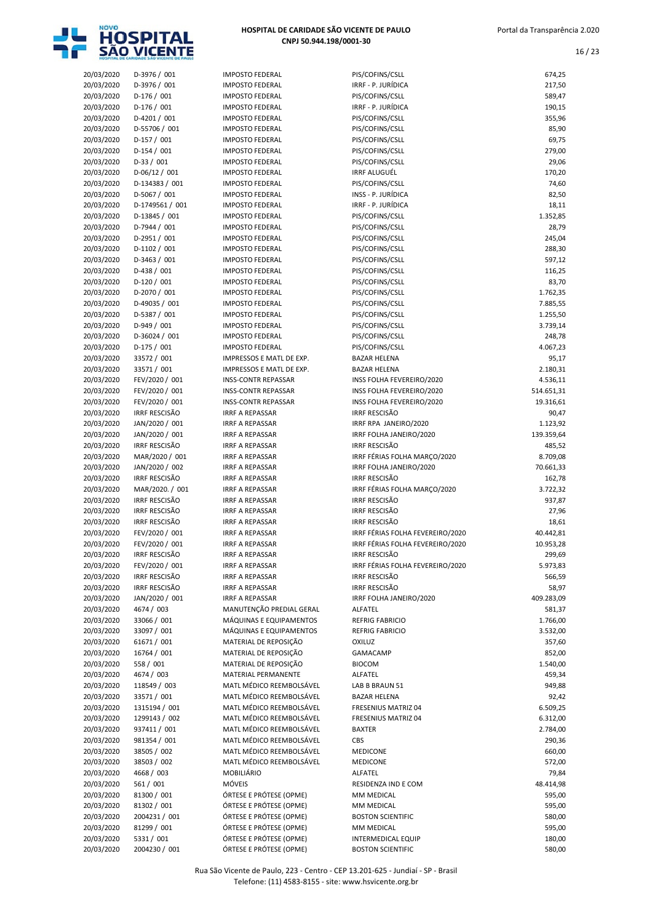

| HOSPITAL DE CARIDADE SÃO VICENTE DE PAULO |
|-------------------------------------------|
| CNPJ 50.944.198/0001-30                   |

| 20/03/2020 | D-3976 / 001         | <b>IMPOSTO FEDERAL</b>     | PIS/COFINS/CSLL                  | 674,25     |
|------------|----------------------|----------------------------|----------------------------------|------------|
| 20/03/2020 | D-3976 / 001         | <b>IMPOSTO FEDERAL</b>     | IRRF - P. JURÍDICA               | 217,50     |
| 20/03/2020 | $D-176/001$          | <b>IMPOSTO FEDERAL</b>     | PIS/COFINS/CSLL                  | 589,47     |
| 20/03/2020 | $D-176/001$          | <b>IMPOSTO FEDERAL</b>     | IRRF - P. JURÍDICA               | 190,15     |
|            |                      |                            |                                  | 355,96     |
| 20/03/2020 | $D-4201/001$         | <b>IMPOSTO FEDERAL</b>     | PIS/COFINS/CSLL                  |            |
| 20/03/2020 | D-55706 / 001        | <b>IMPOSTO FEDERAL</b>     | PIS/COFINS/CSLL                  | 85,90      |
| 20/03/2020 | $D-157/001$          | <b>IMPOSTO FEDERAL</b>     | PIS/COFINS/CSLL                  | 69,75      |
| 20/03/2020 | $D-154/001$          | <b>IMPOSTO FEDERAL</b>     | PIS/COFINS/CSLL                  | 279,00     |
| 20/03/2020 | $D-33 / 001$         | <b>IMPOSTO FEDERAL</b>     | PIS/COFINS/CSLL                  | 29,06      |
|            | $D-06/12/001$        | <b>IMPOSTO FEDERAL</b>     | <b>IRRF ALUGUÉL</b>              |            |
| 20/03/2020 |                      |                            |                                  | 170,20     |
| 20/03/2020 | D-134383 / 001       | <b>IMPOSTO FEDERAL</b>     | PIS/COFINS/CSLL                  | 74,60      |
| 20/03/2020 | D-5067 / 001         | <b>IMPOSTO FEDERAL</b>     | INSS - P. JURÍDICA               | 82,50      |
| 20/03/2020 | D-1749561 / 001      | <b>IMPOSTO FEDERAL</b>     | IRRF - P. JURÍDICA               | 18,11      |
| 20/03/2020 | D-13845 / 001        | <b>IMPOSTO FEDERAL</b>     | PIS/COFINS/CSLL                  | 1.352,85   |
|            |                      |                            |                                  |            |
| 20/03/2020 | D-7944 / 001         | <b>IMPOSTO FEDERAL</b>     | PIS/COFINS/CSLL                  | 28,79      |
| 20/03/2020 | $D-2951/001$         | <b>IMPOSTO FEDERAL</b>     | PIS/COFINS/CSLL                  | 245,04     |
| 20/03/2020 | $D-1102 / 001$       | <b>IMPOSTO FEDERAL</b>     | PIS/COFINS/CSLL                  | 288,30     |
| 20/03/2020 | D-3463 / 001         | <b>IMPOSTO FEDERAL</b>     | PIS/COFINS/CSLL                  | 597,12     |
| 20/03/2020 | $D-438 / 001$        | <b>IMPOSTO FEDERAL</b>     | PIS/COFINS/CSLL                  | 116,25     |
|            |                      |                            |                                  |            |
| 20/03/2020 | $D-120/001$          | <b>IMPOSTO FEDERAL</b>     | PIS/COFINS/CSLL                  | 83,70      |
| 20/03/2020 | D-2070 / 001         | <b>IMPOSTO FEDERAL</b>     | PIS/COFINS/CSLL                  | 1.762,35   |
| 20/03/2020 | D-49035 / 001        | <b>IMPOSTO FEDERAL</b>     | PIS/COFINS/CSLL                  | 7.885,55   |
| 20/03/2020 | D-5387 / 001         | <b>IMPOSTO FEDERAL</b>     | PIS/COFINS/CSLL                  | 1.255,50   |
|            | D-949 / 001          | <b>IMPOSTO FEDERAL</b>     | PIS/COFINS/CSLL                  |            |
| 20/03/2020 |                      |                            |                                  | 3.739,14   |
| 20/03/2020 | D-36024 / 001        | <b>IMPOSTO FEDERAL</b>     | PIS/COFINS/CSLL                  | 248,78     |
| 20/03/2020 | $D-175/001$          | <b>IMPOSTO FEDERAL</b>     | PIS/COFINS/CSLL                  | 4.067,23   |
| 20/03/2020 | 33572 / 001          | IMPRESSOS E MATL DE EXP.   | <b>BAZAR HELENA</b>              | 95,17      |
| 20/03/2020 | 33571 / 001          | IMPRESSOS E MATL DE EXP.   | <b>BAZAR HELENA</b>              | 2.180,31   |
|            |                      |                            |                                  |            |
| 20/03/2020 | FEV/2020 / 001       | <b>INSS-CONTR REPASSAR</b> | INSS FOLHA FEVEREIRO/2020        | 4.536,11   |
| 20/03/2020 | FEV/2020 / 001       | <b>INSS-CONTR REPASSAR</b> | INSS FOLHA FEVEREIRO/2020        | 514.651,31 |
| 20/03/2020 | FEV/2020 / 001       | <b>INSS-CONTR REPASSAR</b> | INSS FOLHA FEVEREIRO/2020        | 19.316,61  |
| 20/03/2020 | <b>IRRF RESCISÃO</b> | <b>IRRF A REPASSAR</b>     | <b>IRRF RESCISÃO</b>             | 90,47      |
| 20/03/2020 | JAN/2020 / 001       | <b>IRRF A REPASSAR</b>     | IRRF RPA JANEIRO/2020            | 1.123,92   |
|            |                      |                            |                                  |            |
| 20/03/2020 | JAN/2020 / 001       | <b>IRRF A REPASSAR</b>     | IRRF FOLHA JANEIRO/2020          | 139.359,64 |
| 20/03/2020 | <b>IRRF RESCISÃO</b> | <b>IRRF A REPASSAR</b>     | <b>IRRF RESCISÃO</b>             | 485,52     |
| 20/03/2020 | MAR/2020 / 001       | <b>IRRF A REPASSAR</b>     | IRRF FÉRIAS FOLHA MARÇO/2020     | 8.709,08   |
| 20/03/2020 | JAN/2020 / 002       | <b>IRRF A REPASSAR</b>     | IRRF FOLHA JANEIRO/2020          | 70.661,33  |
|            |                      |                            |                                  |            |
| 20/03/2020 | <b>IRRF RESCISÃO</b> | <b>IRRF A REPASSAR</b>     | <b>IRRF RESCISÃO</b>             | 162,78     |
| 20/03/2020 | MAR/2020. / 001      | <b>IRRF A REPASSAR</b>     | IRRF FÉRIAS FOLHA MARCO/2020     | 3.722,32   |
| 20/03/2020 | <b>IRRF RESCISÃO</b> | <b>IRRF A REPASSAR</b>     | <b>IRRF RESCISÃO</b>             | 937,87     |
| 20/03/2020 | <b>IRRF RESCISÃO</b> | <b>IRRF A REPASSAR</b>     | <b>IRRF RESCISÃO</b>             | 27,96      |
| 20/03/2020 | <b>IRRF RESCISÃO</b> | <b>IRRF A REPASSAR</b>     | <b>IRRF RESCISÃO</b>             | 18,61      |
|            |                      |                            |                                  |            |
| 20/03/2020 | FEV/2020 / 001       | <b>IRRF A REPASSAR</b>     | IRRF FÉRIAS FOLHA FEVEREIRO/2020 | 40.442,81  |
| 20/03/2020 | FEV/2020 / 001       | <b>IRRF A REPASSAR</b>     | IRRF FÉRIAS FOLHA FEVEREIRO/2020 | 10.953,28  |
| 20/03/2020 | <b>IRRF RESCISÃO</b> | <b>IRRF A REPASSAR</b>     | IRRF RESCISÃO                    | 299,69     |
| 20/03/2020 | FEV/2020 / 001       | IRRF A REPASSAR            | IRRF FÉRIAS FOLHA FEVEREIRO/2020 | 5.973,83   |
| 20/03/2020 | <b>IRRF RESCISÃO</b> | IRRF A REPASSAR            | <b>IRRF RESCISÃO</b>             | 566,59     |
|            |                      |                            |                                  |            |
| 20/03/2020 | <b>IRRF RESCISÃO</b> | <b>IRRF A REPASSAR</b>     | <b>IRRF RESCISÃO</b>             | 58,97      |
| 20/03/2020 | JAN/2020 / 001       | <b>IRRF A REPASSAR</b>     | IRRF FOLHA JANEIRO/2020          | 409.283,09 |
| 20/03/2020 | 4674 / 003           | MANUTENÇÃO PREDIAL GERAL   | ALFATEL                          | 581,37     |
| 20/03/2020 | 33066 / 001          | MÁQUINAS E EQUIPAMENTOS    | <b>REFRIG FABRICIO</b>           | 1.766,00   |
| 20/03/2020 | 33097 / 001          | MÁQUINAS E EQUIPAMENTOS    | <b>REFRIG FABRICIO</b>           | 3.532,00   |
|            |                      |                            |                                  |            |
| 20/03/2020 | 61671 / 001          | MATERIAL DE REPOSIÇÃO      | OXILUZ                           | 357,60     |
| 20/03/2020 | 16764 / 001          | MATERIAL DE REPOSIÇÃO      | GAMACAMP                         | 852,00     |
| 20/03/2020 | 558 / 001            | MATERIAL DE REPOSIÇÃO      | <b>BIOCOM</b>                    | 1.540,00   |
| 20/03/2020 | 4674 / 003           | MATERIAL PERMANENTE        | ALFATEL                          | 459,34     |
| 20/03/2020 | 118549 / 003         | MATL MÉDICO REEMBOLSÁVEL   | LAB B BRAUN 51                   | 949,88     |
|            |                      |                            |                                  |            |
| 20/03/2020 | 33571 / 001          | MATL MÉDICO REEMBOLSÁVEL   | <b>BAZAR HELENA</b>              | 92,42      |
| 20/03/2020 | 1315194 / 001        | MATL MÉDICO REEMBOLSÁVEL   | FRESENIUS MATRIZ 04              | 6.509,25   |
| 20/03/2020 | 1299143 / 002        | MATL MÉDICO REEMBOLSÁVEL   | FRESENIUS MATRIZ 04              | 6.312,00   |
| 20/03/2020 | 937411 / 001         | MATL MÉDICO REEMBOLSÁVEL   | <b>BAXTER</b>                    | 2.784,00   |
| 20/03/2020 | 981354 / 001         | MATL MÉDICO REEMBOLSÁVEL   | CBS                              | 290,36     |
|            |                      |                            |                                  |            |
| 20/03/2020 | 38505 / 002          | MATL MÉDICO REEMBOLSÁVEL   | MEDICONE                         | 660,00     |
| 20/03/2020 | 38503 / 002          | MATL MÉDICO REEMBOLSÁVEL   | MEDICONE                         | 572,00     |
| 20/03/2020 | 4668 / 003           | MOBILIÁRIO                 | ALFATEL                          | 79,84      |
| 20/03/2020 | 561 / 001            | MÓVEIS                     | RESIDENZA IND E COM              | 48.414,98  |
| 20/03/2020 | 81300 / 001          | ÓRTESE E PRÓTESE (OPME)    | MM MEDICAL                       | 595,00     |
|            |                      |                            |                                  |            |
| 20/03/2020 | 81302 / 001          | ÓRTESE E PRÓTESE (OPME)    | MM MEDICAL                       | 595,00     |
| 20/03/2020 | 2004231 / 001        | ÓRTESE E PRÓTESE (OPME)    | <b>BOSTON SCIENTIFIC</b>         | 580,00     |
| 20/03/2020 | 81299 / 001          | ÓRTESE E PRÓTESE (OPME)    | MM MEDICAL                       | 595,00     |
| 20/03/2020 | 5331 / 001           | ÓRTESE E PRÓTESE (OPME)    | INTERMEDICAL EQUIP               | 180,00     |
| 20/03/2020 | 2004230 / 001        | ÓRTESE E PRÓTESE (OPME)    | <b>BOSTON SCIENTIFIC</b>         | 580,00     |
|            |                      |                            |                                  |            |

| <b><i>APOSTO FEDERAL</i></b>                                 |
|--------------------------------------------------------------|
| APOSTO FEDERAL                                               |
| MPOSTO FEDERAL                                               |
| <b>MPOSTO FEDERAL</b>                                        |
| <b><i>APOSTO FEDERAL</i></b><br><b><i>APOSTO FEDERAL</i></b> |
| <b><i>APOSTO FEDERAL</i></b>                                 |
| <b><i>APOSTO FEDERAL</i></b>                                 |
| MPOSTO FEDERAL                                               |
| <b>MPOSTO FEDERAL</b>                                        |
| <b><i>APOSTO FEDERAL</i></b>                                 |
| MPOSTO FEDERAL                                               |
| <b><i>APOSTO FEDERAL</i></b>                                 |
| <b>MPOSTO FEDERAL</b>                                        |
| <b><i>APOSTO FEDERAL</i></b>                                 |
| MPOSTO FEDERAL                                               |
| <b>MPOSTO FEDERAL</b><br>MPOSTO FEDERAL                      |
| MPOSTO FEDERAL                                               |
| <b>MPOSTO FEDERAL</b>                                        |
| MPOSTO FEDERAL                                               |
| <b><i>APOSTO FEDERAL</i></b>                                 |
| MPOSTO FEDERAL                                               |
| MPOSTO FEDERAL                                               |
| <b>MPOSTO FEDERAL</b>                                        |
| <b>MPRESSOS E MATL DE EXP.</b>                               |
| <b>MPRESSOS E MATL DE EXP.</b>                               |
| <b>ISS-CONTR REPASSAR</b>                                    |
| <b>ISS-CONTR REPASSAR</b><br><b>ISS-CONTR REPASSAR</b>       |
| RF A REPASSAR                                                |
| ≀RF A REPASSAR                                               |
| RF A REPASSAR                                                |
| RF A REPASSAR                                                |
| ≀RF A REPASSAR                                               |
| RF A REPASSAR                                                |
| RRF A REPASSAR                                               |
| ≀RF A REPASSAR                                               |
| RRF A REPASSAR                                               |
| RRF A REPASSAR                                               |
| ≀RF A REPASSAR                                               |
| RRF A REPASSAR<br>RRF A REPASSAR                             |
| RF A REPASSAR                                                |
| RF A REPASSAR                                                |
| RF A REPASSAR                                                |
| RF A REPASSAR                                                |
| RF A REPASSAR                                                |
| IANUTENÇÃO PREDIAL GERA                                      |
| 1ÁQUINAS E EQUIPAMENTO                                       |
| 1ÁQUINAS E EQUIPAMENTO                                       |
| <b>IATERIAL DE REPOSIÇÃO</b>                                 |
| <b>1ATERIAL DE REPOSIÇÃO</b><br>IATERIAL DE REPOSIÇÃO        |
| <b>IATERIAL PERMANENTE</b>                                   |
| 1ATL MÉDICO REEMBOLSÁV                                       |
| IATL MÉDICO REEMBOLSÁV                                       |
| 1ATL MÉDICO REEMBOLSÁV                                       |
| 1ATL MÉDICO REEMBOLSÁV                                       |
| 1ATL MÉDICO REEMBOLSÁV                                       |
| 1ATL MÉDICO REEMBOLSÁV                                       |
| 1ATL MÉDICO REEMBOLSÁV                                       |
| 1ATL MÉDICO REEMBOLSÁV                                       |
| 1OBILIÁRIO                                                   |
| 1ÓVEIS                                                       |
| RTESE E PRÓTESE (OPME)<br>RTESE E PRÓTESE (OPME)             |
| RTESE E PRÓTESE (OPME)                                       |
| RTESE E PRÓTESE (OPME)                                       |
|                                                              |

|                          | <b>BADE SÃO VICENTE DE PAU</b>               |                                                          |                                                        |                         |
|--------------------------|----------------------------------------------|----------------------------------------------------------|--------------------------------------------------------|-------------------------|
| 20/03/2020               | D-3976 / 001                                 | <b>IMPOSTO FEDERAL</b>                                   | PIS/COFINS/CSLL                                        | 674,25                  |
| 20/03/2020               | D-3976 / 001                                 | <b>IMPOSTO FEDERAL</b>                                   | IRRF - P. JURÍDICA                                     | 217,50                  |
| 20/03/2020               | $D-176/001$                                  | <b>IMPOSTO FEDERAL</b>                                   | PIS/COFINS/CSLL                                        | 589,47                  |
| 20/03/2020<br>20/03/2020 | $D-176/001$<br>D-4201 / 001                  | <b>IMPOSTO FEDERAL</b><br><b>IMPOSTO FEDERAL</b>         | IRRF - P. JURÍDICA<br>PIS/COFINS/CSLL                  | 190,15<br>355,96        |
| 20/03/2020               | D-55706 / 001                                | <b>IMPOSTO FEDERAL</b>                                   | PIS/COFINS/CSLL                                        | 85,90                   |
| 20/03/2020               | $D-157/001$                                  | <b>IMPOSTO FEDERAL</b>                                   | PIS/COFINS/CSLL                                        | 69,75                   |
| 20/03/2020               | $D-154/001$                                  | <b>IMPOSTO FEDERAL</b>                                   | PIS/COFINS/CSLL                                        | 279,00                  |
| 20/03/2020               | $D-33 / 001$                                 | <b>IMPOSTO FEDERAL</b>                                   | PIS/COFINS/CSLL                                        | 29,06                   |
| 20/03/2020               | $D-06/12/001$                                | <b>IMPOSTO FEDERAL</b>                                   | <b>IRRF ALUGUÉL</b>                                    | 170,20                  |
| 20/03/2020               | D-134383 / 001                               | <b>IMPOSTO FEDERAL</b>                                   | PIS/COFINS/CSLL                                        | 74,60                   |
| 20/03/2020               | D-5067 / 001<br>D-1749561 / 001              | <b>IMPOSTO FEDERAL</b>                                   | INSS - P. JURÍDICA<br>IRRF - P. JURÍDICA               | 82,50                   |
| 20/03/2020<br>20/03/2020 | D-13845 / 001                                | <b>IMPOSTO FEDERAL</b><br><b>IMPOSTO FEDERAL</b>         | PIS/COFINS/CSLL                                        | 18,11<br>1.352,85       |
| 20/03/2020               | D-7944 / 001                                 | <b>IMPOSTO FEDERAL</b>                                   | PIS/COFINS/CSLL                                        | 28,79                   |
| 20/03/2020               | $D-2951/001$                                 | <b>IMPOSTO FEDERAL</b>                                   | PIS/COFINS/CSLL                                        | 245,04                  |
| 20/03/2020               | $D-1102 / 001$                               | <b>IMPOSTO FEDERAL</b>                                   | PIS/COFINS/CSLL                                        | 288,30                  |
| 20/03/2020               | D-3463 / 001                                 | <b>IMPOSTO FEDERAL</b>                                   | PIS/COFINS/CSLL                                        | 597,12                  |
| 20/03/2020               | $D-438/001$                                  | <b>IMPOSTO FEDERAL</b>                                   | PIS/COFINS/CSLL                                        | 116,25                  |
| 20/03/2020               | $D-120/001$                                  | <b>IMPOSTO FEDERAL</b>                                   | PIS/COFINS/CSLL                                        | 83,70                   |
| 20/03/2020<br>20/03/2020 | D-2070 / 001<br>D-49035 / 001                | <b>IMPOSTO FEDERAL</b><br><b>IMPOSTO FEDERAL</b>         | PIS/COFINS/CSLL<br>PIS/COFINS/CSLL                     | 1.762,35<br>7.885,55    |
| 20/03/2020               | D-5387 / 001                                 | <b>IMPOSTO FEDERAL</b>                                   | PIS/COFINS/CSLL                                        | 1.255,50                |
| 20/03/2020               | D-949 / 001                                  | <b>IMPOSTO FEDERAL</b>                                   | PIS/COFINS/CSLL                                        | 3.739,14                |
| 20/03/2020               | D-36024 / 001                                | <b>IMPOSTO FEDERAL</b>                                   | PIS/COFINS/CSLL                                        | 248,78                  |
| 20/03/2020               | $D-175/001$                                  | <b>IMPOSTO FEDERAL</b>                                   | PIS/COFINS/CSLL                                        | 4.067,23                |
| 20/03/2020               | 33572 / 001                                  | IMPRESSOS E MATL DE EXP.                                 | <b>BAZAR HELENA</b>                                    | 95,17                   |
| 20/03/2020               | 33571 / 001                                  | IMPRESSOS E MATL DE EXP.                                 | <b>BAZAR HELENA</b>                                    | 2.180,31                |
| 20/03/2020               | FEV/2020 / 001                               | <b>INSS-CONTR REPASSAR</b>                               | INSS FOLHA FEVEREIRO/2020                              | 4.536,11                |
| 20/03/2020<br>20/03/2020 | FEV/2020 / 001<br>FEV/2020 / 001             | <b>INSS-CONTR REPASSAR</b><br><b>INSS-CONTR REPASSAR</b> | INSS FOLHA FEVEREIRO/2020<br>INSS FOLHA FEVEREIRO/2020 | 514.651,31<br>19.316,61 |
| 20/03/2020               | <b>IRRF RESCISÃO</b>                         | <b>IRRF A REPASSAR</b>                                   | <b>IRRF RESCISÃO</b>                                   | 90,47                   |
| 20/03/2020               | JAN/2020 / 001                               | <b>IRRF A REPASSAR</b>                                   | IRRF RPA JANEIRO/2020                                  | 1.123,92                |
| 20/03/2020               | JAN/2020 / 001                               | <b>IRRF A REPASSAR</b>                                   | IRRF FOLHA JANEIRO/2020                                | 139.359,64              |
| 20/03/2020               | <b>IRRF RESCISÃO</b>                         | <b>IRRF A REPASSAR</b>                                   | <b>IRRF RESCISÃO</b>                                   | 485,52                  |
| 20/03/2020               | MAR/2020 / 001                               | <b>IRRF A REPASSAR</b>                                   | IRRF FÉRIAS FOLHA MARÇO/2020                           | 8.709,08                |
| 20/03/2020               | JAN/2020 / 002                               | <b>IRRF A REPASSAR</b>                                   | IRRF FOLHA JANEIRO/2020                                | 70.661,33               |
| 20/03/2020<br>20/03/2020 | <b>IRRF RESCISÃO</b><br>MAR/2020. / 001      | <b>IRRF A REPASSAR</b><br><b>IRRF A REPASSAR</b>         | <b>IRRF RESCISÃO</b><br>IRRF FÉRIAS FOLHA MARÇO/2020   | 162,78<br>3.722,32      |
| 20/03/2020               | <b>IRRF RESCISÃO</b>                         | <b>IRRF A REPASSAR</b>                                   | <b>IRRF RESCISÃO</b>                                   | 937,87                  |
| 20/03/2020               | <b>IRRF RESCISÃO</b>                         | <b>IRRF A REPASSAR</b>                                   | <b>IRRF RESCISÃO</b>                                   | 27,96                   |
| 20/03/2020               | <b>IRRF RESCISÃO</b>                         | <b>IRRF A REPASSAR</b>                                   | <b>IRRF RESCISÃO</b>                                   | 18,61                   |
| 20/03/2020               | FEV/2020 / 001                               | <b>IRRF A REPASSAR</b>                                   | IRRF FÉRIAS FOLHA FEVEREIRO/2020                       | 40.442,81               |
| 20/03/2020               | FEV/2020 / 001                               | <b>IRRF A REPASSAR</b>                                   | IRRF FÉRIAS FOLHA FEVEREIRO/2020                       | 10.953,28               |
| 20/03/2020               | <b>IRRF RESCISÃO</b>                         | IRRF A REPASSAR                                          | <b>IRRF RESCISÃO</b>                                   | 299,69                  |
| 20/03/2020<br>20/03/2020 | FEV/2020 / 001                               | <b>IRRF A REPASSAR</b>                                   | IRRF FÉRIAS FOLHA FEVEREIRO/2020                       | 5.973,83                |
| 20/03/2020               | <b>IRRF RESCISÃO</b><br><b>IRRF RESCISÃO</b> | IRRF A REPASSAR<br><b>IRRF A REPASSAR</b>                | <b>IRRF RESCISÃO</b><br><b>IRRF RESCISÃO</b>           | 566,59<br>58,97         |
| 20/03/2020               | JAN/2020 / 001                               | <b>IRRF A REPASSAR</b>                                   | IRRF FOLHA JANEIRO/2020                                | 409.283,09              |
| 20/03/2020               | 4674 / 003                                   | MANUTENÇÃO PREDIAL GERAL                                 | ALFATEL                                                | 581,37                  |
| 20/03/2020               | 33066 / 001                                  | MÁQUINAS E EQUIPAMENTOS                                  | <b>REFRIG FABRICIO</b>                                 | 1.766,00                |
| 20/03/2020               | 33097 / 001                                  | MÁQUINAS E EQUIPAMENTOS                                  | REFRIG FABRICIO                                        | 3.532,00                |
| 20/03/2020               | 61671 / 001                                  | MATERIAL DE REPOSIÇÃO                                    | <b>OXILUZ</b>                                          | 357,60                  |
| 20/03/2020               | 16764 / 001                                  | MATERIAL DE REPOSIÇÃO                                    | GAMACAMP                                               | 852,00                  |
| 20/03/2020<br>20/03/2020 | 558 / 001<br>4674 / 003                      | MATERIAL DE REPOSIÇÃO<br>MATERIAL PERMANENTE             | <b>BIOCOM</b><br>ALFATEL                               | 1.540,00<br>459,34      |
| 20/03/2020               | 118549 / 003                                 | MATL MÉDICO REEMBOLSÁVEL                                 | LAB B BRAUN 51                                         | 949,88                  |
| 20/03/2020               | 33571 / 001                                  | MATL MÉDICO REEMBOLSÁVEL                                 | <b>BAZAR HELENA</b>                                    | 92,42                   |
| 20/03/2020               | 1315194 / 001                                | MATL MÉDICO REEMBOLSÁVEL                                 | FRESENIUS MATRIZ 04                                    | 6.509,25                |
| 20/03/2020               | 1299143 / 002                                | MATL MÉDICO REEMBOLSÁVEL                                 | FRESENIUS MATRIZ 04                                    | 6.312,00                |
| 20/03/2020               | 937411 / 001                                 | MATL MÉDICO REEMBOLSÁVEL                                 | <b>BAXTER</b>                                          | 2.784,00                |
| 20/03/2020               | 981354 / 001                                 | MATL MÉDICO REEMBOLSÁVEL                                 | CBS                                                    | 290,36                  |
| 20/03/2020               | 38505 / 002                                  | MATL MÉDICO REEMBOLSÁVEL                                 | MEDICONE                                               | 660,00                  |
| 20/03/2020<br>20/03/2020 | 38503 / 002<br>4668 / 003                    | MATL MÉDICO REEMBOLSÁVEL<br>MOBILIÁRIO                   | MEDICONE<br>ALFATEL                                    | 572,00<br>79,84         |
| 20/03/2020               | 561 / 001                                    | MÓVEIS                                                   | RESIDENZA IND E COM                                    | 48.414,98               |
| 20/03/2020               | 81300 / 001                                  | ÓRTESE E PRÓTESE (OPME)                                  | MM MEDICAL                                             | 595,00                  |
| 20/03/2020               | 81302 / 001                                  | ÓRTESE E PRÓTESE (OPME)                                  | MM MEDICAL                                             | 595,00                  |
| 20/03/2020               | 2004231 / 001                                | ÓRTESE E PRÓTESE (OPME)                                  | <b>BOSTON SCIENTIFIC</b>                               | 580,00                  |
| 20/03/2020               | 81299 / 001                                  | ÓRTESE E PRÓTESE (OPME)                                  | MM MEDICAL                                             | 595,00                  |
| 20/03/2020               | 5331 / 001                                   | ÓRTESE E PRÓTESE (OPME)                                  | <b>INTERMEDICAL EQUIP</b>                              | 180,00                  |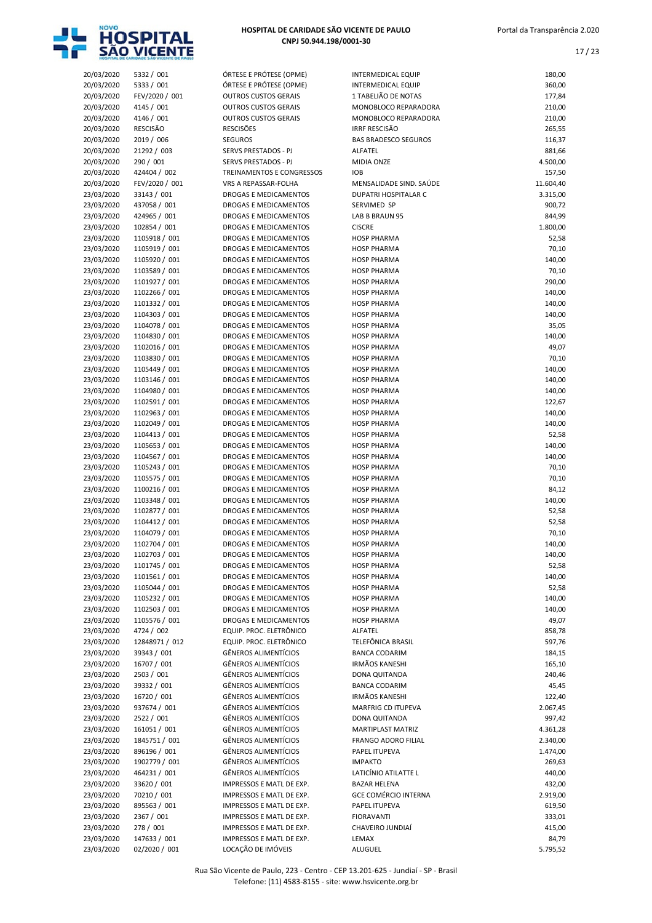

| 20/03/2020               | 5332 / 001     | ÓRTESE E PRÓTESE (OPME)      | <b>INTERMEDICAL EQUIP</b>          | 180,00             |
|--------------------------|----------------|------------------------------|------------------------------------|--------------------|
| 20/03/2020               | 5333 / 001     | ÓRTESE E PRÓTESE (OPME)      | INTERMEDICAL EQUIP                 | 360,00             |
| 20/03/2020               | FEV/2020 / 001 | <b>OUTROS CUSTOS GERAIS</b>  | 1 TABELIÃO DE NOTAS                | 177,84             |
| 20/03/2020               | 4145 / 001     | <b>OUTROS CUSTOS GERAIS</b>  | MONOBLOCO REPARADORA               | 210,00             |
| 20/03/2020               | 4146 / 001     | <b>OUTROS CUSTOS GERAIS</b>  | MONOBLOCO REPARADORA               | 210,00             |
| 20/03/2020               | RESCISÃO       | <b>RESCISÕES</b>             | <b>IRRF RESCISÃO</b>               | 265,55             |
| 20/03/2020               | 2019 / 006     | <b>SEGUROS</b>               | <b>BAS BRADESCO SEGUROS</b>        | 116,37             |
| 20/03/2020               | 21292 / 003    | SERVS PRESTADOS - PJ         | ALFATEL                            | 881,66             |
| 20/03/2020               | 290 / 001      | SERVS PRESTADOS - PJ         | MIDIA ONZE                         | 4.500,00           |
| 20/03/2020               | 424404 / 002   | TREINAMENTOS E CONGRESSOS    | <b>IOB</b>                         | 157,50             |
| 20/03/2020               | FEV/2020 / 001 | VRS A REPASSAR-FOLHA         | MENSALIDADE SIND. SAÚDE            | 11.604,40          |
| 23/03/2020               | 33143 / 001    | <b>DROGAS E MEDICAMENTOS</b> | <b>DUPATRI HOSPITALAR C</b>        | 3.315,00           |
| 23/03/2020               | 437058 / 001   | DROGAS E MEDICAMENTOS        | SERVIMED SP                        | 900,72             |
| 23/03/2020               | 424965 / 001   | DROGAS E MEDICAMENTOS        | LAB B BRAUN 95                     | 844,99             |
| 23/03/2020               | 102854 / 001   | <b>DROGAS E MEDICAMENTOS</b> | <b>CISCRE</b>                      | 1.800,00           |
| 23/03/2020               | 1105918 / 001  | DROGAS E MEDICAMENTOS        | <b>HOSP PHARMA</b>                 | 52,58              |
| 23/03/2020               | 1105919 / 001  | DROGAS E MEDICAMENTOS        | <b>HOSP PHARMA</b>                 | 70,10              |
| 23/03/2020               | 1105920 / 001  | DROGAS E MEDICAMENTOS        | <b>HOSP PHARMA</b>                 | 140,00             |
| 23/03/2020               | 1103589 / 001  | DROGAS E MEDICAMENTOS        | <b>HOSP PHARMA</b>                 | 70,10              |
| 23/03/2020               | 1101927 / 001  | <b>DROGAS E MEDICAMENTOS</b> | <b>HOSP PHARMA</b>                 | 290,00             |
| 23/03/2020               | 1102266 / 001  | <b>DROGAS E MEDICAMENTOS</b> | <b>HOSP PHARMA</b>                 | 140,00             |
| 23/03/2020               | 1101332 / 001  | DROGAS E MEDICAMENTOS        | <b>HOSP PHARMA</b>                 | 140,00             |
| 23/03/2020               | 1104303 / 001  | DROGAS E MEDICAMENTOS        | <b>HOSP PHARMA</b>                 | 140,00             |
| 23/03/2020               | 1104078 / 001  | <b>DROGAS E MEDICAMENTOS</b> | <b>HOSP PHARMA</b>                 | 35,05              |
| 23/03/2020               | 1104830 / 001  | DROGAS E MEDICAMENTOS        | <b>HOSP PHARMA</b>                 | 140,00             |
| 23/03/2020               | 1102016 / 001  | DROGAS E MEDICAMENTOS        | <b>HOSP PHARMA</b>                 | 49,07              |
| 23/03/2020               | 1103830 / 001  | DROGAS E MEDICAMENTOS        | <b>HOSP PHARMA</b>                 | 70,10              |
| 23/03/2020               | 1105449 / 001  | <b>DROGAS E MEDICAMENTOS</b> | <b>HOSP PHARMA</b>                 | 140,00             |
| 23/03/2020               | 1103146 / 001  | <b>DROGAS E MEDICAMENTOS</b> | <b>HOSP PHARMA</b>                 | 140,00             |
| 23/03/2020               | 1104980 / 001  | DROGAS E MEDICAMENTOS        | <b>HOSP PHARMA</b>                 | 140,00             |
| 23/03/2020               | 1102591 / 001  | DROGAS E MEDICAMENTOS        | <b>HOSP PHARMA</b>                 | 122,67             |
| 23/03/2020               | 1102963 / 001  | DROGAS E MEDICAMENTOS        | <b>HOSP PHARMA</b>                 | 140,00             |
| 23/03/2020               | 1102049 / 001  | DROGAS E MEDICAMENTOS        | <b>HOSP PHARMA</b>                 | 140,00             |
| 23/03/2020               | 1104413 / 001  | DROGAS E MEDICAMENTOS        | <b>HOSP PHARMA</b>                 | 52,58              |
| 23/03/2020               | 1105653 / 001  | DROGAS E MEDICAMENTOS        | <b>HOSP PHARMA</b>                 | 140,00             |
| 23/03/2020               | 1104567 / 001  | DROGAS E MEDICAMENTOS        | <b>HOSP PHARMA</b>                 | 140,00             |
| 23/03/2020               | 1105243 / 001  | DROGAS E MEDICAMENTOS        | <b>HOSP PHARMA</b>                 | 70,10              |
| 23/03/2020               | 1105575 / 001  | DROGAS E MEDICAMENTOS        | <b>HOSP PHARMA</b>                 | 70,10              |
| 23/03/2020               | 1100216 / 001  | DROGAS E MEDICAMENTOS        | <b>HOSP PHARMA</b>                 | 84,12              |
| 23/03/2020               | 1103348 / 001  | DROGAS E MEDICAMENTOS        | <b>HOSP PHARMA</b>                 | 140,00             |
| 23/03/2020               | 1102877 / 001  | DROGAS E MEDICAMENTOS        | <b>HOSP PHARMA</b>                 | 52,58              |
| 23/03/2020               | 1104412 / 001  | <b>DROGAS E MEDICAMENTOS</b> | <b>HOSP PHARMA</b>                 | 52,58              |
| 23/03/2020               | 1104079 / 001  | DROGAS E MEDICAMENTOS        | <b>HOSP PHARMA</b>                 | 70,10              |
| 23/03/2020               | 1102704 / 001  | DROGAS E MEDICAMENTOS        | <b>HOSP PHARMA</b>                 | 140,00             |
| 23/03/2020               | 1102703 / 001  | DROGAS E MEDICAMENTOS        | <b>HOSP PHARMA</b>                 | 140,00             |
| 23/03/2020               | 1101745 / 001  | DROGAS E MEDICAMENTOS        | <b>HOSP PHARMA</b>                 | 52,58              |
| 23/03/2020               | 1101561 / 001  | DROGAS E MEDICAMENTOS        | <b>HOSP PHARMA</b>                 | 140,00             |
| 23/03/2020               | 1105044 / 001  | DROGAS E MEDICAMENTOS        | <b>HOSP PHARMA</b>                 | 52,58              |
| 23/03/2020               | 1105232 / 001  | DROGAS E MEDICAMENTOS        | <b>HOSP PHARMA</b>                 | 140,00             |
| 23/03/2020               | 1102503 / 001  | DROGAS E MEDICAMENTOS        | <b>HOSP PHARMA</b>                 | 140,00             |
| 23/03/2020               | 1105576 / 001  | DROGAS E MEDICAMENTOS        | <b>HOSP PHARMA</b>                 | 49,07              |
| 23/03/2020               | 4724 / 002     | EQUIP. PROC. ELETRÔNICO      | ALFATEL                            | 858,78             |
| 23/03/2020               | 12848971 / 012 | EQUIP. PROC. ELETRÔNICO      | TELEFÖNICA BRASIL                  | 597,76             |
| 23/03/2020               | 39343 / 001    | <b>GÊNEROS ALIMENTÍCIOS</b>  | <b>BANCA CODARIM</b>               | 184,15             |
| 23/03/2020               | 16707 / 001    | GÊNEROS ALIMENTÍCIOS         | <b>IRMÃOS KANESHI</b>              | 165,10             |
| 23/03/2020               | 2503 / 001     | GÊNEROS ALIMENTÍCIOS         | DONA QUITANDA                      | 240,46             |
| 23/03/2020               | 39332 / 001    | GÊNEROS ALIMENTÍCIOS         | <b>BANCA CODARIM</b>               | 45,45              |
| 23/03/2020               | 16720 / 001    | GÊNEROS ALIMENTÍCIOS         | <b>IRMÃOS KANESHI</b>              | 122,40             |
|                          | 937674 / 001   | GÊNEROS ALIMENTÍCIOS         | MARFRIG CD ITUPEVA                 |                    |
| 23/03/2020               | 2522 / 001     | GÊNEROS ALIMENTÍCIOS         |                                    | 2.067,45           |
| 23/03/2020<br>23/03/2020 | 161051 / 001   | GÊNEROS ALIMENTÍCIOS         | DONA QUITANDA<br>MARTIPLAST MATRIZ | 997,42<br>4.361,28 |
|                          | 1845751 / 001  | GÊNEROS ALIMENTÍCIOS         | FRANGO ADORO FILIAL                | 2.340,00           |
| 23/03/2020               |                | GÊNEROS ALIMENTÍCIOS         |                                    |                    |
| 23/03/2020               | 896196 / 001   | GÊNEROS ALIMENTÍCIOS         | PAPEL ITUPEVA<br><b>IMPAKTO</b>    | 1.474,00           |
| 23/03/2020               | 1902779 / 001  |                              |                                    | 269,63             |
| 23/03/2020               | 464231 / 001   | GÊNEROS ALIMENTÍCIOS         | LATICÍNIO ATILATTE L               | 440,00             |
| 23/03/2020               | 33620 / 001    | IMPRESSOS E MATL DE EXP.     | <b>BAZAR HELENA</b>                | 432,00             |
| 23/03/2020               | 70210 / 001    | IMPRESSOS E MATL DE EXP.     | <b>GCE COMÉRCIO INTERNA</b>        | 2.919,00           |
| 23/03/2020               | 895563 / 001   | IMPRESSOS E MATL DE EXP.     | PAPEL ITUPEVA                      | 619,50             |
| 23/03/2020               | 2367 / 001     | IMPRESSOS E MATL DE EXP.     | <b>FIORAVANTI</b>                  | 333,01             |
| 23/03/2020               | 278 / 001      | IMPRESSOS E MATL DE EXP.     | CHAVEIRO JUNDIAÍ                   | 415,00             |
| 23/03/2020               | 147633 / 001   | IMPRESSOS E MATL DE EXP.     | LEMAX                              | 84,79              |
| 23/03/2020               | 02/2020 / 001  | LOCAÇÃO DE IMÓVEIS           | <b>ALUGUEL</b>                     | 5.795,52           |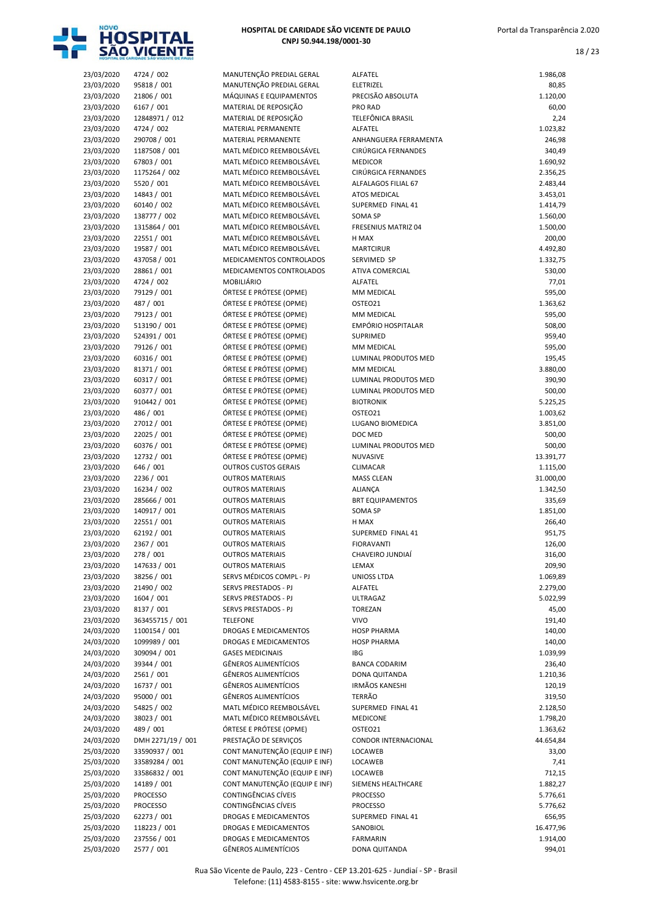

18 / 23

| 23/03/2020               | 4724 / 002                     | MANUTENÇÃO PREDIAL GERAL                                       | ALFATEL                                  | 1.986,08             |
|--------------------------|--------------------------------|----------------------------------------------------------------|------------------------------------------|----------------------|
| 23/03/2020               | 95818 / 001                    | MANUTENÇÃO PREDIAL GERAL                                       | ELETRIZEL                                | 80,85                |
| 23/03/2020               | 21806 / 001                    | MÁQUINAS E EQUIPAMENTOS                                        | PRECISÃO ABSOLUTA                        | 1.120,00             |
| 23/03/2020<br>23/03/2020 | 6167 / 001<br>12848971 / 012   | MATERIAL DE REPOSIÇÃO<br>MATERIAL DE REPOSIÇÃO                 | PRO RAD<br>TELEFÔNICA BRASIL             | 60,00<br>2,24        |
| 23/03/2020               | 4724 / 002                     | <b>MATERIAL PERMANENTE</b>                                     | ALFATEL                                  | 1.023,82             |
| 23/03/2020               | 290708 / 001                   | <b>MATERIAL PERMANENTE</b>                                     | ANHANGUERA FERRAMENTA                    | 246,98               |
| 23/03/2020               | 1187508 / 001                  | MATL MÉDICO REEMBOLSÁVEL                                       | CIRÚRGICA FERNANDES                      | 340,49               |
| 23/03/2020               | 67803 / 001                    | MATL MÉDICO REEMBOLSÁVEL                                       | <b>MEDICOR</b>                           | 1.690,92             |
| 23/03/2020               | 1175264 / 002                  | MATL MÉDICO REEMBOLSÁVEL                                       | CIRÚRGICA FERNANDES                      | 2.356,25             |
| 23/03/2020               | 5520 / 001                     | MATL MÉDICO REEMBOLSÁVEL                                       | ALFALAGOS FILIAL 67                      | 2.483,44             |
| 23/03/2020<br>23/03/2020 | 14843 / 001<br>60140 / 002     | MATL MÉDICO REEMBOLSÁVEL<br>MATL MÉDICO REEMBOLSÁVEL           | <b>ATOS MEDICAL</b><br>SUPERMED FINAL 41 | 3.453,01<br>1.414,79 |
| 23/03/2020               | 138777 / 002                   | MATL MÉDICO REEMBOLSÁVEL                                       | SOMA SP                                  | 1.560,00             |
| 23/03/2020               | 1315864 / 001                  | MATL MÉDICO REEMBOLSÁVEL                                       | FRESENIUS MATRIZ 04                      | 1.500,00             |
| 23/03/2020               | 22551 / 001                    | MATL MÉDICO REEMBOLSÁVEL                                       | H MAX                                    | 200,00               |
| 23/03/2020               | 19587 / 001                    | MATL MÉDICO REEMBOLSÁVEL                                       | <b>MARTCIRUR</b>                         | 4.492,80             |
| 23/03/2020               | 437058 / 001                   | MEDICAMENTOS CONTROLADOS                                       | SERVIMED SP                              | 1.332,75             |
| 23/03/2020               | 28861 / 001                    | MEDICAMENTOS CONTROLADOS                                       | ATIVA COMERCIAL                          | 530,00               |
| 23/03/2020               | 4724 / 002                     | MOBILIÁRIO                                                     | ALFATEL                                  | 77,01                |
| 23/03/2020<br>23/03/2020 | 79129 / 001<br>487 / 001       | ÓRTESE E PRÓTESE (OPME)<br>ÓRTESE E PRÓTESE (OPME)             | MM MEDICAL<br>OSTEO21                    | 595,00<br>1.363,62   |
| 23/03/2020               | 79123 / 001                    | ÓRTESE E PRÓTESE (OPME)                                        | MM MEDICAL                               | 595,00               |
| 23/03/2020               | 513190 / 001                   | ÓRTESE E PRÓTESE (OPME)                                        | EMPÓRIO HOSPITALAR                       | 508,00               |
| 23/03/2020               | 524391 / 001                   | ÓRTESE E PRÓTESE (OPME)                                        | <b>SUPRIMED</b>                          | 959,40               |
| 23/03/2020               | 79126 / 001                    | ÓRTESE E PRÓTESE (OPME)                                        | MM MEDICAL                               | 595,00               |
| 23/03/2020               | 60316 / 001                    | ÓRTESE E PRÓTESE (OPME)                                        | LUMINAL PRODUTOS MED                     | 195,45               |
| 23/03/2020               | 81371 / 001                    | ÓRTESE E PRÓTESE (OPME)                                        | MM MEDICAL                               | 3.880,00             |
| 23/03/2020               | 60317 / 001                    | ÓRTESE E PRÓTESE (OPME)                                        | LUMINAL PRODUTOS MED                     | 390,90               |
| 23/03/2020<br>23/03/2020 | 60377 / 001<br>910442 / 001    | ÓRTESE E PRÓTESE (OPME)<br>ÓRTESE E PRÓTESE (OPME)             | LUMINAL PRODUTOS MED<br><b>BIOTRONIK</b> | 500,00<br>5.225,25   |
| 23/03/2020               | 486 / 001                      | ÓRTESE E PRÓTESE (OPME)                                        | OSTEO21                                  | 1.003,62             |
| 23/03/2020               | 27012 / 001                    | ÓRTESE E PRÓTESE (OPME)                                        | LUGANO BIOMEDICA                         | 3.851,00             |
| 23/03/2020               | 22025 / 001                    | ÓRTESE E PRÓTESE (OPME)                                        | DOC MED                                  | 500,00               |
| 23/03/2020               | 60376 / 001                    | ÓRTESE E PRÓTESE (OPME)                                        | LUMINAL PRODUTOS MED                     | 500,00               |
| 23/03/2020               | 12732 / 001                    | ÓRTESE E PRÓTESE (OPME)                                        | NUVASIVE                                 | 13.391,77            |
| 23/03/2020               | 646 / 001                      | <b>OUTROS CUSTOS GERAIS</b>                                    | CLIMACAR                                 | 1.115,00             |
| 23/03/2020               | 2236 / 001                     | <b>OUTROS MATERIAIS</b>                                        | <b>MASS CLEAN</b>                        | 31.000,00            |
| 23/03/2020               | 16234 / 002<br>285666 / 001    | <b>OUTROS MATERIAIS</b><br><b>OUTROS MATERIAIS</b>             | ALIANÇA<br><b>BRT EQUIPAMENTOS</b>       | 1.342,50             |
| 23/03/2020<br>23/03/2020 | 140917 / 001                   | <b>OUTROS MATERIAIS</b>                                        | SOMA SP                                  | 335,69<br>1.851,00   |
| 23/03/2020               | 22551 / 001                    | <b>OUTROS MATERIAIS</b>                                        | H MAX                                    | 266,40               |
| 23/03/2020               | 62192 / 001                    | <b>OUTROS MATERIAIS</b>                                        | SUPERMED FINAL 41                        | 951,75               |
| 23/03/2020               | 2367 / 001                     | <b>OUTROS MATERIAIS</b>                                        | <b>FIORAVANTI</b>                        | 126,00               |
| 23/03/2020               | 278 / 001                      | <b>OUTROS MATERIAIS</b>                                        | CHAVEIRO JUNDIAÍ                         | 316,00               |
| 23/03/2020               | 147633 / 001                   | <b>OUTROS MATERIAIS</b>                                        | LEMAX                                    | 209,90               |
| 23/03/2020               | 38256 / 001                    | SERVS MÉDICOS COMPL - PJ                                       | UNIOSS LTDA                              | 1.069,89             |
| 23/03/2020<br>23/03/2020 | 21490 / 002<br>1604 / 001      | SERVS PRESTADOS - PJ<br>SERVS PRESTADOS - PJ                   | ALFATEL<br><b>ULTRAGAZ</b>               | 2.279,00<br>5.022,99 |
| 23/03/2020               | 8137 / 001                     | SERVS PRESTADOS - PJ                                           | <b>TOREZAN</b>                           | 45,00                |
| 23/03/2020               | 363455715 / 001                | <b>TELEFONE</b>                                                | <b>VIVO</b>                              | 191,40               |
| 24/03/2020               | 1100154 / 001                  | DROGAS E MEDICAMENTOS                                          | <b>HOSP PHARMA</b>                       | 140,00               |
| 24/03/2020               | 1099989 / 001                  | DROGAS E MEDICAMENTOS                                          | <b>HOSP PHARMA</b>                       | 140,00               |
| 24/03/2020               | 309094 / 001                   | <b>GASES MEDICINAIS</b>                                        | <b>IBG</b>                               | 1.039,99             |
| 24/03/2020               | 39344 / 001                    | <b>GÊNEROS ALIMENTÍCIOS</b>                                    | <b>BANCA CODARIM</b>                     | 236,40               |
| 24/03/2020<br>24/03/2020 | 2561 / 001<br>16737 / 001      | <b>GÊNEROS ALIMENTÍCIOS</b><br><b>GÊNEROS ALIMENTÍCIOS</b>     | DONA QUITANDA<br><b>IRMÃOS KANESHI</b>   | 1.210,36             |
| 24/03/2020               | 95000 / 001                    | <b>GÊNEROS ALIMENTÍCIOS</b>                                    | <b>TERRÃO</b>                            | 120,19<br>319,50     |
| 24/03/2020               | 54825 / 002                    | MATL MÉDICO REEMBOLSÁVEL                                       | SUPERMED FINAL 41                        | 2.128,50             |
| 24/03/2020               | 38023 / 001                    | MATL MÉDICO REEMBOLSÁVEL                                       | <b>MEDICONE</b>                          | 1.798,20             |
| 24/03/2020               | 489 / 001                      | ÓRTESE E PRÓTESE (OPME)                                        | OSTEO21                                  | 1.363,62             |
| 24/03/2020               | DMH 2271/19 / 001              | PRESTAÇÃO DE SERVIÇOS                                          | CONDOR INTERNACIONAL                     | 44.654,84            |
| 25/03/2020               | 33590937 / 001                 | CONT MANUTENÇÃO (EQUIP E INF)                                  | LOCAWEB                                  | 33,00                |
| 25/03/2020               | 33589284 / 001                 | CONT MANUTENÇÃO (EQUIP E INF)                                  | LOCAWEB                                  | 7,41                 |
| 25/03/2020               | 33586832 / 001                 | CONT MANUTENÇÃO (EQUIP E INF)<br>CONT MANUTENÇÃO (EQUIP E INF) | LOCAWEB                                  | 712,15               |
| 25/03/2020<br>25/03/2020 | 14189 / 001<br><b>PROCESSO</b> | CONTINGÊNCIAS CÍVEIS                                           | SIEMENS HEALTHCARE<br><b>PROCESSO</b>    | 1.882,27<br>5.776,61 |
| 25/03/2020               | PROCESSO                       | CONTINGÊNCIAS CÍVEIS                                           | <b>PROCESSO</b>                          | 5.776,62             |
| 25/03/2020               | 62273 / 001                    | DROGAS E MEDICAMENTOS                                          | SUPERMED FINAL 41                        | 656,95               |
| 25/03/2020               | 118223 / 001                   | DROGAS E MEDICAMENTOS                                          | SANOBIOL                                 | 16.477,96            |
| 25/03/2020               | 237556 / 001                   | DROGAS E MEDICAMENTOS                                          | <b>FARMARIN</b>                          | 1.914,00             |
| 25/03/2020               | 2577 / 001                     | <b>GÊNEROS ALIMENTÍCIOS</b>                                    | DONA QUITANDA                            | 994,01               |

Rua São Vicente de Paulo, 223 - Centro - CEP 13.201-625 - Jundiaí - SP - Brasil Telefone: (11) 4583-8155 - site: www.hsvicente.org.br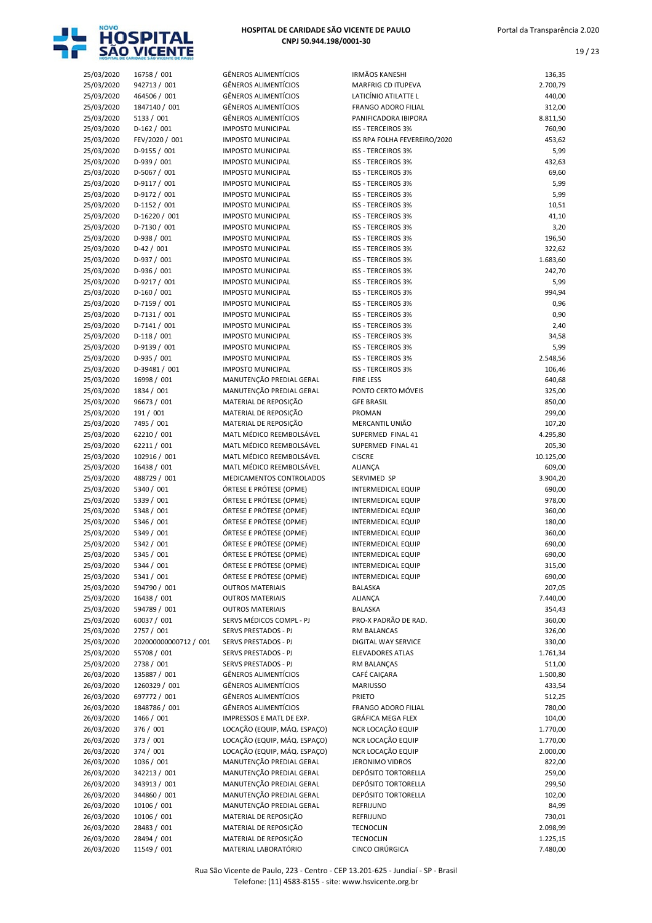

| 25/03/2020 | 16758 / 001           | GÊNEROS ALIMENTÍCIOS         | <b>IRMÃOS KANESHI</b>        | 136,35    |
|------------|-----------------------|------------------------------|------------------------------|-----------|
| 25/03/2020 | 942713 / 001          | <b>GÊNEROS ALIMENTÍCIOS</b>  | <b>MARFRIG CD ITUPEVA</b>    | 2.700,79  |
| 25/03/2020 | 464506 / 001          | <b>GÊNEROS ALIMENTÍCIOS</b>  | LATICÍNIO ATILATTE L         | 440,00    |
| 25/03/2020 | 1847140 / 001         | <b>GÊNEROS ALIMENTÍCIOS</b>  | FRANGO ADORO FILIAL          | 312,00    |
| 25/03/2020 | 5133 / 001            | <b>GÊNEROS ALIMENTÍCIOS</b>  | PANIFICADORA IBIPORA         | 8.811,50  |
| 25/03/2020 | $D-162 / 001$         | <b>IMPOSTO MUNICIPAL</b>     | <b>ISS - TERCEIROS 3%</b>    | 760,90    |
|            | FEV/2020 / 001        | <b>IMPOSTO MUNICIPAL</b>     | ISS RPA FOLHA FEVEREIRO/2020 | 453,62    |
| 25/03/2020 |                       |                              |                              |           |
| 25/03/2020 | D-9155 / 001          | <b>IMPOSTO MUNICIPAL</b>     | <b>ISS - TERCEIROS 3%</b>    | 5,99      |
| 25/03/2020 | $D-939/001$           | <b>IMPOSTO MUNICIPAL</b>     | <b>ISS - TERCEIROS 3%</b>    | 432,63    |
| 25/03/2020 | D-5067 / 001          | <b>IMPOSTO MUNICIPAL</b>     | <b>ISS - TERCEIROS 3%</b>    | 69,60     |
| 25/03/2020 | $D-9117/001$          | <b>IMPOSTO MUNICIPAL</b>     | <b>ISS - TERCEIROS 3%</b>    | 5,99      |
| 25/03/2020 | D-9172 / 001          | <b>IMPOSTO MUNICIPAL</b>     | <b>ISS - TERCEIROS 3%</b>    | 5,99      |
| 25/03/2020 | $D-1152 / 001$        | <b>IMPOSTO MUNICIPAL</b>     | <b>ISS - TERCEIROS 3%</b>    | 10,51     |
| 25/03/2020 | D-16220 / 001         | <b>IMPOSTO MUNICIPAL</b>     | <b>ISS - TERCEIROS 3%</b>    | 41,10     |
| 25/03/2020 | D-7130 / 001          | <b>IMPOSTO MUNICIPAL</b>     | <b>ISS - TERCEIROS 3%</b>    | 3,20      |
| 25/03/2020 | $D-938 / 001$         | <b>IMPOSTO MUNICIPAL</b>     | <b>ISS - TERCEIROS 3%</b>    | 196,50    |
| 25/03/2020 | $D-42/001$            | <b>IMPOSTO MUNICIPAL</b>     | ISS - TERCEIROS 3%           | 322,62    |
| 25/03/2020 | $D-937 / 001$         | <b>IMPOSTO MUNICIPAL</b>     | <b>ISS - TERCEIROS 3%</b>    | 1.683,60  |
| 25/03/2020 | D-936 / 001           | <b>IMPOSTO MUNICIPAL</b>     | <b>ISS - TERCEIROS 3%</b>    | 242,70    |
| 25/03/2020 | D-9217 / 001          | <b>IMPOSTO MUNICIPAL</b>     | <b>ISS - TERCEIROS 3%</b>    | 5,99      |
| 25/03/2020 | $D-160/001$           | <b>IMPOSTO MUNICIPAL</b>     | <b>ISS - TERCEIROS 3%</b>    | 994,94    |
| 25/03/2020 | $D-7159/001$          | <b>IMPOSTO MUNICIPAL</b>     | <b>ISS - TERCEIROS 3%</b>    | 0,96      |
| 25/03/2020 | $D-7131/001$          | <b>IMPOSTO MUNICIPAL</b>     | ISS - TERCEIROS 3%           | 0,90      |
| 25/03/2020 | $D-7141/001$          | <b>IMPOSTO MUNICIPAL</b>     | <b>ISS - TERCEIROS 3%</b>    | 2,40      |
|            |                       |                              |                              |           |
| 25/03/2020 | $D-118/001$           | <b>IMPOSTO MUNICIPAL</b>     | <b>ISS - TERCEIROS 3%</b>    | 34,58     |
| 25/03/2020 | D-9139 / 001          | <b>IMPOSTO MUNICIPAL</b>     | <b>ISS - TERCEIROS 3%</b>    | 5,99      |
| 25/03/2020 | D-935 / 001           | <b>IMPOSTO MUNICIPAL</b>     | <b>ISS - TERCEIROS 3%</b>    | 2.548,56  |
| 25/03/2020 | D-39481 / 001         | <b>IMPOSTO MUNICIPAL</b>     | <b>ISS - TERCEIROS 3%</b>    | 106,46    |
| 25/03/2020 | 16998 / 001           | MANUTENÇÃO PREDIAL GERAL     | <b>FIRE LESS</b>             | 640,68    |
| 25/03/2020 | 1834 / 001            | MANUTENÇÃO PREDIAL GERAL     | PONTO CERTO MÓVEIS           | 325,00    |
| 25/03/2020 | 96673 / 001           | MATERIAL DE REPOSIÇÃO        | <b>GFE BRASIL</b>            | 850,00    |
| 25/03/2020 | 191 / 001             | MATERIAL DE REPOSIÇÃO        | PROMAN                       | 299,00    |
| 25/03/2020 | 7495 / 001            | MATERIAL DE REPOSIÇÃO        | MERCANTIL UNIÃO              | 107,20    |
| 25/03/2020 | 62210 / 001           | MATL MÉDICO REEMBOLSÁVEL     | SUPERMED FINAL 41            | 4.295,80  |
| 25/03/2020 | 62211 / 001           | MATL MÉDICO REEMBOLSÁVEL     | SUPERMED FINAL 41            | 205,30    |
| 25/03/2020 | 102916 / 001          | MATL MÉDICO REEMBOLSÁVEL     | <b>CISCRE</b>                | 10.125,00 |
| 25/03/2020 | 16438 / 001           | MATL MÉDICO REEMBOLSÁVEL     | <b>ALIANÇA</b>               | 609,00    |
| 25/03/2020 | 488729 / 001          | MEDICAMENTOS CONTROLADOS     | SERVIMED SP                  | 3.904,20  |
| 25/03/2020 | 5340 / 001            | ÓRTESE E PRÓTESE (OPME)      | <b>INTERMEDICAL EQUIP</b>    | 690,00    |
| 25/03/2020 | 5339 / 001            | ÓRTESE E PRÓTESE (OPME)      | <b>INTERMEDICAL EQUIP</b>    | 978,00    |
| 25/03/2020 | 5348 / 001            | ÓRTESE E PRÓTESE (OPME)      | <b>INTERMEDICAL EQUIP</b>    | 360,00    |
| 25/03/2020 | 5346 / 001            | ÓRTESE E PRÓTESE (OPME)      | <b>INTERMEDICAL EQUIP</b>    | 180,00    |
| 25/03/2020 | 5349 / 001            | ÓRTESE E PRÓTESE (OPME)      | <b>INTERMEDICAL EQUIP</b>    | 360,00    |
|            | 5342 / 001            | ÓRTESE E PRÓTESE (OPME)      |                              |           |
| 25/03/2020 |                       | ÓRTESE E PRÓTESE (OPME)      | <b>INTERMEDICAL EQUIP</b>    | 690,00    |
| 25/03/2020 | 5345 / 001            |                              | INTERMEDICAL EQUIP           | 690,00    |
| 25/03/2020 | 5344 / 001            | ÓRTESE E PRÓTESE (OPME)      | <b>INTERMEDICAL EQUIP</b>    | 315,00    |
| 25/03/2020 | 5341 / 001            | ÓRTESE E PRÓTESE (OPME)      | <b>INTERMEDICAL EQUIP</b>    | 690,00    |
| 25/03/2020 | 594790 / 001          | <b>OUTROS MATERIAIS</b>      | BALASKA                      | 207,05    |
| 25/03/2020 | 16438 / 001           | <b>OUTROS MATERIAIS</b>      | <b>ALIANCA</b>               | 7.440,00  |
| 25/03/2020 | 594789 / 001          | <b>OUTROS MATERIAIS</b>      | BALASKA                      | 354,43    |
| 25/03/2020 | 60037 / 001           | SERVS MÉDICOS COMPL - PJ     | PRO-X PADRÃO DE RAD.         | 360,00    |
| 25/03/2020 | 2757 / 001            | SERVS PRESTADOS - PJ         | RM BALANCAS                  | 326,00    |
| 25/03/2020 | 202000000000712 / 001 | SERVS PRESTADOS - PJ         | DIGITAL WAY SERVICE          | 330,00    |
| 25/03/2020 | 55708 / 001           | SERVS PRESTADOS - PJ         | <b>ELEVADORES ATLAS</b>      | 1.761,34  |
| 25/03/2020 | 2738 / 001            | SERVS PRESTADOS - PJ         | RM BALANÇAS                  | 511,00    |
| 26/03/2020 | 135887 / 001          | GÊNEROS ALIMENTÍCIOS         | CAFÉ CAIÇARA                 | 1.500,80  |
| 26/03/2020 | 1260329 / 001         | <b>GÊNEROS ALIMENTÍCIOS</b>  | <b>MARIUSSO</b>              | 433,54    |
| 26/03/2020 | 697772 / 001          | <b>GÊNEROS ALIMENTÍCIOS</b>  | <b>PRIETO</b>                | 512,25    |
| 26/03/2020 | 1848786 / 001         | GÊNEROS ALIMENTÍCIOS         | FRANGO ADORO FILIAL          | 780,00    |
| 26/03/2020 | 1466 / 001            | IMPRESSOS E MATL DE EXP.     | <b>GRÁFICA MEGA FLEX</b>     | 104,00    |
| 26/03/2020 | 376 / 001             | LOCAÇÃO (EQUIP, MÁQ. ESPAÇO) | NCR LOCAÇÃO EQUIP            | 1.770,00  |
| 26/03/2020 | 373 / 001             | LOCAÇÃO (EQUIP, MÁQ. ESPAÇO) | NCR LOCAÇÃO EQUIP            | 1.770,00  |
| 26/03/2020 | 374 / 001             | LOCAÇÃO (EQUIP, MÁQ. ESPAÇO) | NCR LOCAÇÃO EQUIP            | 2.000,00  |
|            | 1036 / 001            | MANUTENÇÃO PREDIAL GERAL     |                              |           |
| 26/03/2020 |                       |                              | <b>JERONIMO VIDROS</b>       | 822,00    |
| 26/03/2020 | 342213 / 001          | MANUTENÇÃO PREDIAL GERAL     | DEPÓSITO TORTORELLA          | 259,00    |
| 26/03/2020 | 343913 / 001          | MANUTENÇÃO PREDIAL GERAL     | DEPÓSITO TORTORELLA          | 299,50    |
| 26/03/2020 | 344860 / 001          | MANUTENÇÃO PREDIAL GERAL     | DEPÓSITO TORTORELLA          | 102,00    |
| 26/03/2020 | 10106 / 001           | MANUTENÇÃO PREDIAL GERAL     | REFRIJUND                    | 84,99     |
| 26/03/2020 | 10106 / 001           | MATERIAL DE REPOSIÇÃO        | REFRIJUND                    | 730,01    |
| 26/03/2020 | 28483 / 001           | MATERIAL DE REPOSIÇÃO        | <b>TECNOCLIN</b>             | 2.098,99  |
| 26/03/2020 | 28494 / 001           | MATERIAL DE REPOSIÇÃO        | <b>TECNOCLIN</b>             | 1.225,15  |
| 26/03/2020 | 11549 / 001           | MATERIAL LABORATÓRIO         | CINCO CIRÚRGICA              | 7.480,00  |

| <b>IRMÃOS KANESHI</b>                                  | 136,35           |
|--------------------------------------------------------|------------------|
| <b>MARFRIG CD ITUPEVA</b>                              | 2.700,79         |
| LATICÍNIO ATILATTE L                                   | 440,00           |
| <b>FRANGO ADORO FILIAL</b>                             | 312,00           |
| PANIFICADORA IBIPORA                                   | 8.811,50         |
| <b>ISS - TERCEIROS 3%</b>                              | 760,90           |
| ISS RPA FOLHA FEVEREIRO/2020                           | 453,62           |
| <b>ISS - TERCEIROS 3%</b>                              | 5,99             |
| <b>ISS - TERCEIROS 3%</b><br><b>ISS - TERCEIROS 3%</b> | 432,63<br>69,60  |
| <b>ISS - TERCEIROS 3%</b>                              | 5,99             |
| <b>ISS - TERCEIROS 3%</b>                              | 5,99             |
| <b>ISS - TERCEIROS 3%</b>                              | 10,51            |
| <b>ISS - TERCEIROS 3%</b>                              | 41,10            |
| <b>ISS - TERCEIROS 3%</b>                              | 3,20             |
| <b>ISS - TERCEIROS 3%</b>                              | 196,50           |
| <b>ISS - TERCEIROS 3%</b>                              | 322,62           |
| <b>ISS - TERCEIROS 3%</b>                              | 1.683,60         |
| <b>ISS - TERCEIROS 3%</b>                              | 242,70           |
| <b>ISS - TERCEIROS 3%</b>                              | 5,99             |
| <b>ISS - TERCEIROS 3%</b>                              | 994,94           |
| <b>ISS - TERCEIROS 3%</b>                              | 0,96             |
| <b>ISS - TERCEIROS 3%</b>                              | 0,90             |
| <b>ISS - TERCEIROS 3%</b>                              | 2,40             |
| <b>ISS - TERCEIROS 3%</b><br><b>ISS - TERCEIROS 3%</b> | 34,58            |
| <b>ISS - TERCEIROS 3%</b>                              | 5,99<br>2.548,56 |
| <b>ISS - TERCEIROS 3%</b>                              | 106,46           |
| <b>FIRE LESS</b>                                       | 640,68           |
| PONTO CERTO MÓVEIS                                     | 325,00           |
| <b>GFE BRASIL</b>                                      | 850,00           |
| <b>PROMAN</b>                                          | 299,00           |
| MERCANTIL UNIÃO                                        | 107,20           |
| SUPERMED FINAL 41                                      | 4.295,80         |
| SUPERMED FINAL 41                                      | 205,30           |
| <b>CISCRE</b>                                          | 10.125,00        |
| <b>ALIANÇA</b>                                         | 609,00           |
| SERVIMED SP                                            | 3.904,20         |
| <b>INTERMEDICAL EQUIP</b>                              | 690,00           |
| <b>INTERMEDICAL EQUIP</b>                              | 978,00           |
| <b>INTERMEDICAL EQUIP</b>                              | 360,00           |
| <b>INTERMEDICAL EQUIP</b><br><b>INTERMEDICAL EQUIP</b> | 180,00           |
| <b>INTERMEDICAL EQUIP</b>                              | 360,00<br>690,00 |
| IN LERMEDICAL EQUIP                                    | 690,00           |
| <b>INTERMEDICAL EQUIP</b>                              | 315,00           |
| <b>INTERMEDICAL EQUIP</b>                              | 690,00           |
| <b>BALASKA</b>                                         | 207,05           |
| <b>ALIANCA</b>                                         | 7.440,00         |
| <b>BALASKA</b>                                         | 354,43           |
| PRO-X PADRÃO DE RAD.                                   | 360,00           |
| <b>RM BALANCAS</b>                                     | 326,00           |
| <b>DIGITAL WAY SERVICE</b>                             | 330,00           |
| <b>ELEVADORES ATLAS</b>                                | 1.761,34         |
| RM BALANÇAS                                            | 511,00           |
| CAFÉ CAIÇARA                                           | 1.500,80         |
| <b>MARIUSSO</b>                                        | 433,54           |
| <b>PRIETO</b><br><b>FRANGO ADORO FILIAL</b>            | 512,25           |
| <b>GRÁFICA MEGA FLEX</b>                               | 780,00<br>104,00 |
| NCR LOCAÇÃO EQUIP                                      | 1.770,00         |
| NCR LOCAÇÃO EQUIP                                      | 1.770,00         |
| NCR LOCAÇÃO EQUIP                                      | 2.000,00         |
| <b>JERONIMO VIDROS</b>                                 | 822,00           |
| <b>DEPÓSITO TORTORELLA</b>                             | 259,00           |
| DEPÓSITO TORTORELLA                                    | 299,50           |
| DEPÓSITO TORTORELLA                                    | 102,00           |
| REFRIJUND                                              | 84,99            |
| REFRIJUND                                              | 730,01           |
| <b>TECNOCLIN</b>                                       | 2.098,99         |
| <b>TECNOCLIN</b>                                       | 1.225,15         |
| CINCO CIRÚRGICA                                        | 7.480,00         |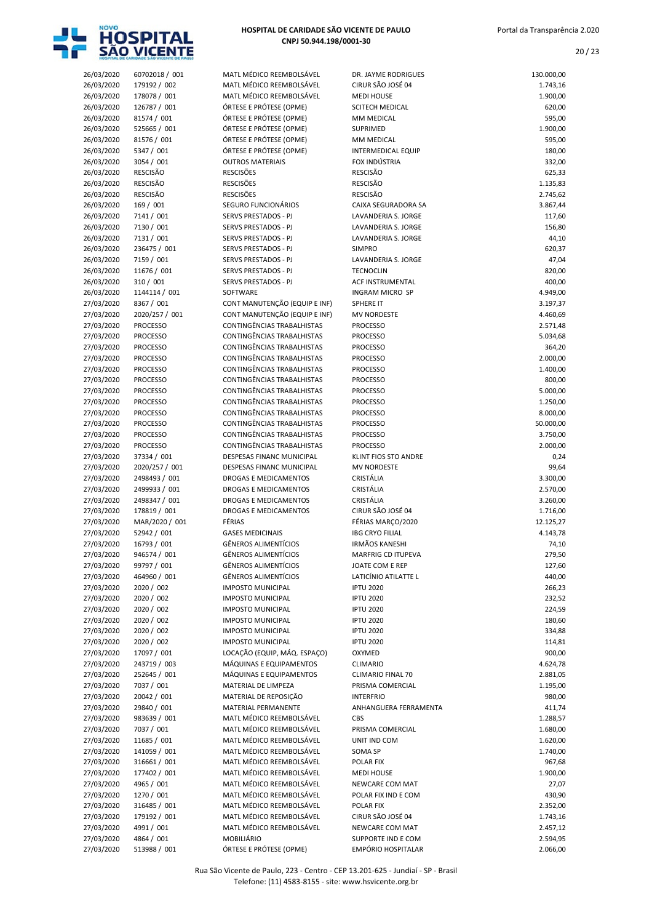

20 / 23

| 26/03/2020 | 60702018 / 001  | MATL MÉDICO REEMBOLSÁVEL          | DR. JAYME RODRIGUES         | 130.000,00 |
|------------|-----------------|-----------------------------------|-----------------------------|------------|
| 26/03/2020 | 179192 / 002    | MATL MÉDICO REEMBOLSÁVEL          | CIRUR SÃO JOSÉ 04           | 1.743,16   |
| 26/03/2020 | 178078 / 001    | MATL MÉDICO REEMBOLSÁVEL          | <b>MEDI HOUSE</b>           | 1.900,00   |
| 26/03/2020 | 126787 / 001    | ÓRTESE E PRÓTESE (OPME)           | SCITECH MEDICAL             | 620,00     |
|            |                 |                                   |                             |            |
| 26/03/2020 | 81574 / 001     | ÓRTESE E PRÓTESE (OPME)           | MM MEDICAL                  | 595,00     |
| 26/03/2020 | 525665 / 001    | ÓRTESE E PRÓTESE (OPME)           | SUPRIMED                    | 1.900,00   |
| 26/03/2020 | 81576 / 001     | ÓRTESE E PRÓTESE (OPME)           | MM MEDICAL                  | 595,00     |
| 26/03/2020 | 5347 / 001      | ÓRTESE E PRÓTESE (OPME)           | <b>INTERMEDICAL EQUIP</b>   | 180,00     |
| 26/03/2020 | 3054 / 001      | <b>OUTROS MATERIAIS</b>           | FOX INDÚSTRIA               | 332,00     |
| 26/03/2020 | <b>RESCISÃO</b> | <b>RESCISÕES</b>                  | <b>RESCISÃO</b>             | 625,33     |
|            |                 |                                   |                             |            |
| 26/03/2020 | <b>RESCISÃO</b> | <b>RESCISÕES</b>                  | <b>RESCISÃO</b>             | 1.135,83   |
| 26/03/2020 | <b>RESCISÃO</b> | <b>RESCISÕES</b>                  | <b>RESCISÃO</b>             | 2.745,62   |
| 26/03/2020 | 169 / 001       | SEGURO FUNCIONÁRIOS               | CAIXA SEGURADORA SA         | 3.867,44   |
| 26/03/2020 | 7141 / 001      | <b>SERVS PRESTADOS - PJ</b>       | LAVANDERIA S. JORGE         | 117,60     |
| 26/03/2020 | 7130 / 001      | SERVS PRESTADOS - PJ              | LAVANDERIA S. JORGE         | 156,80     |
|            | 7131 / 001      | SERVS PRESTADOS - PJ              | LAVANDERIA S. JORGE         |            |
| 26/03/2020 |                 |                                   |                             | 44,10      |
| 26/03/2020 | 236475 / 001    | SERVS PRESTADOS - PJ              | <b>SIMPRO</b>               | 620,37     |
| 26/03/2020 | 7159 / 001      | SERVS PRESTADOS - PJ              | LAVANDERIA S. JORGE         | 47,04      |
| 26/03/2020 | 11676 / 001     | SERVS PRESTADOS - PJ              | <b>TECNOCLIN</b>            | 820,00     |
| 26/03/2020 | 310 / 001       | SERVS PRESTADOS - PJ              | <b>ACF INSTRUMENTAL</b>     | 400,00     |
| 26/03/2020 | 1144114 / 001   | SOFTWARE                          | <b>INGRAM MICRO SP</b>      | 4.949,00   |
|            | 8367 / 001      | CONT MANUTENÇÃO (EQUIP E INF)     | <b>SPHERE IT</b>            |            |
| 27/03/2020 |                 |                                   |                             | 3.197,37   |
| 27/03/2020 | 2020/257 / 001  | CONT MANUTENÇÃO (EQUIP E INF)     | <b>MV NORDESTE</b>          | 4.460,69   |
| 27/03/2020 | <b>PROCESSO</b> | CONTINGÊNCIAS TRABALHISTAS        | <b>PROCESSO</b>             | 2.571,48   |
| 27/03/2020 | <b>PROCESSO</b> | CONTINGÊNCIAS TRABALHISTAS        | <b>PROCESSO</b>             | 5.034,68   |
| 27/03/2020 | <b>PROCESSO</b> | CONTINGÊNCIAS TRABALHISTAS        | <b>PROCESSO</b>             | 364,20     |
| 27/03/2020 | <b>PROCESSO</b> | CONTINGÊNCIAS TRABALHISTAS        | <b>PROCESSO</b>             | 2.000,00   |
|            |                 | <b>CONTINGÊNCIAS TRABALHISTAS</b> |                             |            |
| 27/03/2020 | <b>PROCESSO</b> |                                   | <b>PROCESSO</b>             | 1.400,00   |
| 27/03/2020 | <b>PROCESSO</b> | CONTINGÊNCIAS TRABALHISTAS        | <b>PROCESSO</b>             | 800,00     |
| 27/03/2020 | <b>PROCESSO</b> | CONTINGÊNCIAS TRABALHISTAS        | <b>PROCESSO</b>             | 5.000,00   |
| 27/03/2020 | <b>PROCESSO</b> | CONTINGÊNCIAS TRABALHISTAS        | <b>PROCESSO</b>             | 1.250,00   |
| 27/03/2020 | <b>PROCESSO</b> | CONTINGÊNCIAS TRABALHISTAS        | <b>PROCESSO</b>             | 8.000,00   |
| 27/03/2020 | <b>PROCESSO</b> | CONTINGÊNCIAS TRABALHISTAS        | <b>PROCESSO</b>             | 50.000,00  |
|            |                 |                                   |                             |            |
| 27/03/2020 | <b>PROCESSO</b> | CONTINGÊNCIAS TRABALHISTAS        | <b>PROCESSO</b>             | 3.750,00   |
| 27/03/2020 | <b>PROCESSO</b> | CONTINGÊNCIAS TRABALHISTAS        | <b>PROCESSO</b>             | 2.000,00   |
| 27/03/2020 | 37334 / 001     | DESPESAS FINANC MUNICIPAL         | <b>KLINT FIOS STO ANDRE</b> | 0,24       |
| 27/03/2020 | 2020/257 / 001  | DESPESAS FINANC MUNICIPAL         | <b>MV NORDESTE</b>          | 99,64      |
| 27/03/2020 | 2498493 / 001   | DROGAS E MEDICAMENTOS             | CRISTÁLIA                   | 3.300,00   |
|            |                 | <b>DROGAS E MEDICAMENTOS</b>      | CRISTÁLIA                   |            |
| 27/03/2020 | 2499933 / 001   |                                   |                             | 2.570,00   |
| 27/03/2020 | 2498347 / 001   | DROGAS E MEDICAMENTOS             | CRISTÁLIA                   | 3.260,00   |
| 27/03/2020 | 178819 / 001    | DROGAS E MEDICAMENTOS             | CIRUR SÃO JOSÉ 04           | 1.716,00   |
| 27/03/2020 | MAR/2020 / 001  | FÉRIAS                            | FÉRIAS MARÇO/2020           | 12.125,27  |
| 27/03/2020 | 52942 / 001     | <b>GASES MEDICINAIS</b>           | <b>IBG CRYO FILIAL</b>      | 4.143,78   |
| 27/03/2020 | 16793 / 001     | <b>GÊNEROS ALIMENTÍCIOS</b>       | <b>IRMÃOS KANESHI</b>       | 74,10      |
|            |                 |                                   |                             |            |
| 27/03/2020 | 946574 / 001    | GÊNEROS ALIMENTÍCIOS              | MARFRIG CD ITUPEVA          | 279,50     |
| 27/03/2020 | 99797 / 001     | <b>GÊNEROS ALIMENTÍCIOS</b>       | JOATE COM E REP             | 127,60     |
| 27/03/2020 | 464960 / 001    | <b>GÊNEROS ALIMENTÍCIOS</b>       | LATICÍNIO ATILATTE L        | 440,00     |
| 27/03/2020 | 2020 / 002      | <b>IMPOSTO MUNICIPAL</b>          | <b>IPTU 2020</b>            | 266,23     |
| 27/03/2020 | 2020 / 002      | <b>IMPOSTO MUNICIPAL</b>          | <b>IPTU 2020</b>            | 232,52     |
| 27/03/2020 | 2020 / 002      | <b>IMPOSTO MUNICIPAL</b>          | <b>IPTU 2020</b>            | 224,59     |
|            |                 |                                   |                             |            |
| 27/03/2020 | 2020 / 002      | <b>IMPOSTO MUNICIPAL</b>          | <b>IPTU 2020</b>            | 180,60     |
| 27/03/2020 | 2020 / 002      | <b>IMPOSTO MUNICIPAL</b>          | <b>IPTU 2020</b>            | 334,88     |
| 27/03/2020 | 2020 / 002      | <b>IMPOSTO MUNICIPAL</b>          | <b>IPTU 2020</b>            | 114,81     |
| 27/03/2020 | 17097 / 001     | LOCAÇÃO (EQUIP, MÁQ. ESPAÇO)      | OXYMED                      | 900,00     |
| 27/03/2020 | 243719 / 003    | MÁQUINAS E EQUIPAMENTOS           | <b>CLIMARIO</b>             | 4.624,78   |
| 27/03/2020 | 252645 / 001    | MÁQUINAS E EQUIPAMENTOS           |                             |            |
|            |                 |                                   | CLIMARIO FINAL 70           | 2.881,05   |
| 27/03/2020 | 7037 / 001      | MATERIAL DE LIMPEZA               | PRISMA COMERCIAL            | 1.195,00   |
| 27/03/2020 | 20042 / 001     | MATERIAL DE REPOSIÇÃO             | <b>INTERFRIO</b>            | 980,00     |
| 27/03/2020 | 29840 / 001     | MATERIAL PERMANENTE               | ANHANGUERA FERRAMENTA       | 411,74     |
| 27/03/2020 | 983639 / 001    | MATL MÉDICO REEMBOLSÁVEL          | CBS                         | 1.288,57   |
| 27/03/2020 | 7037 / 001      | MATL MÉDICO REEMBOLSÁVEL          | PRISMA COMERCIAL            | 1.680,00   |
|            |                 |                                   |                             |            |
| 27/03/2020 | 11685 / 001     | MATL MÉDICO REEMBOLSÁVEL          | UNIT IND COM                | 1.620,00   |
| 27/03/2020 | 141059 / 001    | MATL MÉDICO REEMBOLSÁVEL          | SOMA SP                     | 1.740,00   |
| 27/03/2020 | 316661 / 001    | MATL MÉDICO REEMBOLSÁVEL          | POLAR FIX                   | 967,68     |
| 27/03/2020 | 177402 / 001    | MATL MÉDICO REEMBOLSÁVEL          | <b>MEDI HOUSE</b>           | 1.900,00   |
| 27/03/2020 | 4965 / 001      | MATL MÉDICO REEMBOLSÁVEL          | NEWCARE COM MAT             | 27,07      |
| 27/03/2020 | 1270 / 001      | MATL MÉDICO REEMBOLSÁVEL          | POLAR FIX IND E COM         |            |
|            |                 |                                   |                             | 430,90     |
| 27/03/2020 | 316485 / 001    | MATL MÉDICO REEMBOLSÁVEL          | POLAR FIX                   | 2.352,00   |
| 27/03/2020 | 179192 / 001    | MATL MÉDICO REEMBOLSÁVEL          | CIRUR SÃO JOSÉ 04           | 1.743,16   |
| 27/03/2020 | 4991 / 001      | MATL MÉDICO REEMBOLSÁVEL          | NEWCARE COM MAT             | 2.457,12   |
| 27/03/2020 | 4864 / 001      | MOBILIÁRIO                        | SUPPORTE IND E COM          | 2.594,95   |
| 27/03/2020 | 513988 / 001    | ÓRTESE E PRÓTESE (OPME)           | EMPÓRIO HOSPITALAR          | 2.066,00   |
|            |                 |                                   |                             |            |

| IATL MÉDICO REEMBOLSÁVEL                             |
|------------------------------------------------------|
| IATL MÉDICO REEMBOLSÁVEL                             |
| IATL MÉDICO REEMBOLSÁVEL                             |
| RTESE E PRÓTESE (OPME)                               |
| RTESE E PRÓTESE (OPME)                               |
| RTESE E PRÓTESE (OPME)                               |
| RTESE E PRÓTESE (OPME)                               |
| RTESE E PRÓTESE (OPME)                               |
| UTROS MATERIAIS                                      |
| ESCISÕES                                             |
| ESCISÕES                                             |
| ESCISÕES                                             |
| EGURO FUNCIONÁRIOS                                   |
| <b>ERVS PRESTADOS - PJ</b>                           |
| ERVS PRESTADOS - PJ                                  |
| <b>ERVS PRESTADOS - PJ</b>                           |
| ERVS PRESTADOS - PJ                                  |
|                                                      |
| ERVS PRESTADOS - PJ<br><b>ERVS PRESTADOS - PJ</b>    |
|                                                      |
| <b>ERVS PRESTADOS - PJ</b>                           |
| <b>OFTWARE</b>                                       |
| ONT MANUTENÇÃO (EQUIP E INF)                         |
| ONT MANUTENÇÃO (EQUIP E INF)                         |
| ONTINGÊNCIAS TRABALHISTAS                            |
| ONTINGÊNCIAS TRABALHISTAS                            |
| ONTINGÊNCIAS TRABALHISTAS                            |
| ONTINGÊNCIAS TRABALHISTAS                            |
| ONTINGÊNCIAS TRABALHISTAS                            |
| ONTINGÊNCIAS TRABALHISTAS                            |
| ONTINGÊNCIAS TRABALHISTAS                            |
| ONTINGÊNCIAS TRABALHISTAS                            |
| ONTINGÊNCIAS TRABALHISTAS                            |
| ONTINGÊNCIAS TRABALHISTAS                            |
| ONTINGÊNCIAS TRABALHISTAS                            |
| ONTINGÊNCIAS TRABALHISTAS                            |
| ESPESAS FINANC MUNICIPAL                             |
| ESPESAS FINANC MUNICIPAL                             |
| ROGAS E MEDICAMENTOS                                 |
| ROGAS E MEDICAMENTOS                                 |
| ROGAS E MEDICAMENTOS                                 |
| ROGAS E MEDICAMENTOS                                 |
| ÉRIAS                                                |
| <b>ASES MEDICINAIS</b>                               |
| ÊNEROS ALIMENTÍCIOS                                  |
| ÊNEROS ALIMENTÍCIOS                                  |
|                                                      |
| ENEROS ALIMENTICIOS<br>ÊNEROS ALIMENTÍCIOS           |
|                                                      |
| <b>APOSTO MUNICIPAL</b>                              |
| <b>APOSTO MUNICIPAL</b>                              |
| <b>APOSTO MUNICIPAL</b>                              |
| <b>APOSTO MUNICIPAL</b>                              |
| <b>APOSTO MUNICIPAL</b>                              |
| <b>APOSTO MUNICIPAL</b>                              |
| <b>DCAÇÃO (EQUIP, MÁQ. ESPAÇO)</b>                   |
| IÁQUINAS E EQUIPAMENTOS                              |
| IÁQUINAS E EQUIPAMENTOS                              |
| <b>ATERIAL DE LIMPEZA</b>                            |
| IATERIAL DE REPOSIÇÃO                                |
| <b>IATERIAL PERMANENTE</b>                           |
| IATL MÉDICO REEMBOLSÁVEL                             |
| IATL MÉDICO REEMBOLSÁVEL                             |
| IATL MÉDICO REEMBOLSÁVEL                             |
| IATL MÉDICO REEMBOLSÁVEL                             |
|                                                      |
| IATL MÉDICO REEMBOLSÁVEL                             |
|                                                      |
| IATL MÉDICO REEMBOLSÁVEL                             |
| IATL MÉDICO REEMBOLSÁVEL                             |
| IATL MÉDICO REEMBOLSÁVEL                             |
| IATL MÉDICO REEMBOLSÁVEL<br>IATL MÉDICO REEMBOLSÁVEL |

|                          | HOSPITAL DE CARIDADE SÃO VICENTE DE PAUL |                                                             |                                                 |                      |
|--------------------------|------------------------------------------|-------------------------------------------------------------|-------------------------------------------------|----------------------|
| 26/03/2020               | 60702018 / 001                           | MATL MÉDICO REEMBOLSÁVEL                                    | DR. JAYME RODRIGUES                             | 130.000,00           |
| 26/03/2020               | 179192 / 002                             | MATL MÉDICO REEMBOLSÁVEL                                    | CIRUR SÃO JOSÉ 04                               | 1.743,16             |
| 26/03/2020<br>26/03/2020 | 178078 / 001<br>126787 / 001             | MATL MÉDICO REEMBOLSÁVEL<br>ÓRTESE E PRÓTESE (OPME)         | <b>MEDI HOUSE</b><br><b>SCITECH MEDICAL</b>     | 1.900,00<br>620,00   |
| 26/03/2020               | 81574 / 001                              | ÓRTESE E PRÓTESE (OPME)                                     | MM MEDICAL                                      | 595,00               |
| 26/03/2020               | 525665 / 001                             | ÓRTESE E PRÓTESE (OPME)                                     | SUPRIMED                                        | 1.900,00             |
| 26/03/2020               | 81576 / 001                              | ÓRTESE E PRÓTESE (OPME)                                     | MM MEDICAL                                      | 595,00               |
| 26/03/2020               | 5347 / 001                               | ÓRTESE E PRÓTESE (OPME)                                     | <b>INTERMEDICAL EQUIP</b>                       | 180,00               |
| 26/03/2020<br>26/03/2020 | 3054 / 001                               | <b>OUTROS MATERIAIS</b>                                     | FOX INDÚSTRIA<br><b>RESCISÃO</b>                | 332,00               |
| 26/03/2020               | <b>RESCISÃO</b><br><b>RESCISÃO</b>       | <b>RESCISÕES</b><br><b>RESCISÕES</b>                        | <b>RESCISÃO</b>                                 | 625,33<br>1.135,83   |
| 26/03/2020               | RESCISÃO                                 | <b>RESCISÕES</b>                                            | <b>RESCISÃO</b>                                 | 2.745,62             |
| 26/03/2020               | 169 / 001                                | SEGURO FUNCIONÁRIOS                                         | CAIXA SEGURADORA SA                             | 3.867,44             |
| 26/03/2020               | 7141 / 001                               | SERVS PRESTADOS - PJ                                        | LAVANDERIA S. JORGE                             | 117,60               |
| 26/03/2020               | 7130 / 001                               | SERVS PRESTADOS - PJ                                        | LAVANDERIA S. JORGE                             | 156,80               |
| 26/03/2020               | 7131 / 001<br>236475 / 001               | SERVS PRESTADOS - PJ                                        | LAVANDERIA S. JORGE<br><b>SIMPRO</b>            | 44,10                |
| 26/03/2020<br>26/03/2020 | 7159 / 001                               | SERVS PRESTADOS - PJ<br>SERVS PRESTADOS - PJ                | LAVANDERIA S. JORGE                             | 620,37<br>47,04      |
| 26/03/2020               | 11676 / 001                              | SERVS PRESTADOS - PJ                                        | <b>TECNOCLIN</b>                                | 820,00               |
| 26/03/2020               | 310 / 001                                | <b>SERVS PRESTADOS - PJ</b>                                 | ACF INSTRUMENTAL                                | 400,00               |
| 26/03/2020               | 1144114 / 001                            | SOFTWARE                                                    | <b>INGRAM MICRO SP</b>                          | 4.949,00             |
| 27/03/2020               | 8367 / 001                               | CONT MANUTENÇÃO (EQUIP E INF)                               | SPHERE IT                                       | 3.197,37             |
| 27/03/2020<br>27/03/2020 | 2020/257 / 001<br><b>PROCESSO</b>        | CONT MANUTENÇÃO (EQUIP E INF)<br>CONTINGÊNCIAS TRABALHISTAS | <b>MV NORDESTE</b><br><b>PROCESSO</b>           | 4.460,69<br>2.571,48 |
| 27/03/2020               | <b>PROCESSO</b>                          | <b>CONTINGÊNCIAS TRABALHISTAS</b>                           | <b>PROCESSO</b>                                 | 5.034,68             |
| 27/03/2020               | <b>PROCESSO</b>                          | CONTINGÊNCIAS TRABALHISTAS                                  | <b>PROCESSO</b>                                 | 364,20               |
| 27/03/2020               | <b>PROCESSO</b>                          | CONTINGÊNCIAS TRABALHISTAS                                  | <b>PROCESSO</b>                                 | 2.000,00             |
| 27/03/2020               | <b>PROCESSO</b>                          | CONTINGÊNCIAS TRABALHISTAS                                  | <b>PROCESSO</b>                                 | 1.400,00             |
| 27/03/2020               | <b>PROCESSO</b>                          | CONTINGÊNCIAS TRABALHISTAS                                  | <b>PROCESSO</b>                                 | 800,00               |
| 27/03/2020<br>27/03/2020 | <b>PROCESSO</b><br><b>PROCESSO</b>       | CONTINGÊNCIAS TRABALHISTAS<br>CONTINGÊNCIAS TRABALHISTAS    | <b>PROCESSO</b><br><b>PROCESSO</b>              | 5.000,00<br>1.250,00 |
| 27/03/2020               | <b>PROCESSO</b>                          | CONTINGÊNCIAS TRABALHISTAS                                  | <b>PROCESSO</b>                                 | 8.000,00             |
| 27/03/2020               | <b>PROCESSO</b>                          | CONTINGÊNCIAS TRABALHISTAS                                  | <b>PROCESSO</b>                                 | 50.000,00            |
| 27/03/2020               | <b>PROCESSO</b>                          | CONTINGÊNCIAS TRABALHISTAS                                  | <b>PROCESSO</b>                                 | 3.750,00             |
| 27/03/2020               | <b>PROCESSO</b>                          | CONTINGÊNCIAS TRABALHISTAS                                  | <b>PROCESSO</b>                                 | 2.000,00             |
| 27/03/2020               | 37334 / 001                              | DESPESAS FINANC MUNICIPAL                                   | KLINT FIOS STO ANDRE                            | 0,24                 |
| 27/03/2020<br>27/03/2020 | 2020/257 / 001<br>2498493 / 001          | DESPESAS FINANC MUNICIPAL<br><b>DROGAS E MEDICAMENTOS</b>   | <b>MV NORDESTE</b><br>CRISTÁLIA                 | 99,64<br>3.300,00    |
| 27/03/2020               | 2499933 / 001                            | <b>DROGAS E MEDICAMENTOS</b>                                | CRISTÁLIA                                       | 2.570,00             |
| 27/03/2020               | 2498347 / 001                            | DROGAS E MEDICAMENTOS                                       | CRISTÁLIA                                       | 3.260,00             |
| 27/03/2020               | 178819 / 001                             | <b>DROGAS E MEDICAMENTOS</b>                                | CIRUR SÃO JOSÉ 04                               | 1.716,00             |
| 27/03/2020               | MAR/2020 / 001                           | FÉRIAS                                                      | FÉRIAS MARÇO/2020                               | 12.125,27            |
| 27/03/2020<br>27/03/2020 | 52942 / 001<br>16793 / 001               | <b>GASES MEDICINAIS</b><br><b>GÊNEROS ALIMENTÍCIOS</b>      | <b>IBG CRYO FILIAL</b><br><b>IRMÃOS KANESHI</b> | 4.143,78<br>74,10    |
| 27/03/2020               | 946574 / 001                             | <b>GÊNEROS ALIMENTÍCIOS</b>                                 | MARFRIG CD ITUPEVA                              | 279,50               |
| 27/03/2020               | 99797 / 001                              | <b>GÊNEROS ALIMENTÍCIOS</b>                                 | JOATE COM E REP                                 | 127,60               |
| 27/03/2020               | 464960 / 001                             | <b>GÊNEROS ALIMENTÍCIOS</b>                                 | LATICÍNIO ATILATTE L                            | 440,00               |
| 27/03/2020               | 2020 / 002                               | <b>IMPOSTO MUNICIPAL</b>                                    | <b>IPTU 2020</b>                                | 266,23               |
| 27/03/2020<br>27/03/2020 | 2020 / 002                               | <b>IMPOSTO MUNICIPAL</b>                                    | <b>IPTU 2020</b>                                | 232,52               |
| 27/03/2020               | 2020 / 002<br>2020 / 002                 | <b>IMPOSTO MUNICIPAL</b><br><b>IMPOSTO MUNICIPAL</b>        | <b>IPTU 2020</b><br><b>IPTU 2020</b>            | 224,59<br>180,60     |
| 27/03/2020               | 2020 / 002                               | <b>IMPOSTO MUNICIPAL</b>                                    | <b>IPTU 2020</b>                                | 334,88               |
| 27/03/2020               | 2020 / 002                               | <b>IMPOSTO MUNICIPAL</b>                                    | <b>IPTU 2020</b>                                | 114,81               |
| 27/03/2020               | 17097 / 001                              | LOCAÇÃO (EQUIP, MÁQ. ESPAÇO)                                | OXYMED                                          | 900,00               |
| 27/03/2020               | 243719 / 003                             | MÁQUINAS E EQUIPAMENTOS                                     | CLIMARIO                                        | 4.624,78             |
| 27/03/2020<br>27/03/2020 | 252645 / 001<br>7037 / 001               | MÁQUINAS E EQUIPAMENTOS<br>MATERIAL DE LIMPEZA              | CLIMARIO FINAL 70<br>PRISMA COMERCIAL           | 2.881,05             |
| 27/03/2020               | 20042 / 001                              | MATERIAL DE REPOSIÇÃO                                       | <b>INTERFRIO</b>                                | 1.195,00<br>980,00   |
| 27/03/2020               | 29840 / 001                              | MATERIAL PERMANENTE                                         | ANHANGUERA FERRAMENTA                           | 411,74               |
| 27/03/2020               | 983639 / 001                             | MATL MÉDICO REEMBOLSÁVEL                                    | CBS                                             | 1.288,57             |
| 27/03/2020               | 7037 / 001                               | MATL MÉDICO REEMBOLSÁVEL                                    | PRISMA COMERCIAL                                | 1.680,00             |
| 27/03/2020               | 11685 / 001                              | MATL MÉDICO REEMBOLSÁVEL                                    | UNIT IND COM                                    | 1.620,00             |
| 27/03/2020<br>27/03/2020 | 141059 / 001<br>316661 / 001             | MATL MÉDICO REEMBOLSÁVEL<br>MATL MÉDICO REEMBOLSÁVEL        | SOMA SP<br>POLAR FIX                            | 1.740,00<br>967,68   |
| 27/03/2020               | 177402 / 001                             | MATL MÉDICO REEMBOLSÁVEL                                    | <b>MEDI HOUSE</b>                               | 1.900,00             |
| 27/03/2020               | 4965 / 001                               | MATL MÉDICO REEMBOLSÁVEL                                    | NEWCARE COM MAT                                 | 27,07                |
| 27/03/2020               | 1270 / 001                               | MATL MÉDICO REEMBOLSÁVEL                                    | POLAR FIX IND E COM                             | 430,90               |
| 27/03/2020               | 316485 / 001                             | MATL MÉDICO REEMBOLSÁVEL                                    | POLAR FIX                                       | 2.352,00             |
| 27/03/2020               | 179192 / 001                             | MATL MÉDICO REEMBOLSÁVEL                                    | CIRUR SÃO JOSÉ 04                               | 1.743,16             |
| 27/03/2020<br>27/03/2020 | 4991 / 001<br>4864 / 001                 | MATL MÉDICO REEMBOLSÁVEL<br>MOBILIÁRIO                      | NEWCARE COM MAT<br>SUPPORTE IND E COM           | 2.457,12<br>2.594,95 |
|                          |                                          |                                                             |                                                 |                      |

Rua São Vicente de Paulo, 223 - Centro - CEP 13.201-625 - Jundiaí - SP - Brasil Telefone: (11) 4583-8155 - site: www.hsvicente.org.br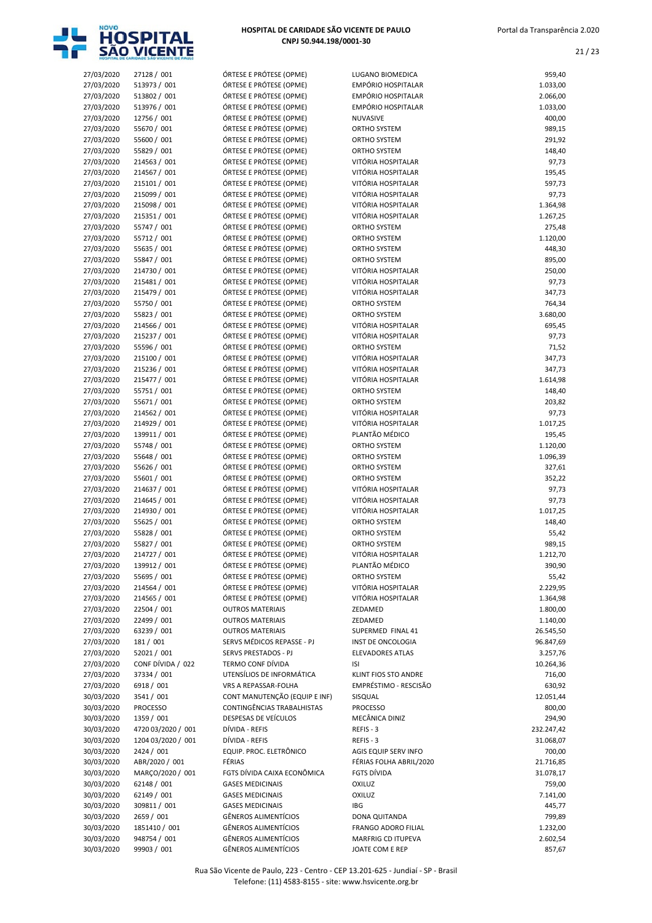

| 27/03/2020 | 27128 / 001        | ÓRTESE E PRÓTESE (OPME)       | LUGANO BIOMEDICA           | 959,40     |
|------------|--------------------|-------------------------------|----------------------------|------------|
| 27/03/2020 | 513973 / 001       | ÓRTESE E PRÓTESE (OPME)       | EMPÓRIO HOSPITALAR         | 1.033,00   |
| 27/03/2020 | 513802 / 001       | ÓRTESE E PRÓTESE (OPME)       | EMPÓRIO HOSPITALAR         | 2.066,00   |
| 27/03/2020 | 513976 / 001       | ÓRTESE E PRÓTESE (OPME)       | EMPÓRIO HOSPITALAR         | 1.033,00   |
| 27/03/2020 | 12756 / 001        | ÓRTESE E PRÓTESE (OPME)       | NUVASIVE                   | 400,00     |
| 27/03/2020 | 55670 / 001        | ÓRTESE E PRÓTESE (OPME)       | ORTHO SYSTEM               | 989,15     |
|            | 55600 / 001        |                               |                            | 291,92     |
| 27/03/2020 |                    | ÓRTESE E PRÓTESE (OPME)       | ORTHO SYSTEM               |            |
| 27/03/2020 | 55829 / 001        | ÓRTESE E PRÓTESE (OPME)       | ORTHO SYSTEM               | 148,40     |
| 27/03/2020 | 214563 / 001       | ÓRTESE E PRÓTESE (OPME)       | VITÓRIA HOSPITALAR         | 97,73      |
| 27/03/2020 | 214567 / 001       | ÓRTESE E PRÓTESE (OPME)       | VITÓRIA HOSPITALAR         | 195,45     |
| 27/03/2020 | 215101 / 001       | ÓRTESE E PRÓTESE (OPME)       | VITÓRIA HOSPITALAR         | 597,73     |
| 27/03/2020 | 215099 / 001       | ÓRTESE E PRÓTESE (OPME)       | VITÓRIA HOSPITALAR         | 97,73      |
| 27/03/2020 | 215098 / 001       | ÓRTESE E PRÓTESE (OPME)       | VITÓRIA HOSPITALAR         | 1.364,98   |
| 27/03/2020 | 215351 / 001       | ÓRTESE E PRÓTESE (OPME)       | VITÓRIA HOSPITALAR         | 1.267,25   |
| 27/03/2020 | 55747 / 001        | ÓRTESE E PRÓTESE (OPME)       | ORTHO SYSTEM               | 275,48     |
| 27/03/2020 | 55712 / 001        | ÓRTESE E PRÓTESE (OPME)       | ORTHO SYSTEM               | 1.120,00   |
| 27/03/2020 | 55635 / 001        | ÓRTESE E PRÓTESE (OPME)       | ORTHO SYSTEM               | 448,30     |
| 27/03/2020 | 55847 / 001        | ÓRTESE E PRÓTESE (OPME)       | ORTHO SYSTEM               | 895,00     |
| 27/03/2020 | 214730 / 001       | ÓRTESE E PRÓTESE (OPME)       | VITÓRIA HOSPITALAR         | 250,00     |
|            |                    | ÓRTESE E PRÓTESE (OPME)       | VITÓRIA HOSPITALAR         |            |
| 27/03/2020 | 215481 / 001       |                               |                            | 97,73      |
| 27/03/2020 | 215479 / 001       | ÓRTESE E PRÓTESE (OPME)       | VITÓRIA HOSPITALAR         | 347,73     |
| 27/03/2020 | 55750 / 001        | ÓRTESE E PRÓTESE (OPME)       | ORTHO SYSTEM               | 764,34     |
| 27/03/2020 | 55823 / 001        | ÓRTESE E PRÓTESE (OPME)       | ORTHO SYSTEM               | 3.680,00   |
| 27/03/2020 | 214566 / 001       | ÓRTESE E PRÓTESE (OPME)       | VITÓRIA HOSPITALAR         | 695,45     |
| 27/03/2020 | 215237 / 001       | ÓRTESE E PRÓTESE (OPME)       | VITÓRIA HOSPITALAR         | 97,73      |
| 27/03/2020 | 55596 / 001        | ÓRTESE E PRÓTESE (OPME)       | ORTHO SYSTEM               | 71,52      |
| 27/03/2020 | 215100 / 001       | ÓRTESE E PRÓTESE (OPME)       | VITÓRIA HOSPITALAR         | 347,73     |
| 27/03/2020 | 215236 / 001       | ÓRTESE E PRÓTESE (OPME)       | VITÓRIA HOSPITALAR         | 347,73     |
| 27/03/2020 | 215477 / 001       | ÓRTESE E PRÓTESE (OPME)       | VITÓRIA HOSPITALAR         | 1.614,98   |
| 27/03/2020 | 55751 / 001        | ÓRTESE E PRÓTESE (OPME)       | ORTHO SYSTEM               | 148,40     |
| 27/03/2020 | 55671 / 001        | ÓRTESE E PRÓTESE (OPME)       | ORTHO SYSTEM               | 203,82     |
| 27/03/2020 | 214562 / 001       | ÓRTESE E PRÓTESE (OPME)       | VITÓRIA HOSPITALAR         | 97,73      |
|            |                    |                               | VITÓRIA HOSPITALAR         |            |
| 27/03/2020 | 214929 / 001       | ÓRTESE E PRÓTESE (OPME)       |                            | 1.017,25   |
| 27/03/2020 | 139911 / 001       | ÓRTESE E PRÓTESE (OPME)       | PLANTÃO MÉDICO             | 195,45     |
| 27/03/2020 | 55748 / 001        | ÓRTESE E PRÓTESE (OPME)       | ORTHO SYSTEM               | 1.120,00   |
| 27/03/2020 | 55648 / 001        | ÓRTESE E PRÓTESE (OPME)       | ORTHO SYSTEM               | 1.096,39   |
| 27/03/2020 | 55626 / 001        | ÓRTESE E PRÓTESE (OPME)       | ORTHO SYSTEM               | 327,61     |
| 27/03/2020 | 55601 / 001        | ÓRTESE E PRÓTESE (OPME)       | ORTHO SYSTEM               | 352,22     |
| 27/03/2020 | 214637 / 001       | ÓRTESE E PRÓTESE (OPME)       | VITÓRIA HOSPITALAR         | 97,73      |
| 27/03/2020 | 214645 / 001       | ÓRTESE E PRÓTESE (OPME)       | VITÓRIA HOSPITALAR         | 97,73      |
| 27/03/2020 | 214930 / 001       | ÓRTESE E PRÓTESE (OPME)       | VITÓRIA HOSPITALAR         | 1.017,25   |
| 27/03/2020 | 55625 / 001        | ÓRTESE E PRÓTESE (OPME)       | ORTHO SYSTEM               | 148,40     |
| 27/03/2020 | 55828 / 001        | ÓRTESE E PRÓTESE (OPME)       | ORTHO SYSTEM               | 55,42      |
| 27/03/2020 | 55827 / 001        | ÓRTESE E PRÓTESE (OPME)       | ORTHO SYSTEM               | 989,15     |
| 27/03/2020 |                    | ÓRTESE E PRÓTESE (OPME)       | VITÓRIA HOSPITALAR         |            |
|            | 214727 / 001       |                               |                            | 1.212,70   |
| 27/03/2020 | 139912 / 001       | ÓRTESE E PRÓTESE (OPME)       | PLANTÃO MÉDICO             | 390,90     |
| 27/03/2020 | 55695 / 001        | ÓRTESE E PRÓTESE (OPME)       | ORTHO SYSTEM               | 55,42      |
| 27/03/2020 | 214564 / 001       | ÓRTESE E PRÓTESE (OPME)       | VITÓRIA HOSPITALAR         | 2.229,95   |
| 27/03/2020 | 214565 / 001       | ÓRTESE E PRÓTESE (OPME)       | VITÓRIA HOSPITALAR         | 1.364,98   |
| 27/03/2020 | 22504 / 001        | <b>OUTROS MATERIAIS</b>       | ZEDAMED                    | 1.800,00   |
| 27/03/2020 | 22499 / 001        | <b>OUTROS MATERIAIS</b>       | ZEDAMED                    | 1.140,00   |
| 27/03/2020 | 63239 / 001        | <b>OUTROS MATERIAIS</b>       | SUPERMED FINAL 41          | 26.545,50  |
| 27/03/2020 | 181 / 001          | SERVS MÉDICOS REPASSE - PJ    | INST DE ONCOLOGIA          | 96.847,69  |
| 27/03/2020 | 52021 / 001        | SERVS PRESTADOS - PJ          | <b>ELEVADORES ATLAS</b>    | 3.257,76   |
| 27/03/2020 | CONF DÍVIDA / 022  | TERMO CONF DÍVIDA             | <b>ISI</b>                 | 10.264,36  |
| 27/03/2020 | 37334 / 001        | UTENSÍLIOS DE INFORMÁTICA     | KLINT FIOS STO ANDRE       | 716,00     |
|            | 6918 / 001         | VRS A REPASSAR-FOLHA          | EMPRÉSTIMO - RESCISÃO      |            |
| 27/03/2020 |                    |                               |                            | 630,92     |
| 30/03/2020 | 3541 / 001         | CONT MANUTENÇÃO (EQUIP E INF) | SISQUAL                    | 12.051,44  |
| 30/03/2020 | <b>PROCESSO</b>    | CONTINGÊNCIAS TRABALHISTAS    | <b>PROCESSO</b>            | 800,00     |
| 30/03/2020 | 1359 / 001         | DESPESAS DE VEÍCULOS          | MECÂNICA DINIZ             | 294,90     |
| 30/03/2020 | 4720 03/2020 / 001 | DÍVIDA - REFIS                | REFIS - 3                  | 232.247,42 |
| 30/03/2020 | 1204 03/2020 / 001 | DÍVIDA - REFIS                | REFIS - 3                  | 31.068,07  |
| 30/03/2020 | 2424 / 001         | EQUIP. PROC. ELETRÔNICO       | AGIS EQUIP SERV INFO       | 700,00     |
| 30/03/2020 | ABR/2020 / 001     | FÉRIAS                        | FÉRIAS FOLHA ABRIL/2020    | 21.716,85  |
| 30/03/2020 | MARÇO/2020 / 001   | FGTS DÍVIDA CAIXA ECONÔMICA   | FGTS DÍVIDA                | 31.078,17  |
| 30/03/2020 | 62148 / 001        | <b>GASES MEDICINAIS</b>       | <b>OXILUZ</b>              | 759,00     |
| 30/03/2020 | 62149 / 001        | <b>GASES MEDICINAIS</b>       | <b>OXILUZ</b>              | 7.141,00   |
| 30/03/2020 | 309811 / 001       | <b>GASES MEDICINAIS</b>       | IBG                        | 445,77     |
|            |                    | <b>GÊNEROS ALIMENTÍCIOS</b>   |                            |            |
| 30/03/2020 | 2659 / 001         |                               | DONA QUITANDA              | 799,89     |
| 30/03/2020 | 1851410 / 001      | GÊNEROS ALIMENTÍCIOS          | <b>FRANGO ADORO FILIAL</b> | 1.232,00   |
| 30/03/2020 | 948754 / 001       | <b>GÊNEROS ALIMENTÍCIOS</b>   | MARFRIG CD ITUPEVA         | 2.602,54   |
| 30/03/2020 | 99903 / 001        | <b>GÊNEROS ALIMENTÍCIOS</b>   | JOATE COM E REP            | 857,67     |

|                          | <b>SAO VICENTE</b>          |                                                    |                                     |                    |
|--------------------------|-----------------------------|----------------------------------------------------|-------------------------------------|--------------------|
| 27/03/2020               | 27128 / 001                 | ÓRTESE E PRÓTESE (OPME)                            | LUGANO BIOMEDICA                    | 959,40             |
| 27/03/2020               | 513973 / 001                | ÓRTESE E PRÓTESE (OPME)                            | EMPÓRIO HOSPITALAR                  | 1.033,00           |
| 27/03/2020               | 513802 / 001                | ÓRTESE E PRÓTESE (OPME)                            | EMPÓRIO HOSPITALAR                  | 2.066,00           |
| 27/03/2020               | 513976 / 001                | ÓRTESE E PRÓTESE (OPME)                            | EMPÓRIO HOSPITALAR                  | 1.033,00           |
| 27/03/2020               | 12756 / 001                 | ÓRTESE E PRÓTESE (OPME)                            | NUVASIVE                            | 400,00             |
| 27/03/2020               | 55670 / 001                 | ÓRTESE E PRÓTESE (OPME)                            | <b>ORTHO SYSTEM</b>                 | 989,15             |
| 27/03/2020               | 55600 / 001                 | ÓRTESE E PRÓTESE (OPME)                            | ORTHO SYSTEM                        | 291,92             |
| 27/03/2020               | 55829 / 001                 | ÓRTESE E PRÓTESE (OPME)                            | <b>ORTHO SYSTEM</b>                 | 148,40             |
| 27/03/2020               | 214563 / 001                | ÓRTESE E PRÓTESE (OPME)                            | VITÓRIA HOSPITALAR                  | 97,73              |
| 27/03/2020               | 214567 / 001                | ÓRTESE E PRÓTESE (OPME)                            | VITÓRIA HOSPITALAR                  | 195,45             |
| 27/03/2020               | 215101 / 001                | ÓRTESE E PRÓTESE (OPME)                            | VITÓRIA HOSPITALAR                  | 597,73             |
| 27/03/2020               | 215099 / 001                | ÓRTESE E PRÓTESE (OPME)                            | VITÓRIA HOSPITALAR                  | 97,73              |
| 27/03/2020               | 215098 / 001                | ÓRTESE E PRÓTESE (OPME)                            | VITÓRIA HOSPITALAR                  | 1.364,98           |
| 27/03/2020               | 215351 / 001                | ÓRTESE E PRÓTESE (OPME)                            | VITÓRIA HOSPITALAR                  | 1.267,25           |
| 27/03/2020               | 55747 / 001                 | ÓRTESE E PRÓTESE (OPME)                            | <b>ORTHO SYSTEM</b>                 | 275,48             |
| 27/03/2020               | 55712 / 001                 | ÓRTESE E PRÓTESE (OPME)                            | ORTHO SYSTEM                        | 1.120,00           |
| 27/03/2020               | 55635 / 001                 | ÓRTESE E PRÓTESE (OPME)                            | ORTHO SYSTEM                        | 448,30             |
| 27/03/2020               | 55847 / 001                 | ÓRTESE E PRÓTESE (OPME)                            | <b>ORTHO SYSTEM</b>                 | 895,00             |
| 27/03/2020               | 214730 / 001                | ÓRTESE E PRÓTESE (OPME)                            | VITÓRIA HOSPITALAR                  | 250,00             |
| 27/03/2020               | 215481 / 001                | ÓRTESE E PRÓTESE (OPME)                            | VITÓRIA HOSPITALAR                  | 97,73              |
| 27/03/2020               | 215479 / 001                | ÓRTESE E PRÓTESE (OPME)                            | VITÓRIA HOSPITALAR                  | 347,73             |
| 27/03/2020               | 55750 / 001                 | ÓRTESE E PRÓTESE (OPME)                            | <b>ORTHO SYSTEM</b>                 | 764,34             |
| 27/03/2020               | 55823 / 001                 | ÓRTESE E PRÓTESE (OPME)                            | <b>ORTHO SYSTEM</b>                 | 3.680,00           |
| 27/03/2020               | 214566 / 001                | ÓRTESE E PRÓTESE (OPME)                            | VITÓRIA HOSPITALAR                  | 695,45             |
| 27/03/2020               | 215237 / 001                | ÓRTESE E PRÓTESE (OPME)                            | VITÓRIA HOSPITALAR                  | 97,73              |
| 27/03/2020               | 55596 / 001                 | ÓRTESE E PRÓTESE (OPME)                            | <b>ORTHO SYSTEM</b>                 | 71,52              |
| 27/03/2020               | 215100 / 001                | ÓRTESE E PRÓTESE (OPME)                            | VITÓRIA HOSPITALAR                  | 347,73             |
| 27/03/2020               | 215236 / 001                | ÓRTESE E PRÓTESE (OPME)                            | VITÓRIA HOSPITALAR                  | 347,73             |
| 27/03/2020               | 215477 / 001                | ÓRTESE E PRÓTESE (OPME)                            | VITÓRIA HOSPITALAR                  | 1.614,98           |
| 27/03/2020               | 55751 / 001                 | ÓRTESE E PRÓTESE (OPME)                            | ORTHO SYSTEM                        | 148,40             |
| 27/03/2020               | 55671 / 001                 | ÓRTESE E PRÓTESE (OPME)                            | ORTHO SYSTEM                        | 203,82             |
| 27/03/2020               | 214562 / 001                | ÓRTESE E PRÓTESE (OPME)                            | VITÓRIA HOSPITALAR                  | 97,73              |
| 27/03/2020               | 214929 / 001                | ÓRTESE E PRÓTESE (OPME)                            | VITÓRIA HOSPITALAR                  | 1.017,25           |
| 27/03/2020               | 139911 / 001                | ÓRTESE E PRÓTESE (OPME)                            | PLANTÃO MÉDICO                      | 195,45             |
| 27/03/2020               | 55748 / 001                 | ÓRTESE E PRÓTESE (OPME)                            | ORTHO SYSTEM                        | 1.120,00           |
| 27/03/2020               | 55648 / 001                 | ÓRTESE E PRÓTESE (OPME)                            | ORTHO SYSTEM                        | 1.096,39           |
| 27/03/2020               | 55626 / 001                 | ÓRTESE E PRÓTESE (OPME)                            | ORTHO SYSTEM                        | 327,61             |
| 27/03/2020               | 55601 / 001                 | ÓRTESE E PRÓTESE (OPME)                            | <b>ORTHO SYSTEM</b>                 | 352,22             |
| 27/03/2020               | 214637 / 001                | ÓRTESE E PRÓTESE (OPME)                            | VITÓRIA HOSPITALAR                  | 97,73              |
| 27/03/2020               | 214645 / 001                | ÓRTESE E PRÓTESE (OPME)                            | VITÓRIA HOSPITALAR                  | 97,73              |
| 27/03/2020               | 214930 / 001                | ÓRTESE E PRÓTESE (OPME)                            | VITÓRIA HOSPITALAR                  | 1.017,25           |
| 27/03/2020<br>27/03/2020 | 55625 / 001<br>55828 / 001  | ÓRTESE E PRÓTESE (OPME)                            | ORTHO SYSTEM<br><b>ORTHO SYSTEM</b> | 148,40<br>55,42    |
|                          |                             | ÓRTESE E PRÓTESE (OPME)                            | ORTHO SYSTEM                        |                    |
| 27/03/2020<br>27/03/2020 | 55827 / 001<br>214727 / 001 | ÓRTESE E PRÓTESE (OPME)<br>ÓRTESE E PRÓTESE (OPME) | VITÓRIA HOSPITALAR                  | 989,15             |
| 27/03/2020               | 139912 / 001                | ÓRTESE E PRÓTESE (OPME)                            | PLANTÃO MÉDICO                      | 1.212,70<br>390,90 |
| 27/03/2020               | 55695 / 001                 | ÓRTESE E PRÓTESE (OPME)                            | ORTHO SYSTEM                        | 55,42              |
| 27/03/2020               | 214564 / 001                | ÓRTESE E PRÓTESE (OPME)                            | VITÓRIA HOSPITALAR                  | 2.229,95           |
| 27/03/2020               | 214565 / 001                | ÓRTESE E PRÓTESE (OPME)                            | VITÓRIA HOSPITALAR                  | 1.364,98           |
| 27/03/2020               | 22504 / 001                 | <b>OUTROS MATERIAIS</b>                            | ZEDAMED                             | 1.800,00           |
| 27/03/2020               | 22499 / 001                 | <b>OUTROS MATERIAIS</b>                            | ZEDAMED                             | 1.140,00           |
| 27/03/2020               | 63239 / 001                 | <b>OUTROS MATERIAIS</b>                            | SUPERMED FINAL 41                   | 26.545,50          |
| 27/03/2020               | 181 / 001                   | SERVS MÉDICOS REPASSE - PJ                         | INST DE ONCOLOGIA                   | 96.847,69          |
| 27/03/2020               | 52021 / 001                 | SERVS PRESTADOS - PJ                               | <b>ELEVADORES ATLAS</b>             | 3.257,76           |
| 27/03/2020               | CONF DÍVIDA / 022           | <b>TERMO CONF DÍVIDA</b>                           | ISI                                 | 10.264,36          |
| 27/03/2020               | 37334 / 001                 | UTENSÍLIOS DE INFORMÁTICA                          | KLINT FIOS STO ANDRE                | 716,00             |
| 27/03/2020               | 6918 / 001                  | VRS A REPASSAR-FOLHA                               | EMPRÉSTIMO - RESCISÃO               | 630,92             |
| 30/03/2020               | 3541 / 001                  | CONT MANUTENÇÃO (EQUIP E INF)                      | SISQUAL                             | 12.051,44          |
| 30/03/2020               | <b>PROCESSO</b>             | CONTINGÊNCIAS TRABALHISTAS                         | <b>PROCESSO</b>                     | 800,00             |
| 30/03/2020               | 1359 / 001                  | DESPESAS DE VEÍCULOS                               | MECÂNICA DINIZ                      | 294,90             |
| 30/03/2020               | 4720 03/2020 / 001          | DÍVIDA - REFIS                                     | REFIS - 3                           | 232.247,42         |
| 30/03/2020               | 1204 03/2020 / 001          | DÍVIDA - REFIS                                     | REFIS - 3                           | 31.068,07          |
| 30/03/2020               | 2424 / 001                  | EQUIP. PROC. ELETRÔNICO                            | AGIS EQUIP SERV INFO                | 700,00             |
| 30/03/2020               | ABR/2020 / 001              | FÉRIAS                                             | FÉRIAS FOLHA ABRIL/2020             | 21.716,85          |
| 30/03/2020               | MARÇO/2020 / 001            | FGTS DÍVIDA CAIXA ECONÔMICA                        | FGTS DÍVIDA                         | 31.078,17          |
| 30/03/2020               | 62148 / 001                 | <b>GASES MEDICINAIS</b>                            | <b>OXILUZ</b>                       | 759,00             |
| 30/03/2020               | 62149 / 001                 | <b>GASES MEDICINAIS</b>                            | <b>OXILUZ</b>                       | 7.141,00           |
| 30/03/2020               | 309811 / 001                | <b>GASES MEDICINAIS</b>                            | IBG                                 | 445,77             |
| 30/03/2020               | 2659 / 001                  | GÊNEROS ALIMENTÍCIOS                               | DONA QUITANDA                       | 799,89             |
| 30/03/2020               | 1851410 / 001               | GÊNEROS ALIMENTÍCIOS                               | <b>FRANGO ADORO FILIAL</b>          | 1.232,00           |
| 30/03/2020               | 948754 / 001                | GÊNEROS ALIMENTÍCIOS                               | MARFRIG CD ITUPEVA                  | 2.602,54           |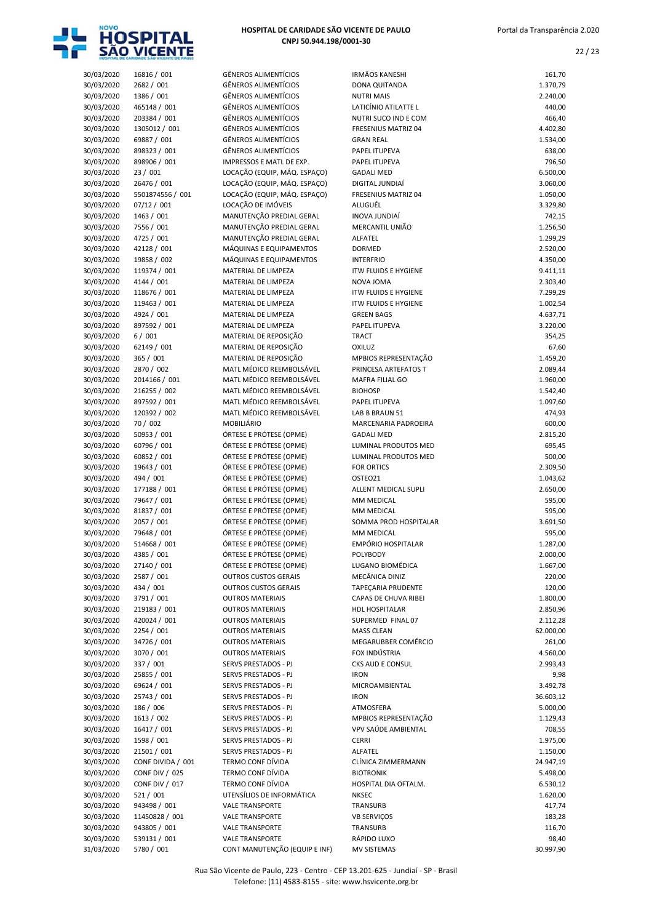

| HOSPITAL DE CARIDADE SÃO VICENTE DE PAULO |
|-------------------------------------------|
| CNPJ 50.944.198/0001-30                   |

| 30/03/2020 | 16816 / 001               | <b>GÊNEROS ALIMENTÍCIOS</b>   | <b>IRMÃOS KANESHI</b>       | 161,70    |
|------------|---------------------------|-------------------------------|-----------------------------|-----------|
| 30/03/2020 | 2682 / 001                | <b>GÊNEROS ALIMENTÍCIOS</b>   | DONA QUITANDA               | 1.370,79  |
| 30/03/2020 | 1386 / 001                | <b>GÊNEROS ALIMENTÍCIOS</b>   | <b>NUTRI MAIS</b>           | 2.240,00  |
| 30/03/2020 | 465148 / 001              | <b>GÊNEROS ALIMENTÍCIOS</b>   | LATICÍNIO ATILATTE L        | 440,00    |
| 30/03/2020 | 203384 / 001              | <b>GÊNEROS ALIMENTÍCIOS</b>   | NUTRI SUCO IND E COM        | 466,40    |
| 30/03/2020 | 1305012 / 001             | <b>GÊNEROS ALIMENTÍCIOS</b>   | <b>FRESENIUS MATRIZ 04</b>  | 4.402,80  |
| 30/03/2020 | 69887 / 001               | <b>GÊNEROS ALIMENTÍCIOS</b>   | <b>GRAN REAL</b>            | 1.534,00  |
| 30/03/2020 | 898323 / 001              | <b>GÊNEROS ALIMENTÍCIOS</b>   | PAPEL ITUPEVA               | 638,00    |
| 30/03/2020 | 898906 / 001              | IMPRESSOS E MATL DE EXP.      | PAPEL ITUPEVA               | 796,50    |
| 30/03/2020 | 23 / 001                  | LOCAÇÃO (EQUIP, MÁQ. ESPAÇO)  | <b>GADALI MED</b>           | 6.500,00  |
| 30/03/2020 | 26476 / 001               | LOCAÇÃO (EQUIP, MÁQ. ESPAÇO)  | DIGITAL JUNDIAÍ             | 3.060,00  |
| 30/03/2020 | 5501874556 / 001          | LOCAÇÃO (EQUIP, MÁQ. ESPAÇO)  | <b>FRESENIUS MATRIZ 04</b>  | 1.050,00  |
| 30/03/2020 | 07/12 / 001               | LOCAÇÃO DE IMÓVEIS            | ALUGUÉL                     | 3.329,80  |
|            |                           | MANUTENÇÃO PREDIAL GERAL      | INOVA JUNDIAÍ               |           |
| 30/03/2020 | 1463 / 001                |                               |                             | 742,15    |
| 30/03/2020 | 7556 / 001                | MANUTENÇÃO PREDIAL GERAL      | MERCANTIL UNIÃO             | 1.256,50  |
| 30/03/2020 | 4725 / 001                | MANUTENÇÃO PREDIAL GERAL      | ALFATEL                     | 1.299,29  |
| 30/03/2020 | 42128 / 001               | MÁQUINAS E EQUIPAMENTOS       | <b>DORMED</b>               | 2.520,00  |
| 30/03/2020 | 19858 / 002               | MÁQUINAS E EQUIPAMENTOS       | <b>INTERFRIO</b>            | 4.350,00  |
| 30/03/2020 | 119374 / 001              | MATERIAL DE LIMPEZA           | <b>ITW FLUIDS E HYGIENE</b> | 9.411,11  |
| 30/03/2020 | 4144 / 001                | MATERIAL DE LIMPEZA           | NOVA JOMA                   | 2.303,40  |
| 30/03/2020 | 118676 / 001              | MATERIAL DE LIMPEZA           | <b>ITW FLUIDS E HYGIENE</b> | 7.299,29  |
| 30/03/2020 | 119463 / 001              | MATERIAL DE LIMPEZA           | <b>ITW FLUIDS E HYGIENE</b> | 1.002,54  |
| 30/03/2020 | 4924 / 001                | MATERIAL DE LIMPEZA           | <b>GREEN BAGS</b>           | 4.637,71  |
| 30/03/2020 | 897592 / 001              | MATERIAL DE LIMPEZA           | PAPEL ITUPEVA               | 3.220,00  |
| 30/03/2020 | 6/001                     | MATERIAL DE REPOSIÇÃO         | <b>TRACT</b>                | 354,25    |
| 30/03/2020 | 62149 / 001               | MATERIAL DE REPOSIÇÃO         | OXILUZ                      | 67,60     |
| 30/03/2020 | 365 / 001                 | MATERIAL DE REPOSIÇÃO         | MPBIOS REPRESENTAÇÃO        | 1.459,20  |
| 30/03/2020 | 2870 / 002                | MATL MÉDICO REEMBOLSÁVEL      | PRINCESA ARTEFATOS T        | 2.089,44  |
| 30/03/2020 | 2014166 / 001             | MATL MÉDICO REEMBOLSÁVEL      | MAFRA FILIAL GO             | 1.960,00  |
| 30/03/2020 | 216255 / 002              | MATL MÉDICO REEMBOLSÁVEL      | <b>BIOHOSP</b>              | 1.542,40  |
| 30/03/2020 | 897592 / 001              | MATL MÉDICO REEMBOLSÁVEL      | PAPEL ITUPEVA               | 1.097,60  |
| 30/03/2020 | 120392 / 002              | MATL MÉDICO REEMBOLSÁVEL      | LAB B BRAUN 51              | 474,93    |
| 30/03/2020 | 70 / 002                  | MOBILIÁRIO                    | MARCENARIA PADROEIRA        | 600,00    |
| 30/03/2020 | 50953 / 001               | ÓRTESE E PRÓTESE (OPME)       | <b>GADALI MED</b>           | 2.815,20  |
| 30/03/2020 | 60796 / 001               | ÓRTESE E PRÓTESE (OPME)       | LUMINAL PRODUTOS MED        | 695,45    |
| 30/03/2020 | 60852 / 001               | ÓRTESE E PRÓTESE (OPME)       | LUMINAL PRODUTOS MED        | 500,00    |
| 30/03/2020 | 19643 / 001               | ÓRTESE E PRÓTESE (OPME)       | <b>FOR ORTICS</b>           | 2.309,50  |
|            |                           |                               |                             |           |
| 30/03/2020 | 494 / 001                 | ÓRTESE E PRÓTESE (OPME)       | OSTEO21                     | 1.043,62  |
| 30/03/2020 | 177188 / 001              | ÓRTESE E PRÓTESE (OPME)       | <b>ALLENT MEDICAL SUPLI</b> | 2.650,00  |
| 30/03/2020 | 79647 / 001               | ÓRTESE E PRÓTESE (OPME)       | MM MEDICAL                  | 595,00    |
| 30/03/2020 | 81837 / 001               | ÓRTESE E PRÓTESE (OPME)       | <b>MM MEDICAL</b>           | 595,00    |
| 30/03/2020 | 2057 / 001                | ÓRTESE E PRÓTESE (OPME)       | SOMMA PROD HOSPITALAR       | 3.691,50  |
| 30/03/2020 | 79648 / 001               | ÓRTESE E PRÓTESE (OPME)       | MM MEDICAL                  | 595,00    |
| 30/03/2020 | 514668 / 001              | ÓRTESE E PRÓTESE (OPME)       | <b>EMPÓRIO HOSPITALAR</b>   | 1.287,00  |
| 30/03/2020 | 4385 / 001                | ÓRTESE E PRÓTESE (OPME)       | POLYBODY                    | 2.000,00  |
| 30/03/2020 | 27140 / 001               | ÓRTESE E PRÓTESE (OPME)       | LUGANO BIOMÉDICA            | 1.667,00  |
| 30/03/2020 | 2587 / 001                | <b>OUTROS CUSTOS GERAIS</b>   | MECÂNICA DINIZ              | 220,00    |
| 30/03/2020 | 434 / 001                 | <b>OUTROS CUSTOS GERAIS</b>   | TAPEÇARIA PRUDENTE          | 120,00    |
| 30/03/2020 | 3791 / 001                | <b>OUTROS MATERIAIS</b>       | CAPAS DE CHUVA RIBEI        | 1.800,00  |
| 30/03/2020 | 219183 / 001              | <b>OUTROS MATERIAIS</b>       | HDL HOSPITALAR              | 2.850,96  |
| 30/03/2020 | 420024 / 001              | <b>OUTROS MATERIAIS</b>       | SUPERMED FINAL 07           | 2.112,28  |
| 30/03/2020 | 2254 / 001                | <b>OUTROS MATERIAIS</b>       | <b>MASS CLEAN</b>           | 62.000,00 |
| 30/03/2020 | 34726 / 001               | <b>OUTROS MATERIAIS</b>       | MEGARUBBER COMÉRCIO         | 261,00    |
| 30/03/2020 | 3070 / 001                | <b>OUTROS MATERIAIS</b>       | FOX INDÚSTRIA               | 4.560,00  |
| 30/03/2020 | 337 / 001                 | SERVS PRESTADOS - PJ          | CKS AUD E CONSUL            | 2.993,43  |
| 30/03/2020 | 25855 / 001               | SERVS PRESTADOS - PJ          | <b>IRON</b>                 | 9,98      |
| 30/03/2020 | 69624 / 001               | SERVS PRESTADOS - PJ          | MICROAMBIENTAL              | 3.492,78  |
| 30/03/2020 | 25743 / 001               | SERVS PRESTADOS - PJ          | <b>IRON</b>                 | 36.603,12 |
| 30/03/2020 | 186 / 006                 | SERVS PRESTADOS - PJ          | ATMOSFERA                   | 5.000,00  |
| 30/03/2020 | 1613 / 002                | SERVS PRESTADOS - PJ          | MPBIOS REPRESENTAÇÃO        | 1.129,43  |
|            |                           |                               | VPV SAÚDE AMBIENTAL         |           |
| 30/03/2020 | 16417 / 001<br>1598 / 001 | SERVS PRESTADOS - PJ          |                             | 708,55    |
| 30/03/2020 |                           | SERVS PRESTADOS - PJ          | <b>CERRI</b>                | 1.975,00  |
| 30/03/2020 | 21501 / 001               | SERVS PRESTADOS - PJ          | ALFATEL                     | 1.150,00  |
| 30/03/2020 | CONF DIVIDA / 001         | TERMO CONF DÍVIDA             | CLÍNICA ZIMMERMANN          | 24.947,19 |
| 30/03/2020 | <b>CONF DIV / 025</b>     | TERMO CONF DÍVIDA             | <b>BIOTRONIK</b>            | 5.498,00  |
| 30/03/2020 | <b>CONF DIV / 017</b>     | TERMO CONF DÍVIDA             | HOSPITAL DIA OFTALM.        | 6.530,12  |
| 30/03/2020 | 521/001                   | UTENSÍLIOS DE INFORMÁTICA     | <b>NKSEC</b>                | 1.620,00  |
| 30/03/2020 | 943498 / 001              | <b>VALE TRANSPORTE</b>        | TRANSURB                    | 417,74    |
| 30/03/2020 | 11450828 / 001            | <b>VALE TRANSPORTE</b>        | <b>VB SERVIÇOS</b>          | 183,28    |
| 30/03/2020 | 943805 / 001              | <b>VALE TRANSPORTE</b>        | TRANSURB                    | 116,70    |
| 30/03/2020 | 539131 / 001              | <b>VALE TRANSPORTE</b>        | RÁPIDO LUXO                 | 98,40     |
| 31/03/2020 | 5780 / 001                | CONT MANUTENÇÃO (EQUIP E INF) | <b>MV SISTEMAS</b>          | 30.997,90 |

|                          | HOSPITAL DE CARIDADE SÃO VICENTE DE PAULO |                                                              |                                                 |                      |
|--------------------------|-------------------------------------------|--------------------------------------------------------------|-------------------------------------------------|----------------------|
| 30/03/2020               | 16816 / 001                               | <b>GÊNEROS ALIMENTÍCIOS</b>                                  | <b>IRMÃOS KANESHI</b>                           | 161,70               |
| 30/03/2020               | 2682 / 001                                | <b>GÊNEROS ALIMENTÍCIOS</b>                                  | <b>DONA QUITANDA</b>                            | 1.370,79             |
| 30/03/2020<br>30/03/2020 | 1386 / 001<br>465148 / 001                | <b>GÊNEROS ALIMENTÍCIOS</b><br><b>GÊNEROS ALIMENTÍCIOS</b>   | <b>NUTRI MAIS</b><br>LATICÍNIO ATILATTE L       | 2.240,00             |
| 30/03/2020               | 203384 / 001                              | <b>GÊNEROS ALIMENTÍCIOS</b>                                  | NUTRI SUCO IND E COM                            | 440,00<br>466,40     |
| 30/03/2020               | 1305012 / 001                             | <b>GÊNEROS ALIMENTÍCIOS</b>                                  | FRESENIUS MATRIZ 04                             | 4.402,80             |
| 30/03/2020               | 69887 / 001                               | <b>GÊNEROS ALIMENTÍCIOS</b>                                  | <b>GRAN REAL</b>                                | 1.534,00             |
| 30/03/2020               | 898323 / 001                              | <b>GÊNEROS ALIMENTÍCIOS</b>                                  | PAPEL ITUPEVA                                   | 638,00               |
| 30/03/2020               | 898906 / 001                              | IMPRESSOS E MATL DE EXP.                                     | PAPEL ITUPEVA                                   | 796,50               |
| 30/03/2020               | 23 / 001                                  | LOCAÇÃO (EQUIP, MÁQ. ESPAÇO)                                 | <b>GADALI MED</b>                               | 6.500,00             |
| 30/03/2020<br>30/03/2020 | 26476 / 001<br>5501874556 / 001           | LOCAÇÃO (EQUIP, MÁQ. ESPAÇO)<br>LOCAÇÃO (EQUIP, MÁQ. ESPAÇO) | DIGITAL JUNDIAÍ<br>FRESENIUS MATRIZ 04          | 3.060,00<br>1.050,00 |
| 30/03/2020               | 07/12 / 001                               | LOCAÇÃO DE IMÓVEIS                                           | ALUGUÉL                                         | 3.329,80             |
| 30/03/2020               | 1463 / 001                                | MANUTENÇÃO PREDIAL GERAL                                     | INOVA JUNDIAÍ                                   | 742,15               |
| 30/03/2020               | 7556 / 001                                | MANUTENÇÃO PREDIAL GERAL                                     | MERCANTIL UNIÃO                                 | 1.256,50             |
| 30/03/2020               | 4725 / 001                                | MANUTENÇÃO PREDIAL GERAL                                     | ALFATEL                                         | 1.299,29             |
| 30/03/2020               | 42128 / 001                               | MÁQUINAS E EQUIPAMENTOS                                      | <b>DORMED</b>                                   | 2.520,00             |
| 30/03/2020<br>30/03/2020 | 19858 / 002<br>119374 / 001               | MÁQUINAS E EQUIPAMENTOS<br>MATERIAL DE LIMPEZA               | <b>INTERFRIO</b><br><b>ITW FLUIDS E HYGIENE</b> | 4.350,00<br>9.411,11 |
| 30/03/2020               | 4144 / 001                                | MATERIAL DE LIMPEZA                                          | NOVA JOMA                                       | 2.303,40             |
| 30/03/2020               | 118676 / 001                              | MATERIAL DE LIMPEZA                                          | <b>ITW FLUIDS E HYGIENE</b>                     | 7.299,29             |
| 30/03/2020               | 119463 / 001                              | MATERIAL DE LIMPEZA                                          | <b>ITW FLUIDS E HYGIENE</b>                     | 1.002,54             |
| 30/03/2020               | 4924 / 001                                | MATERIAL DE LIMPEZA                                          | <b>GREEN BAGS</b>                               | 4.637,71             |
| 30/03/2020<br>30/03/2020 | 897592 / 001<br>6/001                     | MATERIAL DE LIMPEZA                                          | PAPEL ITUPEVA                                   | 3.220,00             |
| 30/03/2020               | 62149 / 001                               | MATERIAL DE REPOSIÇÃO<br>MATERIAL DE REPOSIÇÃO               | <b>TRACT</b><br>OXILUZ                          | 354,25<br>67,60      |
| 30/03/2020               | 365 / 001                                 | MATERIAL DE REPOSIÇÃO                                        | MPBIOS REPRESENTAÇÃO                            | 1.459,20             |
| 30/03/2020               | 2870 / 002                                | MATL MÉDICO REEMBOLSÁVEL                                     | PRINCESA ARTEFATOS T                            | 2.089,44             |
| 30/03/2020               | 2014166 / 001                             | MATL MÉDICO REEMBOLSÁVEL                                     | <b>MAFRA FILIAL GO</b>                          | 1.960,00             |
| 30/03/2020               | 216255 / 002                              | MATL MÉDICO REEMBOLSÁVEL                                     | <b>BIOHOSP</b>                                  | 1.542,40             |
| 30/03/2020               | 897592 / 001                              | MATL MÉDICO REEMBOLSÁVEL<br>MATL MÉDICO REEMBOLSÁVEL         | PAPEL ITUPEVA                                   | 1.097,60             |
| 30/03/2020<br>30/03/2020 | 120392 / 002<br>70 / 002                  | MOBILIÁRIO                                                   | LAB B BRAUN 51<br>MARCENARIA PADROEIRA          | 474,93<br>600,00     |
| 30/03/2020               | 50953 / 001                               | ÓRTESE E PRÓTESE (OPME)                                      | <b>GADALI MED</b>                               | 2.815,20             |
| 30/03/2020               | 60796 / 001                               | ÓRTESE E PRÓTESE (OPME)                                      | LUMINAL PRODUTOS MED                            | 695,45               |
| 30/03/2020               | 60852 / 001                               | ÓRTESE E PRÓTESE (OPME)                                      | LUMINAL PRODUTOS MED                            | 500,00               |
| 30/03/2020               | 19643 / 001                               | ÓRTESE E PRÓTESE (OPME)                                      | <b>FOR ORTICS</b>                               | 2.309,50             |
| 30/03/2020               | 494 / 001<br>177188 / 001                 | ÓRTESE E PRÓTESE (OPME)<br>ÓRTESE E PRÓTESE (OPME)           | OSTEO21                                         | 1.043,62             |
| 30/03/2020<br>30/03/2020 | 79647 / 001                               | ÓRTESE E PRÓTESE (OPME)                                      | ALLENT MEDICAL SUPLI<br>MM MEDICAL              | 2.650,00<br>595,00   |
| 30/03/2020               | 81837 / 001                               | ÓRTESE E PRÓTESE (OPME)                                      | MM MEDICAL                                      | 595,00               |
| 30/03/2020               | 2057 / 001                                | ÓRTESE E PRÓTESE (OPME)                                      | SOMMA PROD HOSPITALAR                           | 3.691,50             |
| 30/03/2020               | 79648 / 001                               | ÓRTESE E PRÓTESE (OPME)                                      | MM MEDICAL                                      | 595,00               |
| 30/03/2020               | 514668 / 001                              | ÓRTESE E PRÓTESE (OPME)                                      | EMPÓRIO HOSPITALAR                              | 1.287,00             |
| 30/03/2020<br>30/03/2020 | 4385 / 001<br>27140 / 001                 | ÓRTESE E PRÓTESE (OPME)<br>ÓRTESE E PRÓTESE (OPME)           | POLYBODY<br>LUGANO BIOMÉDICA                    | 2.000,00<br>1.667,00 |
| 30/03/2020               | 2587 / 001                                | <b>OUTROS CUSTOS GERAIS</b>                                  | MECÂNICA DINIZ                                  | 220,00               |
| 30/03/2020               | 434 / 001                                 | <b>OUTROS CUSTOS GERAIS</b>                                  | <b>TAPECARIA PRUDENTE</b>                       | 120,00               |
| 30/03/2020               | 3791 / 001                                | <b>OUTROS MATERIAIS</b>                                      | CAPAS DE CHUVA RIBEI                            | 1.800,00             |
| 30/03/2020               | 219183 / 001                              | <b>OUTROS MATERIAIS</b>                                      | HDL HOSPITALAR                                  | 2.850,96             |
| 30/03/2020               | 420024 / 001                              | <b>OUTROS MATERIAIS</b>                                      | SUPERMED FINAL 07                               | 2.112,28             |
| 30/03/2020<br>30/03/2020 | 2254 / 001<br>34726 / 001                 | <b>OUTROS MATERIAIS</b><br><b>OUTROS MATERIAIS</b>           | <b>MASS CLEAN</b><br>MEGARUBBER COMÉRCIO        | 62.000,00<br>261,00  |
| 30/03/2020               | 3070 / 001                                | <b>OUTROS MATERIAIS</b>                                      | FOX INDÚSTRIA                                   | 4.560,00             |
| 30/03/2020               | 337 / 001                                 | SERVS PRESTADOS - PJ                                         | CKS AUD E CONSUL                                | 2.993,43             |
| 30/03/2020               | 25855 / 001                               | SERVS PRESTADOS - PJ                                         | <b>IRON</b>                                     | 9,98                 |
| 30/03/2020               | 69624 / 001                               | SERVS PRESTADOS - PJ                                         | MICROAMBIENTAL                                  | 3.492,78             |
| 30/03/2020               | 25743 / 001                               | SERVS PRESTADOS - PJ                                         | <b>IRON</b>                                     | 36.603,12            |
| 30/03/2020<br>30/03/2020 | 186 / 006<br>1613 / 002                   | SERVS PRESTADOS - PJ<br>SERVS PRESTADOS - PJ                 | ATMOSFERA<br>MPBIOS REPRESENTAÇÃO               | 5.000,00<br>1.129,43 |
| 30/03/2020               | 16417 / 001                               | SERVS PRESTADOS - PJ                                         | VPV SAÚDE AMBIENTAL                             | 708,55               |
| 30/03/2020               | 1598 / 001                                | SERVS PRESTADOS - PJ                                         | <b>CERRI</b>                                    | 1.975,00             |
| 30/03/2020               | 21501 / 001                               | SERVS PRESTADOS - PJ                                         | ALFATEL                                         | 1.150,00             |
| 30/03/2020               | CONF DIVIDA / 001                         | TERMO CONF DÍVIDA                                            | CLÍNICA ZIMMERMANN                              | 24.947,19            |
| 30/03/2020               | <b>CONF DIV / 025</b>                     | TERMO CONF DÍVIDA                                            | <b>BIOTRONIK</b>                                | 5.498,00             |
| 30/03/2020<br>30/03/2020 | <b>CONF DIV / 017</b><br>521/001          | TERMO CONF DÍVIDA<br>UTENSÍLIOS DE INFORMÁTICA               | HOSPITAL DIA OFTALM.<br><b>NKSEC</b>            | 6.530,12<br>1.620,00 |
| 30/03/2020               | 943498 / 001                              | <b>VALE TRANSPORTE</b>                                       | TRANSURB                                        | 417,74               |
| 30/03/2020               | 11450828 / 001                            | <b>VALE TRANSPORTE</b>                                       | <b>VB SERVIÇOS</b>                              | 183,28               |
| 30/03/2020               | 943805 / 001                              | <b>VALE TRANSPORTE</b>                                       | TRANSURB                                        | 116,70               |
| 30/03/2020               | 539131 / 001                              | <b>VALE TRANSPORTE</b>                                       | RÁPIDO LUXO                                     | 98,40                |